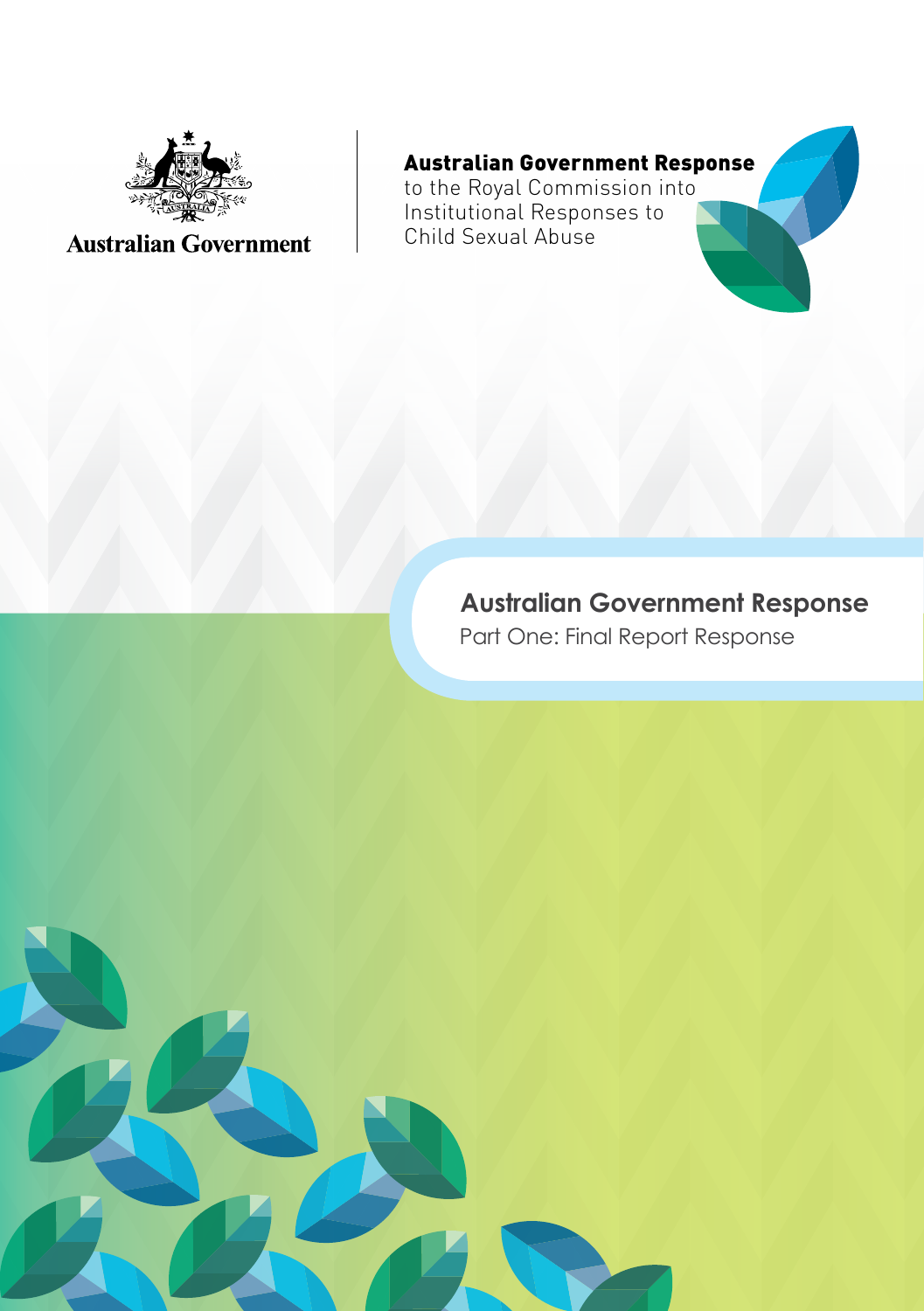

## **Australian Government**

## Australian Government Response

to the Royal Commission into Institutional Responses to Child Sexual Abuse

## **Australian Government Response**

Part One: Final Report Response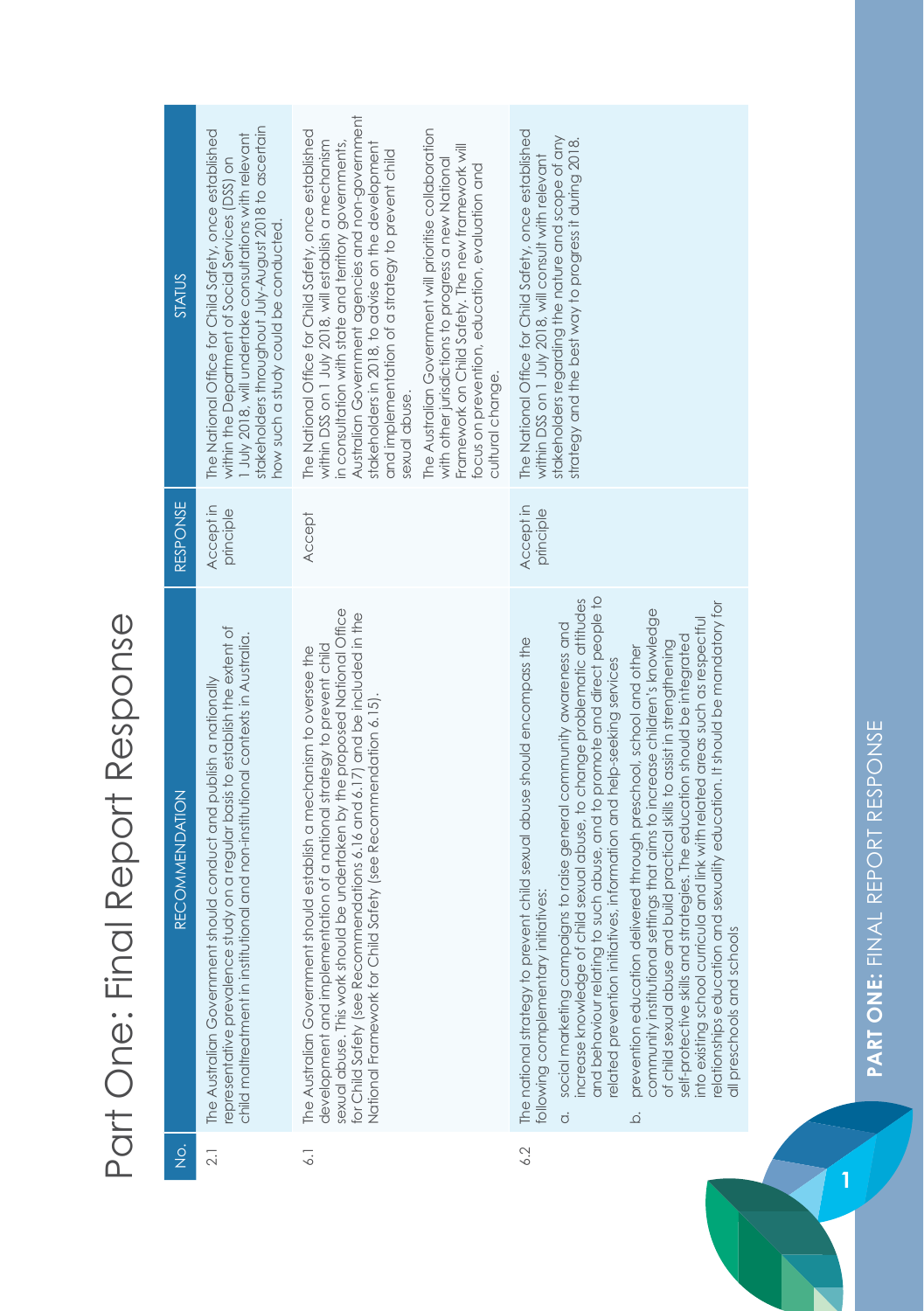## Part One: Final Report Response Part One: Final Report Response

| STATUS                | stakeholders throughout July-August 2018 to ascertain<br>The National Office for Child Safety, once established<br>1 July 2018, will undertake consultations with relevant<br>within the Department of Social Services (DSS) on<br>how such a study could be conducted. | Australian Government agencies and non-government<br>The Australian Government will prioritise collaboration<br>The National Office for Child Safety, once established<br>within DSS on 1 July 2018, will establish a mechanism<br>in consultation with state and territory governments,<br>stakeholders in 2018, to advise on the development<br>Framework on Child Safety. The new framework will<br>and implementation of a strategy to prevent child<br>with other jurisdictions to progress a new National<br>focus on prevention, education, evaluation and<br>cultural change.<br>sexual abuse. | The National Office for Child Safety, once established<br>stakeholders regarding the nature and scope of any<br>strategy and the best way to progress it during 2018.<br>within DSS on 1 July 2018, will consult with relevant                                                                                                                                                                                                                                                                                                                                                                                                                                                                                                                                                                                                                                                                                                                                                  |
|-----------------------|-------------------------------------------------------------------------------------------------------------------------------------------------------------------------------------------------------------------------------------------------------------------------|--------------------------------------------------------------------------------------------------------------------------------------------------------------------------------------------------------------------------------------------------------------------------------------------------------------------------------------------------------------------------------------------------------------------------------------------------------------------------------------------------------------------------------------------------------------------------------------------------------|---------------------------------------------------------------------------------------------------------------------------------------------------------------------------------------------------------------------------------------------------------------------------------------------------------------------------------------------------------------------------------------------------------------------------------------------------------------------------------------------------------------------------------------------------------------------------------------------------------------------------------------------------------------------------------------------------------------------------------------------------------------------------------------------------------------------------------------------------------------------------------------------------------------------------------------------------------------------------------|
| <b>RESPONSE</b>       | Accept in<br>principle                                                                                                                                                                                                                                                  | <b>Accept</b>                                                                                                                                                                                                                                                                                                                                                                                                                                                                                                                                                                                          | Accept in<br>principle                                                                                                                                                                                                                                                                                                                                                                                                                                                                                                                                                                                                                                                                                                                                                                                                                                                                                                                                                          |
| <b>RECOMMENDATION</b> | study on a regular basis to establish the extent of<br>child maltreatment in institutional and non-institutional contexts in Australia.<br>should conduct and publish a nationally<br>The Australian Government<br>epresentative prevalence                             | sexual abuse. This work should be undertaken by the proposed National Office<br>for Child Safety (see Recommendations 6.16 and 6.17) and be included in the<br>development and implementation of a national strategy to prevent child<br>should establish a mechanism to oversee the<br>National Framework for Child Safety (see Recommendation 6.15).<br>The Australian Government                                                                                                                                                                                                                    | and behaviour relating to such abuse, and to promote and direct people to<br>child sexual abuse, to change problematic attitudes<br>relationships education and sexuality education. It should be mandatory for<br>community institutional settings that aims to increase children's knowledge<br>into existing school curricula and link with related areas such as respectful<br>social marketing campaigns to raise general community awareness and<br>self-protective skills and strategies. The education should be integrated<br>The national strategy to prevent child sexual abuse should encompass the<br>of child sexual abuse and build practical skills to assist in strengthening<br>prevention education delivered through preschool, school and other<br>elated prevention initiatives, information and help-seeking services<br>following complementary initiatives:<br>all preschools and schools<br>increase knowledge of<br>$\dot{\sigma}$<br>$\overline{Q}$ |
| $rac{1}{2}$           | $\overline{2}$ .                                                                                                                                                                                                                                                        | $\overline{\phantom{0}}$                                                                                                                                                                                                                                                                                                                                                                                                                                                                                                                                                                               | 6.2                                                                                                                                                                                                                                                                                                                                                                                                                                                                                                                                                                                                                                                                                                                                                                                                                                                                                                                                                                             |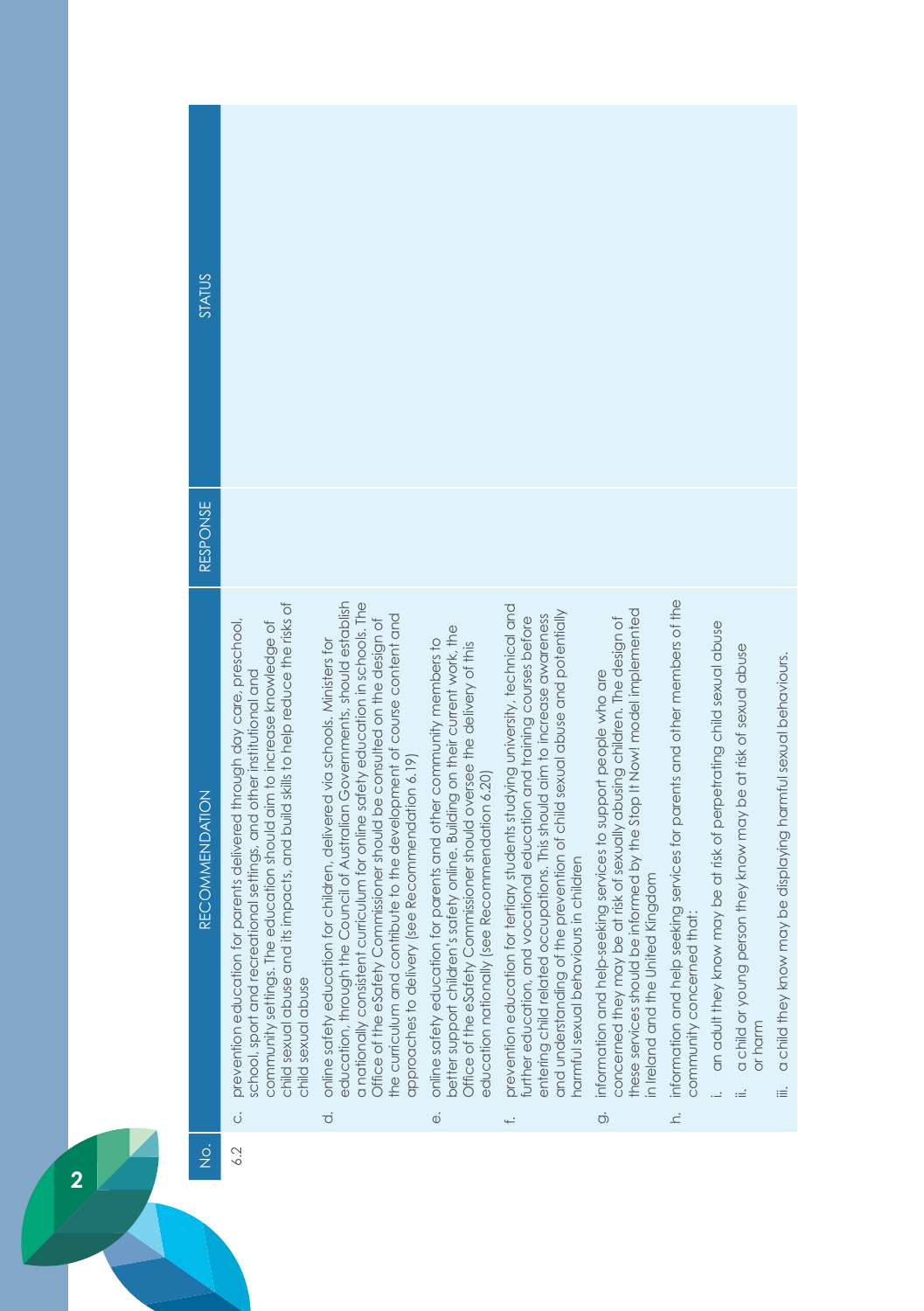| STATUS                                |                                                                                                                                                                                                                                                                                                                                            |                                                                                                                                                                                                                                                                                                                                                                                                                                                                          |                                                                                                                                                                                                                                                                                                  |                                                                                                                                                                                                                                                                                                                                                                        |                                                                                                                                                                                                                                                                               |                                                                                                                         |                                                                      |                                                                                  |                                                                         |
|---------------------------------------|--------------------------------------------------------------------------------------------------------------------------------------------------------------------------------------------------------------------------------------------------------------------------------------------------------------------------------------------|--------------------------------------------------------------------------------------------------------------------------------------------------------------------------------------------------------------------------------------------------------------------------------------------------------------------------------------------------------------------------------------------------------------------------------------------------------------------------|--------------------------------------------------------------------------------------------------------------------------------------------------------------------------------------------------------------------------------------------------------------------------------------------------|------------------------------------------------------------------------------------------------------------------------------------------------------------------------------------------------------------------------------------------------------------------------------------------------------------------------------------------------------------------------|-------------------------------------------------------------------------------------------------------------------------------------------------------------------------------------------------------------------------------------------------------------------------------|-------------------------------------------------------------------------------------------------------------------------|----------------------------------------------------------------------|----------------------------------------------------------------------------------|-------------------------------------------------------------------------|
| RESPONSE                              |                                                                                                                                                                                                                                                                                                                                            |                                                                                                                                                                                                                                                                                                                                                                                                                                                                          |                                                                                                                                                                                                                                                                                                  |                                                                                                                                                                                                                                                                                                                                                                        |                                                                                                                                                                                                                                                                               |                                                                                                                         |                                                                      |                                                                                  |                                                                         |
| <b>RECOMMENDATION</b>                 | its impacts, and build skills to help reduce the risks of<br>prevention education for parents delivered through day care, preschool,<br>community settings. The education should aim to increase knowledge of<br>school, sport and recreational settings, and other institutional and<br>child sexual abuse and<br>child sexual abuse<br>Ö | education, through the Council of Australian Governments, should establish<br>a nationally consistent curriculum for online safety education in schools. The<br>the curriculum and contribute to the development of course content and<br>Office of the eSafety Commissioner should be consulted on the design of<br>online safety education for children, delivered via schools. Ministers for<br>(see Recommendation 6.19)<br>approaches to delivery<br>$\vec{\sigma}$ | better support children's safety online. Building on their current work, the<br>online safety education for parents and other community members to<br>Office of the eSafety Commissioner should oversee the delivery of this<br>education nationally (see Recommendation 6.20)<br>$\ddot{\circ}$ | or tertiary students studying university, technical and<br>and understanding of the prevention of child sexual abuse and potentially<br>entering child related occupations. This should aim to increase awareness<br>vocational education and training courses before<br>narmful sexual behaviours in children<br>further education, and<br>prevention education<br>ť. | these services should be informed by the Stop It Now! model implemented<br>concerned they may be at risk of sexually abusing children. The design of<br>information and help-seeking services to support people who are<br>in Ireland and the United Kingdom<br>$\dot{\circ}$ | information and help seeking services for parents and other members of the<br>that:<br>community concerned<br>$\vec{z}$ | an adult they know may be at risk of perpetrating child sexual abuse | a child or young person they know may be at risk of sexual abuse<br>or harm<br>≔ | a child they know may be displaying harmful sexual behaviours.<br><br>≔ |
|                                       |                                                                                                                                                                                                                                                                                                                                            |                                                                                                                                                                                                                                                                                                                                                                                                                                                                          |                                                                                                                                                                                                                                                                                                  |                                                                                                                                                                                                                                                                                                                                                                        |                                                                                                                                                                                                                                                                               |                                                                                                                         |                                                                      |                                                                                  |                                                                         |
| $\frac{\dot{\mathrm{o}}}{\mathrm{Z}}$ | 6.2                                                                                                                                                                                                                                                                                                                                        |                                                                                                                                                                                                                                                                                                                                                                                                                                                                          |                                                                                                                                                                                                                                                                                                  |                                                                                                                                                                                                                                                                                                                                                                        |                                                                                                                                                                                                                                                                               |                                                                                                                         |                                                                      |                                                                                  |                                                                         |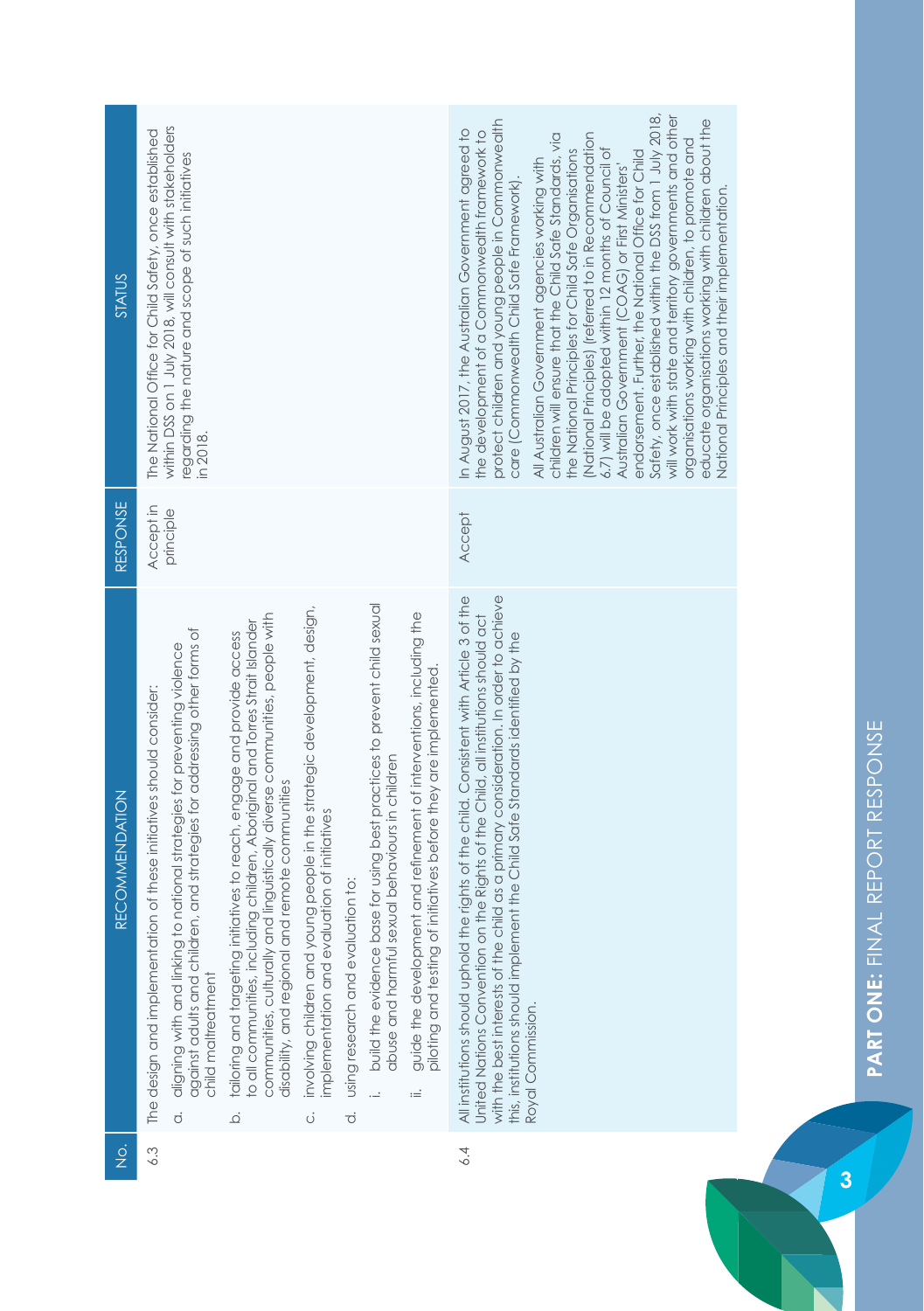| STATUS                | within DSS on 1 July 2018, will consult with stakeholders<br>The National Office for Child Safety, once established<br>regarding the nature and scope of such initiatives<br>in 2018.                                                                                                                                                                                                                                                                                                                                                                                                                                                                                                                                                                                                                                                                                                                                                                                                                                                                   | Safety, once established within the DSS from 1 July 2018,<br>will work with state and territory governments and other<br>educate organisations working with children about the<br>protect children and young people in Commonwealth<br>In August 2017, the Australian Government agreed to<br>the development of a Commonwealth framework to<br>(National Principles) (referred to in Recommendation<br>children will ensure that the Child Safe Standards, via<br>organisations working with children, to promote and<br>the National Principles for Child Safe Organisations<br>6.7) will be adopted within 12 months of Council of<br>endorsement. Further, the National Office for Child<br>All Australian Government agencies working with<br>Australian Government (COAG) or First Ministers'<br>care (Commonwealth Child Safe Framework).<br>National Principles and their implementation. |
|-----------------------|---------------------------------------------------------------------------------------------------------------------------------------------------------------------------------------------------------------------------------------------------------------------------------------------------------------------------------------------------------------------------------------------------------------------------------------------------------------------------------------------------------------------------------------------------------------------------------------------------------------------------------------------------------------------------------------------------------------------------------------------------------------------------------------------------------------------------------------------------------------------------------------------------------------------------------------------------------------------------------------------------------------------------------------------------------|---------------------------------------------------------------------------------------------------------------------------------------------------------------------------------------------------------------------------------------------------------------------------------------------------------------------------------------------------------------------------------------------------------------------------------------------------------------------------------------------------------------------------------------------------------------------------------------------------------------------------------------------------------------------------------------------------------------------------------------------------------------------------------------------------------------------------------------------------------------------------------------------------|
| RESPONSE              | Accept in<br>principle                                                                                                                                                                                                                                                                                                                                                                                                                                                                                                                                                                                                                                                                                                                                                                                                                                                                                                                                                                                                                                  | <b>Accept</b>                                                                                                                                                                                                                                                                                                                                                                                                                                                                                                                                                                                                                                                                                                                                                                                                                                                                                     |
| <b>RECOMMENDATION</b> | build the evidence base for using best practices to prevent child sexual<br>involving children and young people in the strategic development, design,<br>guide the development and refinement of interventions, including the<br>communities, culturally and linguistically diverse communities, people with<br>o all communities, including children, Aboriginal and Torres Strait Islander<br>against adults and children, and strategies for addressing other forms of<br>tailoring and targeting initiatives to reach, engage and provide access<br>aligning with and linking to national strategies for preventing violence<br>piloting and testing of initiatives before they are implemented<br>The design and implementation of these initiatives should consider:<br>abuse and harmful sexual behaviours in children<br>disability, and regional and remote communities<br>implementation and evaluation of initiatives<br>using research and evaluation to:<br>child maltreatment<br>:=<br>$\dot{\sigma}$<br>$\vec{o}$<br>$\overline{Q}$<br>ö | with the best interests of the child as a primary consideration. In order to achieve<br>All institutions should uphold the rights of the child. Consistent with Article 3 of the<br>United Nations Convention on the Rights of the Child, all institutions should act<br>this, institutions should implement the Child Safe Standards identified by the<br>Royal Commission.                                                                                                                                                                                                                                                                                                                                                                                                                                                                                                                      |
| $\frac{1}{2}$         | 6.3                                                                                                                                                                                                                                                                                                                                                                                                                                                                                                                                                                                                                                                                                                                                                                                                                                                                                                                                                                                                                                                     | 6.4                                                                                                                                                                                                                                                                                                                                                                                                                                                                                                                                                                                                                                                                                                                                                                                                                                                                                               |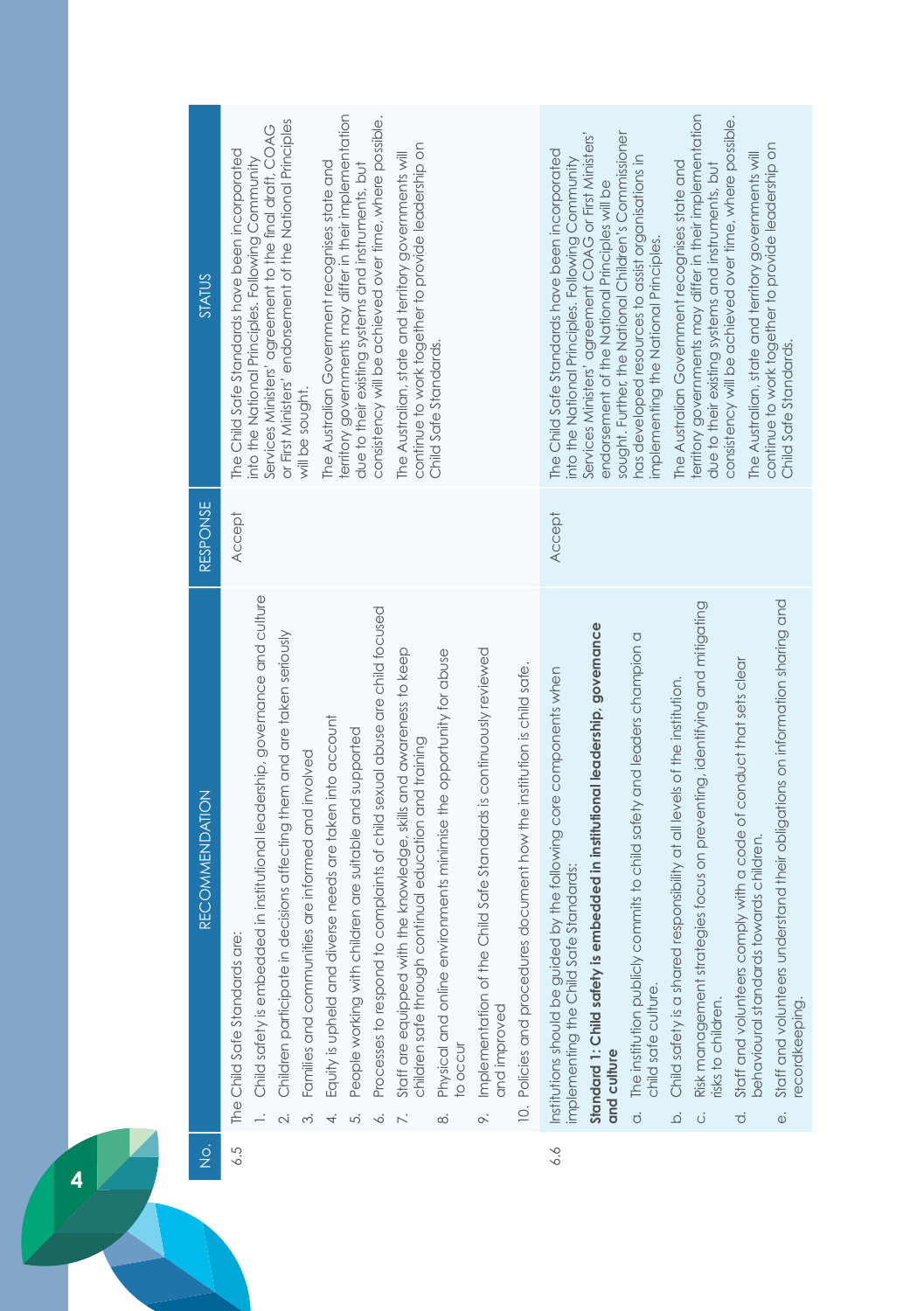| STATUS                | territory governments may differ in their implementation<br>consistency will be achieved over time, where possible.<br>or First Ministers' endorsement of the National Principles<br>Services Ministers' agreement to the final draft, COAG<br>continue to work together to provide leadership on<br>The Child Safe Standards have been incorporated<br>The Australian, state and territory governments will<br>into the National Principles. Following Community<br>The Australian Government recognises state and<br>due to their existing systems and instruments, but<br>Child Safe Standards.<br>will be sought                                                                                                                                                                                                                                                                                | territory governments may differ in their implementation<br>consistency will be achieved over time, where possible.<br>sought. Further, the National Children's Commissioner<br>Services Ministers' agreement COAG or First Ministers'<br>continue to work together to provide leadership on<br>The Child Safe Standards have been incorporated<br>The Australian, state and territory governments will<br>has developed resources to assist organisations in<br>into the National Principles. Following Community<br>The Australian Government recognises state and<br>due to their existing systems and instruments, but<br>endorsement of the National Principles will be<br>implementing the National Principles.<br>Child Safe Standards.                                                          |
|-----------------------|-----------------------------------------------------------------------------------------------------------------------------------------------------------------------------------------------------------------------------------------------------------------------------------------------------------------------------------------------------------------------------------------------------------------------------------------------------------------------------------------------------------------------------------------------------------------------------------------------------------------------------------------------------------------------------------------------------------------------------------------------------------------------------------------------------------------------------------------------------------------------------------------------------|---------------------------------------------------------------------------------------------------------------------------------------------------------------------------------------------------------------------------------------------------------------------------------------------------------------------------------------------------------------------------------------------------------------------------------------------------------------------------------------------------------------------------------------------------------------------------------------------------------------------------------------------------------------------------------------------------------------------------------------------------------------------------------------------------------|
| RESPONSE              | Accept                                                                                                                                                                                                                                                                                                                                                                                                                                                                                                                                                                                                                                                                                                                                                                                                                                                                                              | <b>Accept</b>                                                                                                                                                                                                                                                                                                                                                                                                                                                                                                                                                                                                                                                                                                                                                                                           |
| <b>RECOMMENDATION</b> | Child safety is embedded in institutional leadership, governance and culture<br>Processes to respond to complaints of child sexual abuse are child focused<br>Children participate in decisions affecting them and are taken seriously<br>the knowledge, skills and awareness to keep<br>Implementation of the Child Safe Standards is continuously reviewed<br>Physical and online environments minimise the opportunity for abuse<br>10. Policies and procedures document how the institution is child safe.<br>Equity is upheld and diverse needs are taken into account<br>People working with children are suitable and supported<br>children safe through continual education and training<br>Families and communities are informed and involved<br>The Child Safe Standards are:<br>Staff are equipped with<br>and improved<br><b>O</b> OCCUT<br>$\infty$<br>4.<br>∞ं<br>ന്<br>ட்<br>∘<br>2. | Staff and volunteers understand their obligations on information sharing and<br>Risk management strategies focus on preventing, identifying and mitigating<br>Standard 1: Child safety is embedded in institutional leadership, governance<br>The institution publicly commits to child safety and leaders champion a<br>Staff and volunteers comply with a code of conduct that sets clear<br>Institutions should be guided by the following core components when<br>responsibility at all levels of the institution.<br>behavioural standards towards children<br>implementing the Child Safe Standards:<br>Child safety is a shared<br>child safe culture.<br>isks to children.<br>ecordkeeping.<br>and culture<br>$\dot{\sigma}$<br>$\overline{\Omega}$<br>$\vec{\circ}$<br>$\dot{\mathbb{O}}$<br>ö |
| $\frac{1}{2}$         | 6.5                                                                                                                                                                                                                                                                                                                                                                                                                                                                                                                                                                                                                                                                                                                                                                                                                                                                                                 | 6.6                                                                                                                                                                                                                                                                                                                                                                                                                                                                                                                                                                                                                                                                                                                                                                                                     |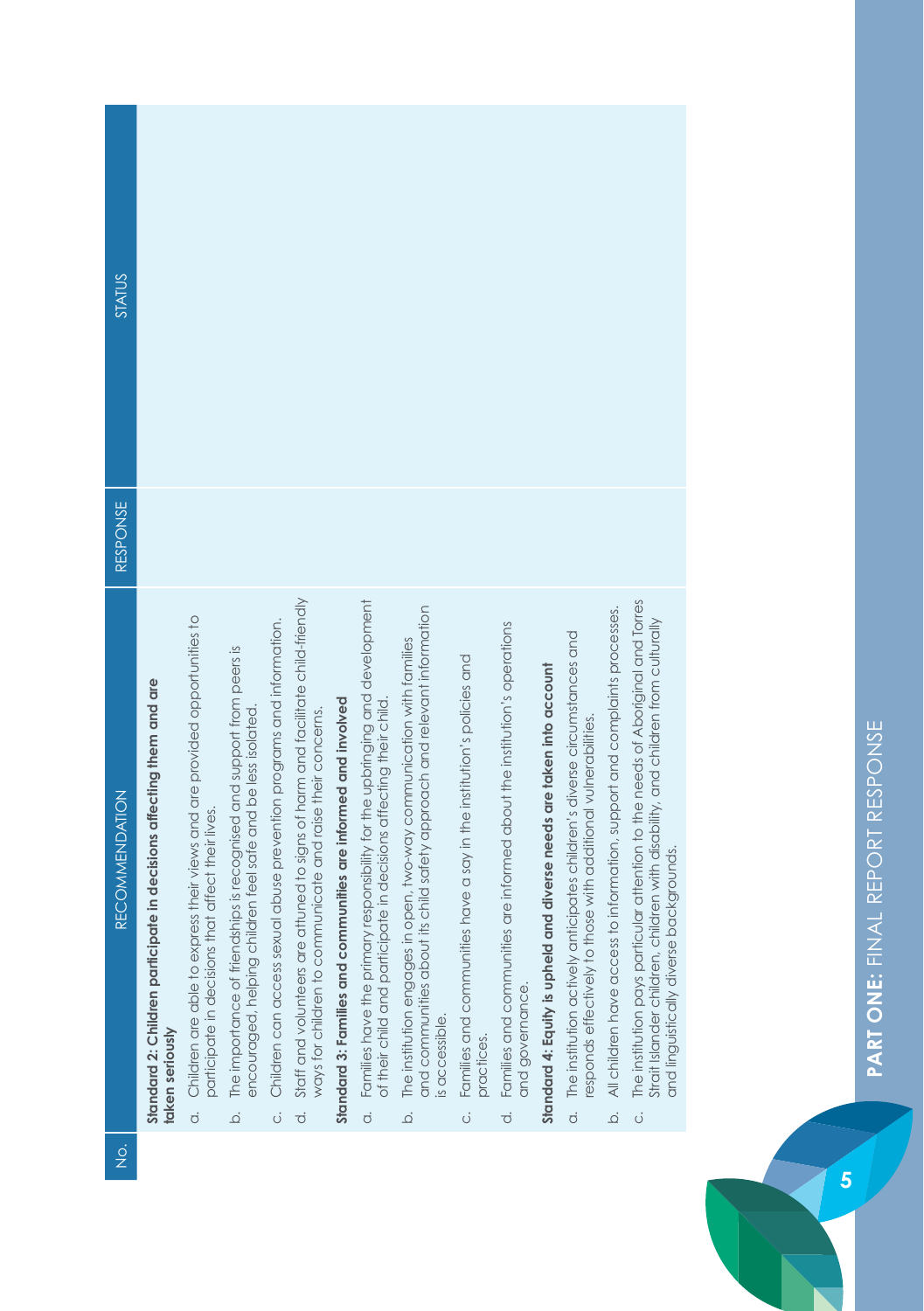| <b>STATUS</b>         |                                                                                         |                                                                                                                                                   |                                                                                                                                                         |                                                                            |                                                                                                                                                                 |                                                                |                                                                                                                                                                     |                                                                                                                                                                         |                                                                                               |                                                                                                               |                                                                       |                                                                                                                                                               |                                                                                 |                                                                                                                                                                                                                     |
|-----------------------|-----------------------------------------------------------------------------------------|---------------------------------------------------------------------------------------------------------------------------------------------------|---------------------------------------------------------------------------------------------------------------------------------------------------------|----------------------------------------------------------------------------|-----------------------------------------------------------------------------------------------------------------------------------------------------------------|----------------------------------------------------------------|---------------------------------------------------------------------------------------------------------------------------------------------------------------------|-------------------------------------------------------------------------------------------------------------------------------------------------------------------------|-----------------------------------------------------------------------------------------------|---------------------------------------------------------------------------------------------------------------|-----------------------------------------------------------------------|---------------------------------------------------------------------------------------------------------------------------------------------------------------|---------------------------------------------------------------------------------|---------------------------------------------------------------------------------------------------------------------------------------------------------------------------------------------------------------------|
| RESPONSE              |                                                                                         |                                                                                                                                                   |                                                                                                                                                         |                                                                            |                                                                                                                                                                 |                                                                |                                                                                                                                                                     |                                                                                                                                                                         |                                                                                               |                                                                                                               |                                                                       |                                                                                                                                                               |                                                                                 |                                                                                                                                                                                                                     |
| <b>RECOMMENDATION</b> | Standard 2: Children participate in decisions affecting them and are<br>taken seriously | Children are able to express their views and are provided opportunities to<br>participate in decisions that affect their lives.<br>$\overline{c}$ | The importance of friendships is recognised and support from peers is<br>encouraged, helping children feel safe and be less isolated.<br>$\overline{Q}$ | Children can access sexual abuse prevention programs and information.<br>Ö | Staff and volunteers are attuned to signs of harm and facilitate child-friendly<br>ways for children to communicate and raise their concerns.<br>$\overline{c}$ | Standard 3: Families and communities are informed and involved | Families have the primary responsibility for the upbringing and development<br>of their child and participate in decisions affecting their child.<br>$\overline{c}$ | and communities about its child safety approach and relevant information<br>The institution engages in open, two-way communication with families<br>is accessible.<br>ة | Families and communities have a say in the institution's policies and<br>practices.<br>.<br>U | Families and communities are informed about the institution's operations<br>and governance.<br>$\overline{a}$ | Standard 4: Equity is upheld and diverse needs are taken into account | The institution actively anticipates children's diverse circumstances and<br>esponds effectively to those with additional vulnerabilities<br>$\overline{a}$ . | All children have access to information, support and complaints processes.<br>ة | The institution pays particular attention to the needs of Aboriginal and Torres<br>Strait Islander children, children with disability, and children from culturally<br>and linguistically diverse backgrounds.<br>ö |
|                       |                                                                                         |                                                                                                                                                   |                                                                                                                                                         |                                                                            |                                                                                                                                                                 |                                                                |                                                                                                                                                                     |                                                                                                                                                                         |                                                                                               |                                                                                                               |                                                                       |                                                                                                                                                               |                                                                                 |                                                                                                                                                                                                                     |
| $\frac{1}{2}$         |                                                                                         |                                                                                                                                                   |                                                                                                                                                         |                                                                            |                                                                                                                                                                 |                                                                |                                                                                                                                                                     |                                                                                                                                                                         |                                                                                               |                                                                                                               |                                                                       |                                                                                                                                                               |                                                                                 |                                                                                                                                                                                                                     |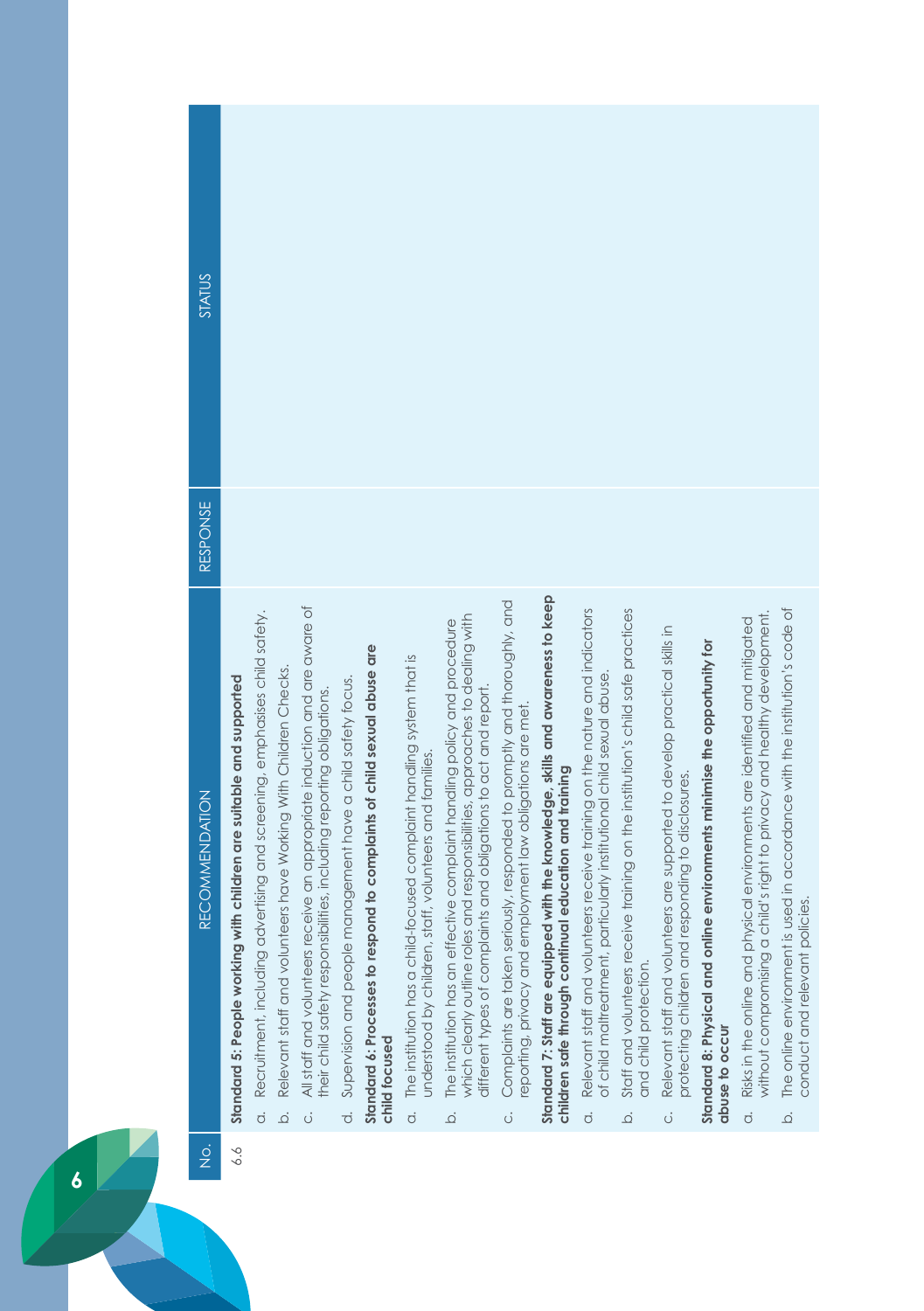| <b>STATUS</b><br>RESPONSE              |                                                                            |                                                                                                   |                                                                                                                                                                                                                              |                                                                                |                                                                                           |                                                                                                                                                       |                                                                                                                                                                                                                                                |                                                                                                                                                           |                                                                                                                                           |                                                                                                                                                                        |                                                                                                                            |                                                                                                                                       |                                                                                             |                                                                                                                                                                             |                                                                                                                      |
|----------------------------------------|----------------------------------------------------------------------------|---------------------------------------------------------------------------------------------------|------------------------------------------------------------------------------------------------------------------------------------------------------------------------------------------------------------------------------|--------------------------------------------------------------------------------|-------------------------------------------------------------------------------------------|-------------------------------------------------------------------------------------------------------------------------------------------------------|------------------------------------------------------------------------------------------------------------------------------------------------------------------------------------------------------------------------------------------------|-----------------------------------------------------------------------------------------------------------------------------------------------------------|-------------------------------------------------------------------------------------------------------------------------------------------|------------------------------------------------------------------------------------------------------------------------------------------------------------------------|----------------------------------------------------------------------------------------------------------------------------|---------------------------------------------------------------------------------------------------------------------------------------|---------------------------------------------------------------------------------------------|-----------------------------------------------------------------------------------------------------------------------------------------------------------------------------|----------------------------------------------------------------------------------------------------------------------|
| <b>RECOMMENDATION</b><br>$\frac{1}{2}$ | Standard 5: People working with children are suitable and supported<br>6.6 | Recruitment, including advertising and screening, emphasises child safety.<br>$\overline{c}$<br>ة | All staff and volunteers receive an appropriate induction and are aware of<br>Relevant staff and volunteers have Working With Children Checks.<br>their child safety responsibilities, including reporting obligations.<br>Ö | Supervision and people management have a child safety focus.<br>$\overline{c}$ | Standard 6: Processes to respond to complaints of child sexual abuse are<br>child focused | The institution has a child-focused complaint handling system that is<br>staff, volunteers and families.<br>understood by children,<br>$\dot{\sigma}$ | which clearly outline roles and responsibilities, approaches to dealing with<br>The institution has an effective complaint handling policy and procedure<br>different types of complaints and obligations to act and report.<br>$\overline{Q}$ | Complaints are taken seriously, responded to promptly and thoroughly, and<br>reporting, privacy and employment law obligations are met.<br>$\ddot{\circ}$ | Standard 7: Staff are equipped with the knowledge, skills and awareness to keep<br>children safe through continual education and training | Relevant staff and volunteers receive training on the nature and indicators<br>of child maltreatment, particularly institutional child sexual abuse.<br>$\overline{c}$ | Staff and volunteers receive training on the institution's child safe practices<br>and child protection.<br>$\dot{\Omega}$ | Relevant staff and volunteers are supported to develop practical skills in<br>protecting children and responding to disclosures.<br>ö | Standard 8: Physical and online environments minimise the opportunity for<br>abuse to occur | child's right to privacy and healthy development.<br>Risks in the online and physical environments are identified and mitigated<br>without compromising a<br>$\overline{O}$ | is used in accordance with the institution's code of<br>conduct and relevant policies<br>The online environment<br>ة |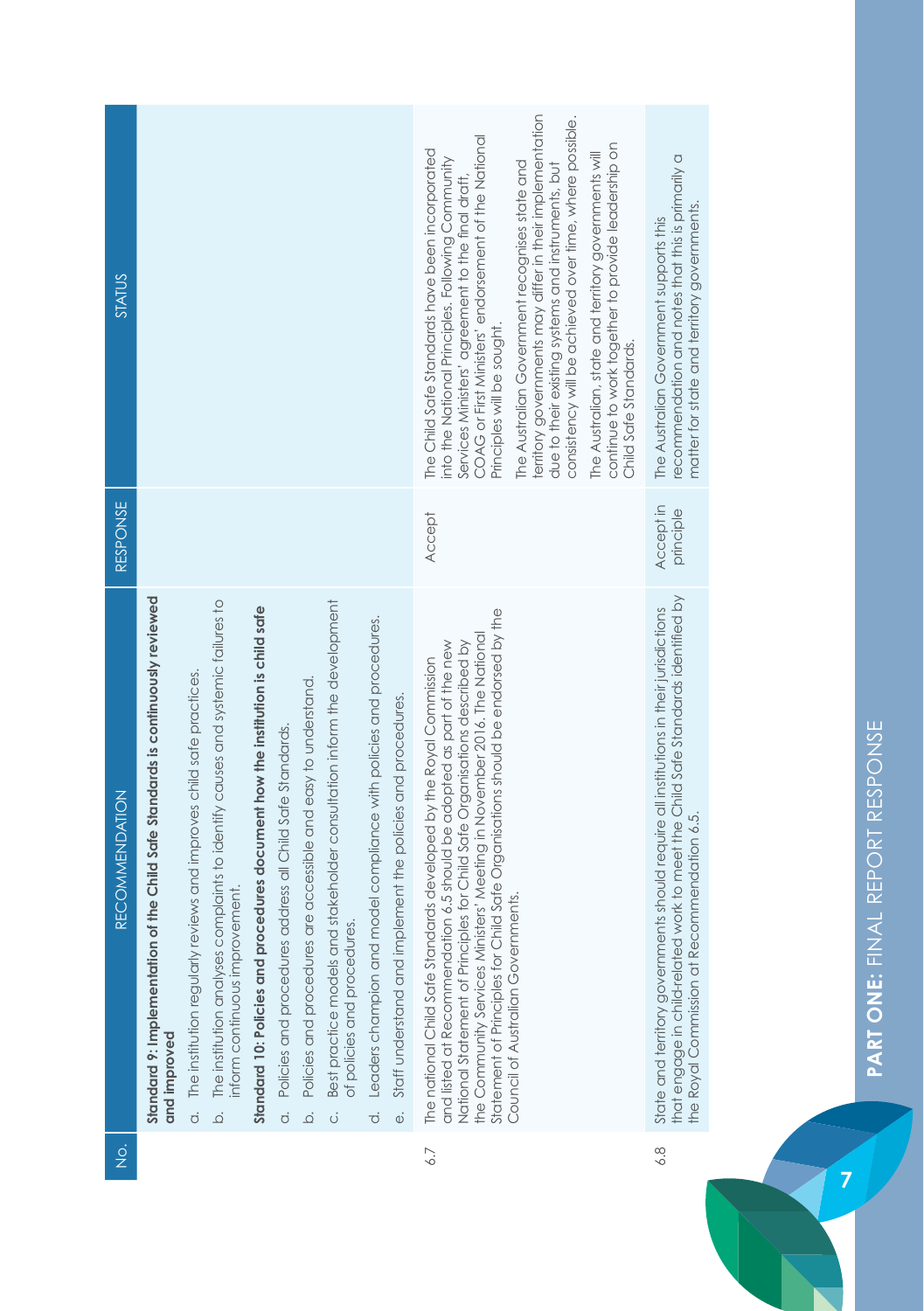| STATUS                                |                                                                                                    |                                                                                                                                                                                                                              |                                                                                 |                                                                             |                                                                     |                                                                                                              |                                                                                  |                                                                                    | COAG or First Ministers' endorsement of the National<br>The Child Safe Standards have been incorporated<br>into the National Principles. Following Community<br>Services Ministers' agreement to the final draft<br>Principles will be sought.                                                                                                                                           | territory governments may differ in their implementation<br>consistency will be achieved over time, where possible.<br>The Australian Government recognises state and<br>due to their existing systems and instruments, but | continue to work together to provide leadership on<br>The Australian, state and territory governments will<br>Child Safe Standards. | recommendation and notes that this is primarily a<br>matter for state and territory governments.<br>The Australian Government supports this                                                                               |  |
|---------------------------------------|----------------------------------------------------------------------------------------------------|------------------------------------------------------------------------------------------------------------------------------------------------------------------------------------------------------------------------------|---------------------------------------------------------------------------------|-----------------------------------------------------------------------------|---------------------------------------------------------------------|--------------------------------------------------------------------------------------------------------------|----------------------------------------------------------------------------------|------------------------------------------------------------------------------------|------------------------------------------------------------------------------------------------------------------------------------------------------------------------------------------------------------------------------------------------------------------------------------------------------------------------------------------------------------------------------------------|-----------------------------------------------------------------------------------------------------------------------------------------------------------------------------------------------------------------------------|-------------------------------------------------------------------------------------------------------------------------------------|---------------------------------------------------------------------------------------------------------------------------------------------------------------------------------------------------------------------------|--|
| <b>RESPONSE</b>                       |                                                                                                    |                                                                                                                                                                                                                              |                                                                                 |                                                                             |                                                                     |                                                                                                              |                                                                                  |                                                                                    | Accept                                                                                                                                                                                                                                                                                                                                                                                   |                                                                                                                                                                                                                             |                                                                                                                                     | Accept in<br>principle                                                                                                                                                                                                    |  |
| <b>RECOMMENDATION</b>                 | of the Child Safe Standards is continuously reviewed<br>Standard 9: Implementation<br>and improved | The institution analyses complaints to identify causes and systemic failures to<br>The institution regularly reviews and improves child safe practices.<br>inform continuous improvement.<br>$\dot{\circ}$<br>$\overline{Q}$ | Standard 10: Policies and procedures document how the institution is child safe | Policies and procedures address all Child Safe Standards.<br>$\dot{\sigma}$ | Policies and procedures are accessible and easy to understand.<br>ة | Best practice models and stakeholder consultation inform the development<br>of policies and procedures.<br>ö | Leaders champion and model compliance with policies and procedures.<br>$\vec{c}$ | iplement the policies and procedures.<br>Staff understand and im<br>$\ddot{\circ}$ | Statement of Principles for Child Safe Organisations should be endorsed by the<br>the Community Services Ministers' Meeting in November 2016. The National<br>and listed at Recommendation 6.5 should be adopted as part of the new<br>National Statement of Principles for Child Safe Organisations described by<br>The national Child Safe Standards developed by the Royal Commission | Council of Australian Governments.                                                                                                                                                                                          |                                                                                                                                     | that engage in child-related work to meet the Child Safe Standards identified by<br>State and territory governments should require all institutions in their jurisdictions<br>the Royal Commission at Recommendation 6.5. |  |
| $\frac{\dot{\mathrm{o}}}{\mathrm{Z}}$ |                                                                                                    |                                                                                                                                                                                                                              |                                                                                 |                                                                             |                                                                     |                                                                                                              |                                                                                  |                                                                                    | 6.7                                                                                                                                                                                                                                                                                                                                                                                      |                                                                                                                                                                                                                             |                                                                                                                                     | 6.8                                                                                                                                                                                                                       |  |

PART ONE: FINAL REPORT RESPONSE **PART ONE:** FINAL REPORT RESPONSE

**7**

 $\left| \begin{array}{c} 2 \\ 2 \end{array} \right|$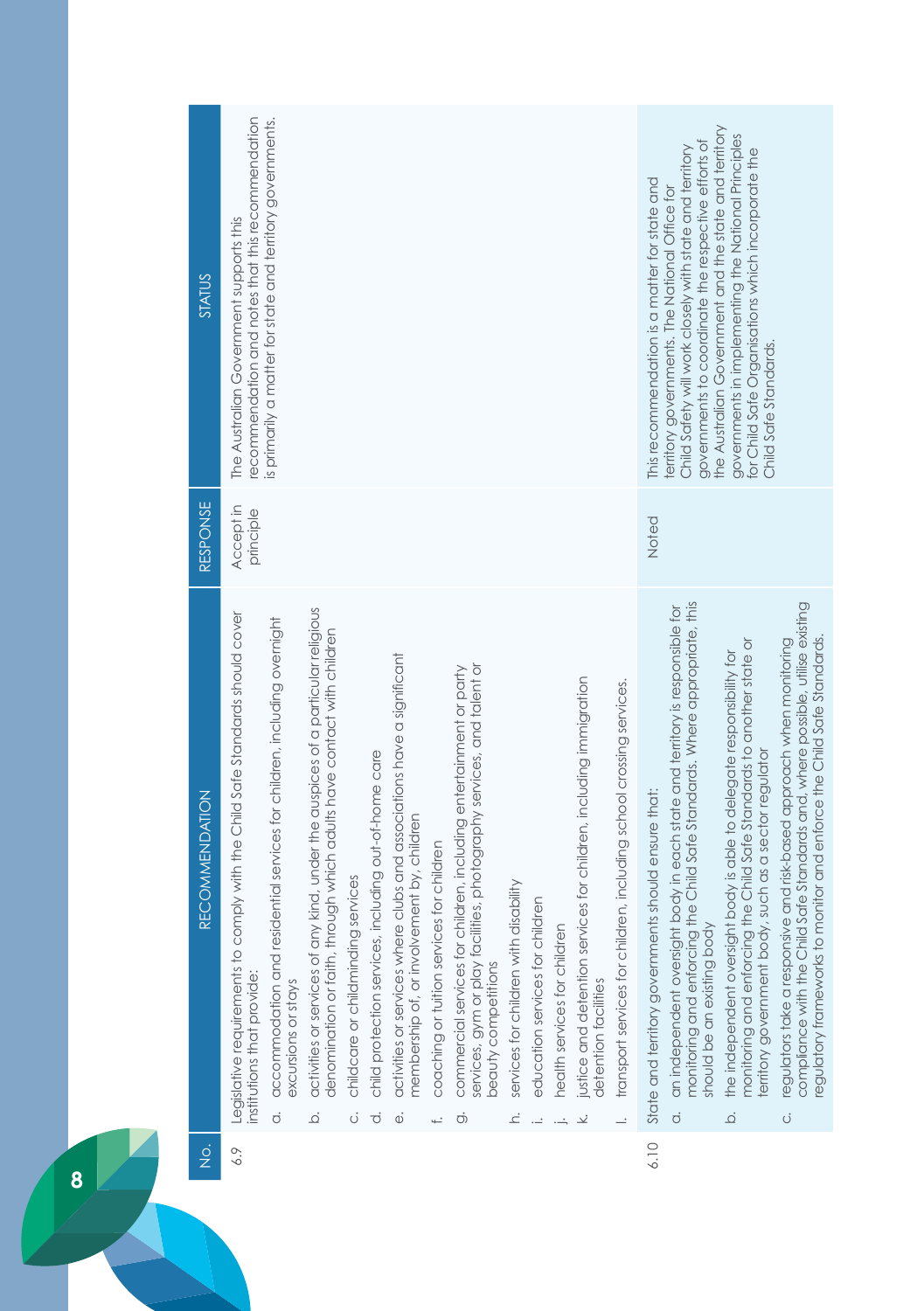| <b>STATUS</b>                         | recommendation and notes that this recommendation<br>The Australian Government supports this                | is primarily a matter for state and territory governments.                                                            |                                                                                                                                                                              |                                         |                                                            |                                                                                                                           |                                                 |                                                                                                                                                                         |                                            |                                 |                              |                                                                                                  |                                                                      | This recommendation is a matter for state and       | governments to coordinate the respective efforts of<br>Child Safety will work closely with state and territory<br>territory governments. The National Office for                                           | the Australian Government and the state and territory<br>governments in implementing the National Principles<br>for Child Safe Organisations which incorporate the<br>Child Safe Standards.                              |                                                                                                                                                                                                                                                  |
|---------------------------------------|-------------------------------------------------------------------------------------------------------------|-----------------------------------------------------------------------------------------------------------------------|------------------------------------------------------------------------------------------------------------------------------------------------------------------------------|-----------------------------------------|------------------------------------------------------------|---------------------------------------------------------------------------------------------------------------------------|-------------------------------------------------|-------------------------------------------------------------------------------------------------------------------------------------------------------------------------|--------------------------------------------|---------------------------------|------------------------------|--------------------------------------------------------------------------------------------------|----------------------------------------------------------------------|-----------------------------------------------------|------------------------------------------------------------------------------------------------------------------------------------------------------------------------------------------------------------|--------------------------------------------------------------------------------------------------------------------------------------------------------------------------------------------------------------------------|--------------------------------------------------------------------------------------------------------------------------------------------------------------------------------------------------------------------------------------------------|
| RESPONSE                              | Accept in<br>principle                                                                                      |                                                                                                                       |                                                                                                                                                                              |                                         |                                                            |                                                                                                                           |                                                 |                                                                                                                                                                         |                                            |                                 |                              |                                                                                                  |                                                                      | Noted                                               |                                                                                                                                                                                                            |                                                                                                                                                                                                                          |                                                                                                                                                                                                                                                  |
| <b>RECOMMENDATION</b>                 | Legislative requirements to comply with the Child Safe Standards should cover<br>institutions that provide: | accommodation and residential services for children, including overnight<br>excursions or stays<br>$\overline{\circ}$ | activities or services of any kind, under the auspices of a particular religious<br>denomination or faith, through which adults have contact with children<br>$\dot{\Omega}$ | childcare or childminding services<br>Ü | child protection services, including out-of-home care<br>℧ | activities or services where clubs and associations have a significant<br>membership of, or involvement by, children<br>Φ | coaching or tuition services for children<br>ť. | services, gym or play facilities, photography services, and talent or<br>commercial services for children, including entertainment or party<br>beauty competitions<br>Ö | services for children with disability<br>ċ | education services for children | health services for children | justice and detention services for children, including immigration<br>detention facilities<br>∠. | transport services for children, including school crossing services. | State and territory governments should ensure that: | monitoring and enforcing the Child Safe Standards. Where appropriate, this<br>an independent oversight body in each state and territory is responsible for<br>should be an existing body<br>$\overline{O}$ | monitoring and enforcing the Child Safe Standards to another state or<br>the independent oversight body is able to delegate responsibility for<br>erritory government body, such as a sector regulator<br>$\overline{Q}$ | compliance with the Child Safe Standards and, where possible, utilise existing<br>egulatory frameworks to monitor and enforce the Child Safe Standards<br>regulators take a responsive and risk-based approach when monitoring<br>$\ddot{\circ}$ |
| $\frac{\dot{\mathrm{o}}}{\mathrm{Z}}$ | 6.9                                                                                                         |                                                                                                                       |                                                                                                                                                                              |                                         |                                                            |                                                                                                                           |                                                 |                                                                                                                                                                         |                                            |                                 |                              |                                                                                                  |                                                                      | 6.10                                                |                                                                                                                                                                                                            |                                                                                                                                                                                                                          |                                                                                                                                                                                                                                                  |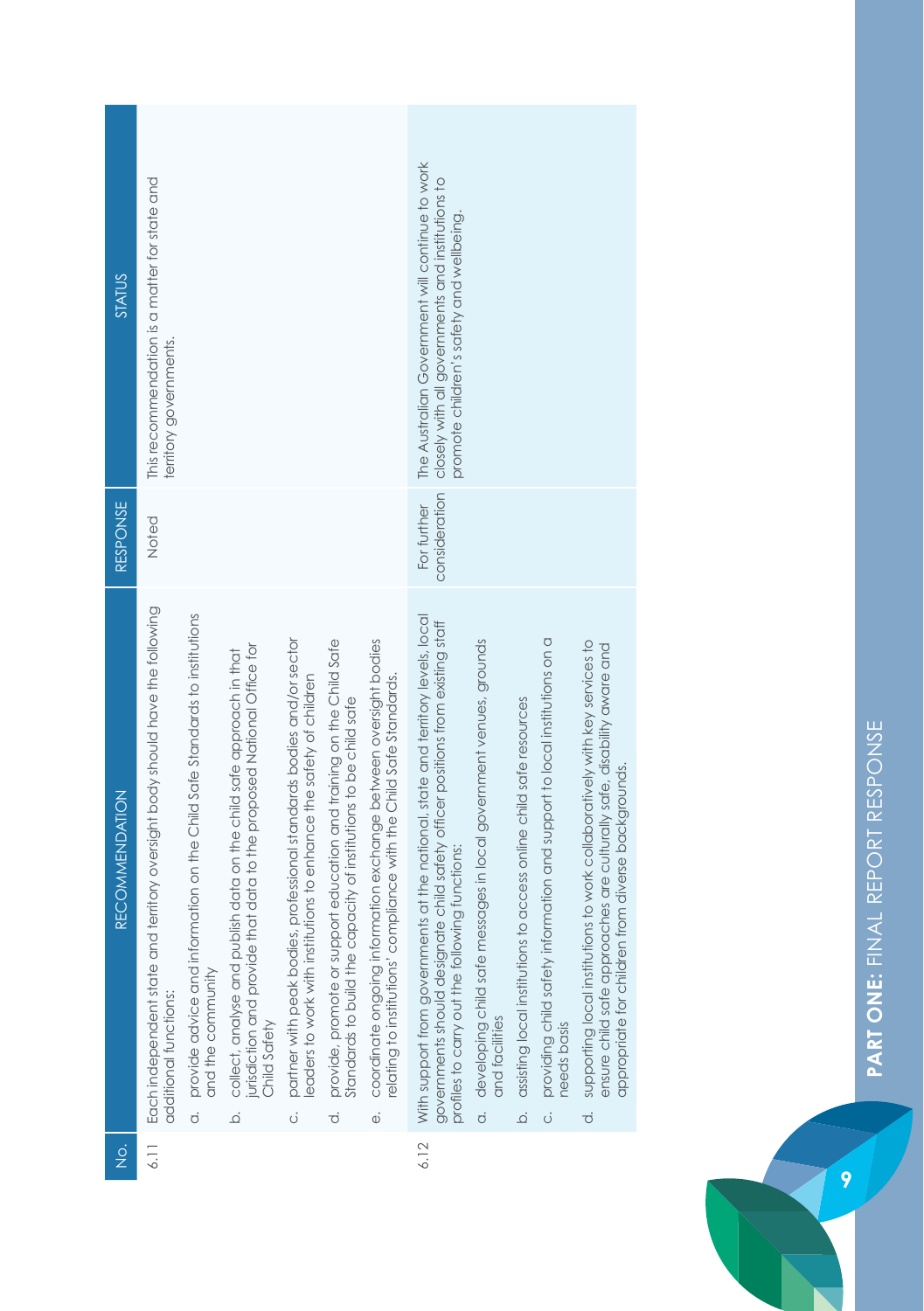| <b>STATUS</b>                         | This recommendation is a matter for state and<br>territory governments.                                |                                                                                                    |                                                                                                                                                                         |                                                                                                                                                  |                                                                                                                                                    |                                                                                                                                                         | The Australian Government will continue to work<br>closely with all governments and institutions to<br>promote children's safety and wellbeing.                                                                       |                                                                                                       |                                                                                      |                                                                                                           |                                                                                                                                                                                                                         |
|---------------------------------------|--------------------------------------------------------------------------------------------------------|----------------------------------------------------------------------------------------------------|-------------------------------------------------------------------------------------------------------------------------------------------------------------------------|--------------------------------------------------------------------------------------------------------------------------------------------------|----------------------------------------------------------------------------------------------------------------------------------------------------|---------------------------------------------------------------------------------------------------------------------------------------------------------|-----------------------------------------------------------------------------------------------------------------------------------------------------------------------------------------------------------------------|-------------------------------------------------------------------------------------------------------|--------------------------------------------------------------------------------------|-----------------------------------------------------------------------------------------------------------|-------------------------------------------------------------------------------------------------------------------------------------------------------------------------------------------------------------------------|
| RESPONSE                              | Noted                                                                                                  |                                                                                                    |                                                                                                                                                                         |                                                                                                                                                  |                                                                                                                                                    |                                                                                                                                                         | consideration<br>For further                                                                                                                                                                                          |                                                                                                       |                                                                                      |                                                                                                           |                                                                                                                                                                                                                         |
| <b>RECOMMENDATION</b>                 | Each independent state and territory oversight body should have the following<br>additional functions: | a. provide advice and information on the Child Safe Standards to institutions<br>and the community | urisdiction and provide that data to the proposed National Office for<br>collect, analyse and publish data on the child safe approach in that<br>Child Safety<br>.<br>م | partner with peak bodies, professional standards bodies and/or sector<br>eaders to work with institutions to enhance the safety of children<br>ö | provide, promote or support education and training on the Child Safe<br>standards to build the capacity of institutions to be child safe<br>.<br>ਹ | coordinate ongoing information exchange between oversight bodies<br>elating to institutions' compliance with the Child Safe Standards.<br>$\ddot{\phi}$ | With support from governments at the national, state and territory levels, local<br>governments should designate child safety officer positions from existing staff<br>profiles to carry out the following functions: | developing child safe messages in local government venues, grounds<br>and facilities<br>$\dot{\circ}$ | assisting local institutions to access online child safe resources<br>$\overline{Q}$ | providing child safety information and support to local institutions on a<br>needs basis<br>$\dot{\circ}$ | supporting local institutions to work collaboratively with key services to<br>ensure child safe approaches are culturally safe, disability aware and<br>appropriate for children from diverse backgrounds.<br>$\vec{o}$ |
| $\frac{\dot{\mathrm{o}}}{\mathrm{Z}}$ | 6.11                                                                                                   |                                                                                                    |                                                                                                                                                                         |                                                                                                                                                  |                                                                                                                                                    |                                                                                                                                                         | 6.12                                                                                                                                                                                                                  |                                                                                                       |                                                                                      |                                                                                                           |                                                                                                                                                                                                                         |

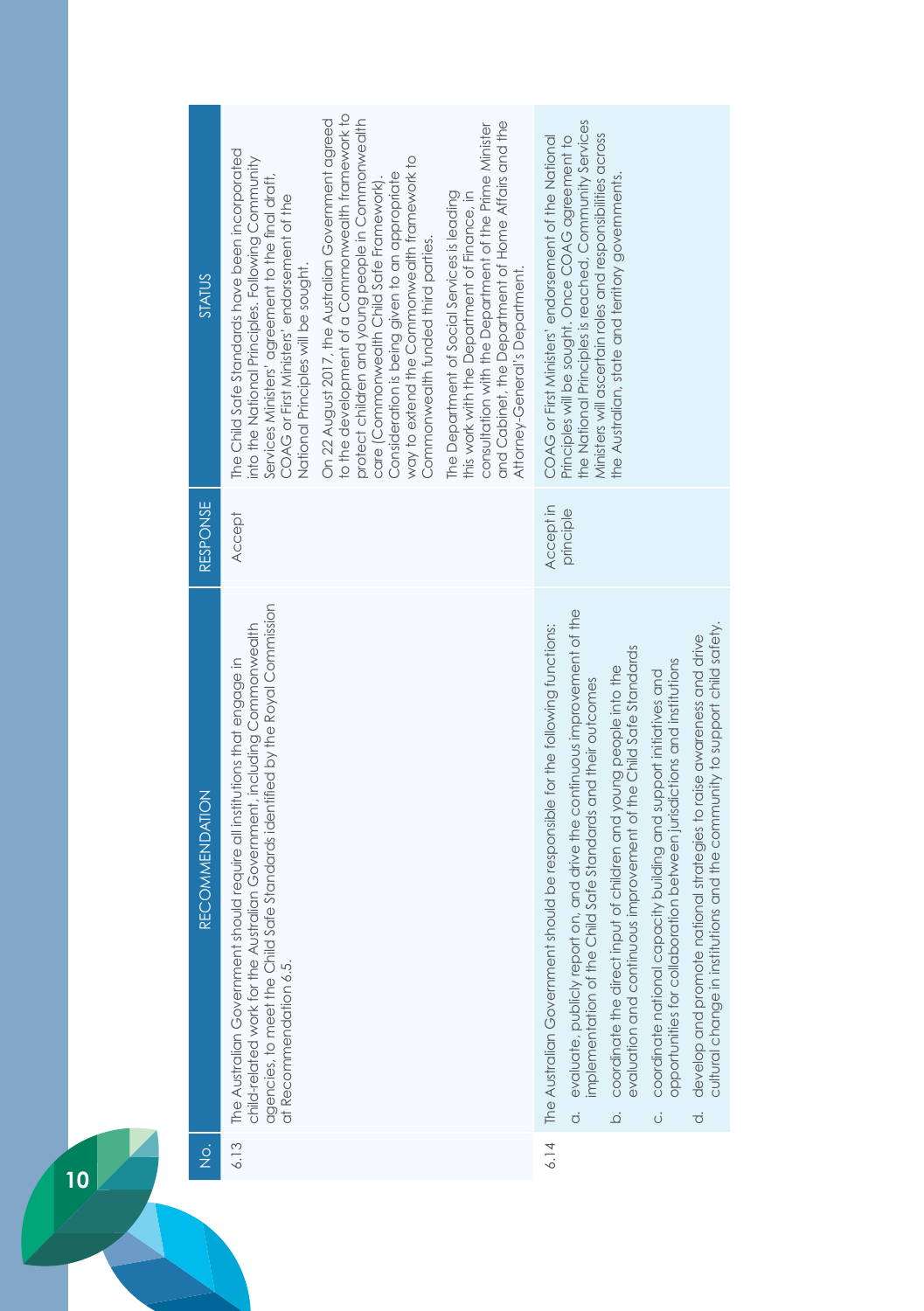| <b>STATUS</b>         | The Child Safe Standards have been incorporated<br>into the National Principles. Following Community<br>Services Ministers' agreement to the final draft,<br>COAG or First Ministers' endorsement of the<br>National Principles will be sought.                    | to the development of a Commonwealth framework to<br>On 22 August 2017, the Australian Government agreed<br>protect children and young people in Commonwealth<br>way to extend the Commonwealth framework to<br>Consideration is being given to an appropriate<br>care (Commonwealth Child Safe Framework)<br>Commonwealth funded third parties. | and Cabinet, the Department of Home Affairs and the<br>consultation with the Department of the Prime Minister<br>The Department of Social Services is leading<br>this work with the Department of Finance, in<br>Attorney-General's Department. | COAG or First Ministers' endorsement of the National                         | the National Principles is reached, Community Services<br>Ministers will ascertain roles and responsibilities across<br>Principles will be sought. Once COAG agreement to | the Australian, state and territory governments.                                                                                                         |                                                                                                                                                  |                                                                                                                                                                      |
|-----------------------|--------------------------------------------------------------------------------------------------------------------------------------------------------------------------------------------------------------------------------------------------------------------|--------------------------------------------------------------------------------------------------------------------------------------------------------------------------------------------------------------------------------------------------------------------------------------------------------------------------------------------------|-------------------------------------------------------------------------------------------------------------------------------------------------------------------------------------------------------------------------------------------------|------------------------------------------------------------------------------|---------------------------------------------------------------------------------------------------------------------------------------------------------------------------|----------------------------------------------------------------------------------------------------------------------------------------------------------|--------------------------------------------------------------------------------------------------------------------------------------------------|----------------------------------------------------------------------------------------------------------------------------------------------------------------------|
| RESPONSE              | <b>Accept</b>                                                                                                                                                                                                                                                      |                                                                                                                                                                                                                                                                                                                                                  |                                                                                                                                                                                                                                                 | Accept in                                                                    | principle                                                                                                                                                                 |                                                                                                                                                          |                                                                                                                                                  |                                                                                                                                                                      |
| <b>RECOMMENDATION</b> | Safe Standards identified by the Royal Commission<br>child-related work for the Australian Government, including Commonwealth<br>The Australian Government should require all institutions that engage in<br>agencies, to meet the Child<br>at Recommendation 6.5. |                                                                                                                                                                                                                                                                                                                                                  |                                                                                                                                                                                                                                                 | The Australian Government should be responsible for the following functions: | evaluate, publicly report on, and drive the continuous improvement of the<br>implementation of the Child Safe Standards and their outcomes<br>$\dot{\sigma}$              | evaluation and continuous improvement of the Child Safe Standards<br>coordinate the direct input of children and young people into the<br>$\overline{Q}$ | opportunities for collaboration between jurisdictions and institutions<br>coordinate national capacity building and support initiatives and<br>ö | cultural change in institutions and the community to support child safety.<br>develop and promote national strategies to raise awareness and drive<br>$\overline{c}$ |
| $\frac{1}{2}$         | 6.13                                                                                                                                                                                                                                                               |                                                                                                                                                                                                                                                                                                                                                  |                                                                                                                                                                                                                                                 | 6.14                                                                         |                                                                                                                                                                           |                                                                                                                                                          |                                                                                                                                                  |                                                                                                                                                                      |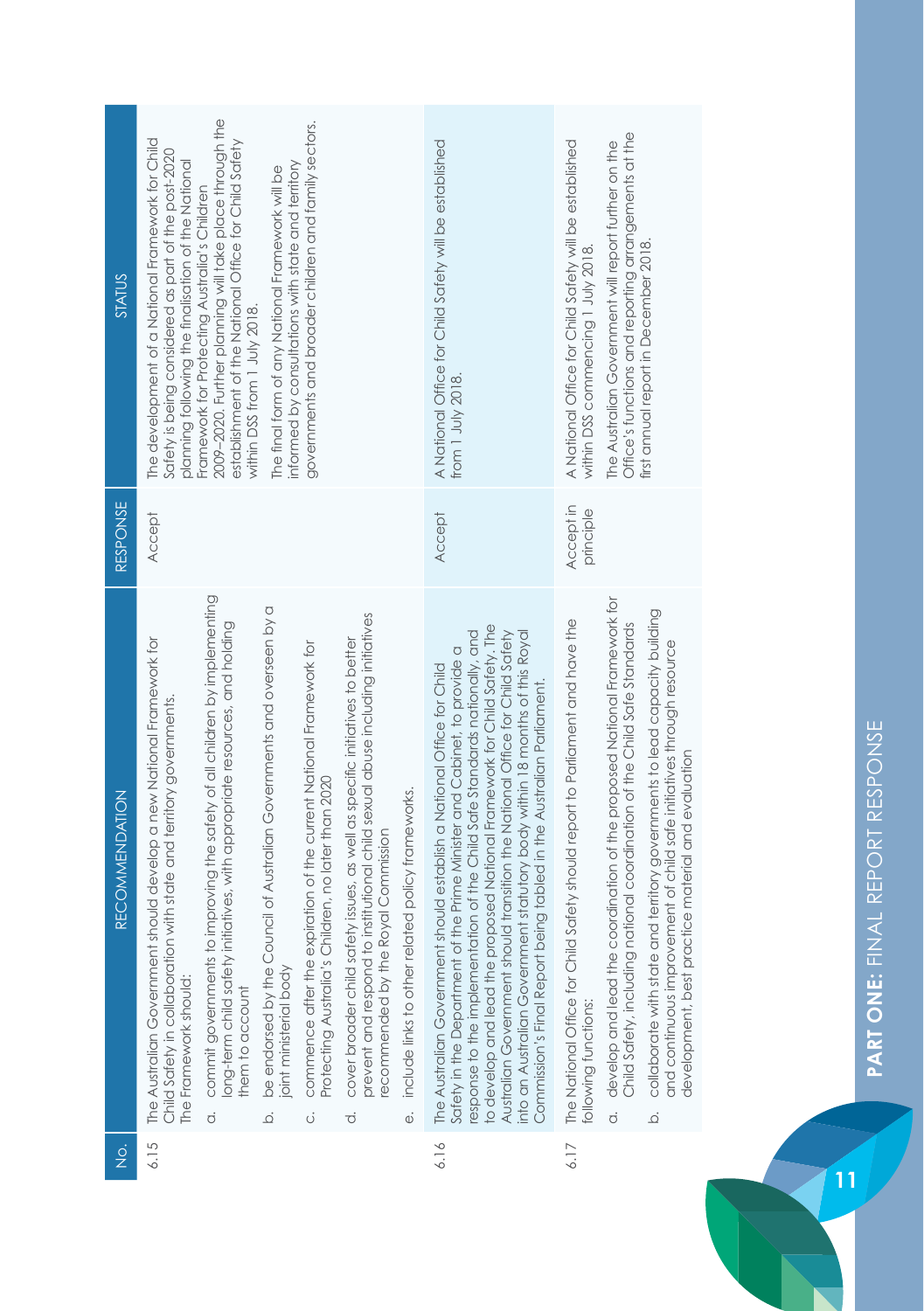| STATUS         | The development of a National Framework for Child<br>Safety is being considered as part of the post-2020<br>planning following the finalisation of the National          | 2009-2020. Further planning will take place through the<br>establishment of the National Office for Child Safety<br>Framework for Protecting Australia's Children<br>within DSS from 1 July 2018. | informed by consultations with state and territory<br>The final form of any National Framework will be                  | governments and broader children and family sectors.                                                                            |                                                                                                                                                                                                          |                                                                     | A National Office for Child Safety will be established<br>from 1 July 2018.                                                                                                                                                                                                                                                                                                                                                                                                                                                                           | A National Office for Child Safety will be established<br>within DSS commencing 1 July 2018.          | Office's functions and reporting arrangements at the<br>The Australian Government will report further on the                                                | first annual report in December 2018.                                                                                                                                                                               |
|----------------|--------------------------------------------------------------------------------------------------------------------------------------------------------------------------|---------------------------------------------------------------------------------------------------------------------------------------------------------------------------------------------------|-------------------------------------------------------------------------------------------------------------------------|---------------------------------------------------------------------------------------------------------------------------------|----------------------------------------------------------------------------------------------------------------------------------------------------------------------------------------------------------|---------------------------------------------------------------------|-------------------------------------------------------------------------------------------------------------------------------------------------------------------------------------------------------------------------------------------------------------------------------------------------------------------------------------------------------------------------------------------------------------------------------------------------------------------------------------------------------------------------------------------------------|-------------------------------------------------------------------------------------------------------|-------------------------------------------------------------------------------------------------------------------------------------------------------------|---------------------------------------------------------------------------------------------------------------------------------------------------------------------------------------------------------------------|
| RESPONSE       | Accept                                                                                                                                                                   |                                                                                                                                                                                                   |                                                                                                                         |                                                                                                                                 |                                                                                                                                                                                                          |                                                                     | Accept                                                                                                                                                                                                                                                                                                                                                                                                                                                                                                                                                | Accept in<br>principle                                                                                |                                                                                                                                                             |                                                                                                                                                                                                                     |
| RECOMMENDATION | should develop a new National Framework for<br>Child Safety in collaboration with state and territory governments.<br>The Australian Government<br>The Framework should: | commit governments to improving the safety of all children by implementing<br>long-term child safety initiatives, with appropriate resources, and holding<br>them to account<br>$\vec{o}$         | be endorsed by the Council of Australian Governments and overseen by a<br>joint ministerial body<br>$\overline{\Omega}$ | commence after the expiration of the current National Framework for<br>Protecting Australia's Children, no later than 2020<br>Ö | prevent and respond to institutional child sexual abuse including initiatives<br>cover broader child safety issues, as well as specific initiatives to better<br>ecommended by the Royal Commission<br>℧ | include links to other related policy frameworks.<br>$\ddot{\circ}$ | o develop and lead the proposed National Framework for Child Safety. The<br>esponse to the implementation of the Child Safe Standards nationally, and<br>Australian Government should transition the National Office for Child Safety<br>into an Australian Government statutory body within 18 months of this Royal<br>Safety in the Department of the Prime Minister and Cabinet, to provide a<br>should establish a National Office for Child<br>Commission's Final Report being tabled in the Australian Parliament.<br>The Australian Government | The National Office for Child Safety should report to Parliament and have the<br>following functions: | a. develop and lead the coordination of the proposed National Framework for<br>national coordination of the Child Safe Standards<br>Child Safety, including | collaborate with state and territory governments to lead capacity building<br>and continuous improvement of child safe initiatives through resource<br>development, best practice material and evaluation<br>.<br>م |
| $\frac{1}{2}$  | 6.15                                                                                                                                                                     |                                                                                                                                                                                                   |                                                                                                                         |                                                                                                                                 |                                                                                                                                                                                                          |                                                                     | 6.16                                                                                                                                                                                                                                                                                                                                                                                                                                                                                                                                                  | 6.17                                                                                                  |                                                                                                                                                             |                                                                                                                                                                                                                     |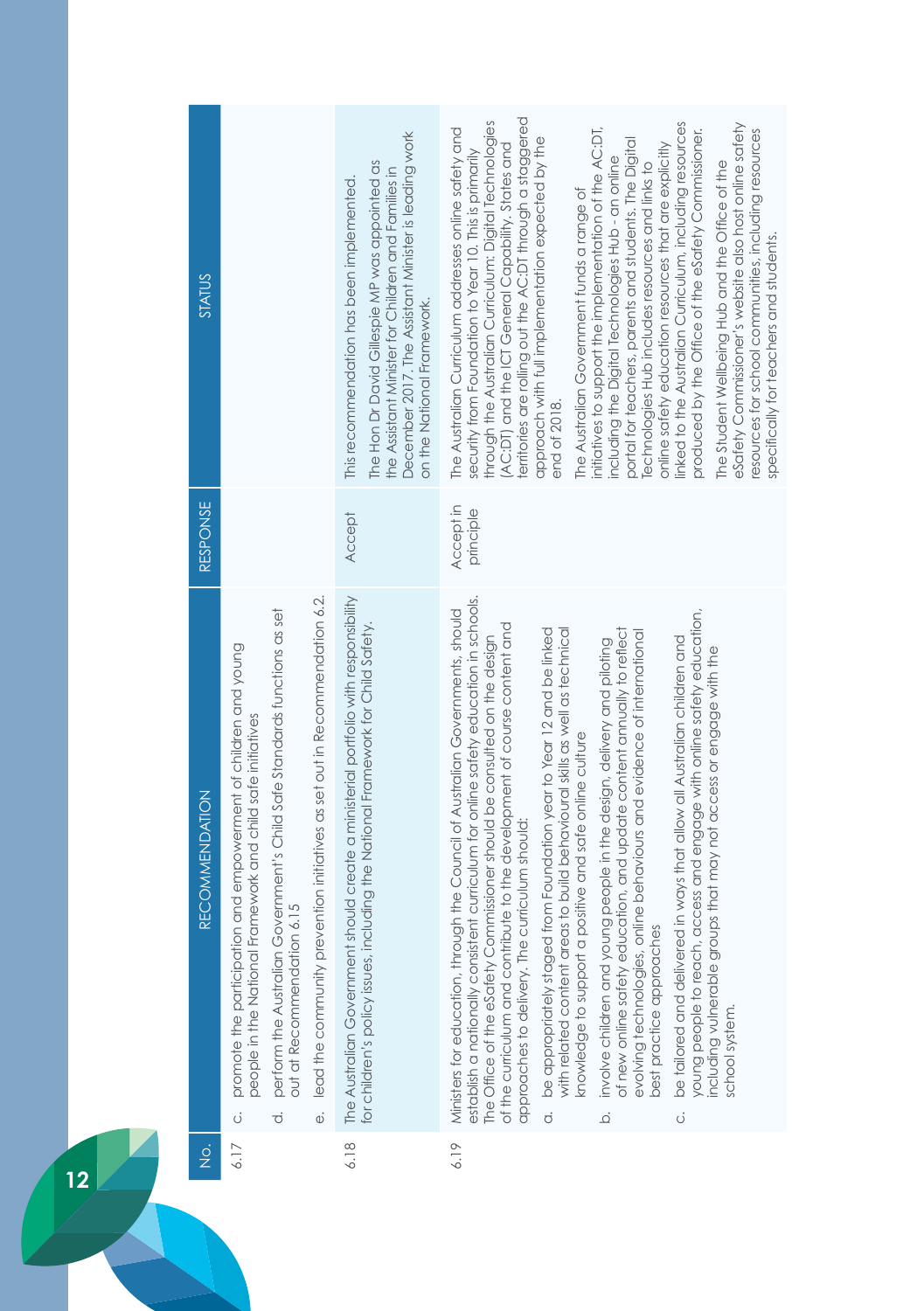| <b>STATUS</b>         |                                                                                                                                                                                                                                                                                                                                                            | December 2017. The Assistant Minister is leading work<br>The Hon Dr David Gillespie MP was appointed as<br>the Assistant Minister for Children and Families in<br>This recommendation has been implemented.<br>on the National Framework. | territories are rolling out the AC:DT through a staggered<br>through the Australian Curriculum: Digital Technologies<br>linked to the Australian Curriculum, including resources<br>eSafety Commissioner's website also host online safety<br>initiatives to support the implementation of the AC:DT,<br>The Australian Curriculum addresses online safety and<br>produced by the Office of the eSafety Commissioner.<br>resources for school communities, including resources<br>approach with full implementation expected by the<br>portal for teachers, parents and students. The Digital<br>AC:DT) and the ICT General Capability. States and<br>online safety education resources that are explicitly<br>security from Foundation to Year 10. This is primarily<br>including the Digital Technologies Hub - an online<br>The Student Wellbeing Hub and the Office of the<br>Technologies Hub includes resources and links to<br>The Australian Government funds a range of<br>specifically for teachers and students.<br>end of 2018.                                                                                                                            |
|-----------------------|------------------------------------------------------------------------------------------------------------------------------------------------------------------------------------------------------------------------------------------------------------------------------------------------------------------------------------------------------------|-------------------------------------------------------------------------------------------------------------------------------------------------------------------------------------------------------------------------------------------|------------------------------------------------------------------------------------------------------------------------------------------------------------------------------------------------------------------------------------------------------------------------------------------------------------------------------------------------------------------------------------------------------------------------------------------------------------------------------------------------------------------------------------------------------------------------------------------------------------------------------------------------------------------------------------------------------------------------------------------------------------------------------------------------------------------------------------------------------------------------------------------------------------------------------------------------------------------------------------------------------------------------------------------------------------------------------------------------------------------------------------------------------------------------|
| RESPONSE              |                                                                                                                                                                                                                                                                                                                                                            | <b>Accept</b>                                                                                                                                                                                                                             | Accept in<br>principle                                                                                                                                                                                                                                                                                                                                                                                                                                                                                                                                                                                                                                                                                                                                                                                                                                                                                                                                                                                                                                                                                                                                                 |
| <b>RECOMMENDATION</b> | lead the community prevention initiatives as set out in Recommendation 6.2.<br>perform the Australian Government's Child Safe Standards functions as set<br>promote the participation and empowerment of children and young<br>people in the National Framework and child safe initiatives<br>out at Recommendation 6.15<br>$\vec{\Phi}$<br>ö<br>$\vec{o}$ | The Australian Government should create a ministerial portfolio with responsibility<br>for children's policy issues, including the National Framework for Child Safety.                                                                   | tent curriculum for online safety education in schools.<br>access and engage with online safety education,<br>Ministers for education, through the Council of Australian Governments, should<br>of the curriculum and contribute to the development of course content and<br>of new online safety education, and update content annually to reflect<br>be appropriately staged from Foundation year to Year 12 and be linked<br>with related content areas to build behavioural skills as well as technical<br>online behaviours and evidence of international<br>The Office of the eSafety Commissioner should be consulted on the design<br>be tailored and delivered in ways that allow all Australian children and<br>involve children and young people in the design, delivery and piloting<br>oups that may not access or engage with the<br>knowledge to support a positive and safe online culture<br>curriculum should:<br>best practice approaches<br>establish a nationally consist<br>approaches to delivery. The<br>evolving technologies,<br>including vulnerable gro<br>young people to reach<br>school system.<br>$\dot{\sigma}$<br><br>$\overline{Q}$ |
| $\frac{1}{2}$         | 6.17                                                                                                                                                                                                                                                                                                                                                       | 6.18                                                                                                                                                                                                                                      | 6.19                                                                                                                                                                                                                                                                                                                                                                                                                                                                                                                                                                                                                                                                                                                                                                                                                                                                                                                                                                                                                                                                                                                                                                   |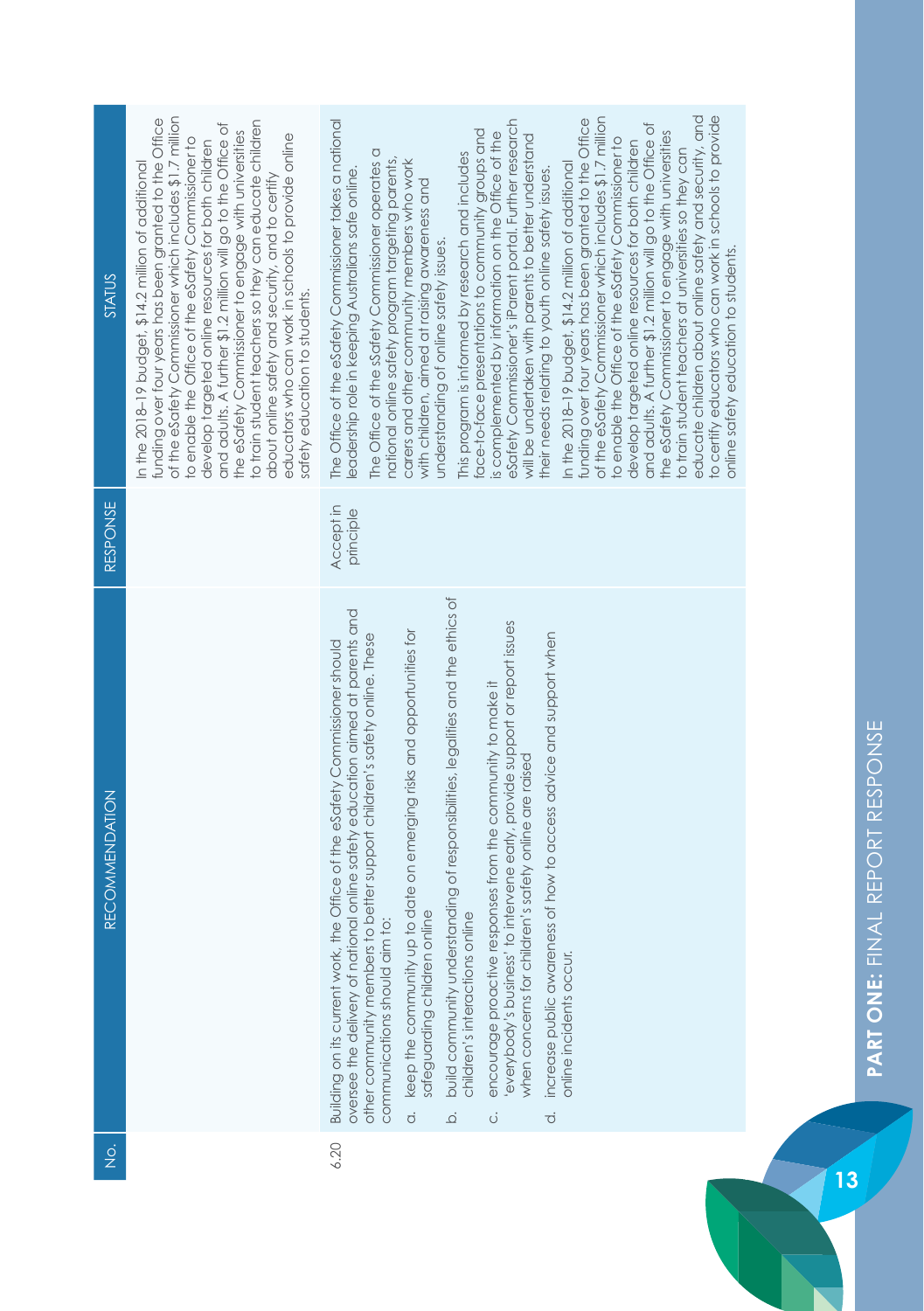| <b>STATUS</b>  | of the eSafety Commissioner which includes \$1.7 million<br>funding over four years has been granted to the Office<br>to train student teachers so they can educate children<br>and adults. A further \$1.2 million will go to the Office of<br>the eSafety Commissioner to engage with universities<br>educators who can work in schools to provide online<br>to enable the Office of the eSafety Commissioner to<br>develop targeted online resources for both children<br>In the 2018–19 budget, \$14.2 million of additional<br>about online safety and security, and to certify<br>safety education to students. | to certify educators who can work in schools to provide<br>educate children about online safety and security, and<br>of the eSafety Commissioner which includes \$1.7 million<br>funding over four years has been granted to the Office<br>eSafety Commissioner's iParent portal. Further research<br>The Office of the eSafety Commissioner takes a national<br>and adults. A further \$1.2 million will go to the Office of<br>face-to-face presentations to community groups and<br>is complemented by information on the Office of the<br>the eSafety Commissioner to engage with universities<br>will be undertaken with parents to better understand<br>to enable the Office of the eSafety Commissioner to<br>develop targeted online resources for both children<br>to train student teachers at universities so they can<br>The Office of the sSafety Commissioner operates a<br>This program is informed by research and includes<br>national online safety program targeting parents,<br>carers and other community members who work<br>In the 2018-19 budget, \$14.2 million of additional<br>eadership role in keeping Australians safe online.<br>their needs relating to youth online safety issues.<br>with children, aimed at raising awareness and<br>understanding of online safety issues.<br>online safety education to students. |
|----------------|-----------------------------------------------------------------------------------------------------------------------------------------------------------------------------------------------------------------------------------------------------------------------------------------------------------------------------------------------------------------------------------------------------------------------------------------------------------------------------------------------------------------------------------------------------------------------------------------------------------------------|--------------------------------------------------------------------------------------------------------------------------------------------------------------------------------------------------------------------------------------------------------------------------------------------------------------------------------------------------------------------------------------------------------------------------------------------------------------------------------------------------------------------------------------------------------------------------------------------------------------------------------------------------------------------------------------------------------------------------------------------------------------------------------------------------------------------------------------------------------------------------------------------------------------------------------------------------------------------------------------------------------------------------------------------------------------------------------------------------------------------------------------------------------------------------------------------------------------------------------------------------------------------------------------------------------------------------------------------------------|
| RESPONSE       |                                                                                                                                                                                                                                                                                                                                                                                                                                                                                                                                                                                                                       | Accept in<br>principle                                                                                                                                                                                                                                                                                                                                                                                                                                                                                                                                                                                                                                                                                                                                                                                                                                                                                                                                                                                                                                                                                                                                                                                                                                                                                                                                 |
| RECOMMENDATION |                                                                                                                                                                                                                                                                                                                                                                                                                                                                                                                                                                                                                       | build community understanding of responsibilities, legalities and the ethics of<br>oversee the delivery of national online safety education aimed at parents and<br>everybody's business' to intervene early, provide support or report issues<br>keep the community up to date on emerging risks and opportunities for<br>increase public awareness of how to access advice and support when<br>other community members to better support children's safety online. These<br>Building on its current work, the Office of the eSafety Commissioner should<br>encourage proactive responses from the community to make it<br>when concerns for children's safety online are raised<br>safeguarding children online<br>children's interactions online<br>communications should aim to:<br>online incidents occur.<br>$\dot{\sigma}$<br>$\vec{o}$<br>$\overline{Q}$<br>$\dot{\circ}$                                                                                                                                                                                                                                                                                                                                                                                                                                                                      |
| $\frac{1}{2}$  |                                                                                                                                                                                                                                                                                                                                                                                                                                                                                                                                                                                                                       | 6.20                                                                                                                                                                                                                                                                                                                                                                                                                                                                                                                                                                                                                                                                                                                                                                                                                                                                                                                                                                                                                                                                                                                                                                                                                                                                                                                                                   |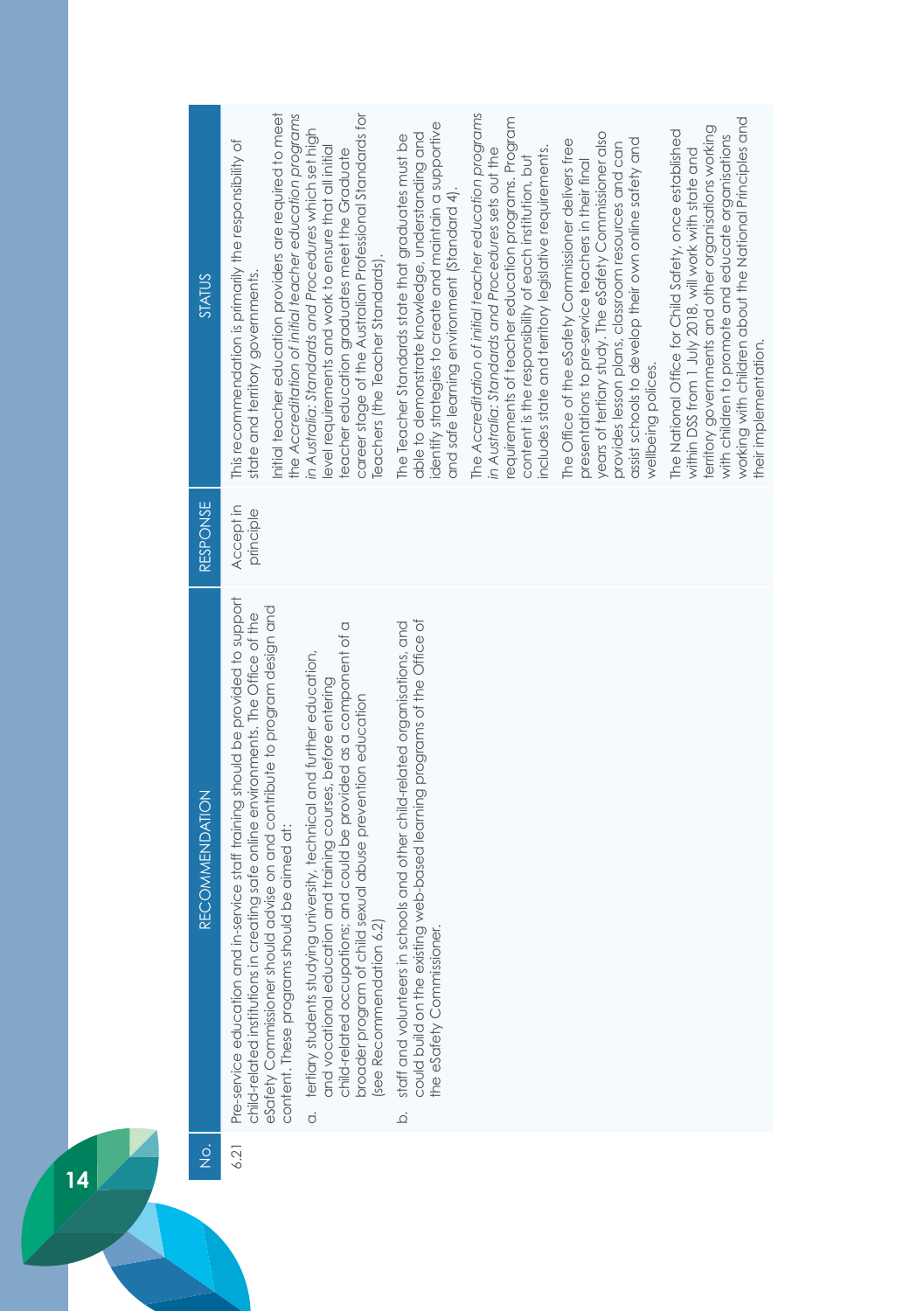| RESPONSE<br>Accept in<br>principle<br>Pre-service education and in-service staff training should be provided to support<br>eSafety Commissioner should advise on and contribute to program design and<br>child-related institutions in creating safe online environments. The Office of the<br>could build on the existing web-based learning programs of the Office of<br>staff and volunteers in schools and other child-related organisations, and<br>child-related occupations; and could be provided as a component of a<br>a. tertiary students studying university, technical and further education,<br>and vocational education and training courses, before entering<br>broader program of child sexual abuse prevention education<br><b>RECOMMENDATION</b><br>content. These programs should be aimed at:<br>6.2)<br>the eSafety Commissioner.<br>(see Recommendation<br>$\overline{Q}$ |
|---------------------------------------------------------------------------------------------------------------------------------------------------------------------------------------------------------------------------------------------------------------------------------------------------------------------------------------------------------------------------------------------------------------------------------------------------------------------------------------------------------------------------------------------------------------------------------------------------------------------------------------------------------------------------------------------------------------------------------------------------------------------------------------------------------------------------------------------------------------------------------------------------|
|                                                                                                                                                                                                                                                                                                                                                                                                                                                                                                                                                                                                                                                                                                                                                                                                                                                                                                   |
|                                                                                                                                                                                                                                                                                                                                                                                                                                                                                                                                                                                                                                                                                                                                                                                                                                                                                                   |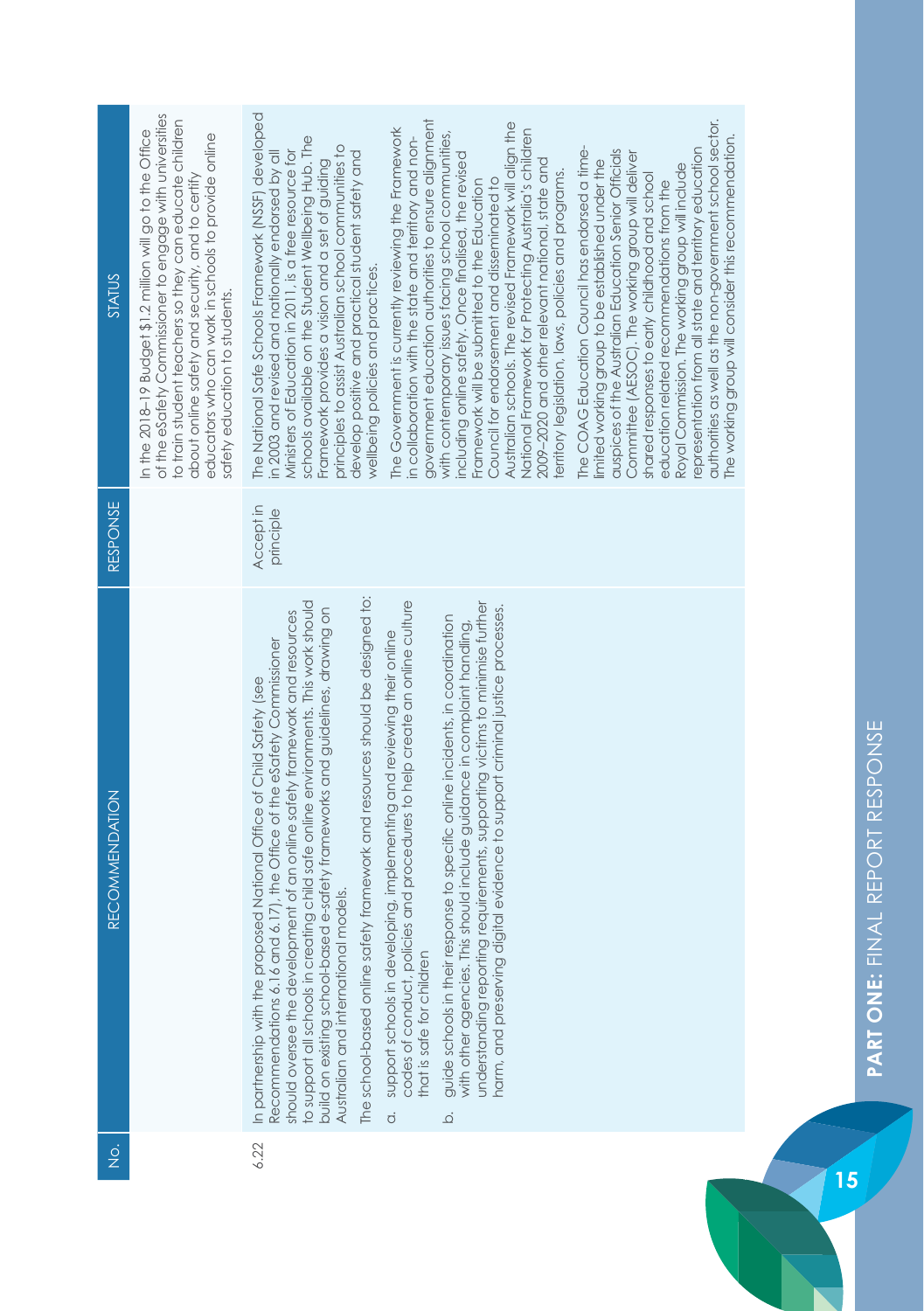| STATUS                | of the eSafety Commissioner to engage with universities<br>to train student teachers so they can educate children<br>In the 2018-19 Budget \$1.2 million will go to the Office<br>educators who can work in schools to provide online<br>about online safety and security, and to certify<br>safety education to students. | The National Safe Schools Framework (NSSF) developed<br>government education authorities to ensure alignment<br>authorities as well as the non-government school sector.<br>Australian schools. The revised Framework will align the<br>National Framework for Protecting Australia's children<br>The Government is currently reviewing the Framework<br>with contemporary issues facing school communities,<br>in collaboration with the state and territory and non-<br>schools available on the Student Wellbeing Hub. The<br>The working group will consider this recommendation.<br>principles to assist Australian school communities to<br>The COAG Education Council has endorsed a time-<br>representation from all state and territory education<br>Ministers of Education in 2011, is a free resource for<br>auspices of the Australian Education Senior Officials<br>in 2003 and revised and nationally endorsed by all<br>develop positive and practical student safety and<br>Committee (AESOC). The working group will deliver<br>including online safety. Once finalised, the revised<br>2009-2020 and other relevant national, state and<br>Framework provides a vision and a set of guiding<br>limited working group to be established under the<br>Royal Commission. The working group will include<br>territory legislation, laws, policies and programs.<br>shared responses to early childhood and school<br>Council for endorsement and disseminated to<br>Framework will be submitted to the Education<br>education related recommendations from the<br>wellbeing policies and practices. |
|-----------------------|----------------------------------------------------------------------------------------------------------------------------------------------------------------------------------------------------------------------------------------------------------------------------------------------------------------------------|-------------------------------------------------------------------------------------------------------------------------------------------------------------------------------------------------------------------------------------------------------------------------------------------------------------------------------------------------------------------------------------------------------------------------------------------------------------------------------------------------------------------------------------------------------------------------------------------------------------------------------------------------------------------------------------------------------------------------------------------------------------------------------------------------------------------------------------------------------------------------------------------------------------------------------------------------------------------------------------------------------------------------------------------------------------------------------------------------------------------------------------------------------------------------------------------------------------------------------------------------------------------------------------------------------------------------------------------------------------------------------------------------------------------------------------------------------------------------------------------------------------------------------------------------------------------------------------------------------------------|
| <b>RESPONSE</b>       |                                                                                                                                                                                                                                                                                                                            | Accept in<br>principle                                                                                                                                                                                                                                                                                                                                                                                                                                                                                                                                                                                                                                                                                                                                                                                                                                                                                                                                                                                                                                                                                                                                                                                                                                                                                                                                                                                                                                                                                                                                                                                            |
| <b>RECOMMENDATION</b> |                                                                                                                                                                                                                                                                                                                            | The school-based online safety framework and resources should be designed to:<br>codes of conduct, policies and procedures to help create an online culture<br>understanding reporting requirements, supporting victims to minimise further<br>to support all schools in creating child safe online environments. This work should<br>harm, and preserving digital evidence to support criminal justice processes.<br>build on existing school-based e-safety frameworks and guidelines, drawing on<br>should oversee the development of an online safety framework and resources<br>guide schools in their response to specific online incidents, in coordination<br>with other agencies. This should include guidance in complaint handling,<br>support schools in developing, implementing and reviewing their online<br>Recommendations 6.16 and 6.17), the Office of the eSafety Commissioner<br>In partnership with the proposed National Office of Child Safety (see<br>Australian and international models.<br>that is safe for children<br>$\dot{\sigma}$<br>$\overline{Q}$                                                                                                                                                                                                                                                                                                                                                                                                                                                                                                                              |
| $\frac{1}{2}$         |                                                                                                                                                                                                                                                                                                                            | 6.22                                                                                                                                                                                                                                                                                                                                                                                                                                                                                                                                                                                                                                                                                                                                                                                                                                                                                                                                                                                                                                                                                                                                                                                                                                                                                                                                                                                                                                                                                                                                                                                                              |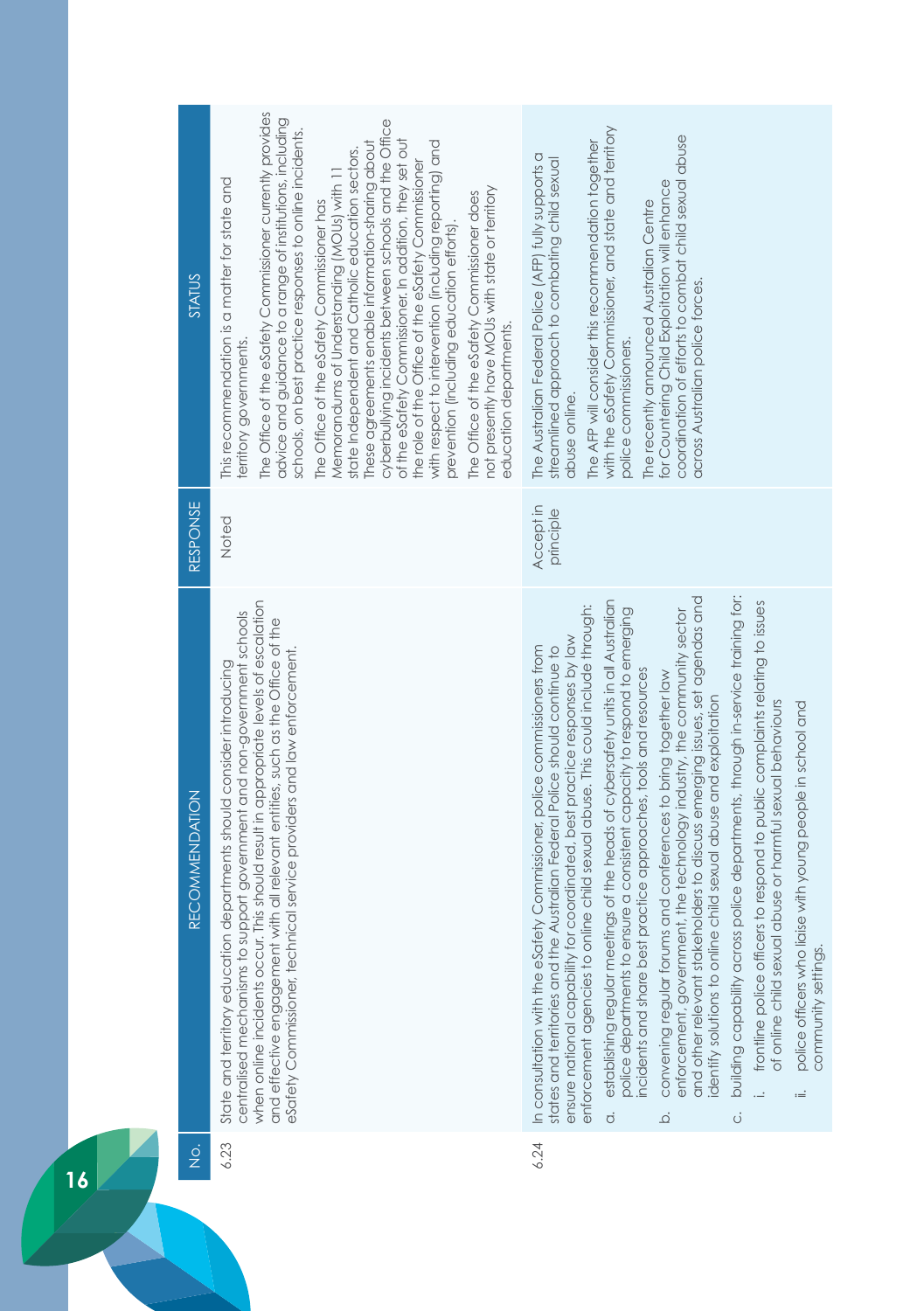| STATUS                | The Office of the eSafety Commissioner currently provides<br>advice and guidance to a range of institutions, including<br>cyberbullying incidents between schools and the Office<br>schools, on best practice responses to online incidents.<br>of the eSafety Commissioner. In addition, they set out<br>These agreements enable information-sharing about<br>with respect to intervention (including reporting) and<br>state Independent and Catholic education sectors.<br>the role of the Office of the eSafety Commissioner<br>Memorandums of Understanding (MOUs) with 11<br>This recommendation is a matter for state and<br>not presently have MOUs with state or territory<br>The Office of the eSafety Commissioner does<br>The Office of the eSafety Commissioner has<br>prevention (including education efforts)<br>education departments.<br>erritory governments. | with the eSafety Commissioner, and state and territory<br>coordination of efforts to combat child sexual abuse<br>The AFP will consider this recommendation together<br>The Australian Federal Police (AFP) fully supports a<br>streamlined approach to combating child sexual<br>for Countering Child Exploitation will enhance<br>The recently announced Australian Centre<br>across Australian police forces.<br>police commissioners.<br>abuse online.                                                                                                                                                                                                                                                                                                                                                                                                                                                                                                                                                                                                                                                                                                                                                                                              |
|-----------------------|---------------------------------------------------------------------------------------------------------------------------------------------------------------------------------------------------------------------------------------------------------------------------------------------------------------------------------------------------------------------------------------------------------------------------------------------------------------------------------------------------------------------------------------------------------------------------------------------------------------------------------------------------------------------------------------------------------------------------------------------------------------------------------------------------------------------------------------------------------------------------------|---------------------------------------------------------------------------------------------------------------------------------------------------------------------------------------------------------------------------------------------------------------------------------------------------------------------------------------------------------------------------------------------------------------------------------------------------------------------------------------------------------------------------------------------------------------------------------------------------------------------------------------------------------------------------------------------------------------------------------------------------------------------------------------------------------------------------------------------------------------------------------------------------------------------------------------------------------------------------------------------------------------------------------------------------------------------------------------------------------------------------------------------------------------------------------------------------------------------------------------------------------|
| <b>RESPONSE</b>       | Noted                                                                                                                                                                                                                                                                                                                                                                                                                                                                                                                                                                                                                                                                                                                                                                                                                                                                           | Accept in<br>principle                                                                                                                                                                                                                                                                                                                                                                                                                                                                                                                                                                                                                                                                                                                                                                                                                                                                                                                                                                                                                                                                                                                                                                                                                                  |
| <b>RECOMMENDATION</b> | when online incidents occur. This should result in appropriate levels of escalation<br>centralised mechanisms to support government and non-government schools<br>and effective engagement with all relevant entities, such as the Office of the<br>eSafety Commissioner, technical service providers and law enforcement.<br>State and territory education departments should consider introducing                                                                                                                                                                                                                                                                                                                                                                                                                                                                             | building capability across police departments, through in-service training for:<br>and other relevant stakeholders to discuss emerging issues, set agendas and<br>establishing regular meetings of the heads of cybersafety units in all Australian<br>frontline police officers to respond to public complaints relating to issues<br>enforcement agencies to online child sexual abuse. This could include through:<br>police departments to ensure a consistent capacity to respond to emerging<br>enforcement, government, the technology industry, the community sector<br>ensure national capability for coordinated, best practice responses by law<br>In consultation with the eSafety Commissioner, police commissioners from<br>states and territories and the Australian Federal Police should continue to<br>practice approaches, tools and resources<br>convening regular forums and conferences to bring together law<br>identify solutions to online child sexual abuse and exploitation<br>of online child sexual abuse or harmful sexual behaviours<br>police officers who liaise with young people in school and<br>incidents and share best<br>community settings.<br>$:=$<br>$\dot{\sigma}$<br>$\dot{\circ}$<br>$\overline{\Omega}$ |
| $\frac{\dot{Q}}{Z}$   | 6.23                                                                                                                                                                                                                                                                                                                                                                                                                                                                                                                                                                                                                                                                                                                                                                                                                                                                            | 6.24                                                                                                                                                                                                                                                                                                                                                                                                                                                                                                                                                                                                                                                                                                                                                                                                                                                                                                                                                                                                                                                                                                                                                                                                                                                    |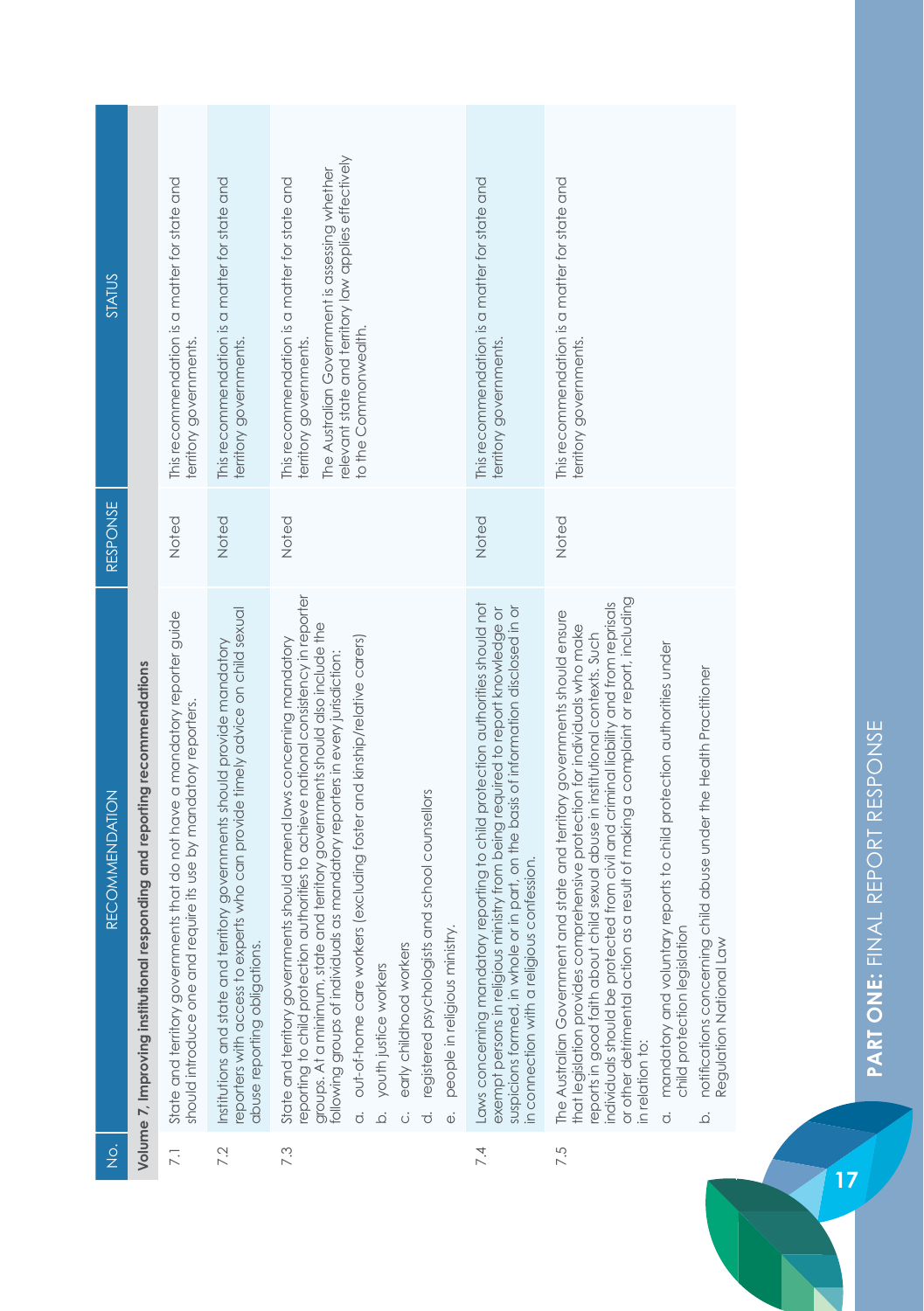| <b>STATUS</b>         |                                                                            | This recommendation is a matter for state and<br>territory governments.                                                                         | This recommendation is a matter for state and<br>territory governments.                                                                                                                     | relevant state and territory law applies effectively<br>The Australian Government is assessing whether<br>This recommendation is a matter for state and<br>to the Commonwealth.<br>territory governments                                                                                                                                                                                                                                                                                                                                                                                                                           | This recommendation is a matter for state and<br>territory governments.                                                                                                                                                                                                                                | This recommendation is a matter for state and<br>erritory governments                                                                                                                                                                                                                                                                                                                                                                                                                                                                                                                                                                                                                       |
|-----------------------|----------------------------------------------------------------------------|-------------------------------------------------------------------------------------------------------------------------------------------------|---------------------------------------------------------------------------------------------------------------------------------------------------------------------------------------------|------------------------------------------------------------------------------------------------------------------------------------------------------------------------------------------------------------------------------------------------------------------------------------------------------------------------------------------------------------------------------------------------------------------------------------------------------------------------------------------------------------------------------------------------------------------------------------------------------------------------------------|--------------------------------------------------------------------------------------------------------------------------------------------------------------------------------------------------------------------------------------------------------------------------------------------------------|---------------------------------------------------------------------------------------------------------------------------------------------------------------------------------------------------------------------------------------------------------------------------------------------------------------------------------------------------------------------------------------------------------------------------------------------------------------------------------------------------------------------------------------------------------------------------------------------------------------------------------------------------------------------------------------------|
| RESPONSE              |                                                                            | Noted                                                                                                                                           | Noted                                                                                                                                                                                       | Noted                                                                                                                                                                                                                                                                                                                                                                                                                                                                                                                                                                                                                              | Noted                                                                                                                                                                                                                                                                                                  | Noted                                                                                                                                                                                                                                                                                                                                                                                                                                                                                                                                                                                                                                                                                       |
| <b>RECOMMENDATION</b> | Volume 7, Improving institutional responding and reporting recommendations | State and territory governments that do not have a mandatory reporter guide<br>should introduce one and require its use by mandatory reporters. | reporters with access to experts who can provide timely advice on child sexual<br>Institutions and state and territory governments should provide mandatory<br>abuse reporting obligations. | reporting to child protection authorities to achieve national consistency in reporter<br>groups. At a minimum, state and territory governments should also include the<br>out-of-home care workers (excluding foster and kinship/relative carers)<br>State and territory governments should amend laws concerning mandatory<br>following groups of individuals as mandatory reporters in every jurisdiction:<br>registered psychologists and school counsellors<br>people in religious ministry.<br>early childhood workers<br>youth justice workers<br>$\overline{\Omega}$<br>$\dot{\sigma}$<br>$\vec{o}$<br>$\ddot{\omega}$<br>ö | Laws concerning mandatory reporting to child protection authorities should not<br>suspicions formed, in whole or in part, on the basis of information disclosed in or<br>in connection with a religious confession.<br>exempt persons in religious ministry from being required to report knowledge or | or other detrimental action as a result of making a complaint or report, including<br>individuals should be protected from civil and criminal liability and from reprisals<br>The Australian Government and state and territory governments should ensure<br>that legislation provides comprehensive protection for individuals who make<br>reports in good faith about child sexual abuse in institutional contexts. Such<br>mandatory and voluntary reports to child protection authorities under<br>notifications concerning child abuse under the Health Practitioner<br>child protection legislation<br>Regulation National Law<br>in relation to:<br>$\dot{\sigma}$<br>$\overline{Q}$ |
| $\frac{1}{2}$         |                                                                            | 7.1                                                                                                                                             | 7.2                                                                                                                                                                                         | 7.3                                                                                                                                                                                                                                                                                                                                                                                                                                                                                                                                                                                                                                | 7.4                                                                                                                                                                                                                                                                                                    | 7.5                                                                                                                                                                                                                                                                                                                                                                                                                                                                                                                                                                                                                                                                                         |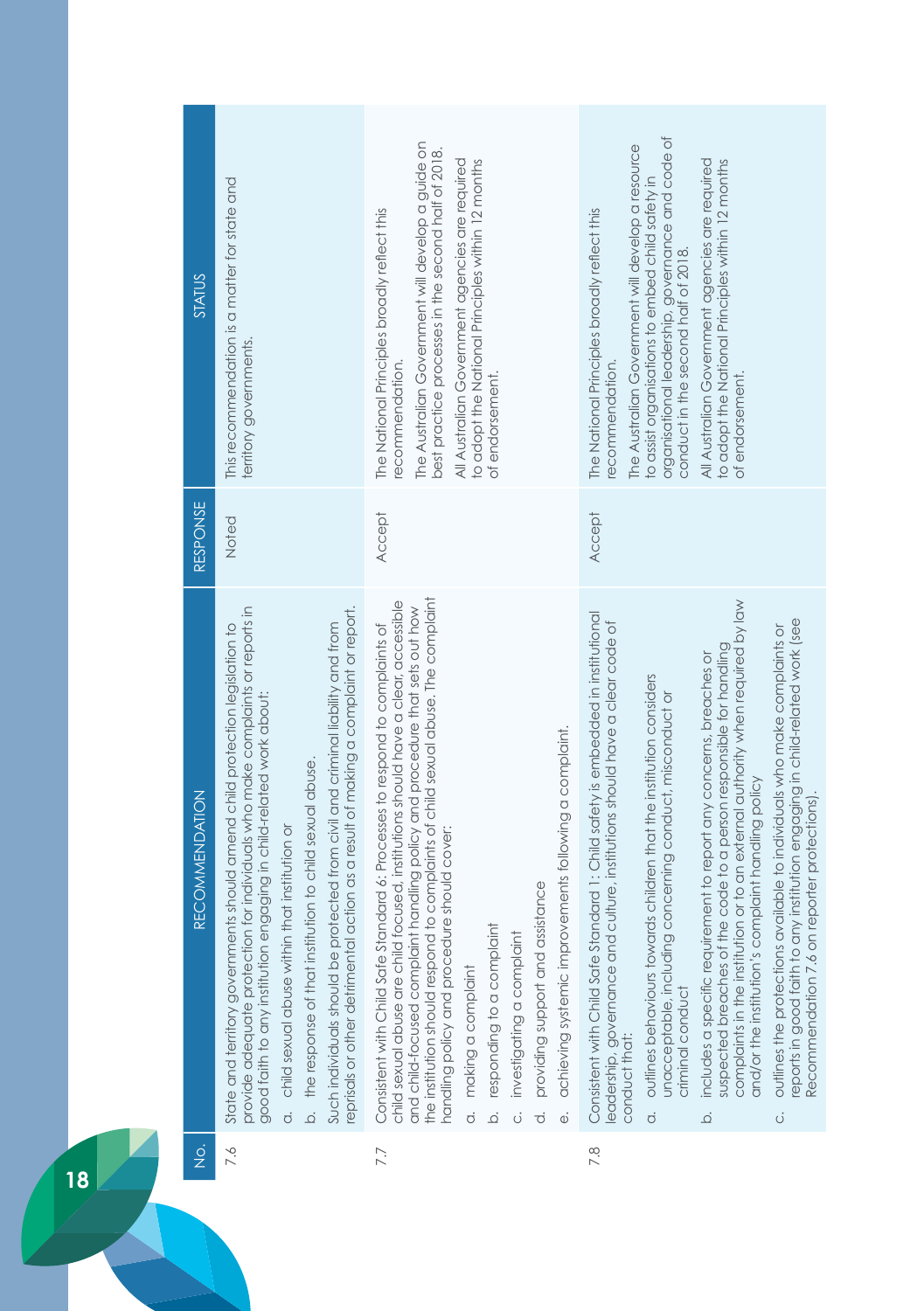| STATUS         | This recommendation is a matter for state and<br>territory governments.                                                                                                                                                                                                                                                                                                                                                                                                                                                                                         | The Australian Government will develop a guide on<br>best practice processes in the second half of 2018.<br>All Australian Government agencies are required<br>to adopt the National Principles within 12 months<br>The National Principles broadly reflect this<br>recommendation.<br>of endorsement.                                                                                                                                                                                                                                                                                                                                   | organisational leadership, governance and code of<br>The Australian Government will develop a resource<br>All Australian Government agencies are required<br>to adopt the National Principles within 12 months<br>to assist organisations to embed child safety in<br>The National Principles broadly reflect this<br>conduct in the second half of 2018.<br>recommendation.<br>of endorsement.                                                                                                                                                                                                                                                                                                                                                                                                                                                                                         |
|----------------|-----------------------------------------------------------------------------------------------------------------------------------------------------------------------------------------------------------------------------------------------------------------------------------------------------------------------------------------------------------------------------------------------------------------------------------------------------------------------------------------------------------------------------------------------------------------|------------------------------------------------------------------------------------------------------------------------------------------------------------------------------------------------------------------------------------------------------------------------------------------------------------------------------------------------------------------------------------------------------------------------------------------------------------------------------------------------------------------------------------------------------------------------------------------------------------------------------------------|-----------------------------------------------------------------------------------------------------------------------------------------------------------------------------------------------------------------------------------------------------------------------------------------------------------------------------------------------------------------------------------------------------------------------------------------------------------------------------------------------------------------------------------------------------------------------------------------------------------------------------------------------------------------------------------------------------------------------------------------------------------------------------------------------------------------------------------------------------------------------------------------|
| RESPONSE       | Noted                                                                                                                                                                                                                                                                                                                                                                                                                                                                                                                                                           | <b>Accept</b>                                                                                                                                                                                                                                                                                                                                                                                                                                                                                                                                                                                                                            | Accept                                                                                                                                                                                                                                                                                                                                                                                                                                                                                                                                                                                                                                                                                                                                                                                                                                                                                  |
| RECOMMENDATION | provide adequate protection for individuals who make complaints or reports in<br>eprisals or other detrimental action as a result of making a complaint or report.<br>protected from civil and criminal liability and from<br>State and territory governments should amend child protection legislation to<br>good faith to any institution engaging in child-related work about:<br>the response of that institution to child sexual abuse.<br>child sexual abuse within that institution or<br>Such individuals should be<br>$\overline{Q}$<br>$\overline{c}$ | the institution should respond to complaints of child sexual abuse. The complaint<br>child sexual abuse are child focused, institutions should have a clear, accessible<br>and child-focused complaint handling policy and procedure that sets out how<br>Consistent with Child Safe Standard 6: Processes to respond to complaints of<br>achieving systemic improvements following a complaint.<br>handling policy and procedure should cover:<br>assistance<br>responding to a complaint<br>investigating a complaint<br>providing support and<br>making a complaint<br>$\overline{c}$<br>$\overline{Q}$<br>ਰਂ<br>ö<br>$\ddot{\omega}$ | complaints in the institution or to an external authority when required by law<br>Consistent with Child Safe Standard 1: Child safety is embedded in institutional<br>reports in good faith to any institution engaging in child-related work (see<br>eadership, governance and culture, institutions should have a clear code of<br>outlines the protections available to individuals who make complaints or<br>suspected breaches of the code to a person responsible for handling<br>includes a specific requirement to report any concerns, breaches or<br>outlines behaviours towards children that the institution considers<br>unacceptable, including concerning conduct, misconduct or<br>and/or the institution's complaint handling policy<br>Recommendation 7.6 on reporter protections)<br>criminal conduct<br>conduct that:<br>$\overline{\sigma}$<br>$\overline{Q}$<br>Ö |
| $\frac{1}{2}$  | 7.6                                                                                                                                                                                                                                                                                                                                                                                                                                                                                                                                                             | 7.7                                                                                                                                                                                                                                                                                                                                                                                                                                                                                                                                                                                                                                      | 7.8                                                                                                                                                                                                                                                                                                                                                                                                                                                                                                                                                                                                                                                                                                                                                                                                                                                                                     |
| 18             |                                                                                                                                                                                                                                                                                                                                                                                                                                                                                                                                                                 |                                                                                                                                                                                                                                                                                                                                                                                                                                                                                                                                                                                                                                          |                                                                                                                                                                                                                                                                                                                                                                                                                                                                                                                                                                                                                                                                                                                                                                                                                                                                                         |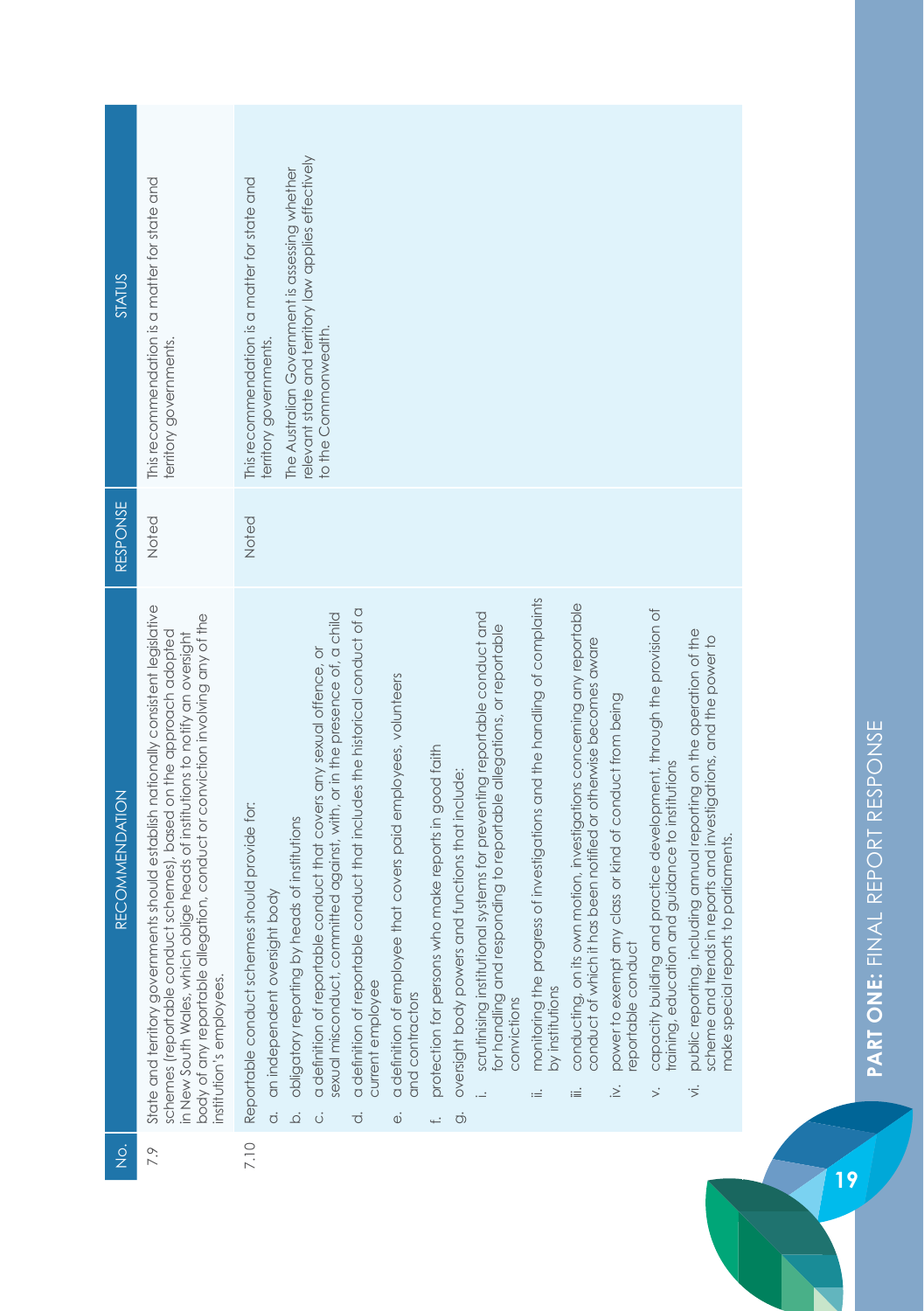| STATUS                | This recommendation is a matter for state and<br>territory governments.                                                                                                                                                                                                                                                                                 | relevant state and territory law applies effectively<br>The Australian Government is assessing whether<br>This recommendation is a matter for state and<br>to the Commonwealth.<br>territory governments.                                                                                                                                                                                                                                                                                                                                                                                                                                                                                                                                                                                                                                                                                                                                                                                                                                                                                                                                                                                                                                                                                                                                                                                                                                                                                                                                                            |
|-----------------------|---------------------------------------------------------------------------------------------------------------------------------------------------------------------------------------------------------------------------------------------------------------------------------------------------------------------------------------------------------|----------------------------------------------------------------------------------------------------------------------------------------------------------------------------------------------------------------------------------------------------------------------------------------------------------------------------------------------------------------------------------------------------------------------------------------------------------------------------------------------------------------------------------------------------------------------------------------------------------------------------------------------------------------------------------------------------------------------------------------------------------------------------------------------------------------------------------------------------------------------------------------------------------------------------------------------------------------------------------------------------------------------------------------------------------------------------------------------------------------------------------------------------------------------------------------------------------------------------------------------------------------------------------------------------------------------------------------------------------------------------------------------------------------------------------------------------------------------------------------------------------------------------------------------------------------------|
| RESPONSE              | Noted                                                                                                                                                                                                                                                                                                                                                   | Noted                                                                                                                                                                                                                                                                                                                                                                                                                                                                                                                                                                                                                                                                                                                                                                                                                                                                                                                                                                                                                                                                                                                                                                                                                                                                                                                                                                                                                                                                                                                                                                |
| <b>RECOMMENDATION</b> | State and territory governments should establish nationally consistent legislative<br>body of any reportable allegation, conduct or conviction involving any of the<br>schemes (reportable conduct schemes), based on the approach adopted<br>in New South Wales, which oblige heads of institutions to notify an oversight<br>institution's employees. | monitoring the progress of investigations and the handling of complaints<br>conducting, on its own motion, investigations concerning any reportable<br>a definition of reportable conduct that includes the historical conduct of a<br>capacity building and practice development, through the provision of<br>scrutinising institutional systems for preventing reportable conduct and<br>sexual misconduct, committed against, with, or in the presence of, a child<br>for handling and responding to reportable allegations, or reportable<br>public reporting, including annual reporting on the operation of the<br>scheme and trends in reports and investigations, and the power to<br>conduct of which it has been notified or otherwise becomes aware<br>a definition of reportable conduct that covers any sexual offence, or<br>a definition of employee that covers paid employees, volunteers<br>power to exempt any class or kind of conduct from being<br>protection for persons who make reports in good faith<br>raining, education and guidance to institutions<br>oversight body powers and functions that include:<br>Reportable conduct schemes should provide for:<br>heads of institutions<br>make special reports to parliaments.<br>an independent oversight body<br>eportable conduct<br>obligatory reporting by I<br>current employee<br>by institutions<br>and contractors<br>convictions<br>$\overline{v}$<br>$\leq$<br>$\frac{1}{2}$<br>≔<br>≔<br>$\dot{\sigma}$<br>ة<br>$\dot{\sigma}$<br>$\dot{\circ}$<br>ಕ<br>$\ddot{\omega}$<br>ť, |
| $\frac{1}{2}$         | 7.9                                                                                                                                                                                                                                                                                                                                                     | 7.10                                                                                                                                                                                                                                                                                                                                                                                                                                                                                                                                                                                                                                                                                                                                                                                                                                                                                                                                                                                                                                                                                                                                                                                                                                                                                                                                                                                                                                                                                                                                                                 |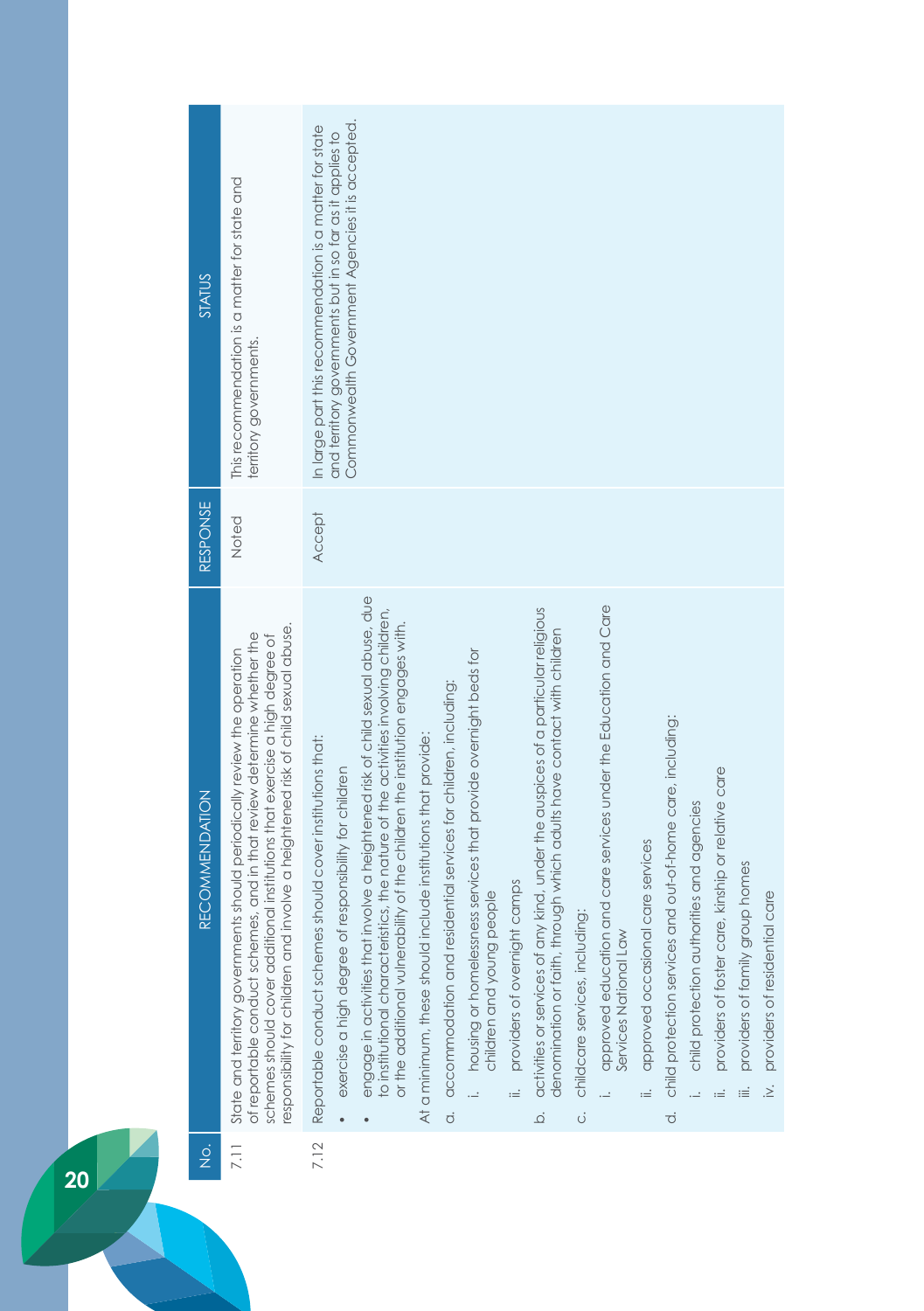| <b>STATUS</b>         | This recommendation is a matter for state and<br>territory governments.                                                                                                                                                                                                                                                | Commonwealth Government Agencies it is accepted.<br>In large part this recommendation is a matter for state<br>and territory governments but in so far as it applies to                                                                                                                                                                                                                                                                                                                                                                                                                                                                                                                                                                                                                                                                                                                                                                                                                                                                                                                                                                                                                                                                                      |                                   |
|-----------------------|------------------------------------------------------------------------------------------------------------------------------------------------------------------------------------------------------------------------------------------------------------------------------------------------------------------------|--------------------------------------------------------------------------------------------------------------------------------------------------------------------------------------------------------------------------------------------------------------------------------------------------------------------------------------------------------------------------------------------------------------------------------------------------------------------------------------------------------------------------------------------------------------------------------------------------------------------------------------------------------------------------------------------------------------------------------------------------------------------------------------------------------------------------------------------------------------------------------------------------------------------------------------------------------------------------------------------------------------------------------------------------------------------------------------------------------------------------------------------------------------------------------------------------------------------------------------------------------------|-----------------------------------|
| <b>RESPONSE</b>       | Noted                                                                                                                                                                                                                                                                                                                  | <b>Accept</b>                                                                                                                                                                                                                                                                                                                                                                                                                                                                                                                                                                                                                                                                                                                                                                                                                                                                                                                                                                                                                                                                                                                                                                                                                                                |                                   |
| <b>RECOMMENDATION</b> | responsibility for children and involve a heightened risk of child sexual abuse.<br>of reportable conduct schemes, and in that review determine whether the<br>schemes should cover additional institutions that exercise a high degree of<br>State and territory governments should periodically review the operation | engage in activities that involve a heightened risk of child sexual abuse, due<br>approved education and care services under the Education and Care<br>activities or services of any kind, under the auspices of a particular religious<br>to institutional characteristics, the nature of the activities involving children,<br>or the additional vulnerability of the children the institution engages with.<br>denomination or faith, through which adults have contact with children<br>housing or homelessness services that provide overnight beds for<br>children and young people<br>a. accommodation and residential services for children, including:<br>child protection services and out-of-home care, including:<br>At a minimum, these should include institutions that provide:<br>Reportable conduct schemes should cover institutions that:<br>providers of foster care, kinship or relative care<br>exercise a high degree of responsibility for children<br>child protection authorities and agencies<br>approved occasional care services<br>providers of family group homes<br>providers of overnight camps<br>c. childcare services, including:<br>Services National Law<br>$\equiv$<br>$\ddot{=}$<br>$\overline{c}$<br>$\overline{Q}$ | iv. providers of residential care |
| $\frac{1}{2}$         | 7.11                                                                                                                                                                                                                                                                                                                   | 7.12                                                                                                                                                                                                                                                                                                                                                                                                                                                                                                                                                                                                                                                                                                                                                                                                                                                                                                                                                                                                                                                                                                                                                                                                                                                         |                                   |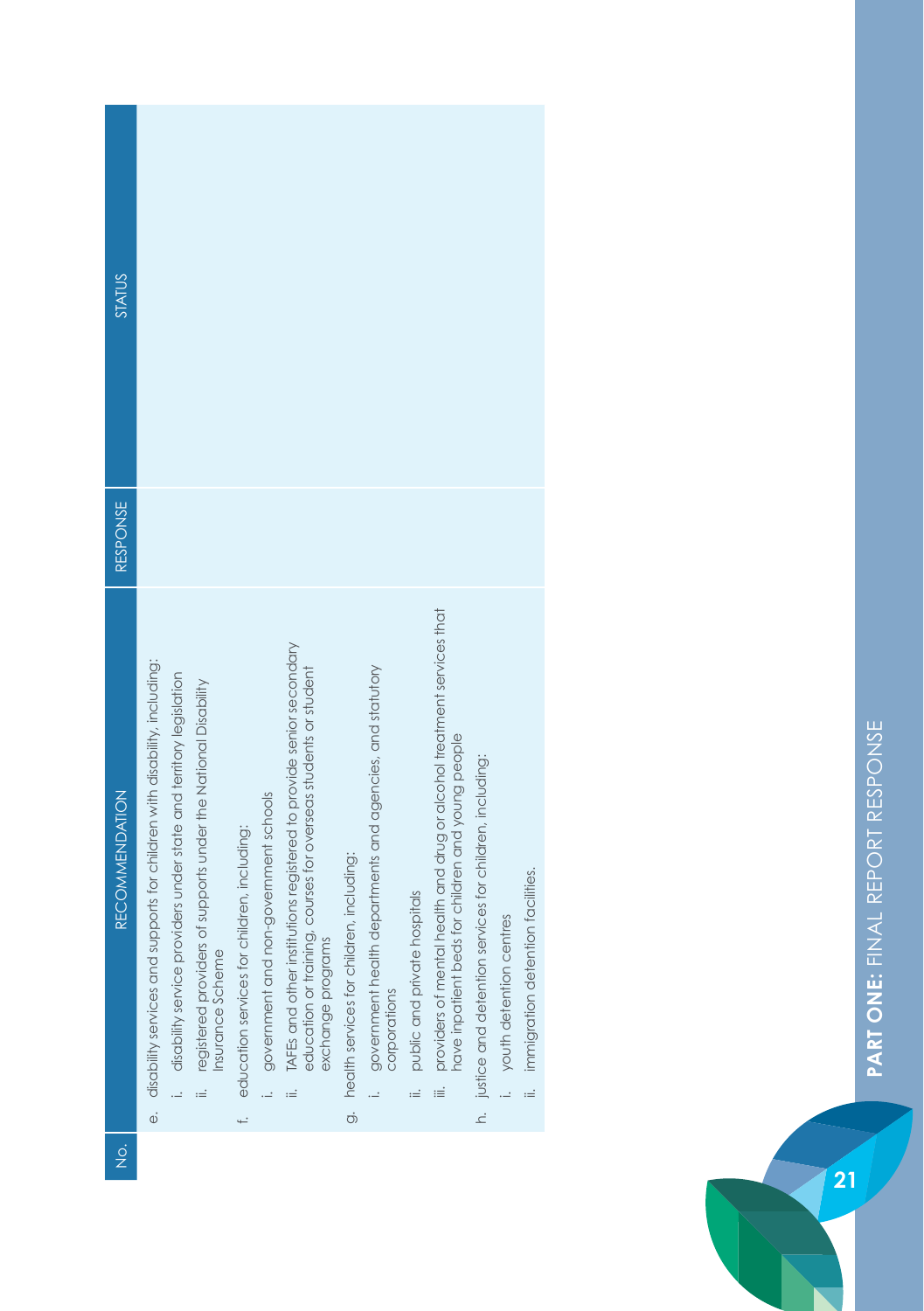| STATUS                |                                                                                                                                                       |                                                                                    |                                             |                                          |                                                                                                                                                                         |                                             |                                                                           |                                    |                                                                                                                                       |                                                            |                            |                                   |
|-----------------------|-------------------------------------------------------------------------------------------------------------------------------------------------------|------------------------------------------------------------------------------------|---------------------------------------------|------------------------------------------|-------------------------------------------------------------------------------------------------------------------------------------------------------------------------|---------------------------------------------|---------------------------------------------------------------------------|------------------------------------|---------------------------------------------------------------------------------------------------------------------------------------|------------------------------------------------------------|----------------------------|-----------------------------------|
| RESPONSE              |                                                                                                                                                       |                                                                                    |                                             |                                          |                                                                                                                                                                         |                                             |                                                                           |                                    |                                                                                                                                       |                                                            |                            |                                   |
| <b>RECOMMENDATION</b> | e. disability services and supports for children with disability, including:<br>i. disability service providers under state and territory legislation | registered providers of supports under the National Disability<br>Insurance Scheme | education services for children, including: | i. government and non-government schools | TAFEs and other institutions registered to provide senior secondary<br>education or training, courses for overseas students or student<br>exchange programs<br>$\equiv$ | g. health services for children, including: | government health departments and agencies, and statutory<br>corporations | public and private hospitals<br>.≟ | providers of mental health and drug or alcohol treatment services that<br>nave inpatient beds for children and young people<br>.<br>≔ | h. justice and detention services for children, including: | i. youth detention centres | immigration detention facilities. |
| o<br>Z                |                                                                                                                                                       |                                                                                    |                                             |                                          |                                                                                                                                                                         |                                             |                                                                           |                                    |                                                                                                                                       |                                                            |                            |                                   |

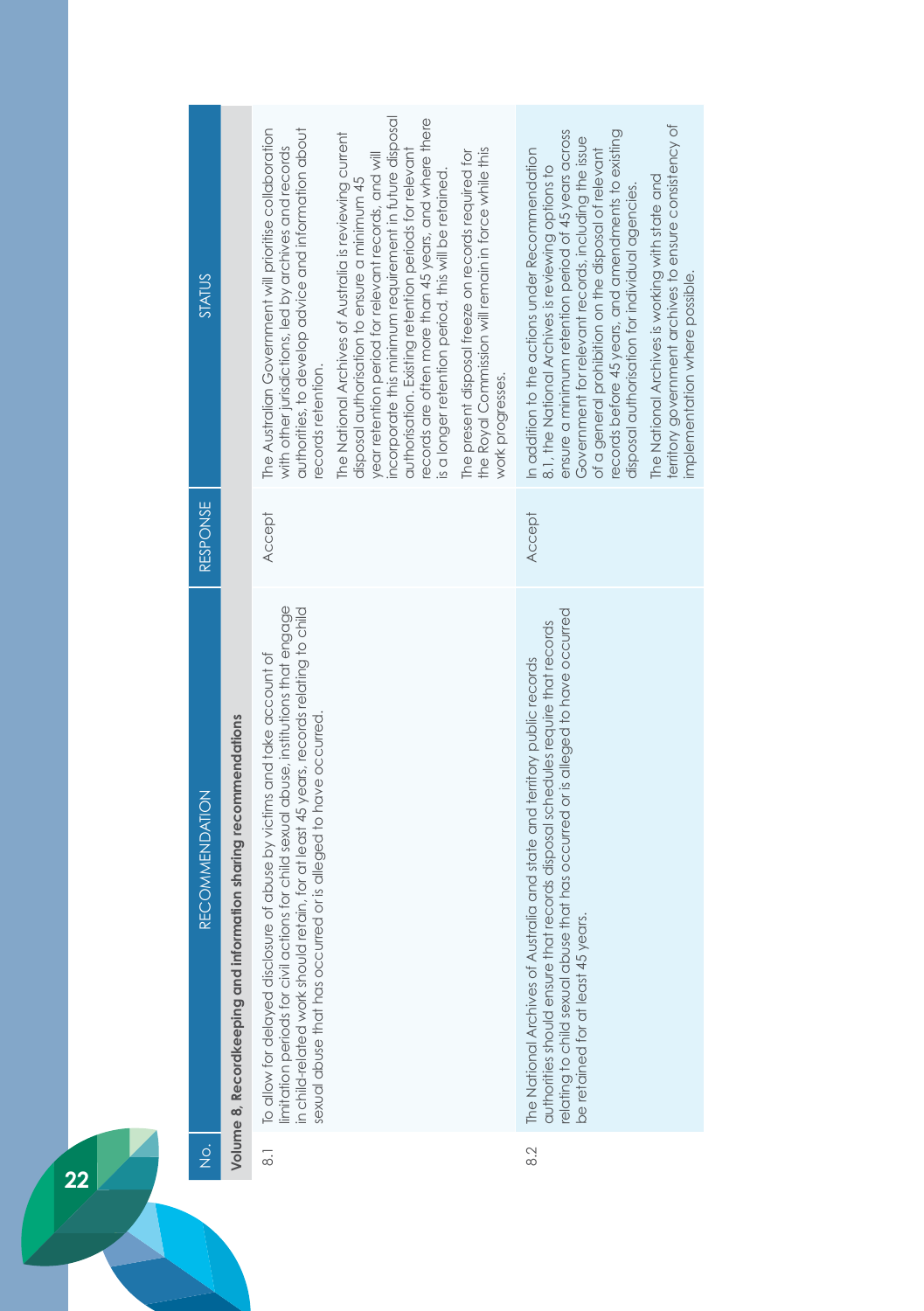| STATUS                                |                                                                 | incorporate this minimum requirement in future disposal<br>records are often more than 45 years, and where there<br>The Australian Government will prioritise collaboration<br>authorities, to develop advice and information about<br>The National Archives of Australia is reviewing current<br>with other jurisdictions, led by archives and records<br>the Royal Commission will remain in force while this<br>authorisation. Existing retention periods for relevant<br>The present disposal freeze on records required for<br>year retention period for relevant records, and will<br>is a longer retention period, this will be retained.<br>disposal authorisation to ensure a minimum 45<br>records retention.<br>work progresses. | territory government archives to ensure consistency of<br>ensure a minimum retention period of 45 years across<br>records before 45 years, and amendments to existing<br>Government for relevant records, including the issue<br>of a general prohibition on the disposal of relevant<br>In addition to the actions under Recommendation<br>8.1, the National Archives is reviewing options to<br>The National Archives is working with state and<br>disposal authorisation for individual agencies.<br>mplementation where possible. |
|---------------------------------------|-----------------------------------------------------------------|---------------------------------------------------------------------------------------------------------------------------------------------------------------------------------------------------------------------------------------------------------------------------------------------------------------------------------------------------------------------------------------------------------------------------------------------------------------------------------------------------------------------------------------------------------------------------------------------------------------------------------------------------------------------------------------------------------------------------------------------|---------------------------------------------------------------------------------------------------------------------------------------------------------------------------------------------------------------------------------------------------------------------------------------------------------------------------------------------------------------------------------------------------------------------------------------------------------------------------------------------------------------------------------------|
| <b>RESPONSE</b>                       |                                                                 | <b>Accept</b>                                                                                                                                                                                                                                                                                                                                                                                                                                                                                                                                                                                                                                                                                                                               | Accept                                                                                                                                                                                                                                                                                                                                                                                                                                                                                                                                |
| <b>RECOMMENDATION</b>                 | Volume 8, Recordkeeping and information sharing recommendations | limitation periods for civil actions for child sexual abuse, institutions that engage<br>in child-related work should retain, for at least 45 years, records relating to child<br>To allow for delayed disclosure of abuse by victims and take account of<br>sexual abuse that has occurred or is alleged to have occurred.                                                                                                                                                                                                                                                                                                                                                                                                                 | relating to child sexual abuse that has occurred or is alleged to have occurred<br>authorities should ensure that records disposal schedules require that records<br>The National Archives of Australia and state and territory public records<br>be retained for at least 45 years.                                                                                                                                                                                                                                                  |
| $\frac{\dot{\mathrm{o}}}{\mathrm{Z}}$ |                                                                 | $\overline{\circ}$                                                                                                                                                                                                                                                                                                                                                                                                                                                                                                                                                                                                                                                                                                                          | 8.2                                                                                                                                                                                                                                                                                                                                                                                                                                                                                                                                   |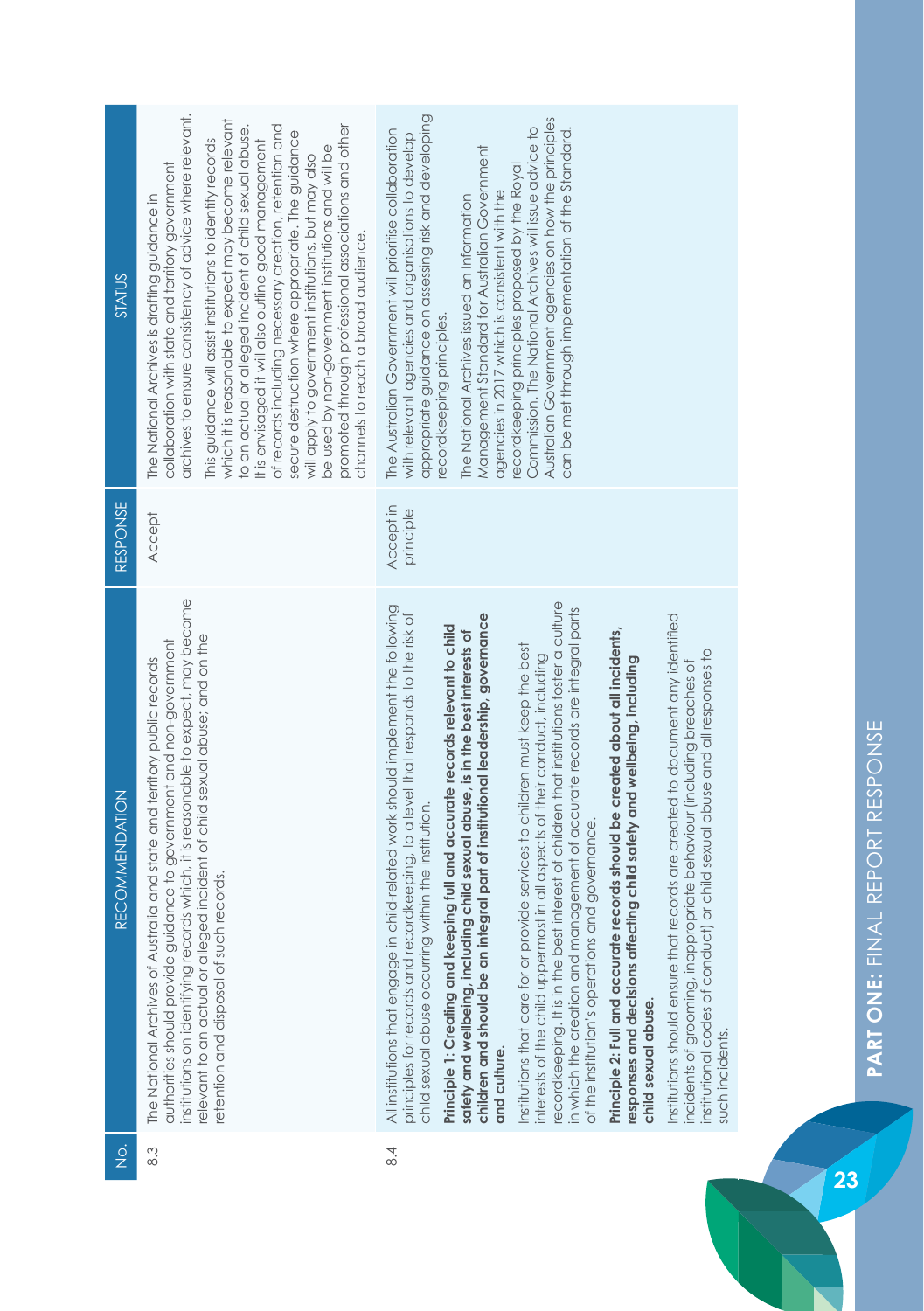| <b>STATUS</b><br>RESPONSE | archives to ensure consistency of advice where relevant.<br>which it is reasonable to expect may become relevant<br>to an actual or alleged incident of child sexual abuse.<br>of records including necessary creation, retention and<br>promoted through professional associations and other<br>secure destruction where appropriate. The guidance<br>It is envisaged it will also outline good management<br>This guidance will assist institutions to identify records<br>be used by non-government institutions and will be<br>will apply to government institutions, but may also<br>collaboration with state and territory government<br>The National Archives is drafting guidance in<br>channels to reach a broad audience.<br>Accept | appropriate guidance on assessing risk and developing<br>Australian Government agencies on how the principles<br>Commission. The National Archives will issue advice to<br>can be met through implementation of the Standard.<br>The Australian Government will prioritise collaboration<br>with relevant agencies and organisations to develop<br>Management Standard for Australian Government<br>recordkeeping principles proposed by the Royal<br>agencies in 2017 which is consistent with the<br>The National Archives issued an Information<br>ecordkeeping principles.<br>Accept in<br>principle                                                                                                                                                                                                                                                                                                                                                                                                                                                                                                                                                                                                                                                                                                                                           |  |  |  |  |  |  |
|---------------------------|-----------------------------------------------------------------------------------------------------------------------------------------------------------------------------------------------------------------------------------------------------------------------------------------------------------------------------------------------------------------------------------------------------------------------------------------------------------------------------------------------------------------------------------------------------------------------------------------------------------------------------------------------------------------------------------------------------------------------------------------------|----------------------------------------------------------------------------------------------------------------------------------------------------------------------------------------------------------------------------------------------------------------------------------------------------------------------------------------------------------------------------------------------------------------------------------------------------------------------------------------------------------------------------------------------------------------------------------------------------------------------------------------------------------------------------------------------------------------------------------------------------------------------------------------------------------------------------------------------------------------------------------------------------------------------------------------------------------------------------------------------------------------------------------------------------------------------------------------------------------------------------------------------------------------------------------------------------------------------------------------------------------------------------------------------------------------------------------------------------|--|--|--|--|--|--|
| RECOMMENDATION            | institutions on identifying records which, it is reasonable to expect, may become<br>relevant to an actual or alleged incident of child sexual abuse; and on the<br>authorities should provide guidance to government and non-government<br>The National Archives of Australia and state and territory public records<br>retention and disposal of such records.                                                                                                                                                                                                                                                                                                                                                                              | recordkeeping. It is in the best interest of children that institutions foster a culture<br>All institutions that engage in child-related work should implement the following<br>in which the creation and management of accurate records are integral parts<br>principles for records and recordkeeping, to a level that responds to the risk of<br>Institutions should ensure that records are created to document any identified<br>children and should be an integral part of institutional leadership, governance<br>Principle 1: Creating and keeping full and accurate records relevant to child<br>Principle 2: Full and accurate records should be created about all incidents,<br>safety and wellbeing, including child sexual abuse, is in the best interests of<br>Institutions that care for or provide services to children must keep the best<br>institutional codes of conduct) or child sexual abuse and all responses to<br>interests of the child uppermost in all aspects of their conduct, including<br>responses and decisions affecting child safety and wellbeing, including<br>incidents of grooming, inappropriate behaviour (including breaches of<br>child sexual abuse occurring within the institution.<br>of the institution's operations and governance.<br>child sexual abuse.<br>such incidents.<br>and culture. |  |  |  |  |  |  |
| $\frac{1}{2}$             | 8.3                                                                                                                                                                                                                                                                                                                                                                                                                                                                                                                                                                                                                                                                                                                                           | $\frac{4}{8}$                                                                                                                                                                                                                                                                                                                                                                                                                                                                                                                                                                                                                                                                                                                                                                                                                                                                                                                                                                                                                                                                                                                                                                                                                                                                                                                                      |  |  |  |  |  |  |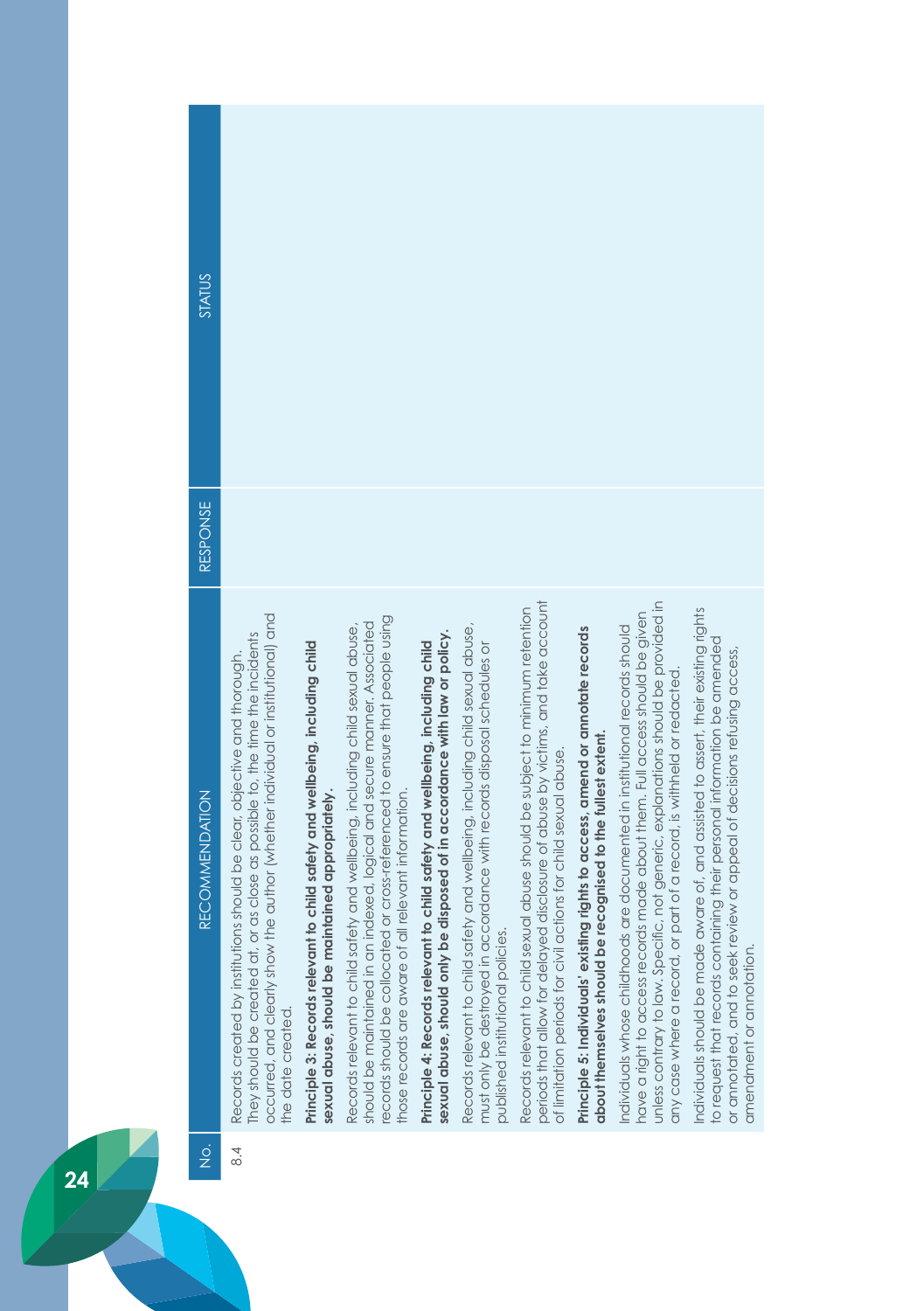| STATUS                                |                                                                                                                                                                                                                                                                     |                                                                                                                                   |                                                                                                                                                                                                                                                                                                   |                                                                                                                                                            |                                                                                                                                                                                               |                                                                                                                                                                                                                                     |                                                                                                                                                |                                                                                                                                                                                                                                                                                                                           |                                                                                                                                                                                                                                                                          |
|---------------------------------------|---------------------------------------------------------------------------------------------------------------------------------------------------------------------------------------------------------------------------------------------------------------------|-----------------------------------------------------------------------------------------------------------------------------------|---------------------------------------------------------------------------------------------------------------------------------------------------------------------------------------------------------------------------------------------------------------------------------------------------|------------------------------------------------------------------------------------------------------------------------------------------------------------|-----------------------------------------------------------------------------------------------------------------------------------------------------------------------------------------------|-------------------------------------------------------------------------------------------------------------------------------------------------------------------------------------------------------------------------------------|------------------------------------------------------------------------------------------------------------------------------------------------|---------------------------------------------------------------------------------------------------------------------------------------------------------------------------------------------------------------------------------------------------------------------------------------------------------------------------|--------------------------------------------------------------------------------------------------------------------------------------------------------------------------------------------------------------------------------------------------------------------------|
| RESPONSE                              |                                                                                                                                                                                                                                                                     |                                                                                                                                   |                                                                                                                                                                                                                                                                                                   |                                                                                                                                                            |                                                                                                                                                                                               |                                                                                                                                                                                                                                     |                                                                                                                                                |                                                                                                                                                                                                                                                                                                                           |                                                                                                                                                                                                                                                                          |
| <b>RECOMMENDATION</b>                 | occurred, and clearly show the author (whether individual or institutional) and<br>or as close as possible to, the time the incidents<br>Records created by institutions should be clear, objective and thorough.<br>hey should be created at,<br>the date created. | Principle 3: Records relevant to child safety and wellbeing, including child<br>sexual abuse, should be maintained appropriately. | ecords should be collocated or cross-referenced to ensure that people using<br>should be maintained in an indexed, logical and secure manner. Associated<br>Records relevant to child safety and wellbeing, including child sexual abuse,<br>those records are aware of all relevant information. | sexual abuse, should only be disposed of in accordance with law or policy.<br>Principle 4: Records relevant to child safety and wellbeing, including child | Records relevant to child safety and wellbeing, including child sexual abuse,<br>must only be destroyed in accordance with records disposal schedules or<br>published institutional policies. | periods that allow for delayed disclosure of abuse by victims, and take account<br>Records relevant to child sexual abuse should be subject to minimum retention<br>of limitation periods for civil actions for child sexual abuse. | Principle 5: Individuals' existing rights to access, amend or annotate records<br>about themselves should be recognised to the fullest extent. | unless contrary to law. Specific, not generic, explanations should be provided in<br>have a right to access records made about them. Full access should be given<br>Individuals whose childhoods are documented in institutional records should<br>any case where a record, or part of a record, is withheld or redacted. | individuals should be made aware of, and assisted to assert, their existing rights<br>to request that records containing their personal information be amended<br>review or appeal of decisions refusing access,<br>amendment or annotation<br>or annotated, and to seek |
| $\frac{\dot{\mathrm{o}}}{\mathrm{Z}}$ | 8.4                                                                                                                                                                                                                                                                 |                                                                                                                                   |                                                                                                                                                                                                                                                                                                   |                                                                                                                                                            |                                                                                                                                                                                               |                                                                                                                                                                                                                                     |                                                                                                                                                |                                                                                                                                                                                                                                                                                                                           |                                                                                                                                                                                                                                                                          |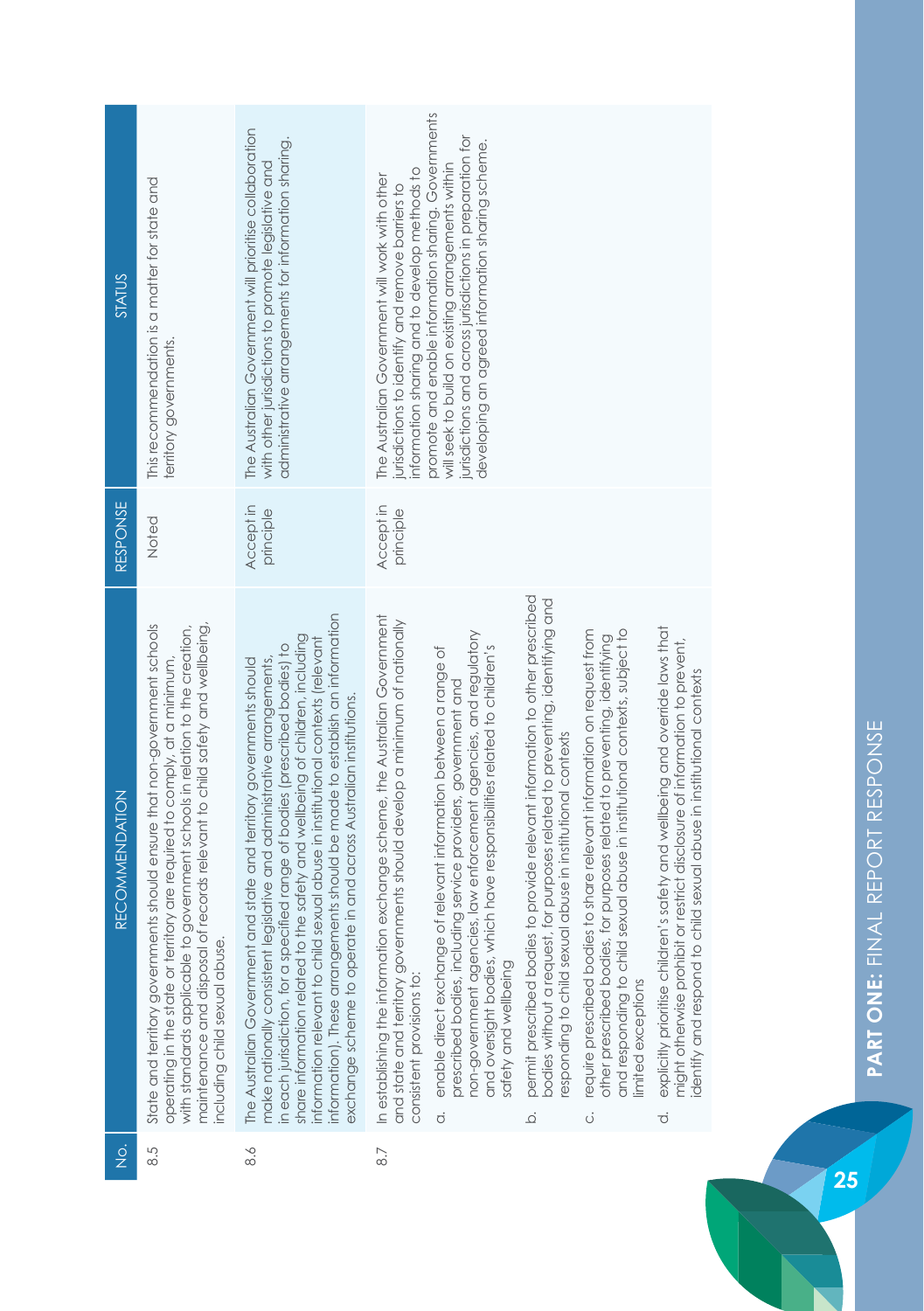| STATUS                |                                                                                                                                                                                                                                                                                                                                                          | The Australian Government will prioritise collaboration<br>administrative arrangements for information sharing.                                                                                                                                                                                                                                                                                                                                                                                                                                          | promote and enable information sharing. Governments<br>jurisdictions and across jurisdictions in preparation for<br>developing an agreed information sharing scheme.                                                                                                                                                                                                                                                                                                                                                                                                                                                                                                                                                                                                                                                                                                                                                                                                                                                                                                                                                                                                                                                                                                               |
|-----------------------|----------------------------------------------------------------------------------------------------------------------------------------------------------------------------------------------------------------------------------------------------------------------------------------------------------------------------------------------------------|----------------------------------------------------------------------------------------------------------------------------------------------------------------------------------------------------------------------------------------------------------------------------------------------------------------------------------------------------------------------------------------------------------------------------------------------------------------------------------------------------------------------------------------------------------|------------------------------------------------------------------------------------------------------------------------------------------------------------------------------------------------------------------------------------------------------------------------------------------------------------------------------------------------------------------------------------------------------------------------------------------------------------------------------------------------------------------------------------------------------------------------------------------------------------------------------------------------------------------------------------------------------------------------------------------------------------------------------------------------------------------------------------------------------------------------------------------------------------------------------------------------------------------------------------------------------------------------------------------------------------------------------------------------------------------------------------------------------------------------------------------------------------------------------------------------------------------------------------|
|                       | This recommendation is a matter for state and<br>territory governments.                                                                                                                                                                                                                                                                                  | with other jurisdictions to promote legislative and                                                                                                                                                                                                                                                                                                                                                                                                                                                                                                      | will seek to build on existing arrangements within<br>information sharing and to develop methods to<br>The Australian Government will work with other<br>jurisdictions to identify and remove barriers to                                                                                                                                                                                                                                                                                                                                                                                                                                                                                                                                                                                                                                                                                                                                                                                                                                                                                                                                                                                                                                                                          |
| RESPONSE              | Noted                                                                                                                                                                                                                                                                                                                                                    | Accept in<br>principle                                                                                                                                                                                                                                                                                                                                                                                                                                                                                                                                   | Accept in<br>principle                                                                                                                                                                                                                                                                                                                                                                                                                                                                                                                                                                                                                                                                                                                                                                                                                                                                                                                                                                                                                                                                                                                                                                                                                                                             |
| <b>RECOMMENDATION</b> | state and territory governments should ensure that non-government schools<br>of records relevant to child safety and wellbeing,<br>with standards applicable to government schools in relation to the creation,<br>operating in the state or territory are required to comply, at a minimum,<br>including child sexual abuse<br>maintenance and disposal | information). These arrangements should be made to establish an information<br>share information related to the safety and wellbeing of children, including<br>information relevant to child sexual abuse in institutional contexts (relevant<br>in each jurisdiction, for a specified range of bodies (prescribed bodies) to<br>make nationally consistent legislative and administrative arrangements,<br>and state and territory governments should<br>exchange scheme to operate in and across Australian institutions.<br>The Australian Government | permit prescribed bodies to provide relevant information to other prescribed<br>bodies without a request, for purposes related to preventing, identifying and<br>In establishing the information exchange scheme, the Australian Government<br>and state and territory governments should develop a minimum of nationally<br>explicitly prioritise children's safety and wellbeing and override laws that<br>sexual abuse in institutional contexts, subject to<br>require prescribed bodies to share relevant information on request from<br>non-government agencies, law enforcement agencies, and regulatory<br>other prescribed bodies, for purposes related to preventing, identifying<br>might otherwise prohibit or restrict disclosure of information to prevent,<br>and oversight bodies, which have responsibilities related to children's<br>enable direct exchange of relevant information between a range of<br>dentify and respond to child sexual abuse in institutional contexts<br>prescribed bodies, including service providers, government and<br>esponding to child sexual abuse in institutional contexts<br>and responding to child<br>safety and wellbeing<br>consistent provisions to:<br>imited exceptions<br>$\dot{\sigma}$<br>.<br>م<br>$\vec{o}$<br>Ö |
| $\frac{\dot{Q}}{Z}$   | 8.5                                                                                                                                                                                                                                                                                                                                                      | 8.6                                                                                                                                                                                                                                                                                                                                                                                                                                                                                                                                                      | 8.7                                                                                                                                                                                                                                                                                                                                                                                                                                                                                                                                                                                                                                                                                                                                                                                                                                                                                                                                                                                                                                                                                                                                                                                                                                                                                |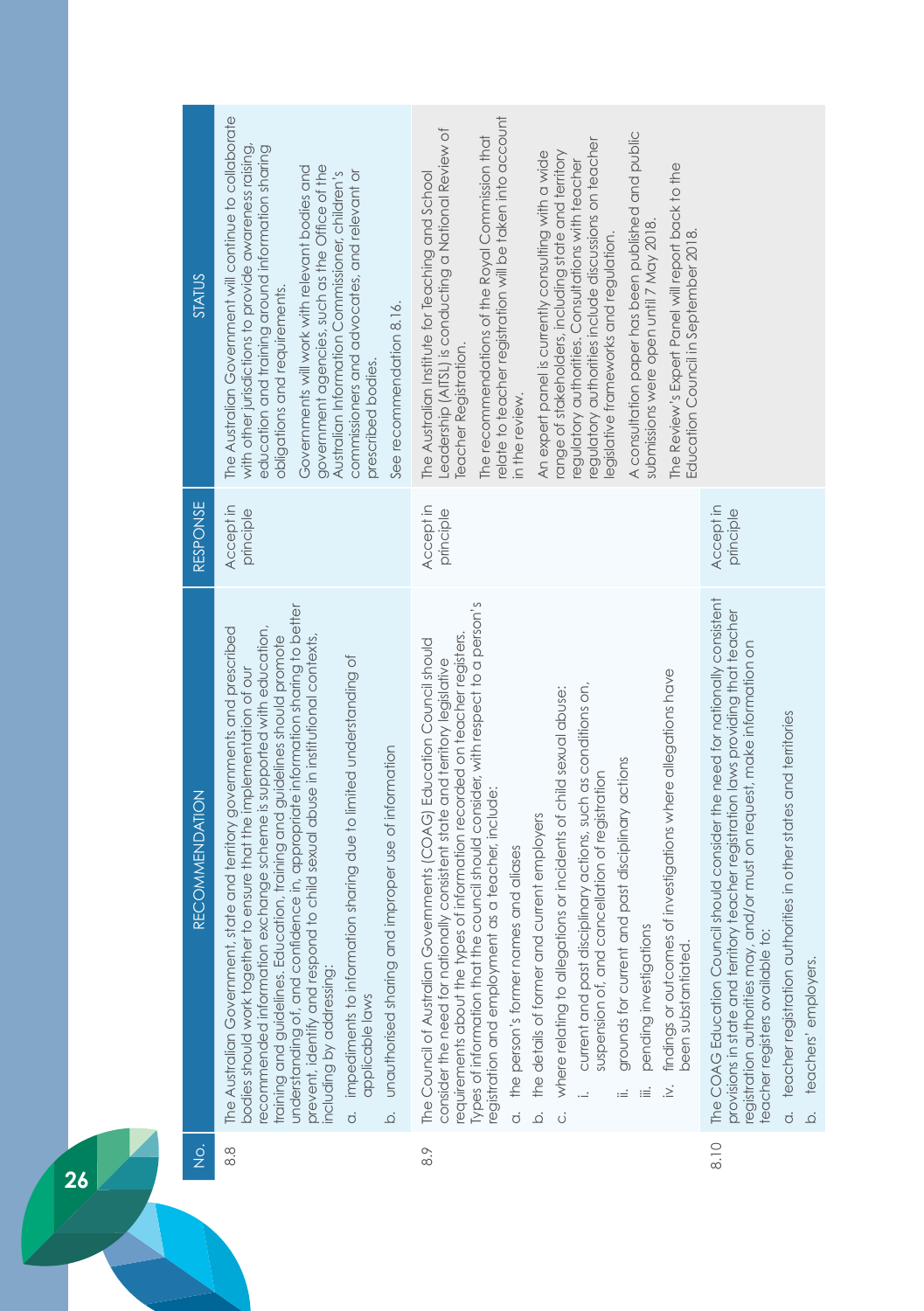| $\frac{1}{2}$ | <b>RECOMMENDATION</b>                                                                                                                                                                                                                                                                                                                                                                                                                                                                                                                                                                                                                                                                                                                                                                                                                                                                                     | RESPONSE               | <b>STATUS</b>                                                                                                                                                                                                                                                                                                                                                                                                                                                                                                                                                                                                                                                                                                                                     |
|---------------|-----------------------------------------------------------------------------------------------------------------------------------------------------------------------------------------------------------------------------------------------------------------------------------------------------------------------------------------------------------------------------------------------------------------------------------------------------------------------------------------------------------------------------------------------------------------------------------------------------------------------------------------------------------------------------------------------------------------------------------------------------------------------------------------------------------------------------------------------------------------------------------------------------------|------------------------|---------------------------------------------------------------------------------------------------------------------------------------------------------------------------------------------------------------------------------------------------------------------------------------------------------------------------------------------------------------------------------------------------------------------------------------------------------------------------------------------------------------------------------------------------------------------------------------------------------------------------------------------------------------------------------------------------------------------------------------------------|
| 8.8           | understanding of, and confidence in, appropriate information sharing to better<br>state and territory governments and prescribed<br>ecommended information exchange scheme is supported with education,<br>training and guidelines. Education, training and guidelines should promote<br>prevent, identify and respond to child sexual abuse in institutional contexts,<br>impediments to information sharing due to limited understanding of<br>podies should work together to ensure that the implementation of our<br>unauthorised sharing and improper use of information<br>The Australian Government,<br>including by addressing:<br>applicable laws<br>$\overline{c}$<br>$\overline{Q}$                                                                                                                                                                                                            | Accept in<br>principle | The Australian Government will continue to collaborate<br>with other jurisdictions to provide awareness raising,<br>education and training around information sharing<br>government agencies, such as the Office of the<br>Governments will work with relevant bodies and<br>Australian Information Commissioner, children's<br>commissioners and advocates, and relevant or<br>obligations and requirements.<br>See recommendation 8.16.<br>prescribed bodies.                                                                                                                                                                                                                                                                                   |
| 8.9           | Types of information that the council should consider, with respect to a person's<br>requirements about the types of information recorded on teacher registers.<br>The Council of Australian Governments (COAG) Education Council should<br>consider the need for nationally consistent state and territory legislative<br>findings or outcomes of investigations where allegations have<br>current and past disciplinary actions, such as conditions on,<br>where relating to allegations or incidents of child sexual abuse:<br>grounds for current and past disciplinary actions<br>suspension of, and cancellation of registration<br>registration and employment as a teacher, include:<br>the details of former and current employers<br>the person's former names and aliases<br>pending investigations<br>been substantiated<br>$\sum$<br><br>≔<br>÷<br>$\dot{\circ}$<br>$\overline{Q}$<br>ن<br>0 | Accept in<br>principle | relate to teacher registration will be taken into account<br>Leadership (AITSL) is conducting a National Review of<br>A consultation paper has been published and public<br>The recommendations of the Royal Commission that<br>regulatory authorities include discussions on teacher<br>An expert panel is currently consulting with a wide<br>range of stakeholders, including state and territory<br>regulatory authorities. Consultations with teacher<br>The Review's Expert Panel will report back to the<br>The Australian Institute for Teaching and School<br>submissions were open until 7 May 2018.<br>Education Council in September 2018<br>legislative frameworks and regulation.<br><b>Teacher Registration.</b><br>in the review. |
| 8.10          | The COAG Education Council should consider the need for nationally consistent<br>provisions in state and territory teacher registration laws providing that teacher<br>registration authorities may, and/or must on request, make information on<br>teacher registration authorities in other states and territories<br>teacher registers available to:<br>teachers' employers.<br>$\overline{Q}$<br>$\dot{\circ}$                                                                                                                                                                                                                                                                                                                                                                                                                                                                                        | Accept in<br>principle |                                                                                                                                                                                                                                                                                                                                                                                                                                                                                                                                                                                                                                                                                                                                                   |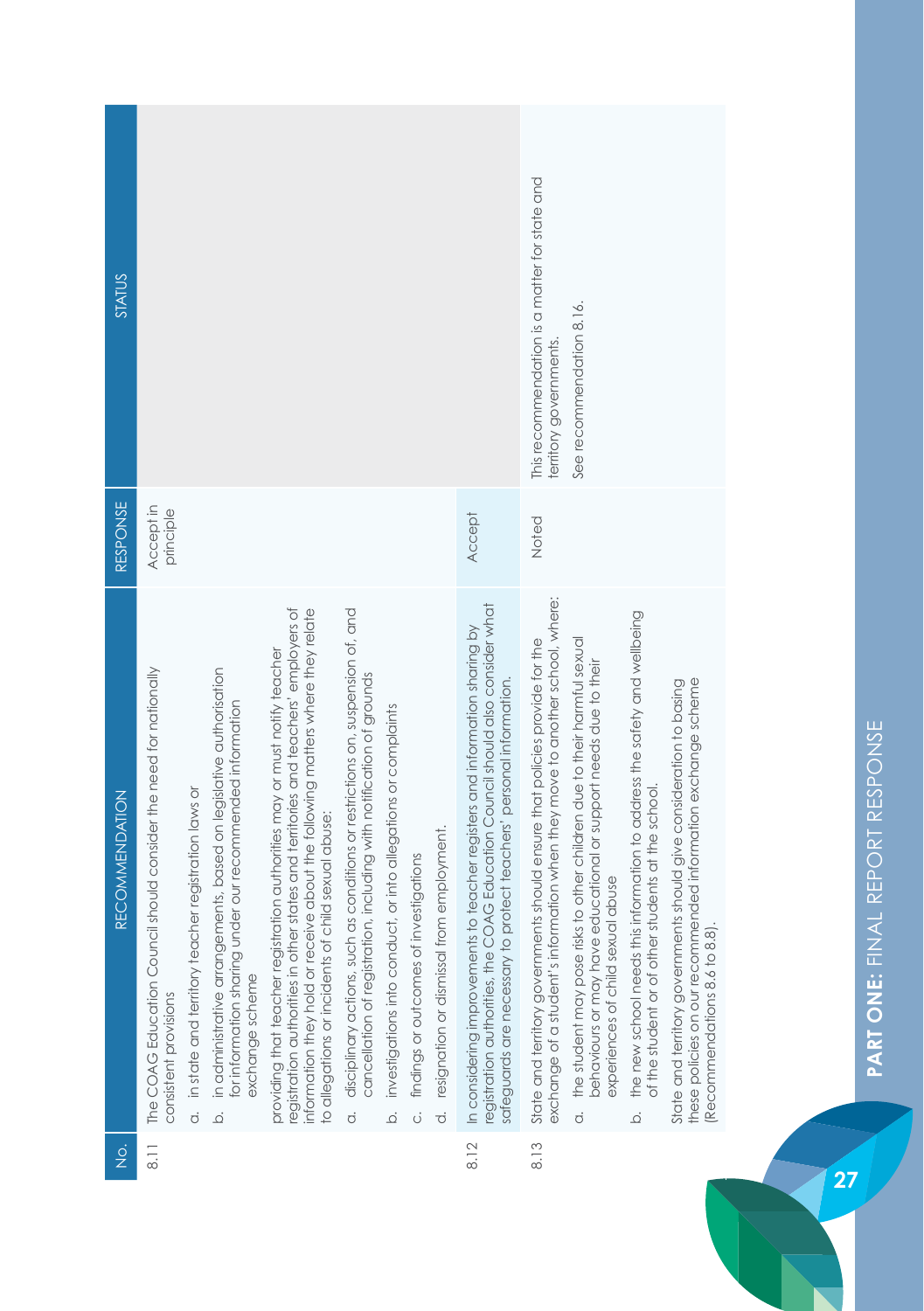| <b>STATUS</b>                         |                                                                                             |                                                                       |                                                                                                                                                                         |                                                                                                                                                                                                                                                                                                           |                                                                                                                                                         |                                                                     |                                        |                                              |                                                                                                                                                                                                                                           | This recommendation is a matter for state and<br>territory governments                                                                                      | See recommendation 8.16.                                                                                                                                                                            |                                                                                                                                                  |                                                                                                                                                                      |
|---------------------------------------|---------------------------------------------------------------------------------------------|-----------------------------------------------------------------------|-------------------------------------------------------------------------------------------------------------------------------------------------------------------------|-----------------------------------------------------------------------------------------------------------------------------------------------------------------------------------------------------------------------------------------------------------------------------------------------------------|---------------------------------------------------------------------------------------------------------------------------------------------------------|---------------------------------------------------------------------|----------------------------------------|----------------------------------------------|-------------------------------------------------------------------------------------------------------------------------------------------------------------------------------------------------------------------------------------------|-------------------------------------------------------------------------------------------------------------------------------------------------------------|-----------------------------------------------------------------------------------------------------------------------------------------------------------------------------------------------------|--------------------------------------------------------------------------------------------------------------------------------------------------|----------------------------------------------------------------------------------------------------------------------------------------------------------------------|
| RESPONSE                              | Accept in<br>principle                                                                      |                                                                       |                                                                                                                                                                         |                                                                                                                                                                                                                                                                                                           |                                                                                                                                                         |                                                                     |                                        |                                              | Accept                                                                                                                                                                                                                                    | Noted                                                                                                                                                       |                                                                                                                                                                                                     |                                                                                                                                                  |                                                                                                                                                                      |
| <b>RECOMMENDATION</b>                 | The COAG Education Council should consider the need for nationally<br>consistent provisions | in state and territory teacher registration laws or<br>$\overline{a}$ | in administrative arrangements, based on legislative authorisation<br>under our recommended information<br>for information sharing<br>exchange scheme<br>$\overline{0}$ | registration authorities in other states and territories and teachers' employers of<br>information they hold or receive about the following matters where they relate<br>providing that teacher registration authorities may or must notify teacher<br>to allegations or incidents of child sexual abuse: | disciplinary actions, such as conditions or restrictions on, suspension of, and<br>cancellation of registration, including with notification of grounds | investigations into conduct, or into allegations or complaints<br>ة | findings or outcomes of investigations | d. resignation or dismissal from employment. | registration authorities, the COAG Education Council should also consider what<br>nts to teacher registers and information sharing by<br>safeguards are necessary to protect teachers' personal information.<br>In considering improvemer | exchange of a student's information when they move to another school, where:<br>State and territory governments should ensure that policies provide for the | the student may pose risks to other children due to their harmful sexual<br>behaviours or may have educational or support needs due to their<br>experiences of child sexual abuse<br>$\overline{c}$ | the new school needs this information to address the safety and wellbeing<br>of the student or of other students at the school<br>$\overline{Q}$ | these policies on our recommended information exchange scheme<br>State and territory governments should give consideration to basing<br>Recommendations 8.6 to 8.8). |
| $\frac{\dot{\mathrm{o}}}{\mathrm{Z}}$ | $rac{1}{\infty}$                                                                            |                                                                       |                                                                                                                                                                         |                                                                                                                                                                                                                                                                                                           |                                                                                                                                                         |                                                                     |                                        |                                              | 8.12                                                                                                                                                                                                                                      | 8.13                                                                                                                                                        |                                                                                                                                                                                                     |                                                                                                                                                  |                                                                                                                                                                      |

**27**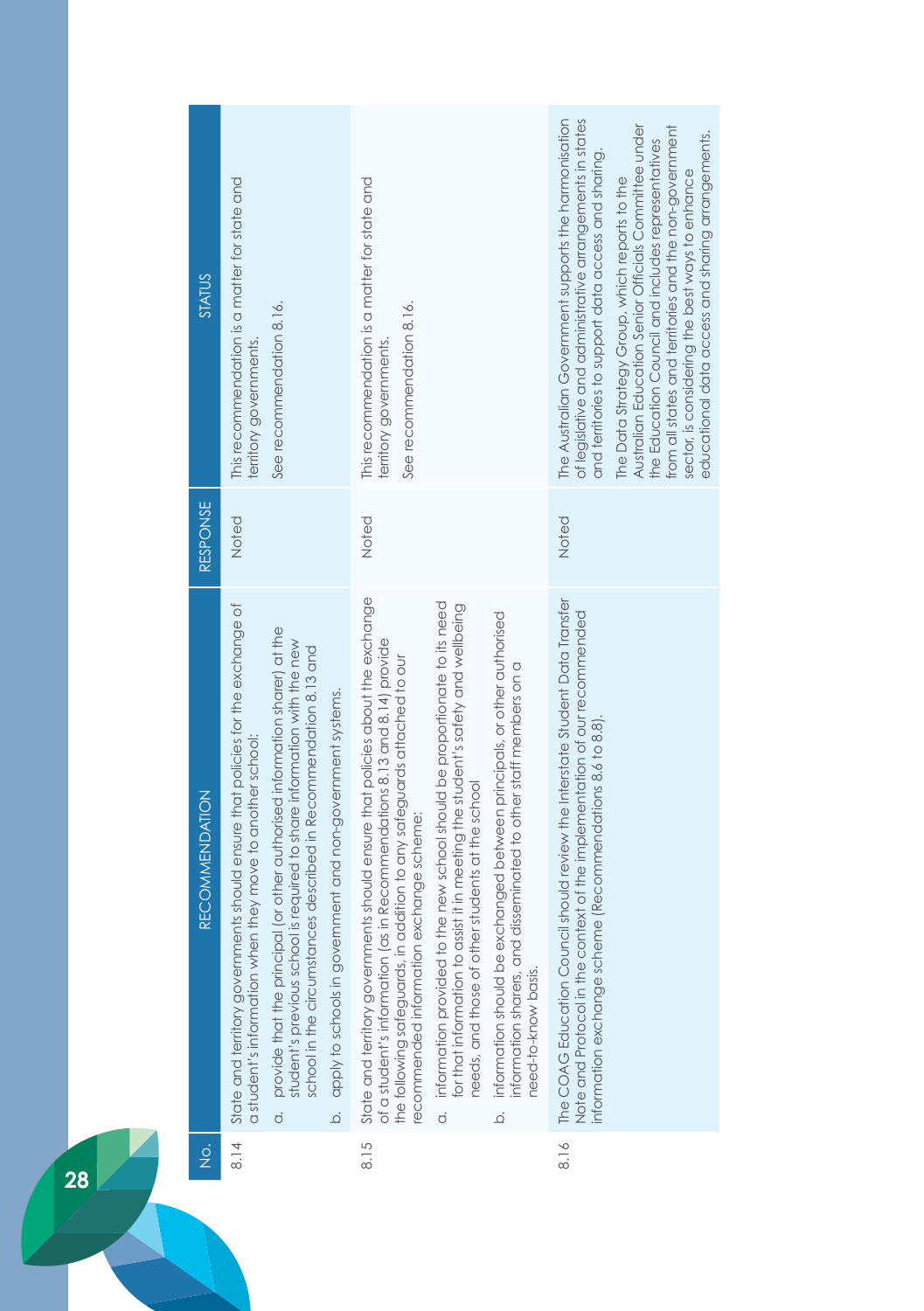| STATUS                |                                                                                                                                                                                                                                                                                                                                                                                                                                                                        |                                                                                                                                                                                                                                                                                                                                                                                                                                                                                                                                                                                                                                                                                                   |                                                                                                                                                                                                                                                                                                                                                                                                                                                                                                           |
|-----------------------|------------------------------------------------------------------------------------------------------------------------------------------------------------------------------------------------------------------------------------------------------------------------------------------------------------------------------------------------------------------------------------------------------------------------------------------------------------------------|---------------------------------------------------------------------------------------------------------------------------------------------------------------------------------------------------------------------------------------------------------------------------------------------------------------------------------------------------------------------------------------------------------------------------------------------------------------------------------------------------------------------------------------------------------------------------------------------------------------------------------------------------------------------------------------------------|-----------------------------------------------------------------------------------------------------------------------------------------------------------------------------------------------------------------------------------------------------------------------------------------------------------------------------------------------------------------------------------------------------------------------------------------------------------------------------------------------------------|
|                       | This recommendation is a matter for state and<br>See recommendation 8.16.<br>territory governments                                                                                                                                                                                                                                                                                                                                                                     | This recommendation is a matter for state and<br>See recommendation 8.16.<br>territory governments                                                                                                                                                                                                                                                                                                                                                                                                                                                                                                                                                                                                | The Australian Government supports the harmonisation<br>of legislative and administrative arrangements in states<br>Australian Education Senior Officials Committee under<br>from all states and territories and the non-government<br>educational data access and sharing arrangements.<br>the Education Council and includes representatives<br>and territories to support data access and sharing.<br>sector, is considering the best ways to enhance<br>The Data Strategy Group, which reports to the |
| RESPONSE              | Noted                                                                                                                                                                                                                                                                                                                                                                                                                                                                  | Noted                                                                                                                                                                                                                                                                                                                                                                                                                                                                                                                                                                                                                                                                                             | Noted                                                                                                                                                                                                                                                                                                                                                                                                                                                                                                     |
| <b>RECOMMENDATION</b> | State and territory governments should ensure that policies for the exchange of<br>provide that the principal (or other authorised information sharer) at the<br>student's previous school is required to share information with the new<br>school in the circumstances described in Recommendation 8.13 and<br>apply to schools in government and non-government systems.<br>a student's information when they move to another school:<br>$\overline{c}$<br>$\vec{Q}$ | State and territory governments should ensure that policies about the exchange<br>a. information provided to the new school should be proportionate to its need<br>for that information to assist it in meeting the student's safety and wellbeing<br>information should be exchanged between principals, or other authorised<br>of a student's information (as in Recommendations 8.13 and 8.14) provide<br>the following safeguards, in addition to any safeguards attached to our<br>information sharers, and disseminated to other staff members on a<br>needs, and those of other students at the school<br>ecommended information exchange scheme:<br>need-to-know basis.<br>$\overline{Q}$ | The COAG Education Council should review the Interstate Student Data Transfer<br>Note and Protocol in the context of the implementation of our recommended<br>nformation exchange scheme (Recommendations 8.6 to 8.8).                                                                                                                                                                                                                                                                                    |
| $\frac{1}{2}$         | 8.14                                                                                                                                                                                                                                                                                                                                                                                                                                                                   | 8.15                                                                                                                                                                                                                                                                                                                                                                                                                                                                                                                                                                                                                                                                                              | 8.16                                                                                                                                                                                                                                                                                                                                                                                                                                                                                                      |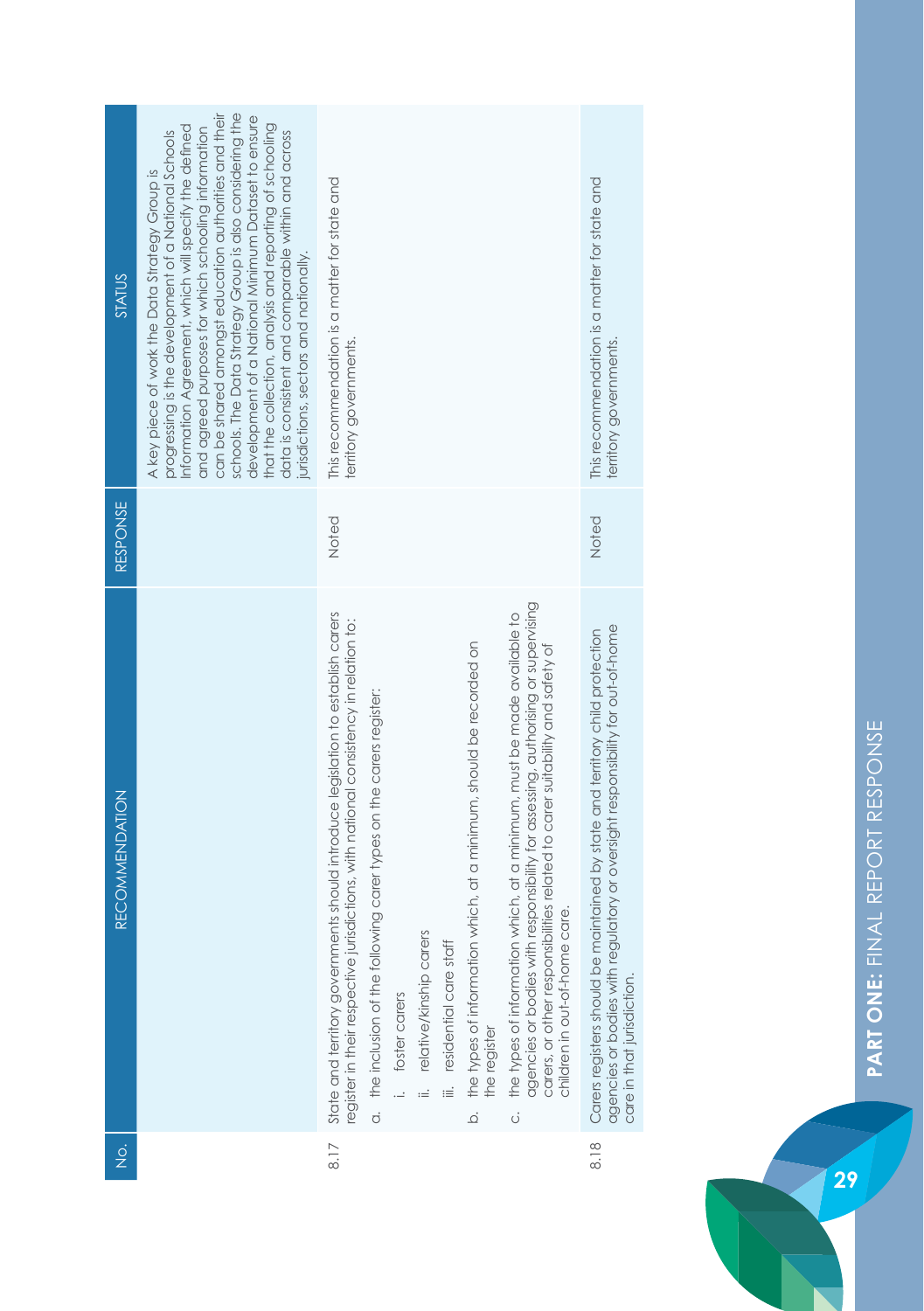| RESPONSE                              | can be shared amongst education authorities and their<br>schools. The Data Strategy Group is also considering the<br>development of a National Minimum Dataset to ensure<br>that the collection, analysis and reporting of schooling<br>Information Agreement, which will specify the defined<br>and agreed purposes for which schooling information<br>progressing is the development of a National Schools<br>data is consistent and comparable within and across<br>A key piece of work the Data Strategy Group is<br>urisdictions, sectors and nationally. | This recommendation is a matter for state and<br>territory governments.<br>Noted                                                                                                                                                                                                                                                                                                                                                                                                                                                                                                                                                                                                                                                   | This recommendation is a matter for state and<br>territory governments.<br>Noted                                                                                                              |
|---------------------------------------|----------------------------------------------------------------------------------------------------------------------------------------------------------------------------------------------------------------------------------------------------------------------------------------------------------------------------------------------------------------------------------------------------------------------------------------------------------------------------------------------------------------------------------------------------------------|------------------------------------------------------------------------------------------------------------------------------------------------------------------------------------------------------------------------------------------------------------------------------------------------------------------------------------------------------------------------------------------------------------------------------------------------------------------------------------------------------------------------------------------------------------------------------------------------------------------------------------------------------------------------------------------------------------------------------------|-----------------------------------------------------------------------------------------------------------------------------------------------------------------------------------------------|
| <b>RECOMMENDATION</b>                 |                                                                                                                                                                                                                                                                                                                                                                                                                                                                                                                                                                | agencies or bodies with responsibility for assessing, authorising or supervising<br>State and territory governments should introduce legislation to establish carers<br>the types of information which, at a minimum, must be made available to<br>register in their respective jurisdictions, with national consistency in relation to:<br>the types of information which, at a minimum, should be recorded on<br>carers, or other responsibilities related to carer suitability and safety of<br>a. the inclusion of the following carer types on the carers register:<br>children in out-of-home care.<br>ii. relative/kinship carers<br>iii. residential care staff<br>i. foster carers<br>the register<br>$\overline{Q}$<br>ö | agencies or bodies with regulatory or oversight responsibility for out-of-home<br>Carers registers should be maintained by state and territory child protection<br>care in that jurisdiction. |
| $\frac{\dot{\mathrm{o}}}{\mathrm{Z}}$ |                                                                                                                                                                                                                                                                                                                                                                                                                                                                                                                                                                | $\frac{8}{17}$                                                                                                                                                                                                                                                                                                                                                                                                                                                                                                                                                                                                                                                                                                                     | 8.18                                                                                                                                                                                          |



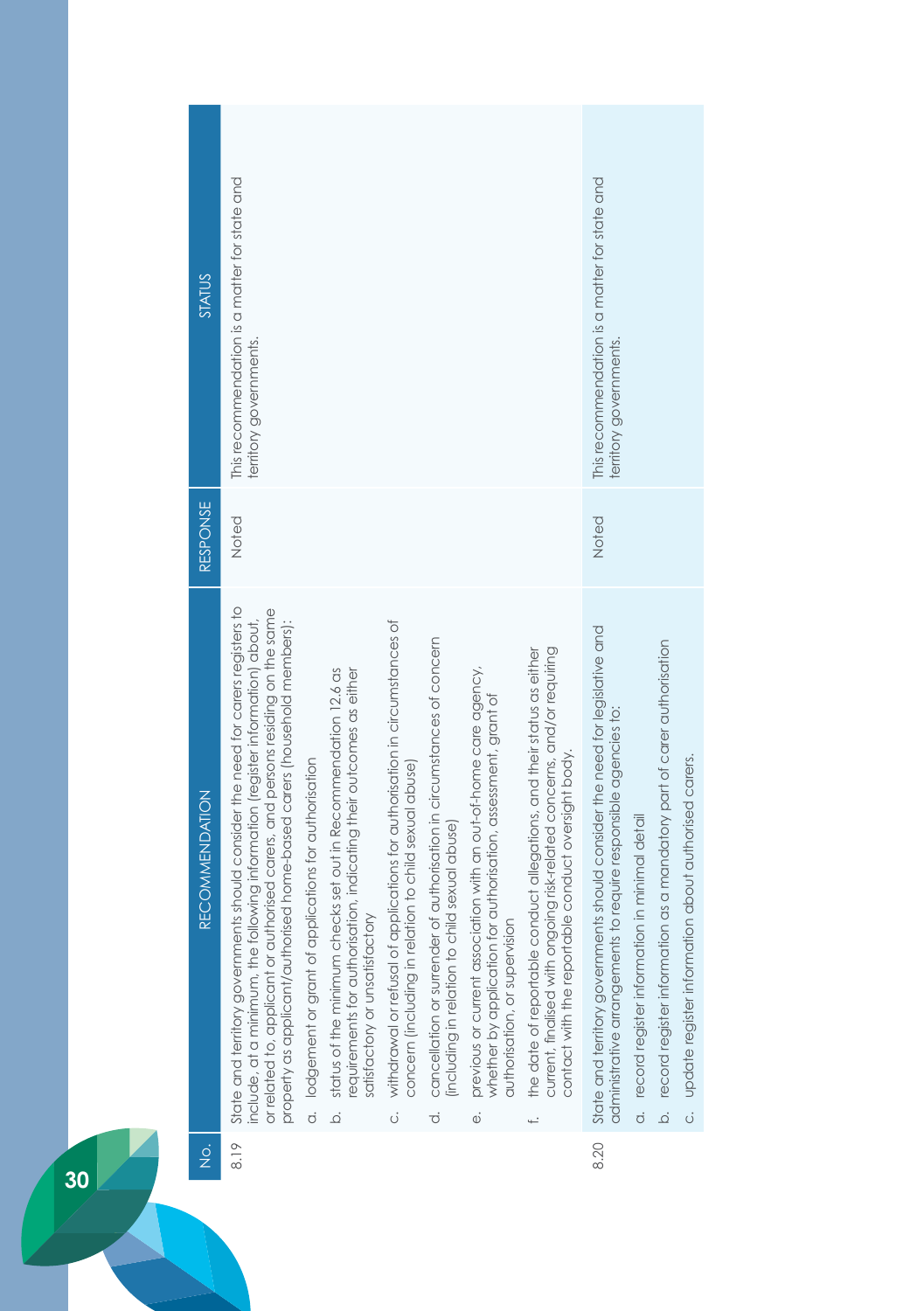| STATUS                | This recommendation is a matter for state and<br>territory governments.                                                                                                                                                                                                                                                                                                                                                                                                                                                                                                                                                                                                                                                                                                                                                                                                                                                                                              |                                                                                                                                                                                                                                                                                                             | This recommendation is a matter for state and<br>erritory governments.                                                                                                                                                                                                                                                                      |
|-----------------------|----------------------------------------------------------------------------------------------------------------------------------------------------------------------------------------------------------------------------------------------------------------------------------------------------------------------------------------------------------------------------------------------------------------------------------------------------------------------------------------------------------------------------------------------------------------------------------------------------------------------------------------------------------------------------------------------------------------------------------------------------------------------------------------------------------------------------------------------------------------------------------------------------------------------------------------------------------------------|-------------------------------------------------------------------------------------------------------------------------------------------------------------------------------------------------------------------------------------------------------------------------------------------------------------|---------------------------------------------------------------------------------------------------------------------------------------------------------------------------------------------------------------------------------------------------------------------------------------------------------------------------------------------|
| RESPONSE              | Noted                                                                                                                                                                                                                                                                                                                                                                                                                                                                                                                                                                                                                                                                                                                                                                                                                                                                                                                                                                |                                                                                                                                                                                                                                                                                                             | Noted                                                                                                                                                                                                                                                                                                                                       |
| <b>RECOMMENDATION</b> | State and territory governments should consider the need for carers registers to<br>or related to, applicant or authorised carers, and persons residing on the same<br>include, at a minimum, the following information (register information) about,<br>applications for authorisation in circumstances of<br>property as applicant/authorised home-based carers (household members):<br>cancellation or surrender of authorisation in circumstances of concern<br>previous or current association with an out-of-home care agency,<br>status of the minimum checks set out in Recommendation 12.6 as<br>equirements for authorisation, indicating their outcomes as either<br>a. lodgement or grant of applications for authorisation<br>concern (including in relation to child sexual abuse)<br>including in relation to child sexual abuse)<br>satisfactory or unsatisfactory<br>withdrawal or refusal of<br>$\overline{Q}$<br>ö<br>$\vec{o}$<br>$\ddot{\circ}$ | current, finalised with ongoing risk-related concerns, and/or requiring<br>the date of reportable conduct allegations, and their status as either<br>whether by application for authorisation, assessment, grant of<br>contact with the reportable conduct oversight body.<br>authorisation, or supervision | State and territory governments should consider the need for legislative and<br>b. record register information as a mandatory part of carer authorisation<br>administrative arrangements to require responsible agencies to:<br>c. update register information about authorised carers.<br>a. record register information in minimal detail |
| $\frac{1}{2}$         | $\frac{8.19}{5.2}$                                                                                                                                                                                                                                                                                                                                                                                                                                                                                                                                                                                                                                                                                                                                                                                                                                                                                                                                                   |                                                                                                                                                                                                                                                                                                             | 8.20                                                                                                                                                                                                                                                                                                                                        |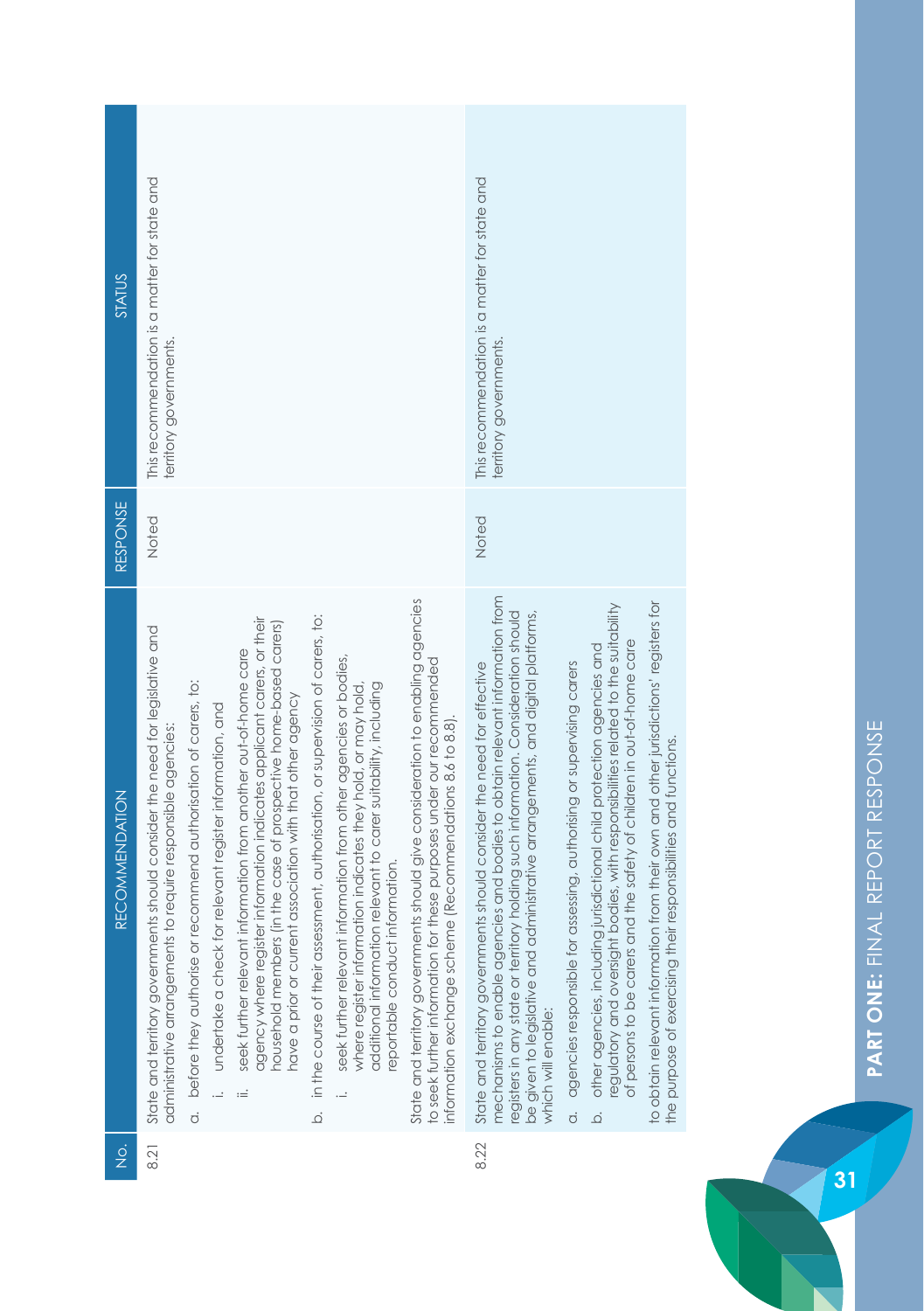| STATUS                | This recommendation is a matter for state and<br>territory governments.                                                                                                                                                                                                                                                                                                                                                                                                                                                                                                                                                                                                                                                                                                                                                                                                                                                                                                                                                                                                                                                                                 | This recommendation is a matter for state and<br>territory governments.                                                                                                                                                                                                                                                                                                                                                                                                                                                                                                                                                                                                                                                                                                                                                                                                |
|-----------------------|---------------------------------------------------------------------------------------------------------------------------------------------------------------------------------------------------------------------------------------------------------------------------------------------------------------------------------------------------------------------------------------------------------------------------------------------------------------------------------------------------------------------------------------------------------------------------------------------------------------------------------------------------------------------------------------------------------------------------------------------------------------------------------------------------------------------------------------------------------------------------------------------------------------------------------------------------------------------------------------------------------------------------------------------------------------------------------------------------------------------------------------------------------|------------------------------------------------------------------------------------------------------------------------------------------------------------------------------------------------------------------------------------------------------------------------------------------------------------------------------------------------------------------------------------------------------------------------------------------------------------------------------------------------------------------------------------------------------------------------------------------------------------------------------------------------------------------------------------------------------------------------------------------------------------------------------------------------------------------------------------------------------------------------|
| RESPONSE              | Noted                                                                                                                                                                                                                                                                                                                                                                                                                                                                                                                                                                                                                                                                                                                                                                                                                                                                                                                                                                                                                                                                                                                                                   | Noted                                                                                                                                                                                                                                                                                                                                                                                                                                                                                                                                                                                                                                                                                                                                                                                                                                                                  |
| <b>RECOMMENDATION</b> | State and territory governments should give consideration to enabling agencies<br>in the course of their assessment, authorisation, or supervision of carers, to:<br>agency where register information indicates applicant carers, or their<br>household members (in the case of prospective home-based carers)<br>State and territory governments should consider the need for legislative and<br>seek further relevant information from another out-of-home care<br>seek further relevant information from other agencies or bodies,<br>to seek further information for these purposes under our recommended<br>before they authorise or recommend authorisation of carers, to:<br>additional information relevant to carer suitability, including<br>where register information indicates they hold, or may hold,<br>have a prior or current association with that other agency<br>i. undertake a check for relevant register information, and<br>information exchange scheme (Recommendations 8.6 to 8.8).<br>administrative arrangements to require responsible agencies:<br>information.<br>eportable conduct<br>$:=$<br>.<br>ف<br>$\dot{\sigma}$ | mechanisms to enable agencies and bodies to obtain relevant information from<br>to obtain relevant information from their own and other jurisdictions' registers for<br>regulatory and oversight bodies, with responsibilities related to the suitability<br>registers in any state or territory holding such information. Consideration should<br>be given to legislative and administrative arrangements, and digital platforms,<br>of persons to be carers and the safety of children in out-of-home care<br>other agencies, including jurisdictional child protection agencies and<br>State and territory governments should consider the need for effective<br>agencies responsible for assessing, authorising or supervising carers<br>the purpose of exercising their responsibilities and functions.<br>which will enable:<br>$\overline{c}$<br>$\overline{Q}$ |
| $\frac{1}{2}$         | 8.21                                                                                                                                                                                                                                                                                                                                                                                                                                                                                                                                                                                                                                                                                                                                                                                                                                                                                                                                                                                                                                                                                                                                                    | 8.22                                                                                                                                                                                                                                                                                                                                                                                                                                                                                                                                                                                                                                                                                                                                                                                                                                                                   |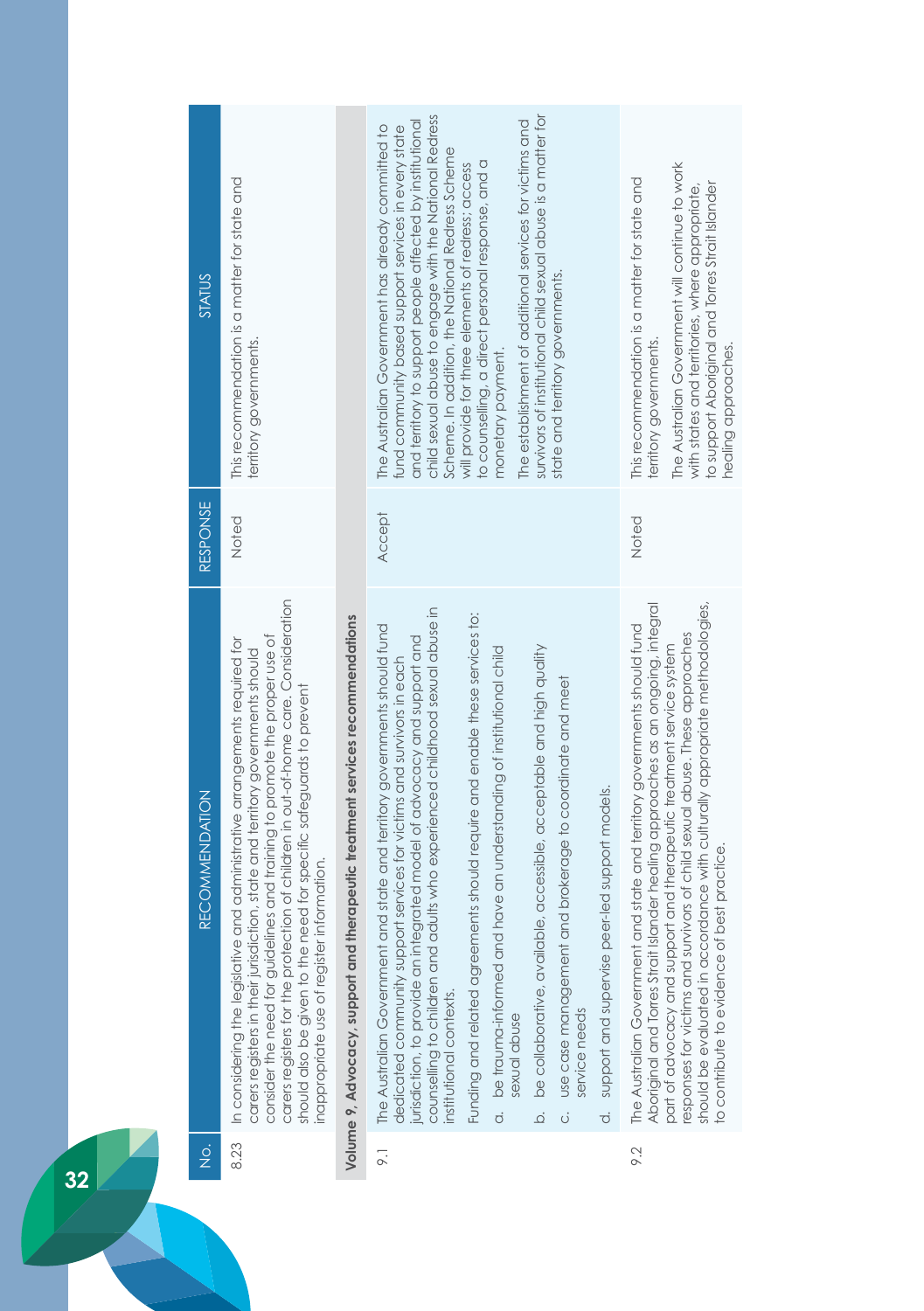| <b>RECOMMENDATION</b>                                                                                                                                                                                                                                                                                                                                                                                                                                  |
|--------------------------------------------------------------------------------------------------------------------------------------------------------------------------------------------------------------------------------------------------------------------------------------------------------------------------------------------------------------------------------------------------------------------------------------------------------|
| carers registers for the protection of children in out-of-home care. Consideration<br>consider the need for guidelines and training to promote the proper use of<br>In considering the legislative and administrative arrangements required for<br>carers registers in their jurisdiction, state and territory governments should<br>should also be given to the need for specific safeguards to prevent<br>inappropriate use of register information. |
| Volume 9, Advocacy, support and therapeutic treatment services recommendations                                                                                                                                                                                                                                                                                                                                                                         |
| adults who experienced childhood sexual abuse in<br>and state and territory governments should fund<br>egrated model of advocacy and support and<br>dedicated community support services for victims and survivors in each                                                                                                                                                                                                                             |
| Funding and related agreements should require and enable these services to:<br>a. be trauma-informed and have an understanding of institutional child                                                                                                                                                                                                                                                                                                  |
| be collaborative, available, accessible, acceptable and high quality<br>and brokerage to coordinate and meet                                                                                                                                                                                                                                                                                                                                           |
| support and supervise peer-led support models.                                                                                                                                                                                                                                                                                                                                                                                                         |
| Aboriginal and Torres Strait Islander healing approaches as an ongoing, integral<br>and state and territory governments should fund                                                                                                                                                                                                                                                                                                                    |
| should be evaluated in accordance with culturally appropriate methodologies,<br>responses for victims and survivors of child sexual abuse. These approaches<br>part of advocacy and support and therepeutic treatment service system<br>to contribute to evidence of best practice.                                                                                                                                                                    |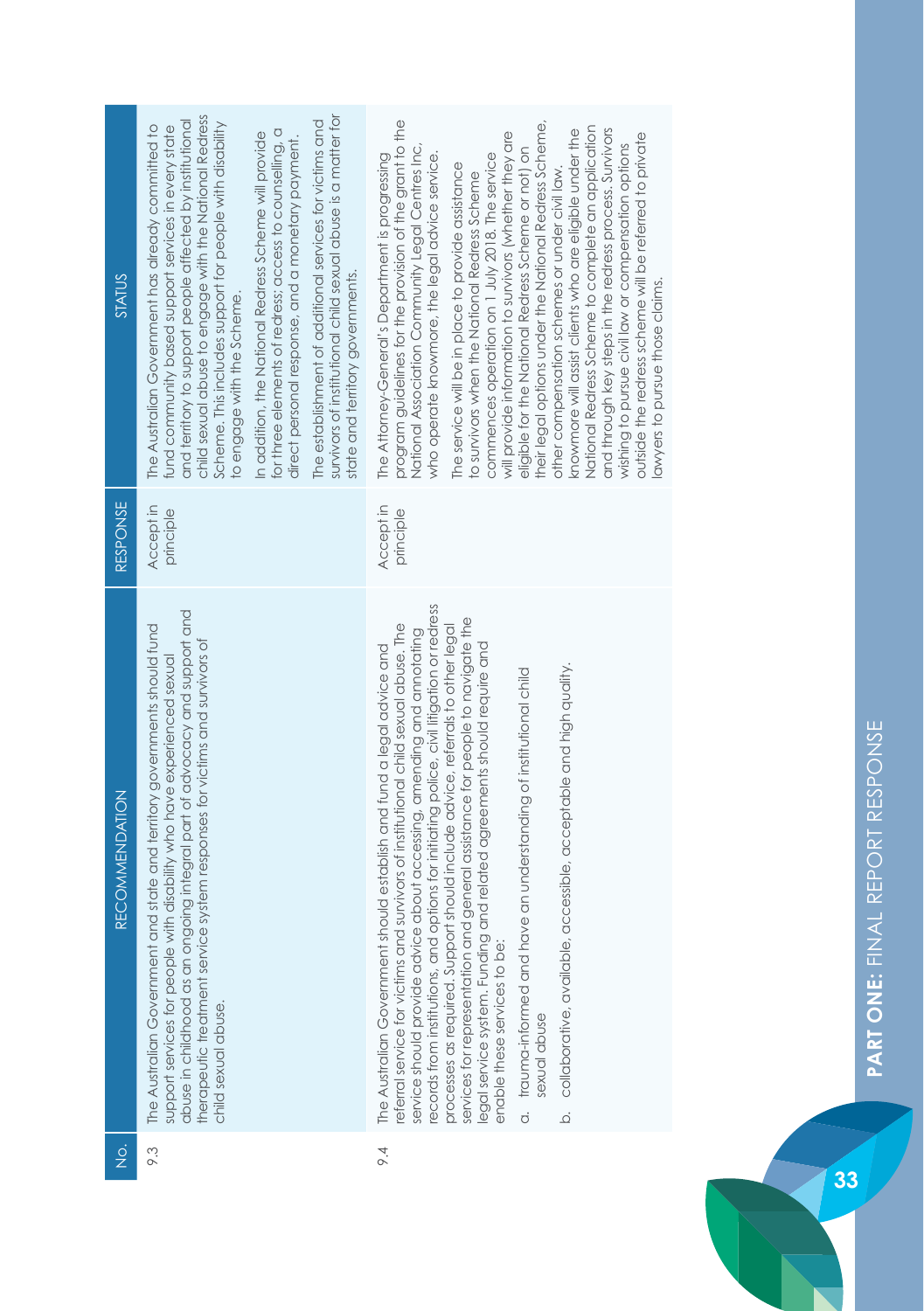| $\frac{1}{2}$ | <b>RECOMMENDATION</b>                                                                                                                                                                                                                                                                                                                                                                                                                                                                                                                                                                                                                                                                                                                                                                               | <b>RESPONSE</b>        | STATUS                                                                                                                                                                                                                                                                                                                                                                                                                                                                                                                                                                                                                                                                                                                                                                                                                                                                                                                                      |
|---------------|-----------------------------------------------------------------------------------------------------------------------------------------------------------------------------------------------------------------------------------------------------------------------------------------------------------------------------------------------------------------------------------------------------------------------------------------------------------------------------------------------------------------------------------------------------------------------------------------------------------------------------------------------------------------------------------------------------------------------------------------------------------------------------------------------------|------------------------|---------------------------------------------------------------------------------------------------------------------------------------------------------------------------------------------------------------------------------------------------------------------------------------------------------------------------------------------------------------------------------------------------------------------------------------------------------------------------------------------------------------------------------------------------------------------------------------------------------------------------------------------------------------------------------------------------------------------------------------------------------------------------------------------------------------------------------------------------------------------------------------------------------------------------------------------|
| 9.3           | abuse in childhood as an ongoing integral part of advocacy and support and<br>and state and territory governments should fund<br>therapeutic treatment service system responses for victims and survivors of<br>support services for people with disability who have experienced sexual<br>The Australian Government<br>child sexual abuse.                                                                                                                                                                                                                                                                                                                                                                                                                                                         | Accept in<br>principle | survivors of institutional child sexual abuse is a matter for<br>child sexual abuse to engage with the National Redress<br>and territory to support people affected by institutional<br>The establishment of additional services for victims and<br>Scheme. This includes support for people with disability<br>The Australian Government has already committed to<br>fund community based support services in every state<br>for three elements of redress; access to counselling, a<br>In addition, the National Redress Scheme will provide<br>direct personal response, and a monetary payment.<br>state and territory governments.<br>to engage with the Scheme.                                                                                                                                                                                                                                                                       |
| 64            | ecords from institutions, and options for initiating police, civil litigation or redress<br>services for representation and general assistance for people to navigate the<br>eferral service for victims and survivors of institutional child sexual abuse. The<br>processes as required. Support should include advice, referrals to other legal<br>service should provide advice about accessing, amending and annotating<br>legal service system. Funding and related agreements should require and<br>The Australian Government should establish and fund a legal advice and<br>, accessible, acceptable and high quality.<br>a. trauma-informed and have an understanding of institutional child<br>enable these services to be:<br>collaborative, available<br>sexual abuse<br>$\overline{Q}$ | Accept in<br>principle | program guidelines for the provision of the grant to the<br>their legal options under the National Redress Scheme,<br>National Redress Scheme to complete an application<br>and through key steps in the redress process. Survivors<br>knowmore will assist clients who are eligible under the<br>will provide information to survivors (whether they are<br>outside the redress scheme will be referred to private<br>National Association Community Legal Centres Inc,<br>wishing to pursue civil law or compensation options<br>eligible for the National Redress Scheme or not) on<br>who operate knowmore, the legal advice service.<br>commences operation on 1 July 2018. The service<br>The Attorney-General's Department is progressing<br>The service will be in place to provide assistance<br>other compensation schemes or under civil law.<br>to survivors when the National Redress Scheme<br>awyers to pursue those claims. |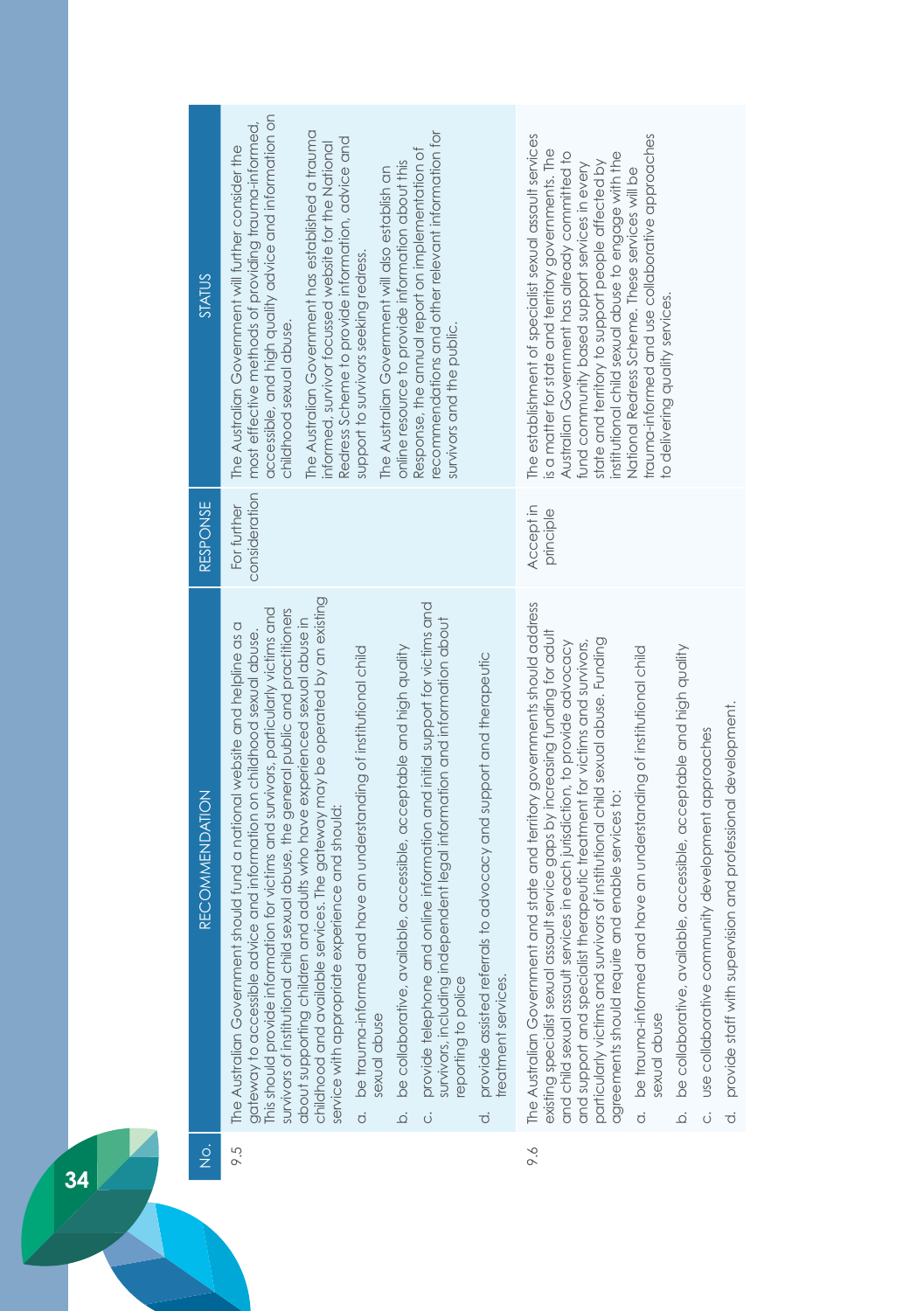| <b>STATUS</b>                         | accessible, and high quality advice and information on<br>most effective methods of providing trauma-informed,<br>The Australian Government has established a trauma<br>recommendations and other relevant information for<br>Redress Scheme to provide information, advice and<br>informed, survivor focussed website for the National<br>The Australian Government will further consider the<br>Response, the annual report on implementation of<br>online resource to provide information about this<br>The Australian Government will also establish an<br>support to survivors seeking redress.<br>childhood sexual abuse.<br>survivors and the public.                                                                                                                                                                                                                                                                                                                                                                                                        | trauma-informed and use collaborative approaches<br>The establishment of specialist sexual assault services<br>is a matter for state and territory governments. The<br>Australian Government has already committed to<br>institutional child sexual abuse to engage with the<br>state and territory to support people affected by<br>fund community based support services in every<br>National Redress Scheme. These services will be<br>to delivering quality services.                                                                                                                                                                                                                                                                                                                                                    |
|---------------------------------------|---------------------------------------------------------------------------------------------------------------------------------------------------------------------------------------------------------------------------------------------------------------------------------------------------------------------------------------------------------------------------------------------------------------------------------------------------------------------------------------------------------------------------------------------------------------------------------------------------------------------------------------------------------------------------------------------------------------------------------------------------------------------------------------------------------------------------------------------------------------------------------------------------------------------------------------------------------------------------------------------------------------------------------------------------------------------|------------------------------------------------------------------------------------------------------------------------------------------------------------------------------------------------------------------------------------------------------------------------------------------------------------------------------------------------------------------------------------------------------------------------------------------------------------------------------------------------------------------------------------------------------------------------------------------------------------------------------------------------------------------------------------------------------------------------------------------------------------------------------------------------------------------------------|
| RESPONSE                              | consideration<br>For further                                                                                                                                                                                                                                                                                                                                                                                                                                                                                                                                                                                                                                                                                                                                                                                                                                                                                                                                                                                                                                        | Accept in<br>principle                                                                                                                                                                                                                                                                                                                                                                                                                                                                                                                                                                                                                                                                                                                                                                                                       |
| <b>RECOMMENDATION</b>                 | childhood and available services. The gateway may be operated by an existing<br>provide telephone and online information and initial support for victims and<br>This should provide information for victims and survivors, particularly victims and<br>survivors of institutional child sexual abuse, the general public and practitioners<br>about supporting children and adults who have experienced sexual abuse in<br>survivors, including independent legal information and information about<br>The Australian Government should fund a national website and helpline as a<br>gateway to accessible advice and information on childhood sexual abuse.<br>be collaborative, available, accessible, acceptable and high quality<br>be trauma-informed and have an understanding of institutional child<br>provide assisted referrals to advocacy and support and therapeutic<br>service with appropriate experience and should:<br>reatment services.<br>eporting to police<br>sexual abuse<br>$\overline{Q}$<br>$\dot{\sigma}$<br>$\ddot{\circ}$<br>$\vec{o}$ | and state and territory governments should address<br>existing specialist sexual assault service gaps by increasing funding for adult<br>particularly victims and survivors of institutional child sexual abuse. Funding<br>and child sexual assault services in each jurisdiction, to provide advocacy<br>and support and specialist therapeutic treatment for victims and survivors,<br>be collaborative, available, accessible, acceptable and high quality<br>be trauma-informed and have an understanding of institutional child<br>provide staff with supervision and professional development.<br>use collaborative community development approaches<br>agreements should require and enable services to:<br>The Australian Government<br>sexual abuse<br>.<br>ف<br>$\ddot{\circ}$<br>$\dot{\circ}$<br>$\overline{c}$ |
| $\frac{\dot{\mathrm{o}}}{\mathrm{Z}}$ | 9.5                                                                                                                                                                                                                                                                                                                                                                                                                                                                                                                                                                                                                                                                                                                                                                                                                                                                                                                                                                                                                                                                 | 9.6                                                                                                                                                                                                                                                                                                                                                                                                                                                                                                                                                                                                                                                                                                                                                                                                                          |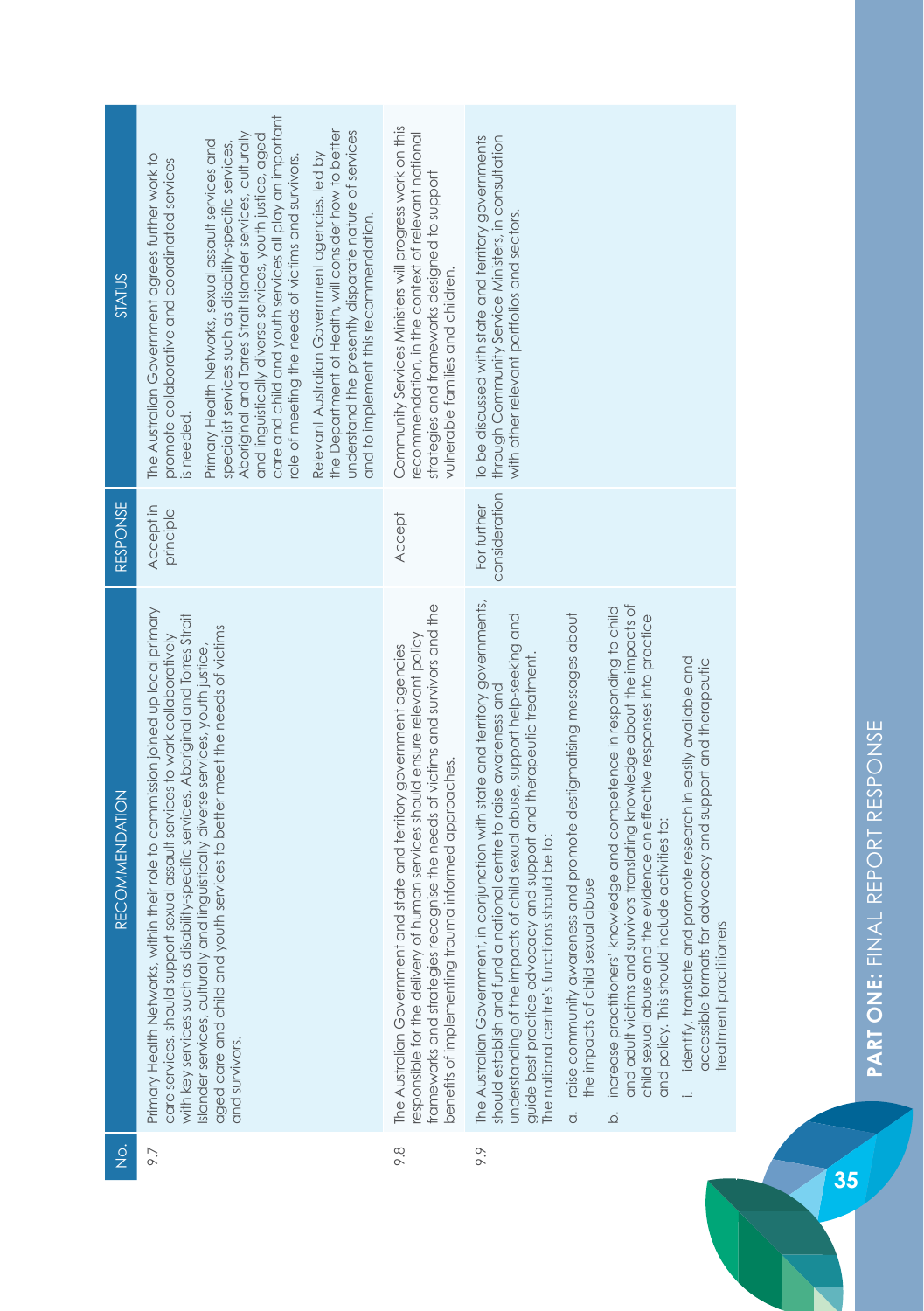| <b>STATUS</b>  | care and child and youth services all play an important<br>the Department of Health, will consider how to better<br>Aboriginal and Torres Strait Islander services, culturally<br>understand the presently disparate nature of services<br>and linguistically diverse services, youth justice, aged<br>Primary Health Networks, sexual assault services and<br>specialist services such as disability-specific services,<br>Relevant Australian Government agencies, led by<br>The Australian Government agrees further work to<br>role of meeting the needs of victims and survivors.<br>promote collaborative and coordinated services<br>and to implement this recommendation.<br>is needed. | Community Services Ministers will progress work on this<br>recommendation, in the context of relevant national<br>strategies and frameworks designed to support<br>vulnerable families and children.                                                                                           | To be discussed with state and territory governments<br>through Community Service Ministers, in consultation<br>with other relevant portfolios and sectors.                                                                                                                                                                                                                                                                                                                                                                                                                                                                                                                                                                                                                                                                                                                                                                                                |
|----------------|-------------------------------------------------------------------------------------------------------------------------------------------------------------------------------------------------------------------------------------------------------------------------------------------------------------------------------------------------------------------------------------------------------------------------------------------------------------------------------------------------------------------------------------------------------------------------------------------------------------------------------------------------------------------------------------------------|------------------------------------------------------------------------------------------------------------------------------------------------------------------------------------------------------------------------------------------------------------------------------------------------|------------------------------------------------------------------------------------------------------------------------------------------------------------------------------------------------------------------------------------------------------------------------------------------------------------------------------------------------------------------------------------------------------------------------------------------------------------------------------------------------------------------------------------------------------------------------------------------------------------------------------------------------------------------------------------------------------------------------------------------------------------------------------------------------------------------------------------------------------------------------------------------------------------------------------------------------------------|
| RESPONSE       | Accept in<br>principle                                                                                                                                                                                                                                                                                                                                                                                                                                                                                                                                                                                                                                                                          | <b>Accept</b>                                                                                                                                                                                                                                                                                  | consideration<br>For further                                                                                                                                                                                                                                                                                                                                                                                                                                                                                                                                                                                                                                                                                                                                                                                                                                                                                                                               |
| RECOMMENDATION | Primary Health Networks, within their role to commission joined up local primary<br>with key services such as disability-specific services, Aboriginal and Torres Strait<br>aged care and child and youth services to better meet the needs of victims<br>care services, should support sexual assault services to work collaboratively<br>Islander services, culturally and linguistically diverse services, youth justice,<br>and survivors.                                                                                                                                                                                                                                                  | frameworks and strategies recognise the needs of victims and survivors and the<br>esponsible for the delivery of human services should ensure relevant policy<br>The Australian Government and state and territory government agencies<br>benefits of implementing trauma informed approaches. | in conjunction with state and territory governments,<br>and adult victims and survivors translating knowledge about the impacts of<br>increase practitioners' knowledge and competence in responding to child<br>raise community awareness and promote destigmatising messages about<br>understanding of the impacts of child sexual abuse, support help-seeking and<br>the evidence on effective responses into practice<br>guide best practice advocacy and support and therapeutic treatment.<br>identify, translate and promote research in easily available and<br>accessible formats for advocacy and support and therapeutic<br>should establish and fund a national centre to raise awareness and<br>and policy. This should include activities to:<br>The national centre's functions should be to:<br>the impacts of child sexual abuse<br>treatment practitioners<br>The Australian Government,<br>child sexual abuse and<br>$\dot{\circ}$<br>ة |
| $\frac{1}{2}$  | 9.7                                                                                                                                                                                                                                                                                                                                                                                                                                                                                                                                                                                                                                                                                             | 8.6                                                                                                                                                                                                                                                                                            | 9.9                                                                                                                                                                                                                                                                                                                                                                                                                                                                                                                                                                                                                                                                                                                                                                                                                                                                                                                                                        |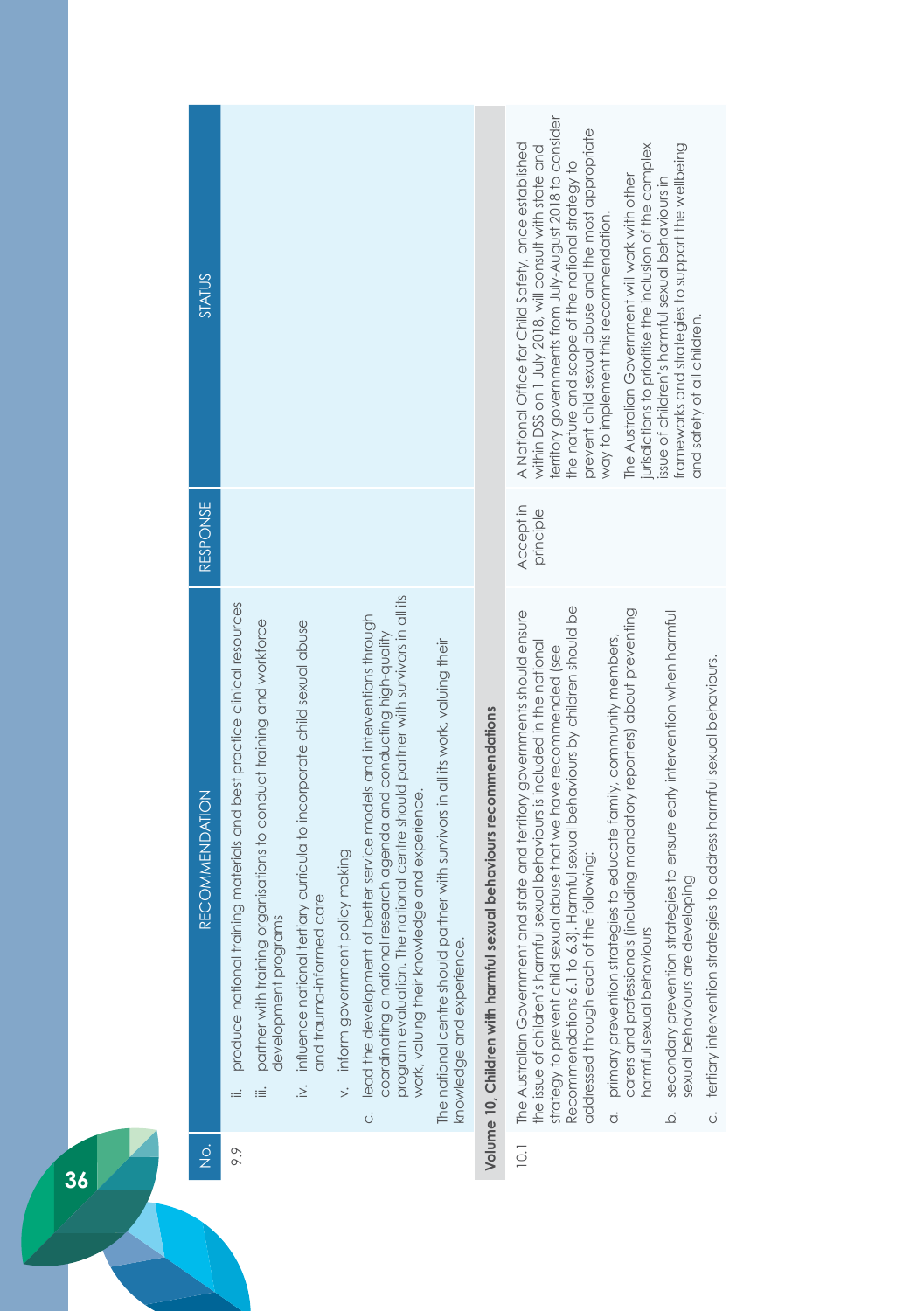| <b>STATUS</b>         |                                                                                  |                                                                                                     |                                                                                                                       |                                                  |                                                                                                                                                                                                                                                                                            |                                                                                                              |                                                                    | erritory governments from July-August 2018 to consider<br>prevent child sexual abuse and the most appropriate<br>A National Office for Child Safety, once established<br>within DSS on 1 July 2018, will consult with state and<br>the nature and scope of the national strategy to                                                                              | jurisdictions to prioritise the inclusion of the complex<br>The Australian Government will work with other<br>way to implement this recommendation.                                            | frameworks and strategies to support the wellbeing<br>issue of children's harmful sexual behaviours in<br>and safety of all children. |                                                                           |
|-----------------------|----------------------------------------------------------------------------------|-----------------------------------------------------------------------------------------------------|-----------------------------------------------------------------------------------------------------------------------|--------------------------------------------------|--------------------------------------------------------------------------------------------------------------------------------------------------------------------------------------------------------------------------------------------------------------------------------------------|--------------------------------------------------------------------------------------------------------------|--------------------------------------------------------------------|------------------------------------------------------------------------------------------------------------------------------------------------------------------------------------------------------------------------------------------------------------------------------------------------------------------------------------------------------------------|------------------------------------------------------------------------------------------------------------------------------------------------------------------------------------------------|---------------------------------------------------------------------------------------------------------------------------------------|---------------------------------------------------------------------------|
| RESPONSE              |                                                                                  |                                                                                                     |                                                                                                                       |                                                  |                                                                                                                                                                                                                                                                                            |                                                                                                              |                                                                    | Accept in<br>principle                                                                                                                                                                                                                                                                                                                                           |                                                                                                                                                                                                |                                                                                                                                       |                                                                           |
| <b>RECOMMENDATION</b> | produce national training materials and best practice clinical resources<br>$:=$ | partner with training organisations to conduct training and workforce<br>development programs<br>iΞ | influence national tertiary curricula to incorporate child sexual abuse<br>and trauma-informed care<br>$\overline{a}$ | inform government policy making<br>$\frac{1}{2}$ | program evaluation. The national centre should partner with survivors in all its<br>c. lead the development of better service models and interventions through<br>coordinating a national research agenda and conducting high-quality<br>ledge and experience.<br>work, valuing their know | The national centre should partner with survivors in all its work, valuing their<br>knowledge and experience | Volume 10, Children with harmful sexual behaviours recommendations | Recommendations 6.1 to 6.3). Harmful sexual behaviours by children should be<br>The Australian Government and state and territory governments should ensure<br>the issue of children's harmful sexual behaviours is included in the national<br>strategy to prevent child sexual abuse that we have recommended (see<br>addressed through each of the following: | carers and professionals (including mandatory reporters) about preventing<br>primary prevention strategies to educate family, community members,<br>harmful sexual behaviours<br>$\dot{\circ}$ | secondary prevention strategies to ensure early intervention when harmful<br>sexual behaviours are developing<br>$\overline{Q}$       | c. tertiary intervention strategies to address harmful sexual behaviours. |
| $\frac{1}{2}$         | 9.9                                                                              |                                                                                                     |                                                                                                                       |                                                  |                                                                                                                                                                                                                                                                                            |                                                                                                              |                                                                    | $\overline{10}$ .                                                                                                                                                                                                                                                                                                                                                |                                                                                                                                                                                                |                                                                                                                                       |                                                                           |
|                       |                                                                                  |                                                                                                     |                                                                                                                       |                                                  |                                                                                                                                                                                                                                                                                            |                                                                                                              |                                                                    |                                                                                                                                                                                                                                                                                                                                                                  |                                                                                                                                                                                                |                                                                                                                                       |                                                                           |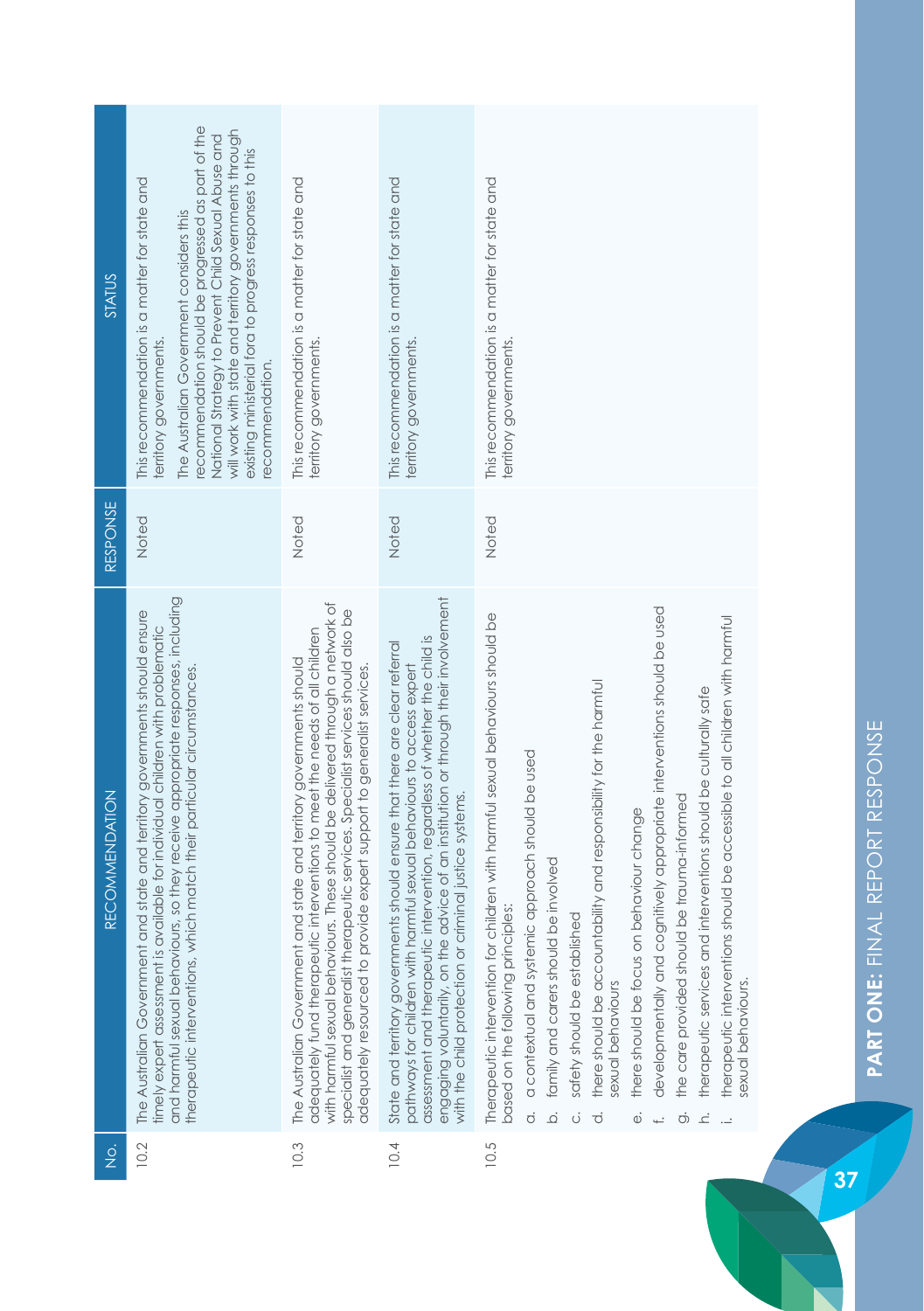| <b>STATUS</b>         | ecommendation should be progressed as part of the<br>will work with state and territory governments through<br>National Strategy to Prevent Child Sexual Abuse and<br>existing ministerial fora to progress responses to this<br>This recommendation is a matter for state and<br>The Australian Government considers this<br>territory governments.<br>ecommendation. | This recommendation is a matter for state and<br>territory governments.                                                                                                                                                                                                                                                                                                                                   | This recommendation is a matter for state and<br>territory governments.                                                                                                                                                                                                                                                                                                             | This recommendation is a matter for state and<br>territory governments.                                                                                                                                                                                                                                                                                                                                                                                                                                                                                                                                                                                                                                                                                                                                   |
|-----------------------|------------------------------------------------------------------------------------------------------------------------------------------------------------------------------------------------------------------------------------------------------------------------------------------------------------------------------------------------------------------------|-----------------------------------------------------------------------------------------------------------------------------------------------------------------------------------------------------------------------------------------------------------------------------------------------------------------------------------------------------------------------------------------------------------|-------------------------------------------------------------------------------------------------------------------------------------------------------------------------------------------------------------------------------------------------------------------------------------------------------------------------------------------------------------------------------------|-----------------------------------------------------------------------------------------------------------------------------------------------------------------------------------------------------------------------------------------------------------------------------------------------------------------------------------------------------------------------------------------------------------------------------------------------------------------------------------------------------------------------------------------------------------------------------------------------------------------------------------------------------------------------------------------------------------------------------------------------------------------------------------------------------------|
|                       |                                                                                                                                                                                                                                                                                                                                                                        |                                                                                                                                                                                                                                                                                                                                                                                                           |                                                                                                                                                                                                                                                                                                                                                                                     |                                                                                                                                                                                                                                                                                                                                                                                                                                                                                                                                                                                                                                                                                                                                                                                                           |
| <b>RESPONSE</b>       | Noted                                                                                                                                                                                                                                                                                                                                                                  | Noted                                                                                                                                                                                                                                                                                                                                                                                                     | Noted                                                                                                                                                                                                                                                                                                                                                                               | Noted                                                                                                                                                                                                                                                                                                                                                                                                                                                                                                                                                                                                                                                                                                                                                                                                     |
| <b>RECOMMENDATION</b> | and harmful sexual behaviours, so they receive appropriate responses, including<br>The Australian Government and state and territory governments should ensure<br>timely expert assessment is available for individual children with problematic<br>therapeutic interventions, which match their particular circumstances.                                             | rs. These should be delivered through a network of<br>specialist and generalist therapeutic services. Specialist services should also be<br>adequately fund therapeutic interventions to meet the needs of all children<br>The Australian Government and state and territory governments should<br>adequately resourced to provide expert support to generalist services.<br>with harmful sexual behaviou | engaging voluntarily, on the advice of an institution or through their involvement<br>assessment and therapeutic intervention, regardless of whether the child is<br>State and territory governments should ensure that there are clear referral<br>pathways for children with harmful sexual behaviours to access expert<br>with the child protection or criminal justice systems. | developmentally and cognitively appropriate interventions should be used<br>Therapeutic intervention for children with harmful sexual behaviours should be<br>should be accessible to all children with harmful<br>there should be accountability and responsibility for the harmful<br>therapeutic services and interventions should be culturally safe<br>a contextual and systemic approach should be used<br>be trauma-informed<br>there should be focus on behaviour change<br>be involved<br>based on the following principles:<br>safety should be established<br>the care provided should<br>therapeutic interventions<br>family and carers should<br>sexual behaviours.<br>sexual behaviours<br>$\overline{Q}$<br>$\dot{\sigma}$<br>$\dot{\sigma}$<br>$\vec{o}$<br>ö<br>.<br>ح<br>$\ddot{\circ}$ |
| $\frac{\dot{Q}}{Z}$   | 10.2                                                                                                                                                                                                                                                                                                                                                                   | 10.3                                                                                                                                                                                                                                                                                                                                                                                                      | 10.4                                                                                                                                                                                                                                                                                                                                                                                | 10.5                                                                                                                                                                                                                                                                                                                                                                                                                                                                                                                                                                                                                                                                                                                                                                                                      |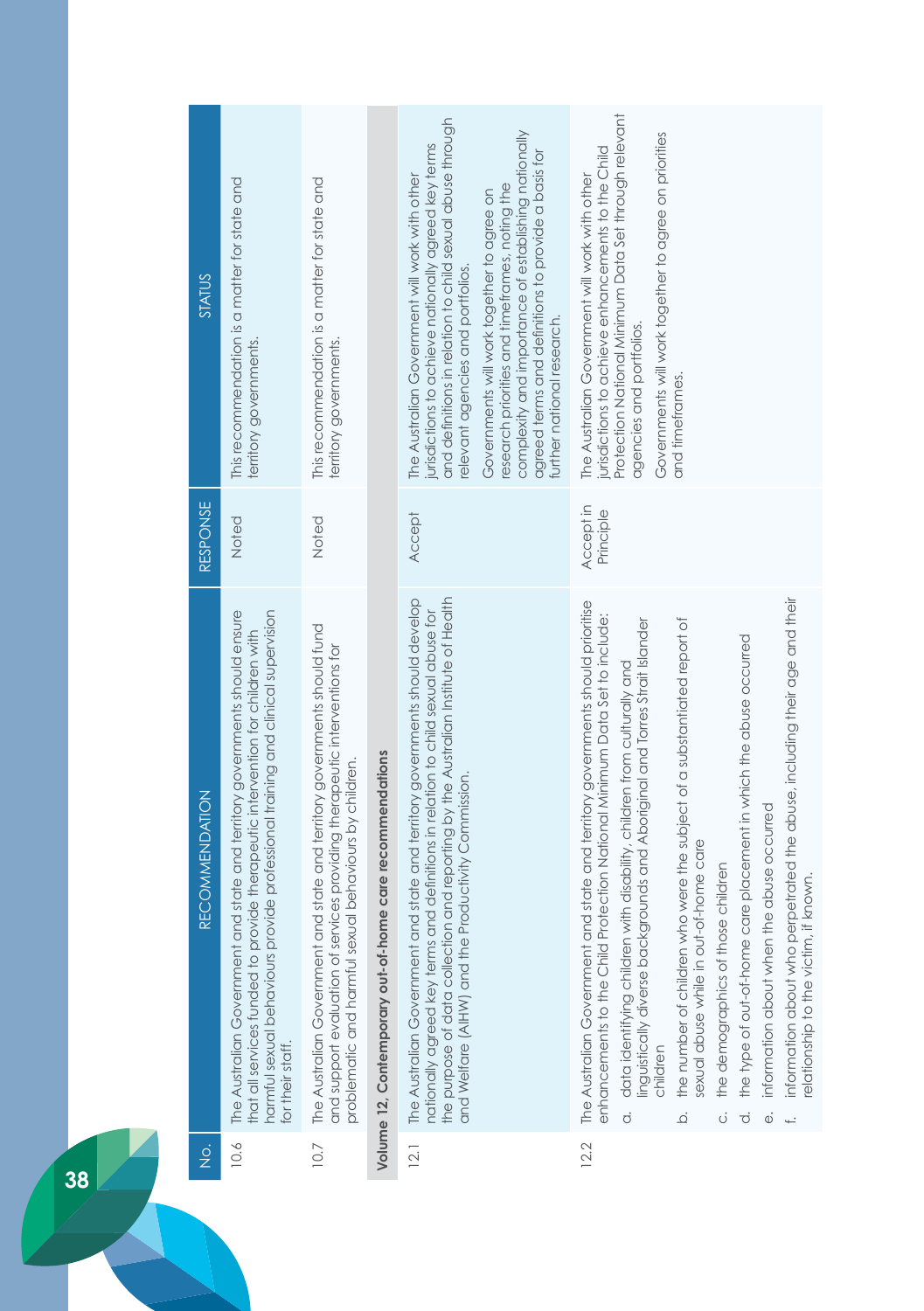| $rac{1}{2}$           | The Australian Government<br>for their staff.<br>10.6                                                                                                                                                                   | The Australian Government<br>10.7                                                                                                                                                       | Volume 12, Contemporary out-of-home care recommendations | The Australian Government<br>12.1                                                                                                                                                                                                                                                                                                                                                                                                                     | sexual abuse while in out-of-home care<br>the demographics of those children<br>The Australian Government<br>enhancements to the Child<br>children<br>$\dot{\circ}$<br>$\overline{\Omega}$<br>ö<br>ਨੰ<br>Φ<br>12.2                                                                                                                                                                                                                                                                                                                                                                        |
|-----------------------|-------------------------------------------------------------------------------------------------------------------------------------------------------------------------------------------------------------------------|-----------------------------------------------------------------------------------------------------------------------------------------------------------------------------------------|----------------------------------------------------------|-------------------------------------------------------------------------------------------------------------------------------------------------------------------------------------------------------------------------------------------------------------------------------------------------------------------------------------------------------------------------------------------------------------------------------------------------------|-------------------------------------------------------------------------------------------------------------------------------------------------------------------------------------------------------------------------------------------------------------------------------------------------------------------------------------------------------------------------------------------------------------------------------------------------------------------------------------------------------------------------------------------------------------------------------------------|
| <b>RECOMMENDATION</b> | and state and territory governments should ensure<br>harmful sexual behaviours provide professional training and clinical supervision<br>that all services funded to provide therapeutic intervention for children with | and state and territory governments should fund<br>and support evaluation of services providing therapeutic interventions for<br>problematic and harmful sexual behaviours by children. |                                                          | the purpose of data collection and reporting by the Australian Institute of Health<br>and state and territory governments should develop<br>nationally agreed key terms and definitions in relation to child sexual abuse for<br>and Welfare (AIHW) and the Productivity Commission.                                                                                                                                                                  | information about who perpetrated the abuse, including their age and their<br>and state and territory governments should prioritise<br>Protection National Minimum Data Set to include:<br>linguistically diverse backgrounds and Aboriginal and Torres Strait Islander<br>the number of children who were the subject of a substantiated report of<br>the type of out-of-home care placement in which the abuse occurred<br>data identifying children with disability, children from culturally and<br>information about when the abuse occurred<br>elationship to the victim, if known. |
| <b>RESPONSE</b>       | Noted                                                                                                                                                                                                                   | Noted                                                                                                                                                                                   |                                                          | Accept                                                                                                                                                                                                                                                                                                                                                                                                                                                | Accept in<br>Principle                                                                                                                                                                                                                                                                                                                                                                                                                                                                                                                                                                    |
| STATUS                | This recommendation is a matter for state and<br>territory governments.                                                                                                                                                 | This recommendation is a matter for state and<br>territory governments.                                                                                                                 |                                                          | and definitions in relation to child sexual abuse through<br>complexity and importance of establishing nationally<br>jurisdictions to achieve nationally agreed key terms<br>agreed terms and definitions to provide a basis for<br>The Australian Government will work with other<br>research priorities and timeframes, noting the<br>Governments will work together to agree on<br>relevant agencies and portfolios.<br>further national research. | Protection National Minimum Data Set through relevant<br>Governments will work together to agree on priorities<br>jurisdictions to achieve enhancements to the Child<br>The Australian Government will work with other<br>agencies and portfolios.<br>and timetrames.                                                                                                                                                                                                                                                                                                                     |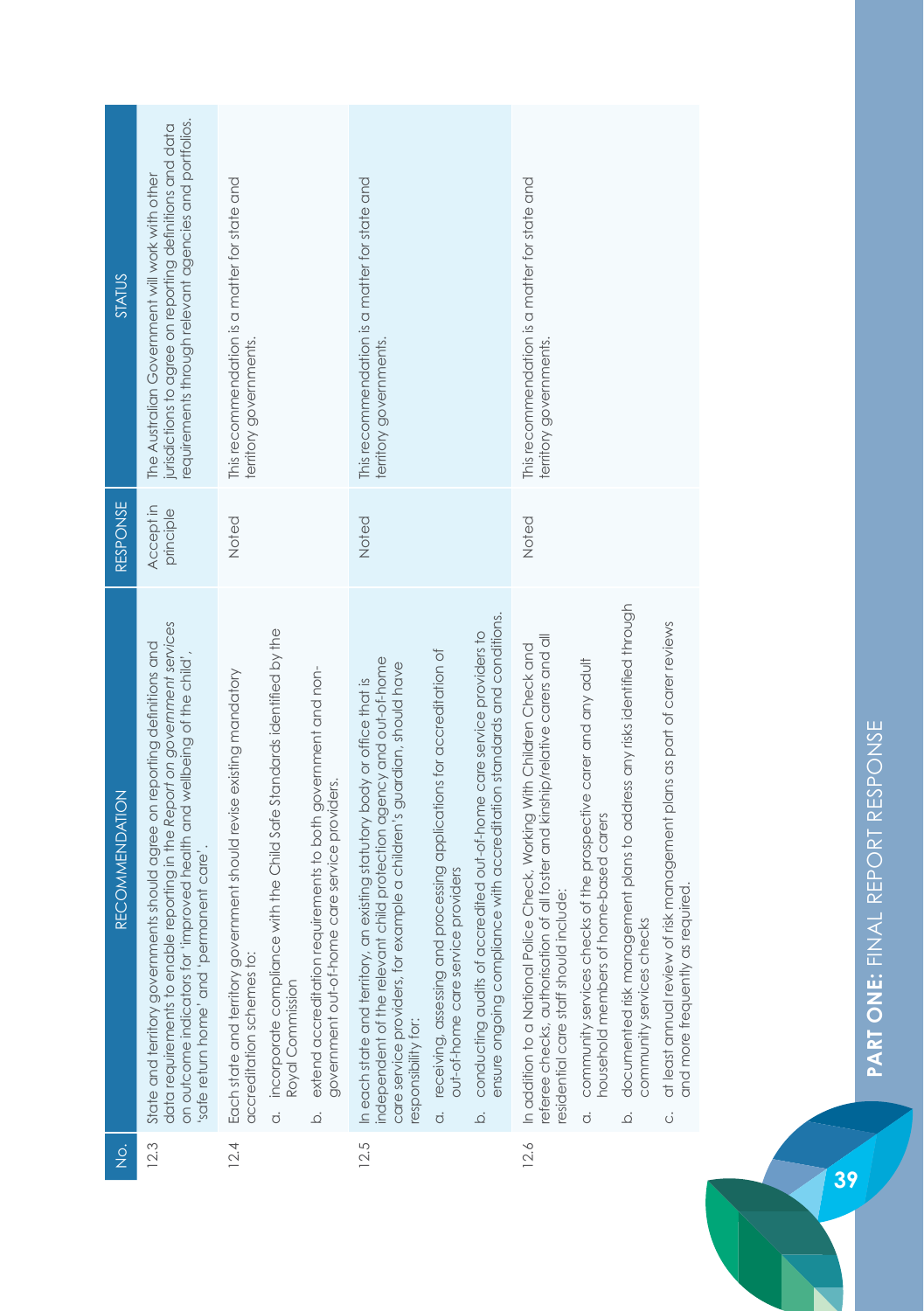| $\frac{1}{2}$ | <b>RECOMMENDATION</b>                                                                                                                                                                                                                                                                                                                                                                                                                                                                                                                                                                             | RESPONSE               | STATUS                                                                                                                                                               |
|---------------|---------------------------------------------------------------------------------------------------------------------------------------------------------------------------------------------------------------------------------------------------------------------------------------------------------------------------------------------------------------------------------------------------------------------------------------------------------------------------------------------------------------------------------------------------------------------------------------------------|------------------------|----------------------------------------------------------------------------------------------------------------------------------------------------------------------|
| 12.3          | data requirements to enable reporting in the Report on government services<br>State and territory governments should agree on reporting definitions and<br>on outcome indicators for "improved health and wellbeing of the child",<br>safe return home' and 'permanent care'                                                                                                                                                                                                                                                                                                                      | Accept in<br>principle | requirements through relevant agencies and portfolios.<br>jurisdictions to agree on reporting definitions and data<br>The Australian Government will work with other |
| 12.4          | a. incorporate compliance with the Child Safe Standards identified by the<br>extend accreditation requirements to both government and non-<br>Each state and territory government should revise existing mandatory<br>government out-of-home care service providers.<br>accreditation schemes to:<br>Royal Commission<br>$\overline{Q}$                                                                                                                                                                                                                                                           | Noted                  | This recommendation is a matter for state and<br>territory governments.                                                                                              |
| 12.5          | ensure ongoing compliance with accreditation standards and conditions.<br>conducting audits of accredited out-of-home care service providers to<br>a. receiving, assessing and processing applications for accreditation of<br>ndependent of the relevant child protection agency and out-of-home<br>care service providers, for example a children's guardian, should have<br>In each state and territory, an existing statutory body or office that is<br>out-of-home care service providers<br>responsibility for:<br>$\overline{Q}$                                                           | Noted                  | This recommendation is a matter for state and<br>territory governments.                                                                                              |
| 12.6          | documented risk management plans to address any risks identified through<br>at least annual review of risk management plans as part of carer reviews<br>referee checks, authorisation of all foster and kinship/relative carers and all<br>In addition to a National Police Check, Working With Children Check and<br>community services checks of the prospective carer and any adult<br>household members of home-based carers<br>and more frequently as required.<br>residential care staff should include:<br>community services checks<br>$\dot{\sigma}$<br>$\ddot{\circ}$<br>$\overline{Q}$ | Noted                  | This recommendation is a matter for state and<br>territory governments.                                                                                              |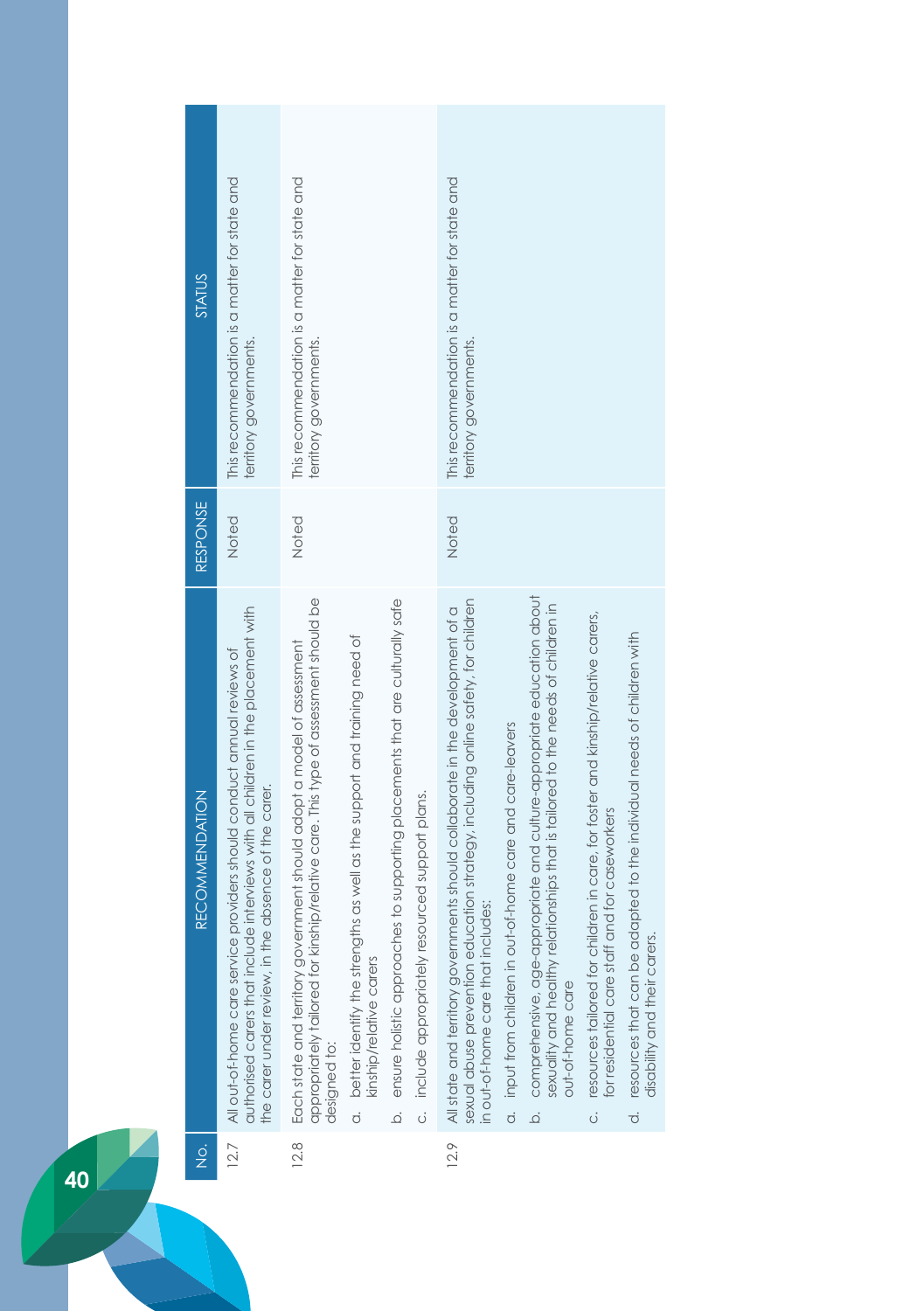| STATUS                                | This recommendation is a matter for state and<br>territory governments.                                                                                                                                              | This recommendation is a matter for state and<br>territory governments.                                                                                                                                                                                                                  |                                                                                                                                                            | This recommendation is a matter for state and<br>territory governments.                                                                                                                                   |                                                                                                                                                                                                                                                                                |                                                                                                                                              |                                                                                                                          |
|---------------------------------------|----------------------------------------------------------------------------------------------------------------------------------------------------------------------------------------------------------------------|------------------------------------------------------------------------------------------------------------------------------------------------------------------------------------------------------------------------------------------------------------------------------------------|------------------------------------------------------------------------------------------------------------------------------------------------------------|-----------------------------------------------------------------------------------------------------------------------------------------------------------------------------------------------------------|--------------------------------------------------------------------------------------------------------------------------------------------------------------------------------------------------------------------------------------------------------------------------------|----------------------------------------------------------------------------------------------------------------------------------------------|--------------------------------------------------------------------------------------------------------------------------|
| RESPONSE                              | Noted                                                                                                                                                                                                                | Noted                                                                                                                                                                                                                                                                                    |                                                                                                                                                            | Noted                                                                                                                                                                                                     |                                                                                                                                                                                                                                                                                |                                                                                                                                              |                                                                                                                          |
| <b>RECOMMENDATION</b>                 | authorised carers that include interviews with all children in the placement with<br>All out-of-home care service providers should conduct annual reviews of<br>the carer under review, in the absence of the carer. | appropriately tailored for kinship/relative care. This type of assessment should be<br>a. better identify the strengths as well as the support and training need of<br>Each state and territory government should adopt a model of assessment<br>kinship/relative carers<br>designed to: | ensure holistic approaches to supporting placements that are culturally safe<br>include appropriately resourced support plans.<br>$\ddot{\circ}$<br>.<br>ف | sexual abuse prevention education strategy, including online safety, for children<br>All state and territory governments should collaborate in the development of a<br>in out-of-home care that includes: | comprehensive, age-appropriate and culture-appropriate education about<br>sexuality and healthy relationships that is tailored to the needs of children in<br>input from children in out-of-home care and care-leavers<br>out-of-home care<br>$\dot{\sigma}$<br>$\overline{Q}$ | resources tailored for children in care, for foster and kinship/relative carers,<br>for residential care staff and for caseworkers<br>.<br>Ö | resources that can be adapted to the individual needs of children with<br>disability and their carers.<br>$\overline{c}$ |
| $\frac{\dot{\mathrm{o}}}{\mathrm{Z}}$ | 12.7                                                                                                                                                                                                                 | 12.8                                                                                                                                                                                                                                                                                     |                                                                                                                                                            | 12.9                                                                                                                                                                                                      |                                                                                                                                                                                                                                                                                |                                                                                                                                              |                                                                                                                          |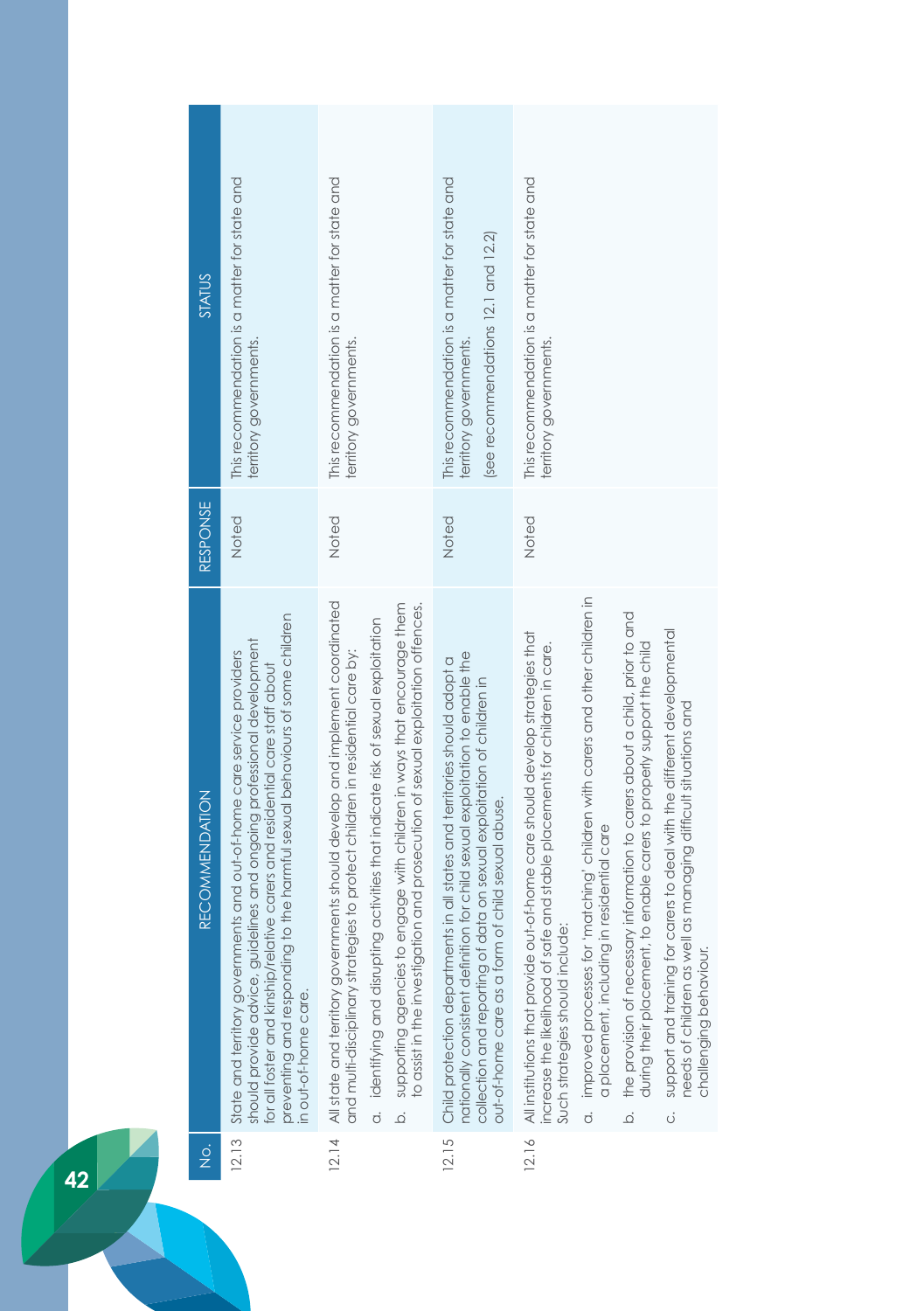| STATUS                | This recommendation is a matter for state and<br>territory governments.                                                                                                                                                                                                                                                                   | This recommendation is a matter for state and<br>territory governments.                                                                                                                                                                                                                                                                                                                                                   | This recommendation is a matter for state and<br>(see recommendations 12.1 and 12.2)<br>territory governments.                                                                                                                                                                              | This recommendation is a matter for state and<br>territory governments.                                                                                                                                                                                                                                                                                                                                                                                                                                                                                                                                                                                                                |
|-----------------------|-------------------------------------------------------------------------------------------------------------------------------------------------------------------------------------------------------------------------------------------------------------------------------------------------------------------------------------------|---------------------------------------------------------------------------------------------------------------------------------------------------------------------------------------------------------------------------------------------------------------------------------------------------------------------------------------------------------------------------------------------------------------------------|---------------------------------------------------------------------------------------------------------------------------------------------------------------------------------------------------------------------------------------------------------------------------------------------|----------------------------------------------------------------------------------------------------------------------------------------------------------------------------------------------------------------------------------------------------------------------------------------------------------------------------------------------------------------------------------------------------------------------------------------------------------------------------------------------------------------------------------------------------------------------------------------------------------------------------------------------------------------------------------------|
| RESPONSE              | Noted                                                                                                                                                                                                                                                                                                                                     | Noted                                                                                                                                                                                                                                                                                                                                                                                                                     | Noted                                                                                                                                                                                                                                                                                       | Noted                                                                                                                                                                                                                                                                                                                                                                                                                                                                                                                                                                                                                                                                                  |
| <b>RECOMMENDATION</b> | preventing and responding to the harmful sexual behaviours of some children<br>should provide advice, guidelines and ongoing professional development<br>ents and out-of-home care service providers<br>for all foster and kinship/relative carers and residential care staff about<br>State and territory governm<br>n out-of-home care. | All state and territory governments should develop and implement coordinated<br>b. supporting agencies to engage with children in ways that encourage them<br>to assist in the investigation and prosecution of sexual exploitation offences.<br>ng activities that indicate risk of sexual exploitation<br>and multi-disciplinary strategies to protect children in residential care by:<br>a. identifying and disruptir | nationally consistent definition for child sexual exploitation to enable the<br>Child protection departments in all states and territories should adopt a<br>data on sexual exploitation of children in<br>out-of-home care as a form of child sexual abuse.<br>collection and reporting of | a. improved processes for 'matching' children with carers and other children in<br>the provision of necessary information to carers about a child, prior to and<br>support and training for carers to deal with the different developmental<br>All institutions that provide out-of-home care should develop strategies that<br>increase the likelihood of safe and stable placements for children in care.<br>during their placement, to enable carers to properly support the child<br>needs of children as well as managing difficult situations and<br>a placement, including in residential care<br>Such strategies should include:<br>challenging behaviour.<br>.<br>ف<br>.<br>Ö |
| $\frac{1}{2}$         | 12.13                                                                                                                                                                                                                                                                                                                                     | 12.14                                                                                                                                                                                                                                                                                                                                                                                                                     | 12.15                                                                                                                                                                                                                                                                                       | 12.16                                                                                                                                                                                                                                                                                                                                                                                                                                                                                                                                                                                                                                                                                  |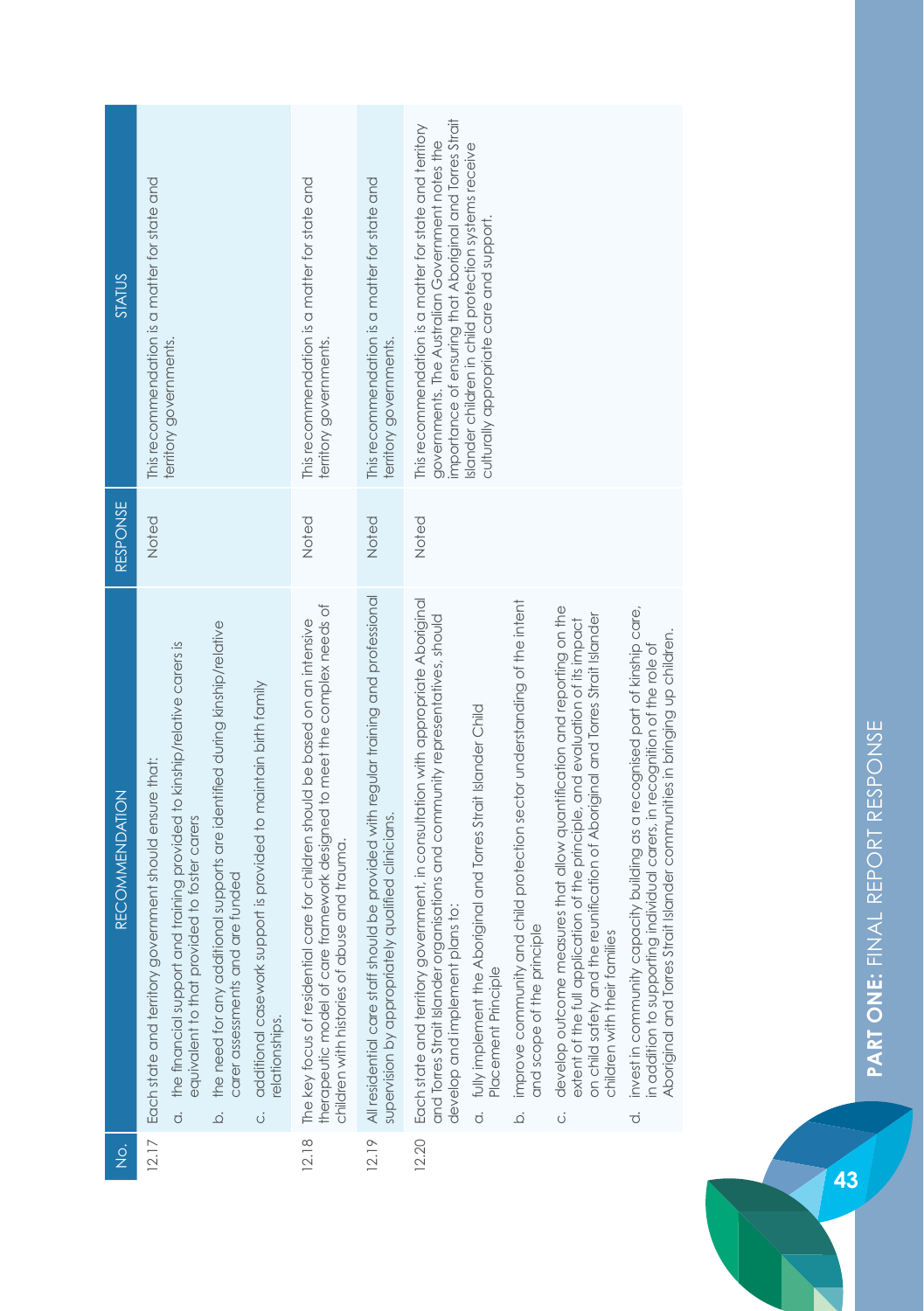| <b>STATUS</b>         | This recommendation is a matter for state and<br>territory governments.                                                                                                                                                                                                                                                                                                                                                               | This recommendation is a matter for state and<br>territory governments.                                                                                                                                       | This recommendation is a matter for state and<br>territory governments                                                                     | importance of ensuring that Aboriginal and Torres Strait<br>This recommendation is a matter for state and territory<br>governments. The Australian Government notes the<br>Islander children in child protection systems receive<br>culturally appropriate care and support.                                                                                                                                                                                                                                                                                                                                                                                                                                                                                                                                                                                                                                                                                                                           |
|-----------------------|---------------------------------------------------------------------------------------------------------------------------------------------------------------------------------------------------------------------------------------------------------------------------------------------------------------------------------------------------------------------------------------------------------------------------------------|---------------------------------------------------------------------------------------------------------------------------------------------------------------------------------------------------------------|--------------------------------------------------------------------------------------------------------------------------------------------|--------------------------------------------------------------------------------------------------------------------------------------------------------------------------------------------------------------------------------------------------------------------------------------------------------------------------------------------------------------------------------------------------------------------------------------------------------------------------------------------------------------------------------------------------------------------------------------------------------------------------------------------------------------------------------------------------------------------------------------------------------------------------------------------------------------------------------------------------------------------------------------------------------------------------------------------------------------------------------------------------------|
| RESPONSE              | Noted                                                                                                                                                                                                                                                                                                                                                                                                                                 | Noted                                                                                                                                                                                                         | Noted                                                                                                                                      | Noted                                                                                                                                                                                                                                                                                                                                                                                                                                                                                                                                                                                                                                                                                                                                                                                                                                                                                                                                                                                                  |
| <b>RECOMMENDATION</b> | the need for any additional supports are identified during kinship/relative<br>the financial support and training provided to kinship/relative carers is<br>additional casework support is provided to maintain birth family<br>Each state and territory government should ensure that:<br>equivalent to that provided to foster carers<br>carer assessments and are funded<br>elationships.<br>$\overline{c}$<br>ö<br>$\overline{Q}$ | framework designed to meet the complex needs of<br>The key focus of residential care for children should be based on an intensive<br>children with histories of abuse and trauma<br>therapeutic model of care | All residential care staff should be provided with regular training and professional<br>supervision by appropriately qualified clinicians. | Each state and territory government, in consultation with appropriate Aboriginal<br>improve community and child protection sector understanding of the intent<br>develop outcome measures that allow quantification and reporting on the<br>invest in community capacity building as a recognised part of kinship care,<br>on child safety and the reunification of Aboriginal and Torres Strait Islander<br>and Torres Strait Islander organisations and community representatives, should<br>extent of the full application of the principle, and evaluation of its impact<br>Aboriginal and Torres Strait Islander communities in bringing up children.<br>in addition to supporting individual carers, in recognition of the role of<br>fully implement the Aboriginal and Torres Strait Islander Child<br>develop and implement plans to:<br>and scope of the principle<br>children with their families<br>Placement Principle<br>$\dot{\sigma}$<br>$\vec{o}$<br>$\overline{Q}$<br>$\ddot{\circ}$ |
| $\frac{1}{2}$         | 12.17                                                                                                                                                                                                                                                                                                                                                                                                                                 | 12.18                                                                                                                                                                                                         | 12.19                                                                                                                                      | 12.20                                                                                                                                                                                                                                                                                                                                                                                                                                                                                                                                                                                                                                                                                                                                                                                                                                                                                                                                                                                                  |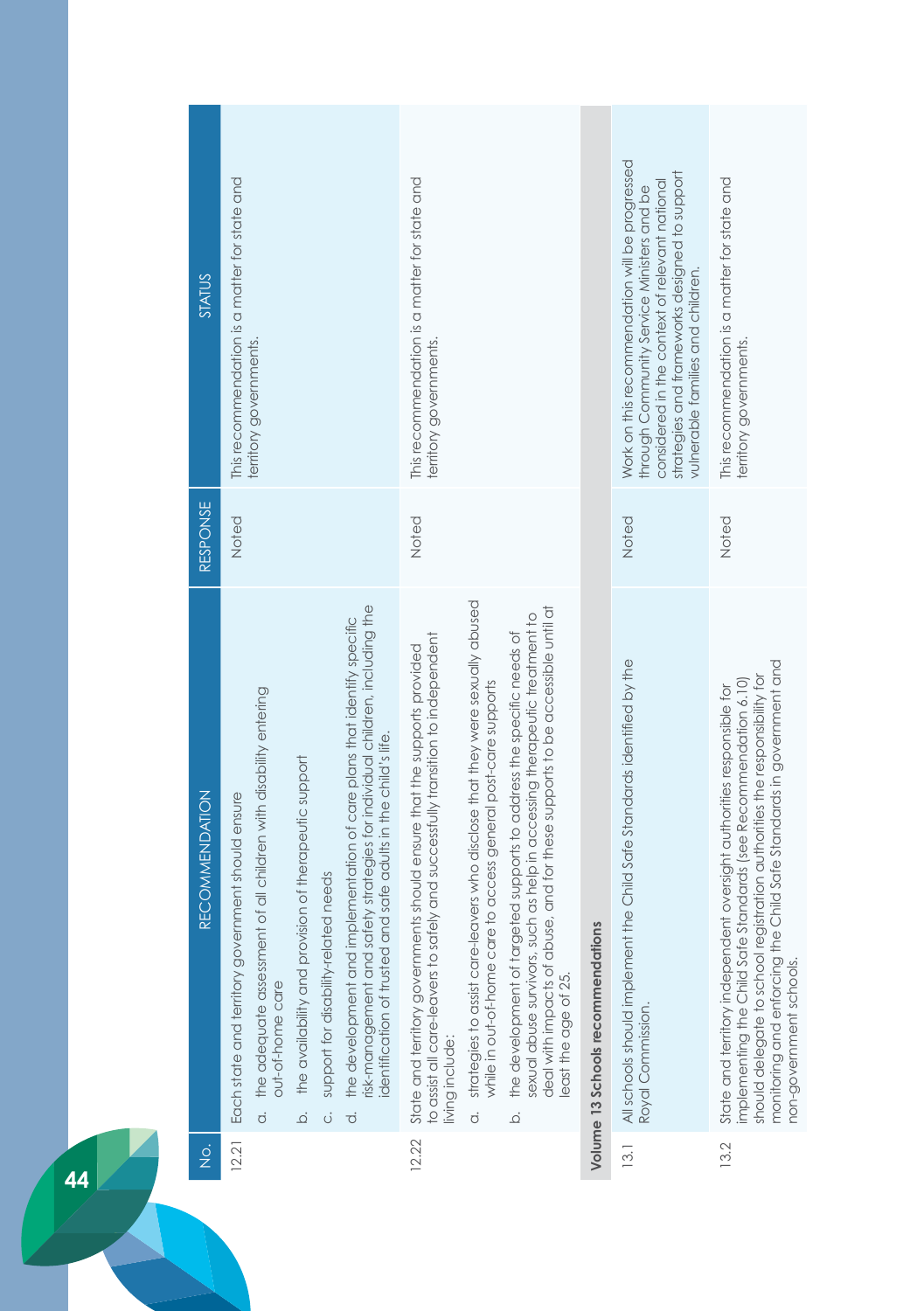|    | <b>STATUS</b>         | This recommendation is a matter for state and<br>territory governments.                                                                                                                                                                                                                                                                                                                                                                                                                                                      | This recommendation is a matter for state and<br>territory governments.                                                                                                                                                                                                                                                                                                                                                                                                                                                                                                                                                      |                                   | Work on this recommendation will be progressed<br>strategies and frameworks designed to support<br>considered in the context of relevant national<br>through Community Service Ministers and be<br>vulnerable families and children. | This recommendation is a matter for state and<br>territory governments.                                                                                                                                                                                                                                                    |
|----|-----------------------|------------------------------------------------------------------------------------------------------------------------------------------------------------------------------------------------------------------------------------------------------------------------------------------------------------------------------------------------------------------------------------------------------------------------------------------------------------------------------------------------------------------------------|------------------------------------------------------------------------------------------------------------------------------------------------------------------------------------------------------------------------------------------------------------------------------------------------------------------------------------------------------------------------------------------------------------------------------------------------------------------------------------------------------------------------------------------------------------------------------------------------------------------------------|-----------------------------------|--------------------------------------------------------------------------------------------------------------------------------------------------------------------------------------------------------------------------------------|----------------------------------------------------------------------------------------------------------------------------------------------------------------------------------------------------------------------------------------------------------------------------------------------------------------------------|
|    | RESPONSE              | Noted                                                                                                                                                                                                                                                                                                                                                                                                                                                                                                                        | Noted                                                                                                                                                                                                                                                                                                                                                                                                                                                                                                                                                                                                                        |                                   | Noted                                                                                                                                                                                                                                | Noted                                                                                                                                                                                                                                                                                                                      |
|    | <b>RECOMMENDATION</b> | risk-management and safety strategies for individual children, including the<br>the development and implementation of care plans that identify specific<br>the adequate assessment of all children with disability entering<br>dentification of trusted and safe adults in the child's life.<br>the availability and provision of therapeutic support<br>Each state and territory government should ensure<br>support for disability-related needs<br>out-of-home care<br>$\dot{\sigma}$<br>$\vec{o}$<br>ö<br>$\dot{\Omega}$ | strategies to assist care-leavers who disclose that they were sexually abused<br>deal with impacts of abuse, and for these supports to be accessible until at<br>sexual abuse survivors, such as help in accessing therapeutic treatment to<br>the development of targeted supports to address the specific needs of<br>to assist all care-leavers to safely and successfully transition to independent<br>State and territory governments should ensure that the supports provided<br>while in out-of-home care to access general post-care supports<br>least the age of 25.<br>living include:<br>$\overline{a}$<br>.<br>ف | Volume 13 Schools recommendations | All schools should implement the Child Safe Standards identified by the<br>Royal Commission.                                                                                                                                         | monitoring and enforcing the Child Safe Standards in government and<br>registration authorities the responsibility for<br>implementing the Child Safe Standards (see Recommendation 6.10)<br>State and territory independent oversight authorities responsible for<br>should delegate to school<br>non-government schools. |
|    | $\frac{1}{2}$         | 12.21                                                                                                                                                                                                                                                                                                                                                                                                                                                                                                                        | 12.22                                                                                                                                                                                                                                                                                                                                                                                                                                                                                                                                                                                                                        |                                   | 13.1                                                                                                                                                                                                                                 | 13.2                                                                                                                                                                                                                                                                                                                       |
| 44 |                       |                                                                                                                                                                                                                                                                                                                                                                                                                                                                                                                              |                                                                                                                                                                                                                                                                                                                                                                                                                                                                                                                                                                                                                              |                                   |                                                                                                                                                                                                                                      |                                                                                                                                                                                                                                                                                                                            |

H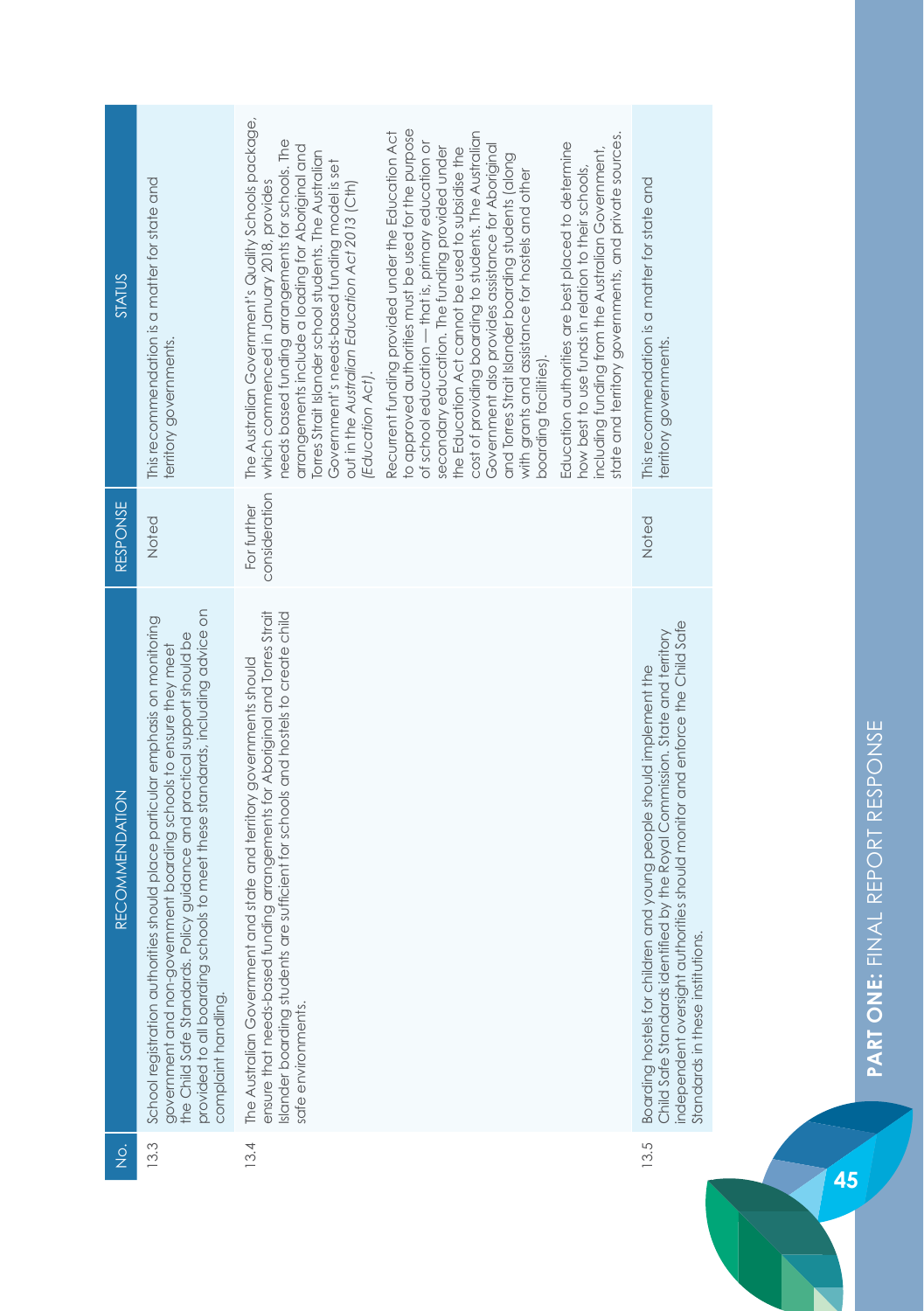| STATUS                                | This recommendation is a matter for state and<br>territory governments.                                                                                                                                                                                                                                                                   | The Australian Government's Quality Schools package,<br>needs based funding arrangements for schools. The<br>arrangements include a loading for Aboriginal and<br>Torres Strait Islander school students. The Australian<br>Government's needs-based funding model is set<br>which commenced in January 2018, provides<br>out in the Australian Education Act 2013 (Cth)<br>(Education Act). | to approved authorities must be used for the purpose<br>Recurrent funding provided under the Education Act<br>cost of providing boarding to students. The Australian<br>of school education — that is, primary education or<br>Government also provides assistance for Aboriginal<br>secondary education. The funding provided under<br>the Education Act cannot be used to subsidise the<br>and Torres Strait Islander boarding students (along<br>with grants and assistance for hostels and other<br>boarding facilities). | state and territory governments, and private sources.<br>Education authorities are best placed to determine<br>including funding from the Australian Government,<br>how best to use funds in relation to their schools, | This recommendation is a matter for state and<br>territory governments.                                                                                                                                                                                                |
|---------------------------------------|-------------------------------------------------------------------------------------------------------------------------------------------------------------------------------------------------------------------------------------------------------------------------------------------------------------------------------------------|----------------------------------------------------------------------------------------------------------------------------------------------------------------------------------------------------------------------------------------------------------------------------------------------------------------------------------------------------------------------------------------------|-------------------------------------------------------------------------------------------------------------------------------------------------------------------------------------------------------------------------------------------------------------------------------------------------------------------------------------------------------------------------------------------------------------------------------------------------------------------------------------------------------------------------------|-------------------------------------------------------------------------------------------------------------------------------------------------------------------------------------------------------------------------|------------------------------------------------------------------------------------------------------------------------------------------------------------------------------------------------------------------------------------------------------------------------|
|                                       |                                                                                                                                                                                                                                                                                                                                           |                                                                                                                                                                                                                                                                                                                                                                                              |                                                                                                                                                                                                                                                                                                                                                                                                                                                                                                                               |                                                                                                                                                                                                                         |                                                                                                                                                                                                                                                                        |
| RESPONSE                              | Noted                                                                                                                                                                                                                                                                                                                                     | consideration<br>For further                                                                                                                                                                                                                                                                                                                                                                 |                                                                                                                                                                                                                                                                                                                                                                                                                                                                                                                               |                                                                                                                                                                                                                         | Noted                                                                                                                                                                                                                                                                  |
| RECOMMENDATION                        | provided to all boarding schools to meet these standards, including advice on<br>School registration authorities should place particular emphasis on monitoring<br>the Child Safe Standards. Policy guidance and practical support should be<br>government and non-government boarding schools to ensure they meet<br>complaint handling. | ensure that needs-based funding arrangements for Aboriginal and Torres Strait<br>are sufficient for schools and hostels to create child<br>The Australian Government and state and territory governments should<br>Islander boarding students<br>safe environments.                                                                                                                          |                                                                                                                                                                                                                                                                                                                                                                                                                                                                                                                               |                                                                                                                                                                                                                         | independent oversight authorities should monitor and enforce the Child Safe<br>Child Safe Standards identified by the Royal Commission. State and territory<br>Boarding hostels for children and young people should implement the<br>Standards in these institutions. |
| $\frac{\dot{\mathrm{o}}}{\mathrm{Z}}$ | 13.3                                                                                                                                                                                                                                                                                                                                      | 13.4                                                                                                                                                                                                                                                                                                                                                                                         |                                                                                                                                                                                                                                                                                                                                                                                                                                                                                                                               |                                                                                                                                                                                                                         | 13.5                                                                                                                                                                                                                                                                   |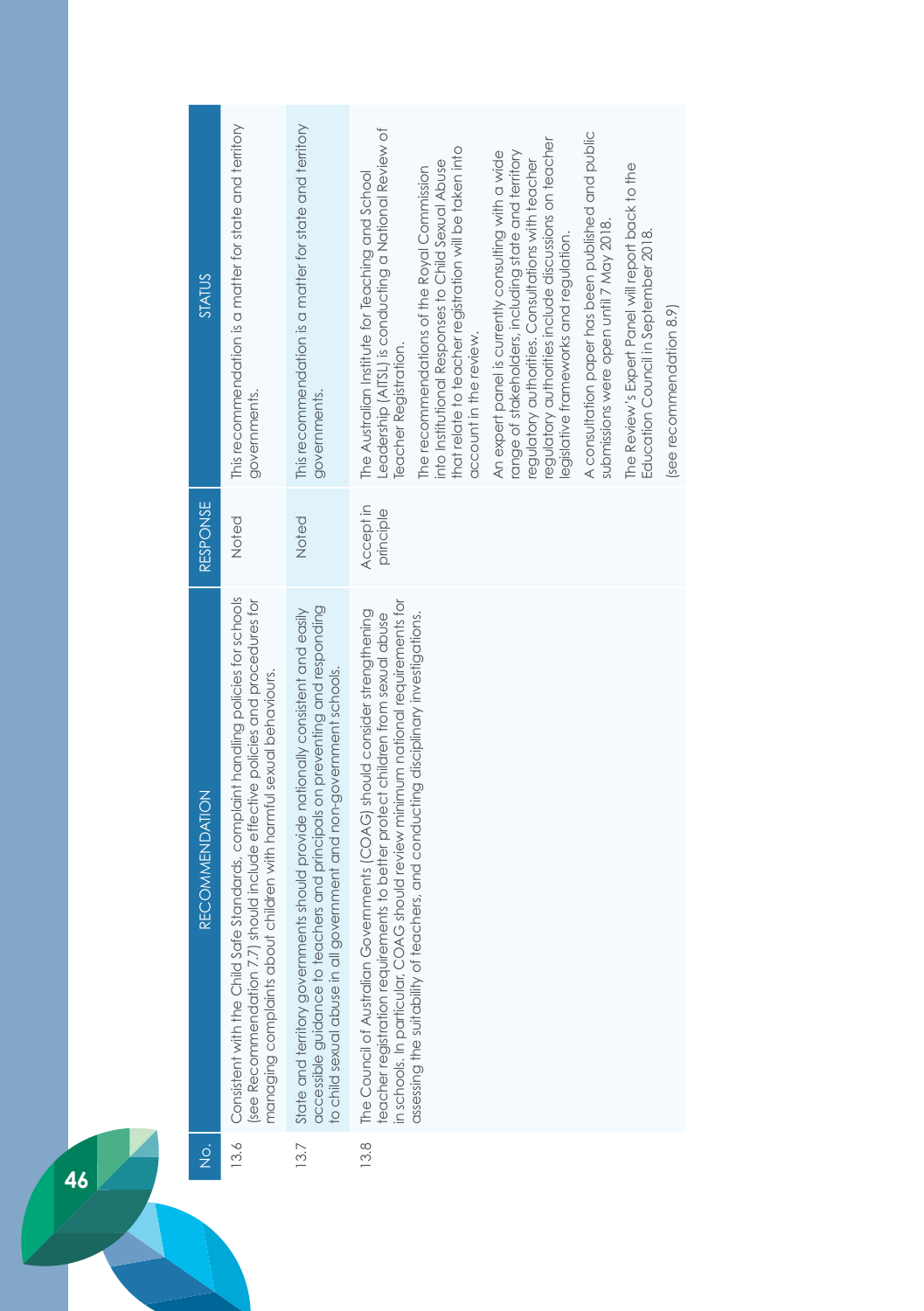| STATUS                | This recommendation is a matter for state and territory<br>governments.                                                                                                                                                                 | This recommendation is a matter for state and territory<br>governments.                                                                                                                                                               | Leadership (AITSL) is conducting a National Review of<br>A consultation paper has been published and public<br>regulatory authorities include discussions on teacher<br>that relate to teacher registration will be taken into<br>An expert panel is currently consulting with a wide<br>range of stakeholders, including state and territory<br>into Institutional Responses to Child Sexual Abuse<br>regulatory authorities. Consultations with teacher<br>The Review's Expert Panel will report back to the<br>The recommendations of the Royal Commission<br>The Australian Institute for Teaching and School<br>submissions were open until 7 May 2018.<br>Education Council in September 2018.<br>legislative frameworks and regulation.<br>(see recommendation 8.9)<br>account in the review.<br><b>Teacher Registration.</b> |
|-----------------------|-----------------------------------------------------------------------------------------------------------------------------------------------------------------------------------------------------------------------------------------|---------------------------------------------------------------------------------------------------------------------------------------------------------------------------------------------------------------------------------------|--------------------------------------------------------------------------------------------------------------------------------------------------------------------------------------------------------------------------------------------------------------------------------------------------------------------------------------------------------------------------------------------------------------------------------------------------------------------------------------------------------------------------------------------------------------------------------------------------------------------------------------------------------------------------------------------------------------------------------------------------------------------------------------------------------------------------------------|
| <b>RESPONSE</b>       | Noted                                                                                                                                                                                                                                   | Noted                                                                                                                                                                                                                                 | Accept in<br>principle                                                                                                                                                                                                                                                                                                                                                                                                                                                                                                                                                                                                                                                                                                                                                                                                               |
| <b>RECOMMENDATION</b> | Consistent with the Child Safe Standards, complaint handling policies for schools<br>see Recommendation 7.7) should include effective policies and procedures for<br>managing complaints about children with harmful sexual behaviours. | accessible guidance to teachers and principals on preventing and responding<br>State and territory governments should provide nationally consistent and easily<br>to child sexual abuse in all government and non-government schools. | in schools. In particular, COAG should review minimum national requirements for<br>The Council of Australian Governments (COAG) should consider strengthening<br>assessing the suitability of teachers, and conducting disciplinary investigations.<br>eacher registration requirements to better protect children from sexual abuse                                                                                                                                                                                                                                                                                                                                                                                                                                                                                                 |
| $\frac{1}{2}$         | 13.6                                                                                                                                                                                                                                    | 13.7                                                                                                                                                                                                                                  | 3.8                                                                                                                                                                                                                                                                                                                                                                                                                                                                                                                                                                                                                                                                                                                                                                                                                                  |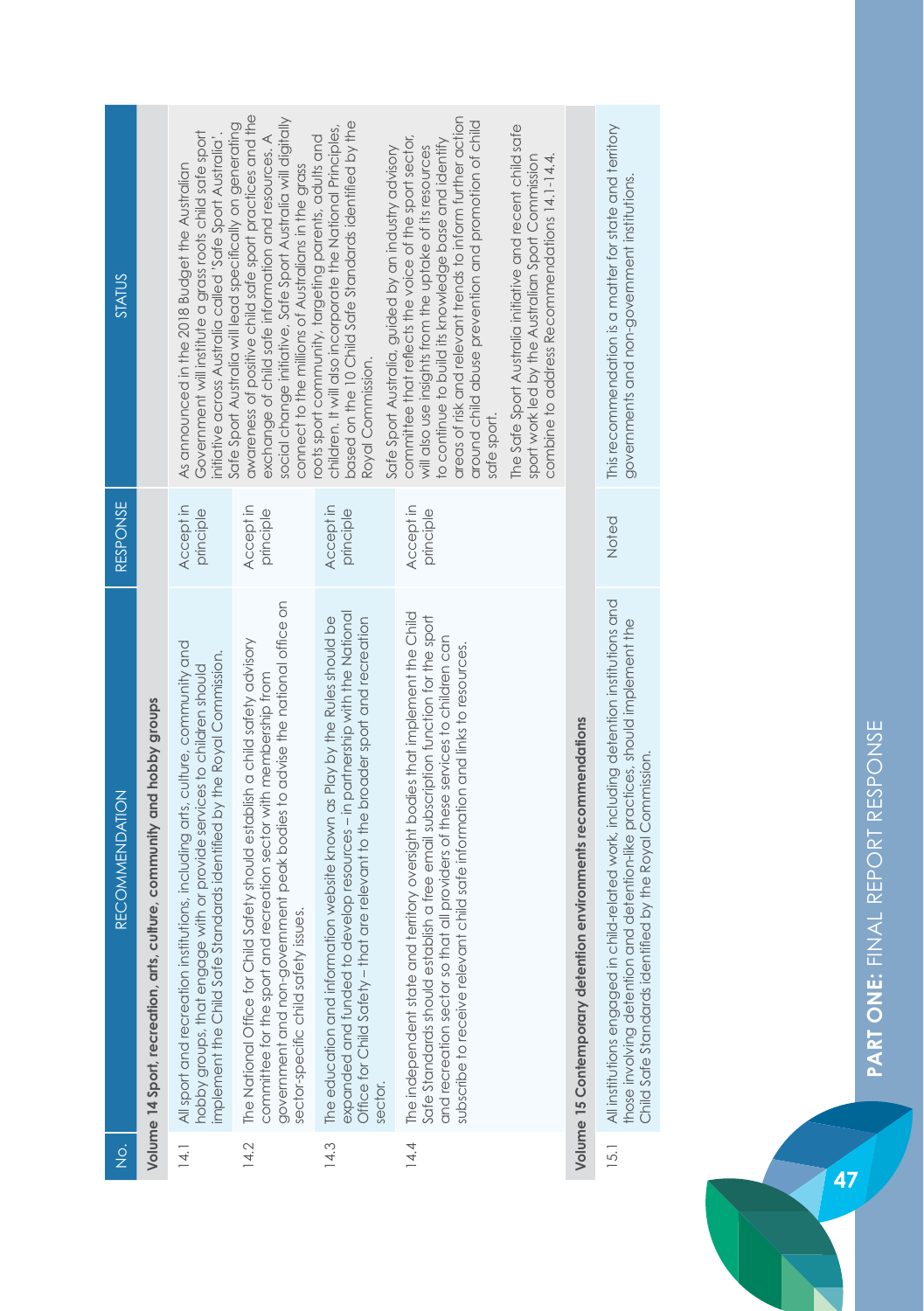| STATUS                |                                                                        | Government will institute a grass roots child safe sport<br>initiative across Australia called 'Safe Sport Australia'<br>As announced in the 2018 Budget the Australian                                                          | awareness of positive child safe sport practices and the<br>social change initiative, Safe Sport Australia will digitally<br>Safe Sport Australia will lead specifically on generating<br>exchanae of child safe information and resources. A<br>connect to the millions of Australians in the grass | based on the 10 Child Safe Standards identified by the<br>children. It will also incorporate the National Principles,<br>roots sport community, targeting parents, adults and<br>Safe Sport Australia, guided by an industry advisory<br>Roval Commission. | areas of risk and relevant trends to inform further action<br>around child abuse prevention and promotion of child<br>committee that reflects the voice of the sport sector,<br>to continue to build its knowledge base and identify<br>will also use insights from the uptake of its resources<br>sate sport.                     | The Safe Sport Australia initiative and recent child safe<br>sport work led by the Australian Sport Commission<br>combine to address Recommendations 14.1-14.4. |                                                               | This recommendation is a matter for state and territory<br>governments and non-government institutions.                                                                                                                          |
|-----------------------|------------------------------------------------------------------------|----------------------------------------------------------------------------------------------------------------------------------------------------------------------------------------------------------------------------------|------------------------------------------------------------------------------------------------------------------------------------------------------------------------------------------------------------------------------------------------------------------------------------------------------|------------------------------------------------------------------------------------------------------------------------------------------------------------------------------------------------------------------------------------------------------------|------------------------------------------------------------------------------------------------------------------------------------------------------------------------------------------------------------------------------------------------------------------------------------------------------------------------------------|-----------------------------------------------------------------------------------------------------------------------------------------------------------------|---------------------------------------------------------------|----------------------------------------------------------------------------------------------------------------------------------------------------------------------------------------------------------------------------------|
| <b>RESPONSE</b>       |                                                                        | Accept in<br>principle                                                                                                                                                                                                           | Accept in<br>principle                                                                                                                                                                                                                                                                               | Accept in<br>principle                                                                                                                                                                                                                                     | Accept in<br>principle                                                                                                                                                                                                                                                                                                             |                                                                                                                                                                 |                                                               | Noted                                                                                                                                                                                                                            |
| <b>RECOMMENDATION</b> | Volume 14 Sport, recreation, arts, culture, community and hobby groups | All sport and recreation institutions, including arts, culture, community and<br>implement the Child Safe Standards identified by the Royal Commission.<br>hobby groups, that engage with or provide services to children should | government and non-government peak bodies to advise the national office on<br>The National Office for Child Safety should establish a child safety advisory<br>committee for the sport and recreation sector with membership from<br>sector-specific child safety issues                             | expanded and funded to develop resources - in partnership with the National<br>The education and information website known as Play by the Rules should be<br>are relevant to the broader sport and recreation<br>Office for Child Safety - that<br>sector. | The independent state and territory oversight bodies that implement the Child<br>Safe Standards should establish a free email subscription function for the sport<br>and recreation sector so that all providers of these services to children can<br>subscribe to receive relevant child safe information and links to resources. |                                                                                                                                                                 | Volume 15 Contemporary detention environments recommendations | All institutions engaged in child-related work, including detention institutions and<br>those involving detention and detention-like practices, should implement the<br>Child Safe Standards identified by the Royal Commission. |
| o<br>Z                |                                                                        | $\frac{14.1}{1}$                                                                                                                                                                                                                 | 14.2                                                                                                                                                                                                                                                                                                 | 14.3                                                                                                                                                                                                                                                       | 14.4                                                                                                                                                                                                                                                                                                                               |                                                                                                                                                                 |                                                               | 15.1                                                                                                                                                                                                                             |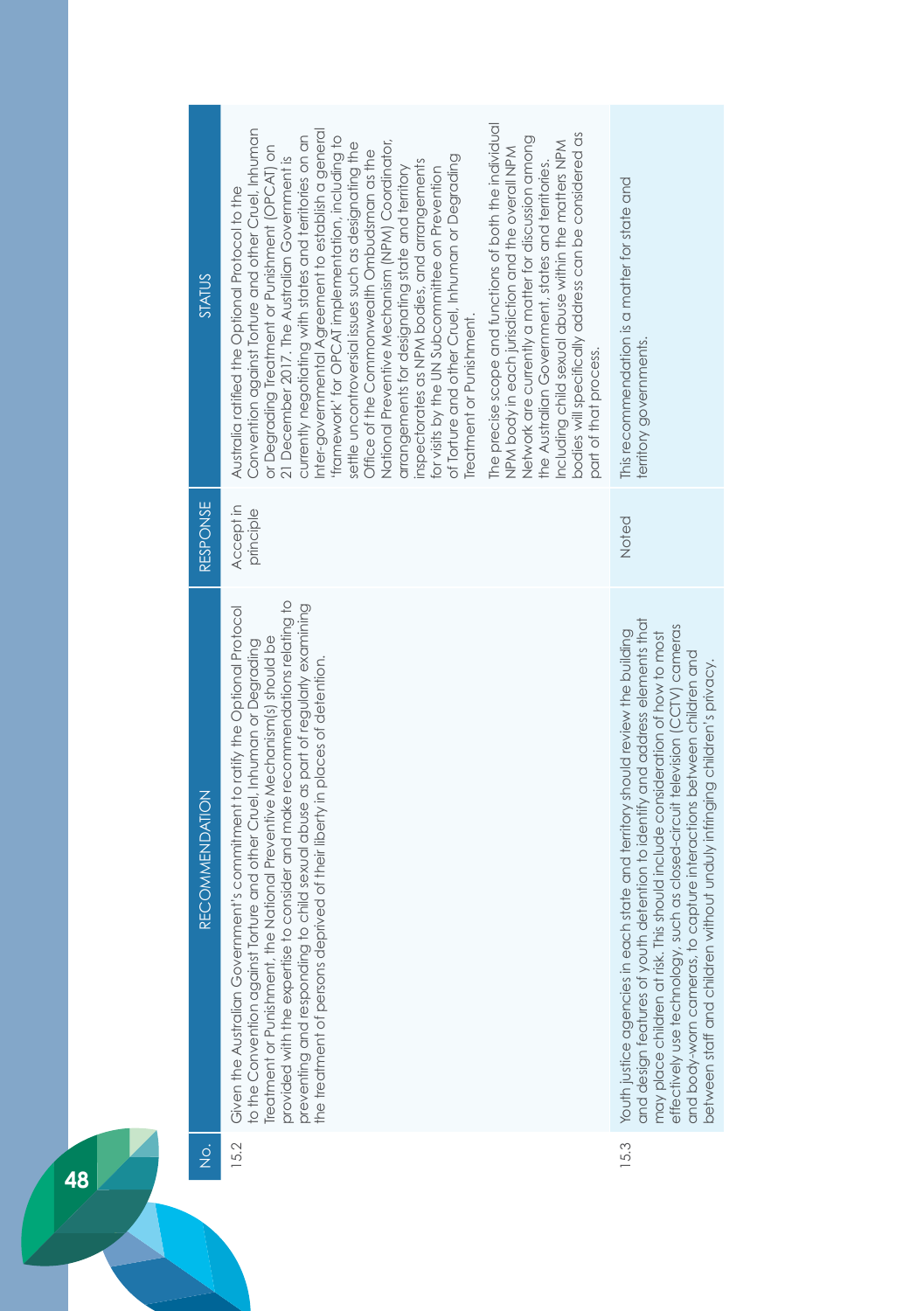| <b>STATUS</b>         | Convention against Torture and other Cruel, Inhuman<br>Inter-governmental Agreement to establish a general<br>currently negotiating with states and territories on an<br>framework' for OPCAT implementation, including to<br>National Preventive Mechanism (NPM) Coordinator,<br>settle uncontroversial issues such as designating the<br>or Degrading Treatment or Punishment (OPCAT) on<br>Office of the Commonwealth Ombudsman as the<br>of Torture and other Cruel, Inhuman or Degrading<br>21 December 2017. The Australian Government is<br>inspectorates as NPM bodies, and arrangements<br>arrangements for designating state and territory<br>for visits by the UN Subcommittee on Prevention<br>Australia ratified the Optional Protocol to the<br>Treatment or Punishment. | The precise scope and functions of both the individual<br>bodies will specifically address can be considered as<br>Network are currently a matter for discussion among<br>Including child sexual abuse within the matters NPM<br>NPM body in each jurisdiction and the overall NPM<br>the Australian Government, states and territories.<br>part of that process. | This recommendation is a matter for state and<br>territory governments.                                                                                                                                                                                                                                                                                                                                                                                                                       |
|-----------------------|----------------------------------------------------------------------------------------------------------------------------------------------------------------------------------------------------------------------------------------------------------------------------------------------------------------------------------------------------------------------------------------------------------------------------------------------------------------------------------------------------------------------------------------------------------------------------------------------------------------------------------------------------------------------------------------------------------------------------------------------------------------------------------------|-------------------------------------------------------------------------------------------------------------------------------------------------------------------------------------------------------------------------------------------------------------------------------------------------------------------------------------------------------------------|-----------------------------------------------------------------------------------------------------------------------------------------------------------------------------------------------------------------------------------------------------------------------------------------------------------------------------------------------------------------------------------------------------------------------------------------------------------------------------------------------|
| <b>RESPONSE</b>       | Accept in<br>principle                                                                                                                                                                                                                                                                                                                                                                                                                                                                                                                                                                                                                                                                                                                                                                 |                                                                                                                                                                                                                                                                                                                                                                   | Noted                                                                                                                                                                                                                                                                                                                                                                                                                                                                                         |
| <b>RECOMMENDATION</b> | provided with the expertise to consider and make recommendations relating to<br>preventing and responding to child sexual abuse as part of regularly examining<br>Given the Australian Government's commitment to ratify the Optional Protocol<br>Treatment or Punishment, the National Preventive Mechanism(s) should be<br>Torture and other Cruel, Inhuman or Degrading<br>the treatment of persons deprived of their liberty in places of detention.<br>to the Convention against                                                                                                                                                                                                                                                                                                  |                                                                                                                                                                                                                                                                                                                                                                   | and design features of youth detention to identify and address elements that<br>such as closed-circuit television (CCTV) cameras<br>Youth justice agencies in each state and territory should review the building<br>This should include consideration of how to most<br>o capture interactions between children and<br>without unduly infringing children's privacy.<br>effectively use technology,<br>between staff and children<br>and body-worn cameras, t<br>may place children at risk. |
| $\frac{1}{2}$         | 15.2                                                                                                                                                                                                                                                                                                                                                                                                                                                                                                                                                                                                                                                                                                                                                                                   |                                                                                                                                                                                                                                                                                                                                                                   | 15.3                                                                                                                                                                                                                                                                                                                                                                                                                                                                                          |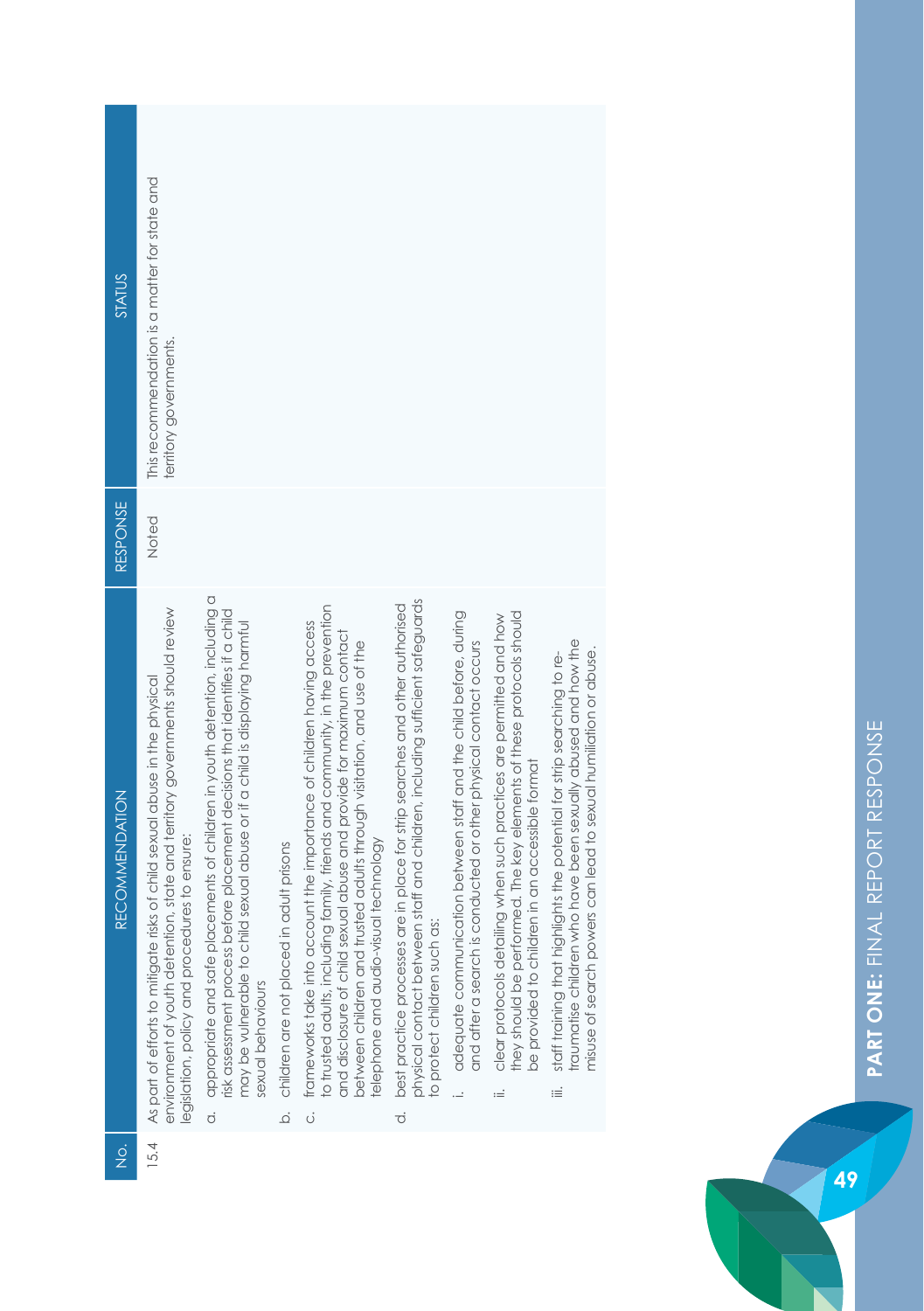| <b>STATUS</b>         | This recommendation is a matter for state and<br>territory governments.                                                                                                                                      |                                                                                                                                                                                                                                                                                  |                                                               |                                                                                                                                                                                                                                                                                                                                                            |                                                                                                                                                                                                                      |                                                                                                                                       |                                                                                                                                                                                                     |                                                                                                                                                                                                                          |
|-----------------------|--------------------------------------------------------------------------------------------------------------------------------------------------------------------------------------------------------------|----------------------------------------------------------------------------------------------------------------------------------------------------------------------------------------------------------------------------------------------------------------------------------|---------------------------------------------------------------|------------------------------------------------------------------------------------------------------------------------------------------------------------------------------------------------------------------------------------------------------------------------------------------------------------------------------------------------------------|----------------------------------------------------------------------------------------------------------------------------------------------------------------------------------------------------------------------|---------------------------------------------------------------------------------------------------------------------------------------|-----------------------------------------------------------------------------------------------------------------------------------------------------------------------------------------------------|--------------------------------------------------------------------------------------------------------------------------------------------------------------------------------------------------------------------------|
| <b>RESPONSE</b>       | Noted                                                                                                                                                                                                        |                                                                                                                                                                                                                                                                                  |                                                               |                                                                                                                                                                                                                                                                                                                                                            |                                                                                                                                                                                                                      |                                                                                                                                       |                                                                                                                                                                                                     |                                                                                                                                                                                                                          |
| <b>RECOMMENDATION</b> | environment of youth detention, state and territory governments should review<br>As part of efforts to mitigate risks of child sexual abuse in the physical<br>legislation, policy and procedures to ensure: | appropriate and safe placements of children in youth detention, including a<br>isk assessment process before placement decisions that identifies if a child<br>may be vulnerable to child sexual abuse or if a child is displaying harmful<br>sexual behaviours<br>$\dot{\circ}$ | in adult prisons<br>children are not placed<br>$\overline{Q}$ | to trusted adults, including family, friends and community, in the prevention<br>frameworks take into account the importance of children having access<br>and disclosure of child sexual abuse and provide for maximum contact<br>between children and trusted adults through visitation, and use of the<br>elephone and audio-visual technology<br>.<br>Ö | physical contact between staff and children, including sufficient safeguards<br>are in place for strip searches and other authorised<br>as:<br>best practice processes<br>to protect children such<br>$\dot{\sigma}$ | adequate communication between staff and the child before, during<br>and after a search is conducted or other physical contact occurs | they should be performed. The key elements of these protocols should<br>clear protocols detailing when such practices are permitted and how<br>be provided to children in an accessible format<br>≔ | traumatise children who have been sexually abused and how the<br>misuse of search powers can lead to sexual humiliation or abuse.<br>staff training that highlights the potential for strip searching to re-<br>$\equiv$ |
| ż                     | 15.4                                                                                                                                                                                                         |                                                                                                                                                                                                                                                                                  |                                                               |                                                                                                                                                                                                                                                                                                                                                            |                                                                                                                                                                                                                      |                                                                                                                                       |                                                                                                                                                                                                     |                                                                                                                                                                                                                          |



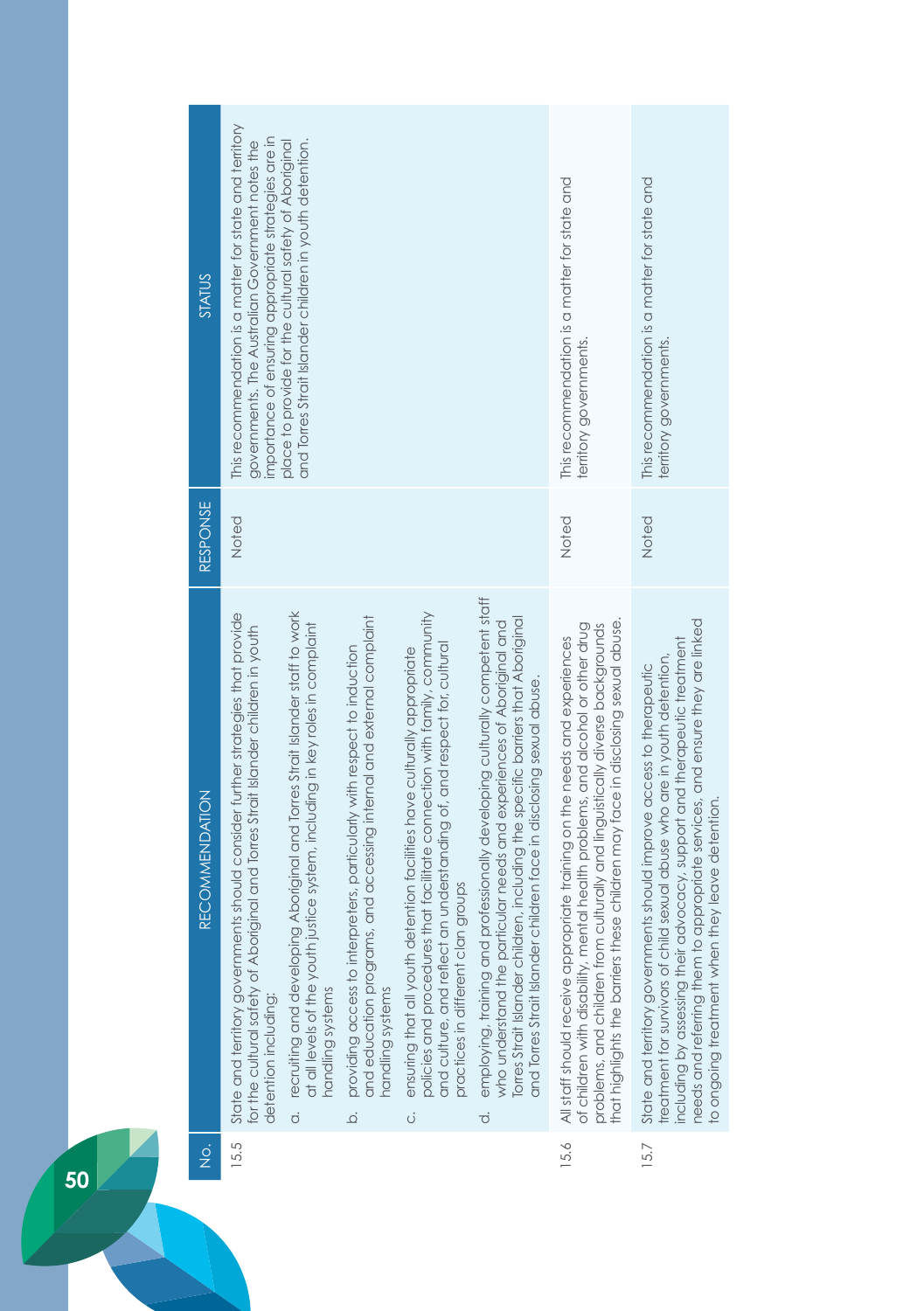| STATUS                | This recommendation is a matter for state and territory<br>importance of ensuring appropriate strategies are in<br>governments. The Australian Government notes the                           | and Torres Strait Islander children in youth detention.<br>place to provide for the cultural safety of Aboriginal                                                                      |                                                                                                                                                                                 |                                                                                                                                                                                                                                                                                          |                                                                                                                                                                                                                                                                                                                                     | This recommendation is a matter for state and<br>territory governments.                                                                                                                                                                                                                                                           | This recommendation is a matter for state and<br>territory governments.                                                                                                                                                                                                                                                                                         |
|-----------------------|-----------------------------------------------------------------------------------------------------------------------------------------------------------------------------------------------|----------------------------------------------------------------------------------------------------------------------------------------------------------------------------------------|---------------------------------------------------------------------------------------------------------------------------------------------------------------------------------|------------------------------------------------------------------------------------------------------------------------------------------------------------------------------------------------------------------------------------------------------------------------------------------|-------------------------------------------------------------------------------------------------------------------------------------------------------------------------------------------------------------------------------------------------------------------------------------------------------------------------------------|-----------------------------------------------------------------------------------------------------------------------------------------------------------------------------------------------------------------------------------------------------------------------------------------------------------------------------------|-----------------------------------------------------------------------------------------------------------------------------------------------------------------------------------------------------------------------------------------------------------------------------------------------------------------------------------------------------------------|
| <b>RESPONSE</b>       | Noted                                                                                                                                                                                         |                                                                                                                                                                                        |                                                                                                                                                                                 |                                                                                                                                                                                                                                                                                          |                                                                                                                                                                                                                                                                                                                                     | Noted                                                                                                                                                                                                                                                                                                                             | Noted                                                                                                                                                                                                                                                                                                                                                           |
| <b>RECOMMENDATION</b> | State and territory governments should consider further strategies that provide<br>for the cultural safety of Aboriginal and Torres Strait Islander children in youth<br>detention including: | a. recruiting and developing Aboriginal and Torres Strait Islander staff to work<br>at all levels of the youth justice system, including in key roles in complaint<br>handling systems | and education programs, and accessing internal and external complaint<br>providing access to interpreters, particularly with respect to induction<br>handling systems<br>.<br>ف | policies and procedures that facilitate connection with family, community<br>and culture, and reflect an understanding of, and respect for, cultural<br>ensuring that all youth detention facilities have culturally appropriate<br>practices in different clan groups<br>$\ddot{\circ}$ | employing, training and professionally developing culturally competent staff<br>who understand the particular needs and experiences of Aboriginal and<br>Torres Strait Islander children, including the specific barriers that Aboriginal<br>and Torres Strait Islander children face in disclosing sexual abuse.<br>$\dot{\sigma}$ | that highlights the barriers these children may face in disclosing sexual abuse.<br>problems, and children from culturally and linguistically diverse backgrounds<br>of children with disability, mental health problems, and alcohol or other drug<br>All staff should receive appropriate training on the needs and experiences | needs and referring them to appropriate services, and ensure they are linked<br>ncluding by assessing their advocacy, support and therapeutic treatment<br>treatment for survivors of child sexual abuse who are in youth detention,<br>State and territory governments should improve access to therapeutic<br>to ongoing treatment when they leave detention. |
| $\frac{1}{2}$         | 15.5                                                                                                                                                                                          |                                                                                                                                                                                        |                                                                                                                                                                                 |                                                                                                                                                                                                                                                                                          |                                                                                                                                                                                                                                                                                                                                     | 15.6                                                                                                                                                                                                                                                                                                                              | 15.7                                                                                                                                                                                                                                                                                                                                                            |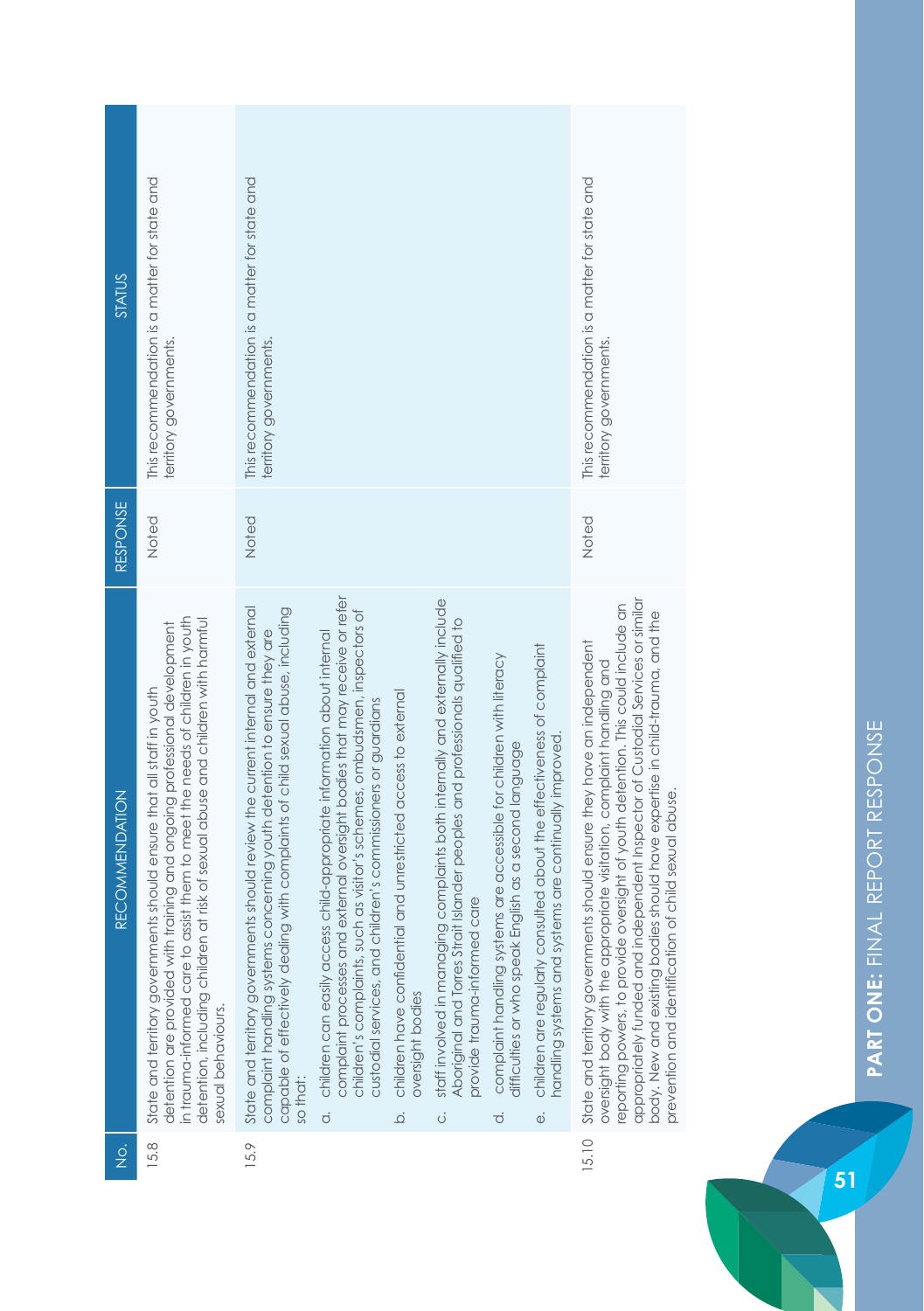| STATUS                | This recommendation is a matter for state and<br>territory governments.                                                                                                                                                                                                                                                                      | This recommendation is a matter for state and<br>territory governments.                                                                                                                                                                                    |                                                                                                                                                                                                                                                                                                                         |                                                                                                      |                                                                                                                                                                                                   |                                                                                                                                                     |                                                                                                                                                  | This recommendation is a matter for state and<br>erritory governments.                                                                                                                                                                                                                                                                                                                                                                                              |
|-----------------------|----------------------------------------------------------------------------------------------------------------------------------------------------------------------------------------------------------------------------------------------------------------------------------------------------------------------------------------------|------------------------------------------------------------------------------------------------------------------------------------------------------------------------------------------------------------------------------------------------------------|-------------------------------------------------------------------------------------------------------------------------------------------------------------------------------------------------------------------------------------------------------------------------------------------------------------------------|------------------------------------------------------------------------------------------------------|---------------------------------------------------------------------------------------------------------------------------------------------------------------------------------------------------|-----------------------------------------------------------------------------------------------------------------------------------------------------|--------------------------------------------------------------------------------------------------------------------------------------------------|---------------------------------------------------------------------------------------------------------------------------------------------------------------------------------------------------------------------------------------------------------------------------------------------------------------------------------------------------------------------------------------------------------------------------------------------------------------------|
| <b>RESPONSE</b>       | Noted                                                                                                                                                                                                                                                                                                                                        | Noted                                                                                                                                                                                                                                                      |                                                                                                                                                                                                                                                                                                                         |                                                                                                      |                                                                                                                                                                                                   |                                                                                                                                                     |                                                                                                                                                  | Noted                                                                                                                                                                                                                                                                                                                                                                                                                                                               |
| <b>RECOMMENDATION</b> | in trauma-informed care to assist them to meet the needs of children in youth<br>detention, including children at risk of sexual abuse and children with harmful<br>detention are provided with training and ongoing professional development<br>State and territory governments should ensure that all staff in youth<br>sexual behaviours. | State and territory governments should review the current internal and external<br>capable of effectively dealing with complaints of child sexual abuse, including<br>complaint handling systems concerning youth detention to ensure they are<br>so that: | complaint processes and external oversight bodies that may receive or refer<br>children's complaints, such as visitor's schemes, ombudsmen, inspectors of<br>children can easily access child-appropriate information about internal<br>custodial services, and children's commissioners or guardians<br>$\dot{\sigma}$ | children have confidential and unrestricted access to external<br>oversight bodies<br>$\overline{Q}$ | staff involved in managing complaints both internally and externally include<br>Aboriginal and Torres Strait Islander peoples and professionals qualified to<br>provide trauma-informed care<br>ö | complaint handling systems are accessible for children with literacy<br>English as a second language<br>difficulties or who speak<br>$\vec{\sigma}$ | children are regularly consulted about the effectiveness of complaint<br>handling systems and systems are continually improved.<br>$\ddot{\Phi}$ | appropriately funded and independent Inspector of Custodial Services or similar<br>reporting powers, to provide oversight of youth detention. This could include an<br>ies should have expertise in child-trauma, and the<br>State and territory governments should ensure they have an independent<br>oversight body with the appropriate visitation, complaint handling and<br>orevention and identification of child sexual abuse.<br>body. New and existing bod |
| ğ                     | 15.8                                                                                                                                                                                                                                                                                                                                         | 15.9                                                                                                                                                                                                                                                       |                                                                                                                                                                                                                                                                                                                         |                                                                                                      |                                                                                                                                                                                                   |                                                                                                                                                     |                                                                                                                                                  | 15.10                                                                                                                                                                                                                                                                                                                                                                                                                                                               |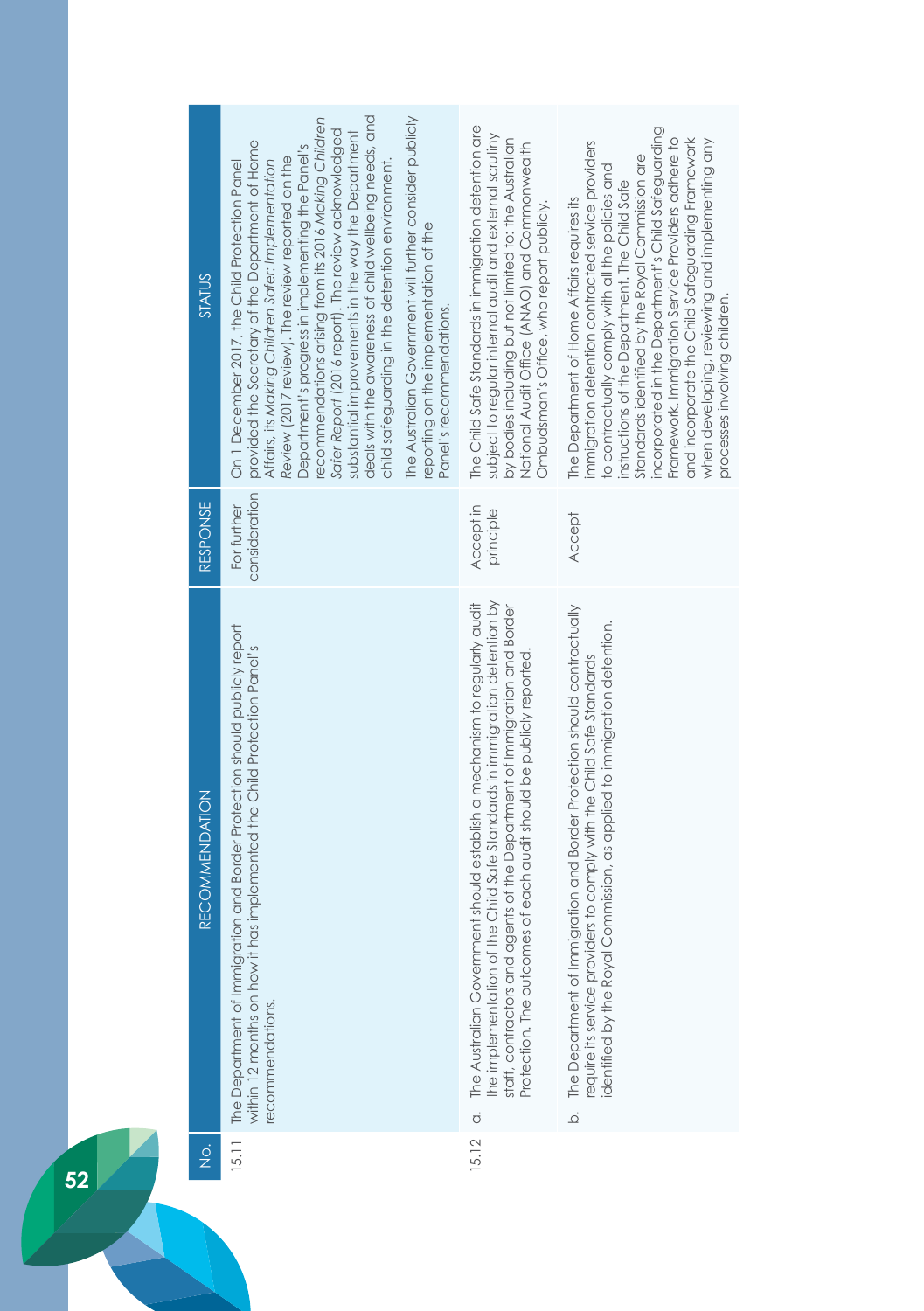| <b>STATUS</b>         | deals with the awareness of child wellbeing needs, and<br>The Australian Government will further consider publicly<br>recommendations arising from its 2016 Making Children<br>Safer Report (2016 report). The review acknowledged<br>substantial improvements in the way the Department<br>provided the Secretary of the Department of Home<br>Department's progress in implementing the Panel's<br>Review (2017 review). The review reported on the<br>Affairs, its Making Children Safer: Implementation<br>child safeguarding in the detention environment.<br>On 1 December 2017, the Child Protection Panel<br>reporting on the implementation of the<br>Panel's recommendations. | The Child Safe Standards in immigration detention are<br>subject to regular internal audit and external scrutiny<br>by bodies including but not limited to: the Australian<br>National Audit Office (ANAO) and Commonwealth<br>Ombudsman's Office, who report publicly.                                                       | incorporated in the Department's Child Safeguarding<br>Framework. Immigration Service Providers adhere to<br>and incorporate the Child Safeguarding Framework<br>immigration detention contracted service providers<br>when developing, reviewing and implementing any<br>Standards identified by the Royal Commission are<br>to contractually comply with all the policies and<br>instructions of the Department. The Child Safe<br>The Department of Home Affairs requires its<br>processes involving children. |
|-----------------------|-----------------------------------------------------------------------------------------------------------------------------------------------------------------------------------------------------------------------------------------------------------------------------------------------------------------------------------------------------------------------------------------------------------------------------------------------------------------------------------------------------------------------------------------------------------------------------------------------------------------------------------------------------------------------------------------|-------------------------------------------------------------------------------------------------------------------------------------------------------------------------------------------------------------------------------------------------------------------------------------------------------------------------------|-------------------------------------------------------------------------------------------------------------------------------------------------------------------------------------------------------------------------------------------------------------------------------------------------------------------------------------------------------------------------------------------------------------------------------------------------------------------------------------------------------------------|
|                       |                                                                                                                                                                                                                                                                                                                                                                                                                                                                                                                                                                                                                                                                                         |                                                                                                                                                                                                                                                                                                                               |                                                                                                                                                                                                                                                                                                                                                                                                                                                                                                                   |
| <b>RESPONSE</b>       | consideration<br>For further                                                                                                                                                                                                                                                                                                                                                                                                                                                                                                                                                                                                                                                            | Accept in<br>principle                                                                                                                                                                                                                                                                                                        | <b>Accept</b>                                                                                                                                                                                                                                                                                                                                                                                                                                                                                                     |
| <b>RECOMMENDATION</b> | The Department of Immigration and Border Protection should publicly report<br>within 12 months on how it has implemented the Child Protection Panel's<br>recommendations.                                                                                                                                                                                                                                                                                                                                                                                                                                                                                                               | the implementation of the Child Safe Standards in immigration detention by<br>The Australian Government should establish a mechanism to regularly audit<br>staff, contractors and agents of the Department of Immigration and Border<br>Protection. The outcomes of each audit should be publicly reported.<br>$\dot{\sigma}$ | The Department of Immigration and Border Protection should contractually<br>dentified by the Royal Commission, as applied to immigration detention.<br>require its service providers to comply with the Child Safe Standards<br>$\overline{Q}$                                                                                                                                                                                                                                                                    |
| $\frac{1}{2}$         | 15.11                                                                                                                                                                                                                                                                                                                                                                                                                                                                                                                                                                                                                                                                                   | 5.12                                                                                                                                                                                                                                                                                                                          |                                                                                                                                                                                                                                                                                                                                                                                                                                                                                                                   |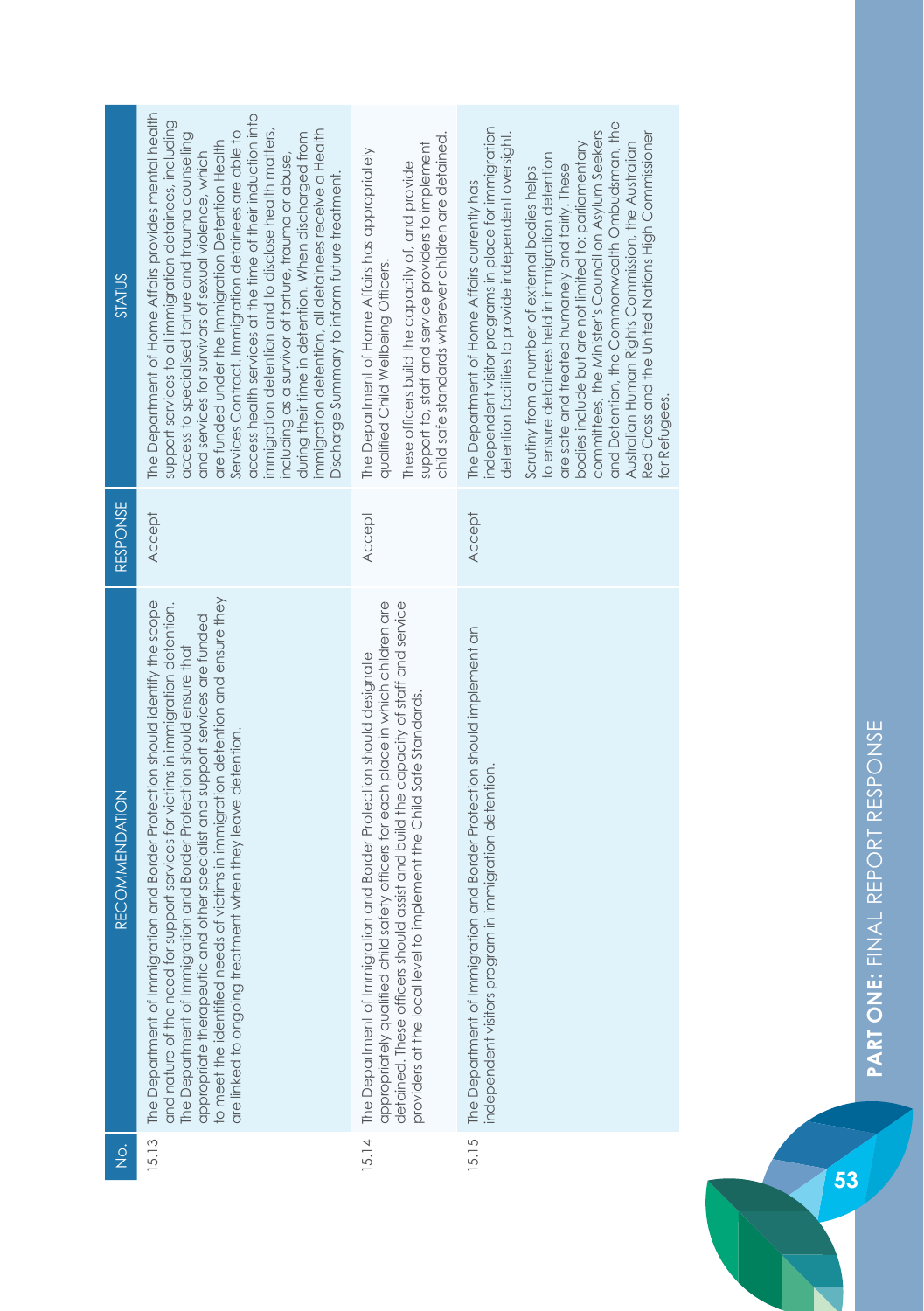| <b>STATUS</b>         | The Department of Home Affairs provides mental health<br>access health services at the time of their induction into<br>support services to all immigration detainees, including<br>immigration detention and to disclose health matters,<br>immigration detention, all detainees receive a Health<br>Services Contract. Immigration detainees are able to<br>during their time in detention. When discharged from<br>access to specialised torture and trauma counselling<br>are funded under the Immigration Detention Health<br>and services for survivors of sexual violence, which<br>including as a survivor of torture, trauma or abuse,<br>Discharge Summary to inform future treatment. | child safe standards wherever children are detained.<br>support to, staff and service providers to implement<br>The Department of Home Affairs has appropriately<br>These officers build the capacity of, and provide<br>qualified Child Wellbeing Officers.                                                            | and Detention, the Commonwealth Ombudsman, the<br>independent visitor programs in place for immigration<br>committees, the Minister's Council on Asylum Seekers<br>Red Cross and the United Nations High Commissioner<br>detention facilities to provide independent oversight.<br>bodies include but are not limited to: parliamentary<br>Australian Human Rights Commission, the Australian<br>to ensure detainees held in immigration detention<br>are safe and treated humanely and fairly. These<br>Scrutiny from a number of external bodies helps<br>The Department of Home Affairs currently has<br>for Refugees. |
|-----------------------|-------------------------------------------------------------------------------------------------------------------------------------------------------------------------------------------------------------------------------------------------------------------------------------------------------------------------------------------------------------------------------------------------------------------------------------------------------------------------------------------------------------------------------------------------------------------------------------------------------------------------------------------------------------------------------------------------|-------------------------------------------------------------------------------------------------------------------------------------------------------------------------------------------------------------------------------------------------------------------------------------------------------------------------|---------------------------------------------------------------------------------------------------------------------------------------------------------------------------------------------------------------------------------------------------------------------------------------------------------------------------------------------------------------------------------------------------------------------------------------------------------------------------------------------------------------------------------------------------------------------------------------------------------------------------|
| <b>RESPONSE</b>       | Accept                                                                                                                                                                                                                                                                                                                                                                                                                                                                                                                                                                                                                                                                                          | Accept                                                                                                                                                                                                                                                                                                                  | <b>Accept</b>                                                                                                                                                                                                                                                                                                                                                                                                                                                                                                                                                                                                             |
| <b>RECOMMENDATION</b> | to meet the identified needs of victims in immigration detention and ensure they<br>The Department of Immigration and Border Protection should identify the scope<br>and nature of the need for support services for victims in immigration detention.<br>appropriate therapeutic and other specialist and support services are funded<br>The Department of Immigration and Border Protection should ensure that<br>are linked to ongoing treatment when they leave detention.                                                                                                                                                                                                                  | detained. These officers should assist and build the capacity of staff and service<br>appropriately qualified child safety officers for each place in which children are<br>The Department of Immigration and Border Protection should designate<br>providers at the local level to implement the Child Safe Standards. | The Department of Immigration and Border Protection should implement an<br>independent visitors program in immigration detention.                                                                                                                                                                                                                                                                                                                                                                                                                                                                                         |
| $\frac{\dot{Q}}{Z}$   | 15.13                                                                                                                                                                                                                                                                                                                                                                                                                                                                                                                                                                                                                                                                                           | 15.14                                                                                                                                                                                                                                                                                                                   | 15.15                                                                                                                                                                                                                                                                                                                                                                                                                                                                                                                                                                                                                     |

п.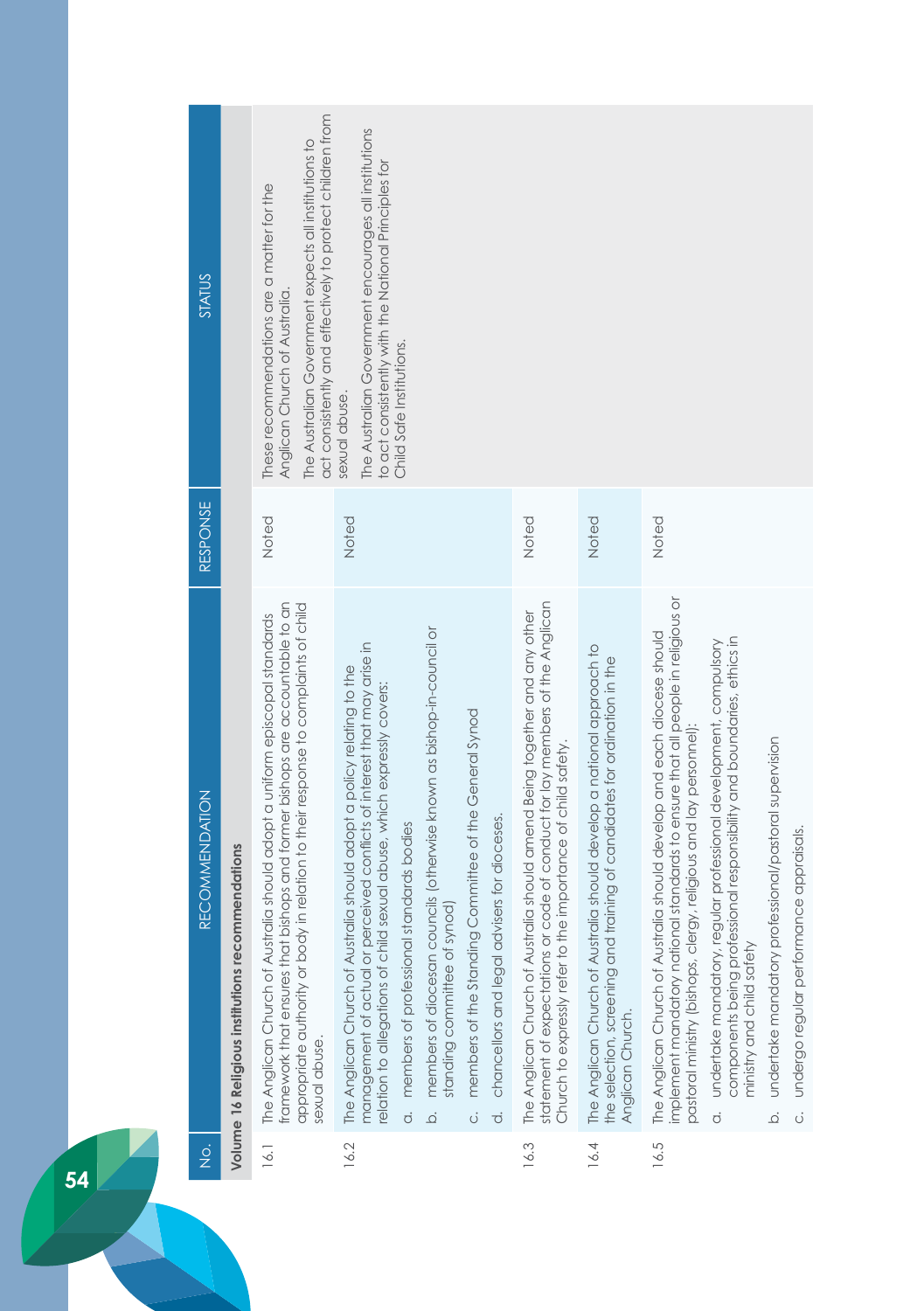| $rac{1}{2}$ | <b>RECOMMENDATION</b>                                                                                                                                                                                                                                                                                                                                                                                                                                                                                                                                                   | RESPONSE | <b>STATUS</b>                                                                                                                                                                                     |
|-------------|-------------------------------------------------------------------------------------------------------------------------------------------------------------------------------------------------------------------------------------------------------------------------------------------------------------------------------------------------------------------------------------------------------------------------------------------------------------------------------------------------------------------------------------------------------------------------|----------|---------------------------------------------------------------------------------------------------------------------------------------------------------------------------------------------------|
|             | Volume 16 Religious institutions recommendations                                                                                                                                                                                                                                                                                                                                                                                                                                                                                                                        |          |                                                                                                                                                                                                   |
| 16.1        | framework that ensures that bishops and former bishops are accountable to an<br>appropriate authority or body in relation to their response to complaints of child<br>The Anglican Church of Australia should adopt a uniform episcopal standards<br>sexual abuse.                                                                                                                                                                                                                                                                                                      | Noted    | act consistently and effectively to protect children from<br>The Australian Government expects all institutions to<br>These recommendations are a matter for the<br>Anglican Church of Australia. |
| 16.2        | members of diocesan councils (otherwise known as bishop-in-council or<br>management of actual or perceived conflicts of interest that may arise in<br>The Anglican Church of Australia should adopt a policy relating to the<br>relation to allegations of child sexual abuse, which expressly covers:<br>members of the Standing Committee of the General Synod<br>chancellors and legal advisers for dioceses.<br>members of professional standards bodies<br>synod)<br>standing committee of<br>$\overline{c}$<br>$\vec{0}$<br>.<br>ف<br>$\dot{\circ}$               | Noted    | The Australian Government encourages all institutions<br>to act consistently with the National Principles for<br>Child Safe Institutions.<br>sexual abuse.                                        |
| 16.3        | statement of expectations or code of conduct for lay members of the Anglican<br>The Anglican Church of Australia should amend Being together and any other<br>the importance of child safety.<br>Church to expressly refer to                                                                                                                                                                                                                                                                                                                                           | Noted    |                                                                                                                                                                                                   |
| 16.4        | The Anglican Church of Australia should develop a national approach to<br>the selection, screening and training of candidates for ordination in the<br>Anglican Church.                                                                                                                                                                                                                                                                                                                                                                                                 | Noted    |                                                                                                                                                                                                   |
| 16.5        | implement mandatory national standards to ensure that all people in religious or<br>The Anglican Church of Australia should develop and each diocese should<br>components being professional responsibility and boundaries, ethics in<br>undertake mandatory, regular professional development, compulsory<br>pastoral ministry (bishops, clergy, religious and lay personnel):<br>undertake mandatory professional/pastoral supervision<br>undergo regular performance appraisals.<br>ministry and child safety<br>$\ddot{\circ}$<br>.<br>ف<br>$\overline{\mathrm{o}}$ | Noted    |                                                                                                                                                                                                   |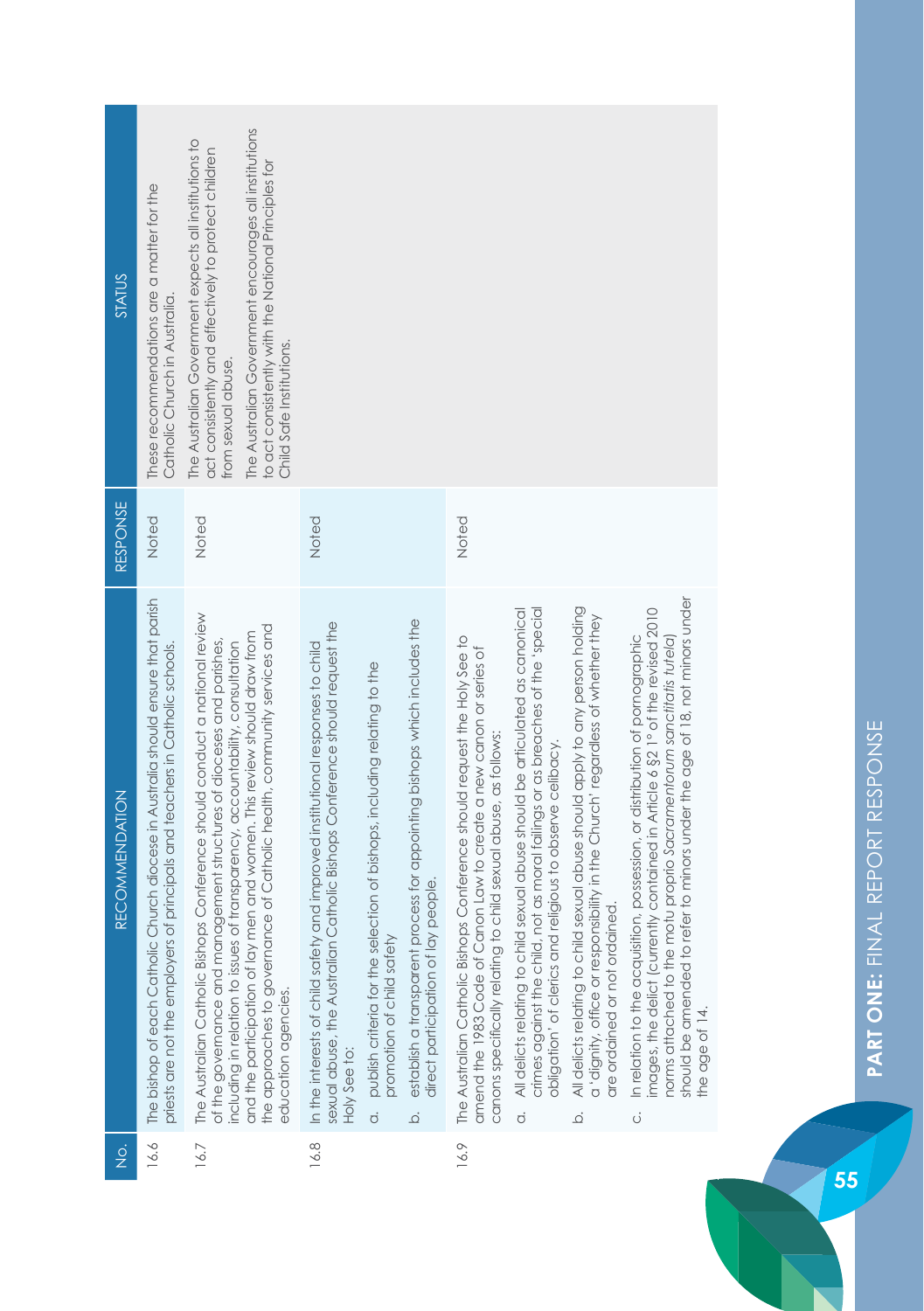| <b>STATUS</b>         | These recommendations are a matter for the<br>Catholic Church in Australia.                                                                                           | The Australian Government encourages all institutions<br>The Australian Government expects all institutions to<br>act consistently and effectively to protect children<br>to act consistently with the National Principles for<br>Child Safe Institutions.<br>from sexual abuse.                                                                                                                                       |                                                                                                                                                                               |                                                                                                                        |                                                                                                                                    |                                                                                                                                                                                                                     |                                                                                                                                                                                                                                                |                                                                                                                                                                                                                    |                                                                                                                                                                                                                                                                                                                                               |
|-----------------------|-----------------------------------------------------------------------------------------------------------------------------------------------------------------------|------------------------------------------------------------------------------------------------------------------------------------------------------------------------------------------------------------------------------------------------------------------------------------------------------------------------------------------------------------------------------------------------------------------------|-------------------------------------------------------------------------------------------------------------------------------------------------------------------------------|------------------------------------------------------------------------------------------------------------------------|------------------------------------------------------------------------------------------------------------------------------------|---------------------------------------------------------------------------------------------------------------------------------------------------------------------------------------------------------------------|------------------------------------------------------------------------------------------------------------------------------------------------------------------------------------------------------------------------------------------------|--------------------------------------------------------------------------------------------------------------------------------------------------------------------------------------------------------------------|-----------------------------------------------------------------------------------------------------------------------------------------------------------------------------------------------------------------------------------------------------------------------------------------------------------------------------------------------|
| RESPONSE              | Noted                                                                                                                                                                 | Noted                                                                                                                                                                                                                                                                                                                                                                                                                  | Noted                                                                                                                                                                         |                                                                                                                        |                                                                                                                                    | Noted                                                                                                                                                                                                               |                                                                                                                                                                                                                                                |                                                                                                                                                                                                                    |                                                                                                                                                                                                                                                                                                                                               |
| <b>RECOMMENDATION</b> | The bishop of each Catholic Church diocese in Australia should ensure that parish<br>of principals and teachers in Catholic schools.<br>priests are not the employers | The Australian Catholic Bishops Conference should conduct a national review<br>the approaches to governance of Catholic health, community services and<br>men and women. This review should draw from<br>of the governance and management structures of dioceses and parishes,<br>including in relation to issues of transparency, accountability, consultation<br>and the participation of lay<br>education agencies. | sexual abuse, the Australian Catholic Bishops Conference should request the<br>In the interests of child safety and improved institutional responses to child<br>Holy See to: | publish criteria for the selection of bishops, including relating to the<br>promotion of child safety<br>$\dot{\circ}$ | establish a transparent process for appointing bishops which includes the<br>direct participation of lay people.<br>$\overline{Q}$ | The Australian Catholic Bishops Conference should request the Holy See to<br>amend the 1983 Code of Canon Law to create a new canon or series of<br>canons specifically relating to child sexual abuse, as follows: | crimes against the child, not as moral failings or as breaches of the 'special<br>All delicts relating to child sexual abuse should be articulated as canonical<br>obligation' of clerics and religious to observe celibacy.<br>$\dot{\sigma}$ | All delicts relating to child sexual abuse should apply to any person holding<br>a 'dignity, office or responsibility in the Church' regardless of whether they<br>are ordained or not ordained.<br>$\overline{Q}$ | refer to minors under the age of 18, not minors under<br>images, the delict (currently contained in Article 6 §2 1° of the revised 2010<br>In relation to the acquisition, possession, or distribution of pornographic<br>norms attached to the motu proprio Sacramentorum sanctitatis tutela)<br>should be amended to<br>the age of 14.<br>ö |
| $\frac{1}{2}$         | 16.6                                                                                                                                                                  | 16.7                                                                                                                                                                                                                                                                                                                                                                                                                   | 16.8                                                                                                                                                                          |                                                                                                                        |                                                                                                                                    | 16.9                                                                                                                                                                                                                |                                                                                                                                                                                                                                                |                                                                                                                                                                                                                    |                                                                                                                                                                                                                                                                                                                                               |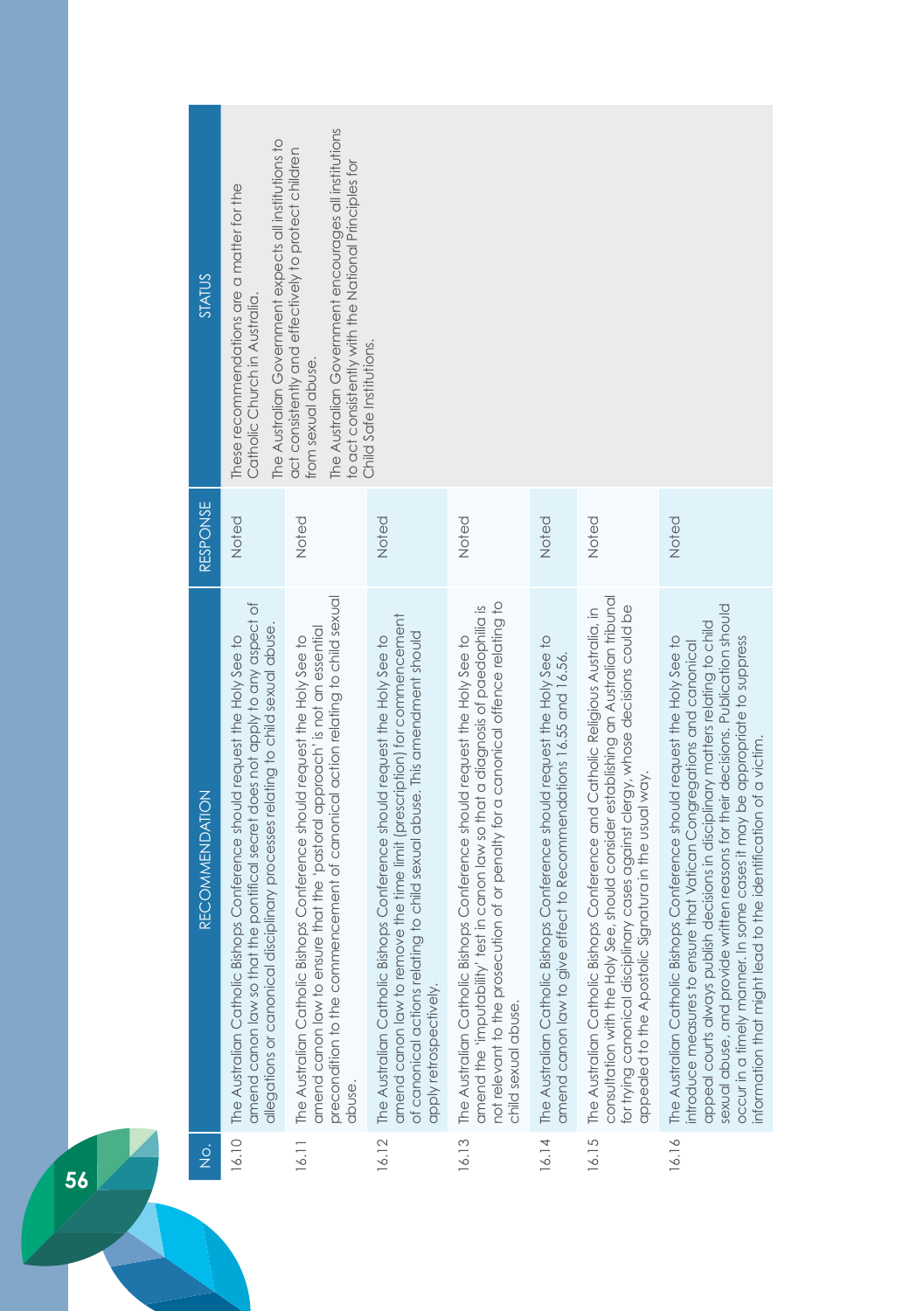| STATUS                                | The Australian Government expects all institutions to<br>These recommendations are a matter for the<br>Catholic Church in Australia.                                                                                                             | The Australian Government encourages all institutions<br>act consistently and effectively to protect children<br>to act consistently with the National Principles for<br>from sexual abuse.                                                        | Child Safe Institutions.                                                                                                                                                                                                                                      |                                                                                                                                                                                                                                                                           |                                                                                                                                                       |                                                                                                                                                                                                                                                                                                                     |                                                                                                                                                                                                                                                                                                                                                                                                                                                                           |
|---------------------------------------|--------------------------------------------------------------------------------------------------------------------------------------------------------------------------------------------------------------------------------------------------|----------------------------------------------------------------------------------------------------------------------------------------------------------------------------------------------------------------------------------------------------|---------------------------------------------------------------------------------------------------------------------------------------------------------------------------------------------------------------------------------------------------------------|---------------------------------------------------------------------------------------------------------------------------------------------------------------------------------------------------------------------------------------------------------------------------|-------------------------------------------------------------------------------------------------------------------------------------------------------|---------------------------------------------------------------------------------------------------------------------------------------------------------------------------------------------------------------------------------------------------------------------------------------------------------------------|---------------------------------------------------------------------------------------------------------------------------------------------------------------------------------------------------------------------------------------------------------------------------------------------------------------------------------------------------------------------------------------------------------------------------------------------------------------------------|
| RESPONSE                              | Noted                                                                                                                                                                                                                                            | Noted                                                                                                                                                                                                                                              | Noted                                                                                                                                                                                                                                                         | Noted                                                                                                                                                                                                                                                                     | Noted                                                                                                                                                 | Noted                                                                                                                                                                                                                                                                                                               | Noted                                                                                                                                                                                                                                                                                                                                                                                                                                                                     |
| <b>RECOMMENDATION</b>                 | the pontifical secret does not apply to any aspect of<br>allegations or canonical disciplinary processes relating to child sexual abuse.<br>The Australian Catholic Bishops Conference should request the Holy See to<br>amend canon law so that | precondition to the commencement of canonical action relating to child sexual<br>amend canon law to ensure that the 'pastaral approach' is not an essential<br>The Australian Catholic Bishops Conference should request the Holy See to<br>abuse. | amend canon law to remove the time limit (prescription) for commencement<br>of canonical actions relating to child sexual abuse. This amendment should<br>The Australian Catholic Bishops Conference should request the Holy See to<br>apply retrospectively. | not relevant to the prosecution of or penalty for a canonical offence relating to<br>amend the 'imputability' test in canon law so that a diagnosis of paedophilia is<br>The Australian Catholic Bishops Conference should request the Holy See to<br>child sexual abuse. | 16.14 The Australian Catholic Bishops Conference should request the Holy See to<br>amend canon law to give effect to Recommendations 16.55 and 16.56. | consultation with the Holy See, should consider establishing an Australian tribunal<br>for trying canonical disciplinary cases against clergy, whose decisions could be<br>The Australian Catholic Bishops Conference and Catholic Religious Australia, in<br>appealed to the Apostolic Signatura in the usual way. | sexual abuse, and provide written reasons for their decisions. Publication should<br>appeal courts always publish decisions in disciplinary matters relating to child<br>The Australian Catholic Bishops Conference should request the Holy See to<br>occur in a timely manner. In some cases it may be appropriate to suppress<br>introduce measures to ensure that Vatican Congregations and canonical<br>nformation that might lead to the identification of a victim. |
| $\frac{\dot{\mathrm{o}}}{\mathrm{Z}}$ | 16.10                                                                                                                                                                                                                                            | 16.11                                                                                                                                                                                                                                              | 16.12                                                                                                                                                                                                                                                         | 16.13                                                                                                                                                                                                                                                                     |                                                                                                                                                       | 16.15                                                                                                                                                                                                                                                                                                               | 16.16                                                                                                                                                                                                                                                                                                                                                                                                                                                                     |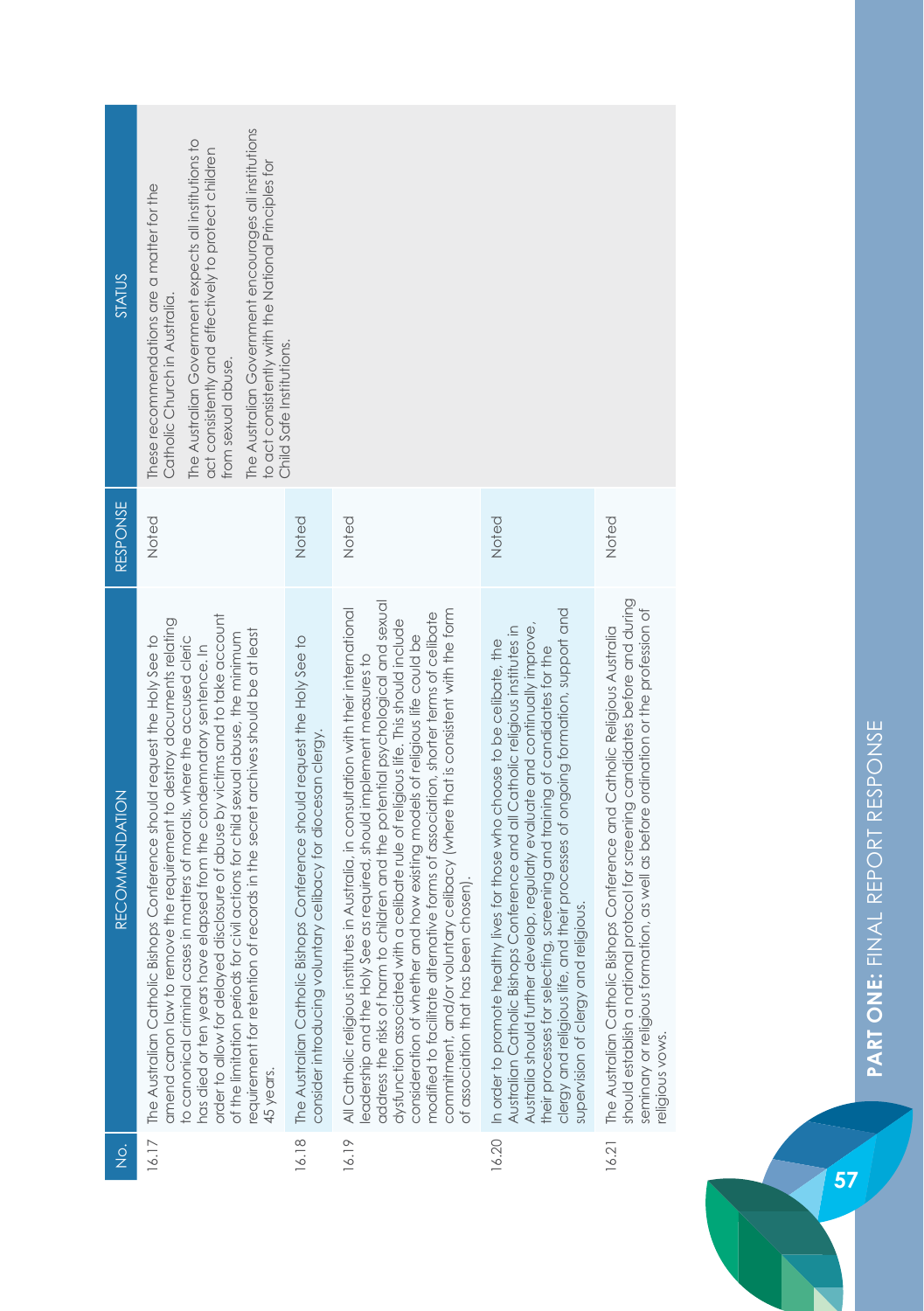| <b>STATUS</b>                         | The Australian Government encourages all institutions<br>The Australian Government expects all institutions to<br>act consistently and effectively to protect children<br>to act consistently with the National Principles for<br>These recommendations are a matter for the<br>Catholic Church in Australia.<br>from sexual abuse.                                                                                                                                                                                                                                            | Child Safe Institutions.                                                                                                                  |                                                                                                                                                                                                                                                                                                                                                                                                                                                                                                                                                                                                                                                  |                                                                                                                                                                                                                                                                                                                                                                                                                                                                 |                                                                                                                                                                                                                                                                        |
|---------------------------------------|--------------------------------------------------------------------------------------------------------------------------------------------------------------------------------------------------------------------------------------------------------------------------------------------------------------------------------------------------------------------------------------------------------------------------------------------------------------------------------------------------------------------------------------------------------------------------------|-------------------------------------------------------------------------------------------------------------------------------------------|--------------------------------------------------------------------------------------------------------------------------------------------------------------------------------------------------------------------------------------------------------------------------------------------------------------------------------------------------------------------------------------------------------------------------------------------------------------------------------------------------------------------------------------------------------------------------------------------------------------------------------------------------|-----------------------------------------------------------------------------------------------------------------------------------------------------------------------------------------------------------------------------------------------------------------------------------------------------------------------------------------------------------------------------------------------------------------------------------------------------------------|------------------------------------------------------------------------------------------------------------------------------------------------------------------------------------------------------------------------------------------------------------------------|
| <b>RESPONSE</b>                       | Noted                                                                                                                                                                                                                                                                                                                                                                                                                                                                                                                                                                          | Noted                                                                                                                                     | Noted                                                                                                                                                                                                                                                                                                                                                                                                                                                                                                                                                                                                                                            | Noted                                                                                                                                                                                                                                                                                                                                                                                                                                                           | Noted                                                                                                                                                                                                                                                                  |
| <b>RECOMMENDATION</b>                 | order to allow for delayed disclosure of abuse by victims and to take account<br>amend canon law to remove the requirement to destroy documents relating<br>requirement for retention of records in the secret archives should be at least<br>of the limitation periods for civil actions for child sexual abuse, the minimum<br>The Australian Catholic Bishops Conference should request the Holy See to<br>to canonical criminal cases in matters of morals, where the accused cleric<br>has died or ten years have elapsed from the condemnatory sentence. In<br>45 years. | The Australian Catholic Bishops Conference should request the Holy See to<br>consider introducing voluntary celibacy for diocesan clergy. | address the risks of harm to children and the potential psychological and sexual<br>All Catholic religious institutes in Australia, in consultation with their international<br>commitment, and/or voluntary celibacy (where that is consistent with the form<br>modified to facilitate alternative forms of association, shorter terms of celibate<br>a celibate rule of religious life. This should include<br>consideration of whether and how existing models of religious life could be<br>leadership and the Holy See as required, should implement measures to<br>chosen).<br>of association that has been<br>dysfunction associated with | their processes of ongoing formation, support and<br>Australia should further develop, regularly evaluate and continually improve,<br>Australian Catholic Bishops Conference and all Catholic religious institutes in<br>In order to promote healthy lives for those who choose to be celibate, the<br>screening and training of candidates for the<br>supervision of clergy and religious.<br>clergy and religious life, and<br>their processes for selecting, | should establish a national protocol for screening candidates before and during<br>seminary or religious formation, as well as before ordination or the profession of<br>The Australian Catholic Bishops Conference and Catholic Religious Australia<br>eligious vows. |
| $\frac{\dot{\mathrm{o}}}{\mathrm{Z}}$ | 16.17                                                                                                                                                                                                                                                                                                                                                                                                                                                                                                                                                                          | 16.18                                                                                                                                     | 16.19                                                                                                                                                                                                                                                                                                                                                                                                                                                                                                                                                                                                                                            | 16.20                                                                                                                                                                                                                                                                                                                                                                                                                                                           | 16.21                                                                                                                                                                                                                                                                  |

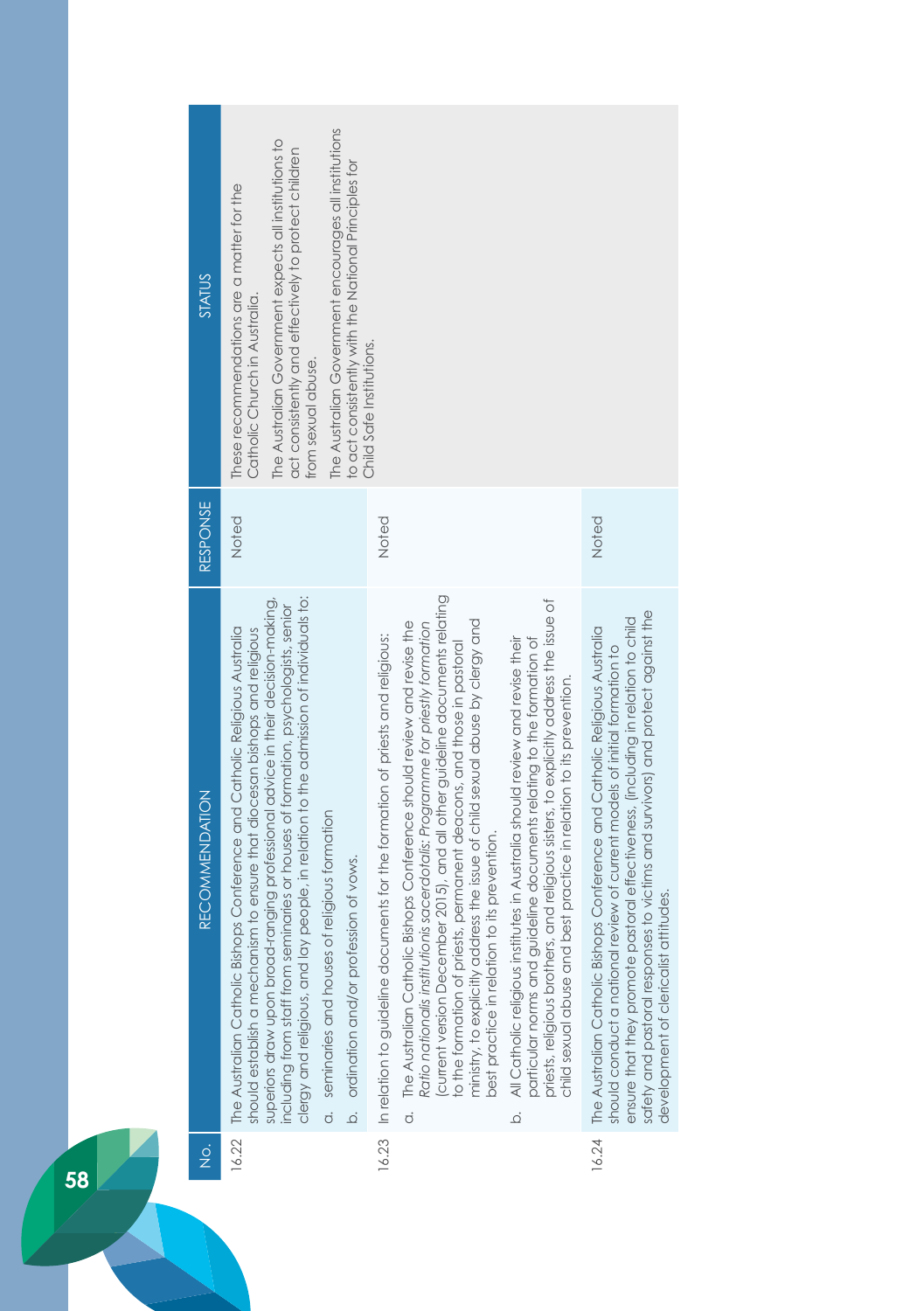| STATUS                                | The Australian Government encourages all institutions<br>The Australian Government expects all institutions to<br>act consistently and effectively to protect children<br>to act consistently with the National Principles for<br>These recommendations are a matter for the<br>Catholic Church in Australia.<br>Child Safe Institutions.<br>from sexual abuse.                                                                                                                                                                                                |                                                                                                                                                                                                                                                                                                                                                                                                                                                                                                                                                                                                                                                                                                                                                                                                                                                                                             |                                                                                                                                                                                                                                                                                                                                                                              |
|---------------------------------------|----------------------------------------------------------------------------------------------------------------------------------------------------------------------------------------------------------------------------------------------------------------------------------------------------------------------------------------------------------------------------------------------------------------------------------------------------------------------------------------------------------------------------------------------------------------|---------------------------------------------------------------------------------------------------------------------------------------------------------------------------------------------------------------------------------------------------------------------------------------------------------------------------------------------------------------------------------------------------------------------------------------------------------------------------------------------------------------------------------------------------------------------------------------------------------------------------------------------------------------------------------------------------------------------------------------------------------------------------------------------------------------------------------------------------------------------------------------------|------------------------------------------------------------------------------------------------------------------------------------------------------------------------------------------------------------------------------------------------------------------------------------------------------------------------------------------------------------------------------|
| RESPONSE                              | Noted                                                                                                                                                                                                                                                                                                                                                                                                                                                                                                                                                          | Noted                                                                                                                                                                                                                                                                                                                                                                                                                                                                                                                                                                                                                                                                                                                                                                                                                                                                                       | Noted                                                                                                                                                                                                                                                                                                                                                                        |
| <b>RECOMMENDATION</b>                 | clergy and religious, and lay people, in relation to the admission of individuals to:<br>superiors draw upon broad-ranging professional advice in their decision-making,<br>including from staff from seminaries or houses of formation, psychologists, senior<br>16.22 The Australian Catholic Bishops Conference and Catholic Religious Australia<br>should establish a mechanism to ensure that diocesan bishops and religious<br>seminaries and houses of religious formation<br>ordination and/or profession of vows.<br>$\overline{a}$<br>$\overline{Q}$ | current version December 2015), and all other guideline documents relating<br>priests, religious brothers, and religious sisters, to explicitly address the issue of<br>ministry, to explicitly address the issue of child sexual abuse by clergy and<br>a. The Australian Catholic Bishops Conference should review and revise the<br>Ratio nationalis institutionis sacerdotalis: Programme for priestly formation<br>16.23 In relation to guideline documents for the formation of priests and religious:<br>particular norms and guideline documents relating to the formation of<br>All Catholic religious institutes in Australia should review and revise their<br>to the formation of priests, permanent deacons, and those in pastoral<br>best practice in relation to its prevention.<br>best practice in relation to its prevention.<br>child sexual abuse and<br>$\overline{Q}$ | safety and pastoral responses to victims and survivors) and protect against the<br>ensure that they promote pastoral effectiveness, (including in relation to child<br>The Australian Catholic Bishops Conference and Catholic Religious Australia<br>review of current models of initial formation to<br>development of clericalist attitudes.<br>should conduct a national |
| $\frac{\dot{\mathrm{o}}}{\mathrm{Z}}$ |                                                                                                                                                                                                                                                                                                                                                                                                                                                                                                                                                                |                                                                                                                                                                                                                                                                                                                                                                                                                                                                                                                                                                                                                                                                                                                                                                                                                                                                                             | 16.24                                                                                                                                                                                                                                                                                                                                                                        |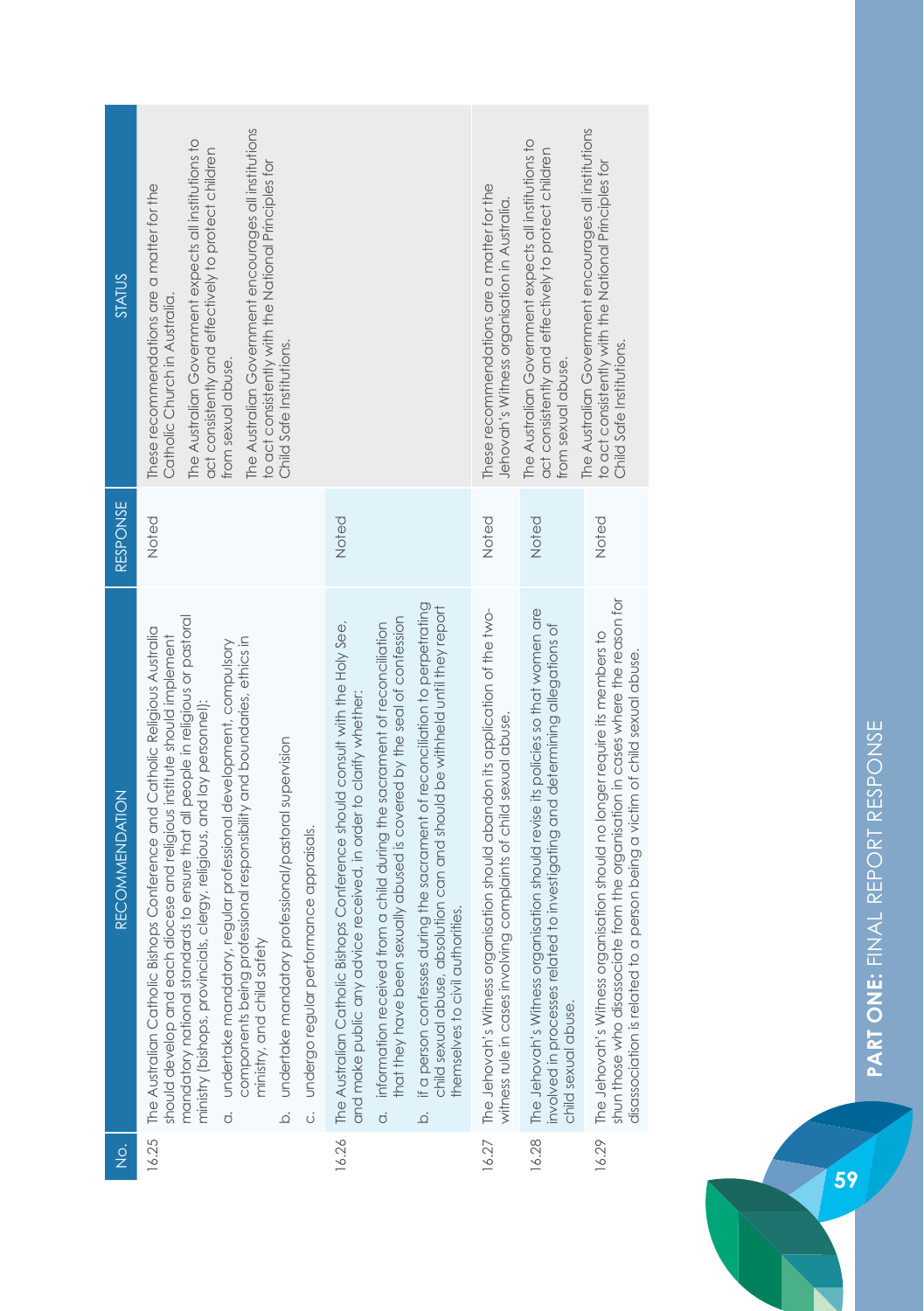| <b>STATUS</b>         | The Australian Government encourages all institutions<br>The Australian Government expects all institutions to<br>act consistently and effectively to protect children<br>to act consistently with the National Principles for<br>These recommendations are a matter for the<br>Catholic Church in Australia.<br>Child Safe Institutions.<br>from sexual abuse.                                                                                                                                                                                                                                                                                     |                                                                                                                                                                                                                                                                                                                                                                                                                                                                                                                                                        | These recommendations are a matter for the<br>Jehovah's Witness organisation in Australia.                                                         | The Australian Government expects all institutions to<br>act consistently and effectively to protect children<br>from sexual abuse.                                                     | The Australian Government encourages all institutions<br>to act consistently with the National Principles for<br>Child Safe Institutions.                                                                                                       |
|-----------------------|-----------------------------------------------------------------------------------------------------------------------------------------------------------------------------------------------------------------------------------------------------------------------------------------------------------------------------------------------------------------------------------------------------------------------------------------------------------------------------------------------------------------------------------------------------------------------------------------------------------------------------------------------------|--------------------------------------------------------------------------------------------------------------------------------------------------------------------------------------------------------------------------------------------------------------------------------------------------------------------------------------------------------------------------------------------------------------------------------------------------------------------------------------------------------------------------------------------------------|----------------------------------------------------------------------------------------------------------------------------------------------------|-----------------------------------------------------------------------------------------------------------------------------------------------------------------------------------------|-------------------------------------------------------------------------------------------------------------------------------------------------------------------------------------------------------------------------------------------------|
| RESPONSE              | Noted                                                                                                                                                                                                                                                                                                                                                                                                                                                                                                                                                                                                                                               | Noted                                                                                                                                                                                                                                                                                                                                                                                                                                                                                                                                                  | Noted                                                                                                                                              | Noted                                                                                                                                                                                   | Noted                                                                                                                                                                                                                                           |
| <b>RECOMMENDATION</b> | mandatory national standards to ensure that all people in religious or pastoral<br>The Australian Catholic Bishops Conference and Catholic Religious Australia<br>should develop and each diocese and religious institute should implement<br>components being professional responsibility and boundaries, ethics in<br>undertake mandatory, regular professional development, compulsory<br>ministry (bishops, provincials, clergy, religious, and lay personnel):<br>undertake mandatory professional/pastoral supervision<br>undergo regular performance appraisals.<br>ministry, and child safety<br>.<br>Ö<br>$\overline{Q}$<br>$\dot{\sigma}$ | if a person confesses during the sacrament of reconciliation to perpetrating<br>child sexual abuse, absolution can and should be withheld until they report<br>that they have been sexually abused is covered by the seal of confession<br>information received from a child during the sacrament of reconciliation<br>16.26 The Australian Catholic Bishops Conference should consult with the Holy See,<br>and make public any advice received, in order to clarify whether:<br>themselves to civil authorities.<br>$\overline{c}$<br>$\overline{Q}$ | The Jehovah's Witness organisation should abandon its application of the two-<br>witness rule in cases involving complaints of child sexual abuse. | The Jehovah's Witness organisation should revise its policies so that women are<br>involved in processes related to investigating and determining allegations of<br>child sexual abuse. | shun those who disassociate from the organisation in cases where the reason for<br>The Jehovah's Witness organisation should no longer require its members to<br>person being a victim of child sexual abuse.<br>disassociation is related to a |
| $\frac{1}{2}$         | 16.25                                                                                                                                                                                                                                                                                                                                                                                                                                                                                                                                                                                                                                               |                                                                                                                                                                                                                                                                                                                                                                                                                                                                                                                                                        | 16.27                                                                                                                                              | 16.28                                                                                                                                                                                   | 16.29                                                                                                                                                                                                                                           |

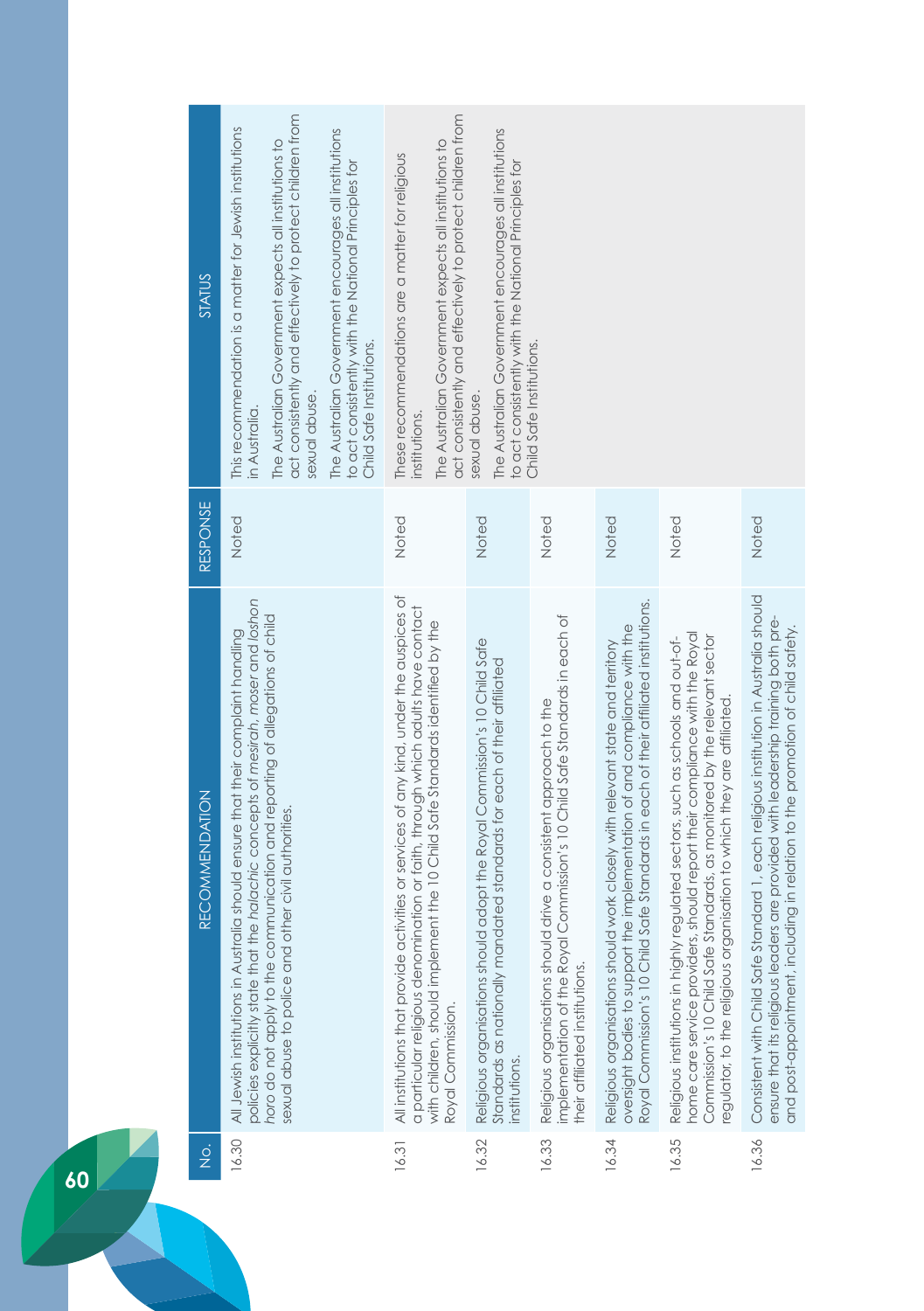| <b>STATUS</b>         | act consistently and effectively to protect children from<br>This recommendation is a matter for Jewish institutions<br>The Australian Government encourages all institutions<br>The Australian Government expects all institutions to<br>to act consistently with the National Principles for<br>Child Safe Institutions.<br>sexual abuse<br>in Australia. | act consistently and effectively to protect children from<br>The Australian Government expects all institutions to<br>These recommendations are a matter for religious<br>institutions.                                                                                          | The Australian Government encourages all institutions<br>to act consistently with the National Principles for<br>sexual abuse.                                        | Child Safe Institutions.                                                                                                                                                           |                                                                                                                                                                                                                                                       |                                                                                                                                                                                                                                                                                                                      |                                                                                                                                                                                                                                                             |
|-----------------------|-------------------------------------------------------------------------------------------------------------------------------------------------------------------------------------------------------------------------------------------------------------------------------------------------------------------------------------------------------------|----------------------------------------------------------------------------------------------------------------------------------------------------------------------------------------------------------------------------------------------------------------------------------|-----------------------------------------------------------------------------------------------------------------------------------------------------------------------|------------------------------------------------------------------------------------------------------------------------------------------------------------------------------------|-------------------------------------------------------------------------------------------------------------------------------------------------------------------------------------------------------------------------------------------------------|----------------------------------------------------------------------------------------------------------------------------------------------------------------------------------------------------------------------------------------------------------------------------------------------------------------------|-------------------------------------------------------------------------------------------------------------------------------------------------------------------------------------------------------------------------------------------------------------|
| RESPONSE              | Noted                                                                                                                                                                                                                                                                                                                                                       | Noted                                                                                                                                                                                                                                                                            | Noted                                                                                                                                                                 | Noted                                                                                                                                                                              | Noted                                                                                                                                                                                                                                                 | Noted                                                                                                                                                                                                                                                                                                                | Noted                                                                                                                                                                                                                                                       |
| <b>RECOMMENDATION</b> | policies explicitly state that the halachic concepts of mesirah, moser and loshon<br>horo do not apply to the communication and reporting of allegations of child<br>All Jewish institutions in Australia should ensure that their complaint handling<br>other civil authorities.<br>sexual abuse to police and                                             | All institutions that provide activities or services of any kind, under the auspices of<br>a particular religious denomination or faith, through which adults have contact<br>with children, should implement the 10 Child Safe Standards identified by the<br>Royal Commission. | Religious organisations should adopt the Royal Commission's 10 Child Safe<br>Standards as nationally mandated standards for each of their affiliated<br>institutions. | implementation of the Royal Commission's 10 Child Safe Standards in each of<br>Religious organisations should drive a consistent approach to the<br>their affiliated institutions. | Royal Commission's 10 Child Safe Standards in each of their affiliated institutions.<br>the implementation of and compliance with the<br>Religious organisations should work closely with relevant state and territory<br>oversight bodies to support | home care service providers, should report their compliance with the Royal<br>Commission's 10 Child Safe Standards, as monitored by the relevant sector<br>Religious institutions in highly regulated sectors, such as schools and out-of-<br>regulator, to the religious organisation to which they are affiliated. | Consistent with Child Safe Standard 1, each religious institution in Australia should<br>ensure that its religious leaders are provided with leadership training both pre-<br>and post-appointment, including in relation to the promotion of child safety. |
| $\frac{1}{2}$         | 16.30                                                                                                                                                                                                                                                                                                                                                       | 16.31                                                                                                                                                                                                                                                                            | 16.32                                                                                                                                                                 | 16.33                                                                                                                                                                              | 16.34                                                                                                                                                                                                                                                 | 16.35                                                                                                                                                                                                                                                                                                                | 16.36                                                                                                                                                                                                                                                       |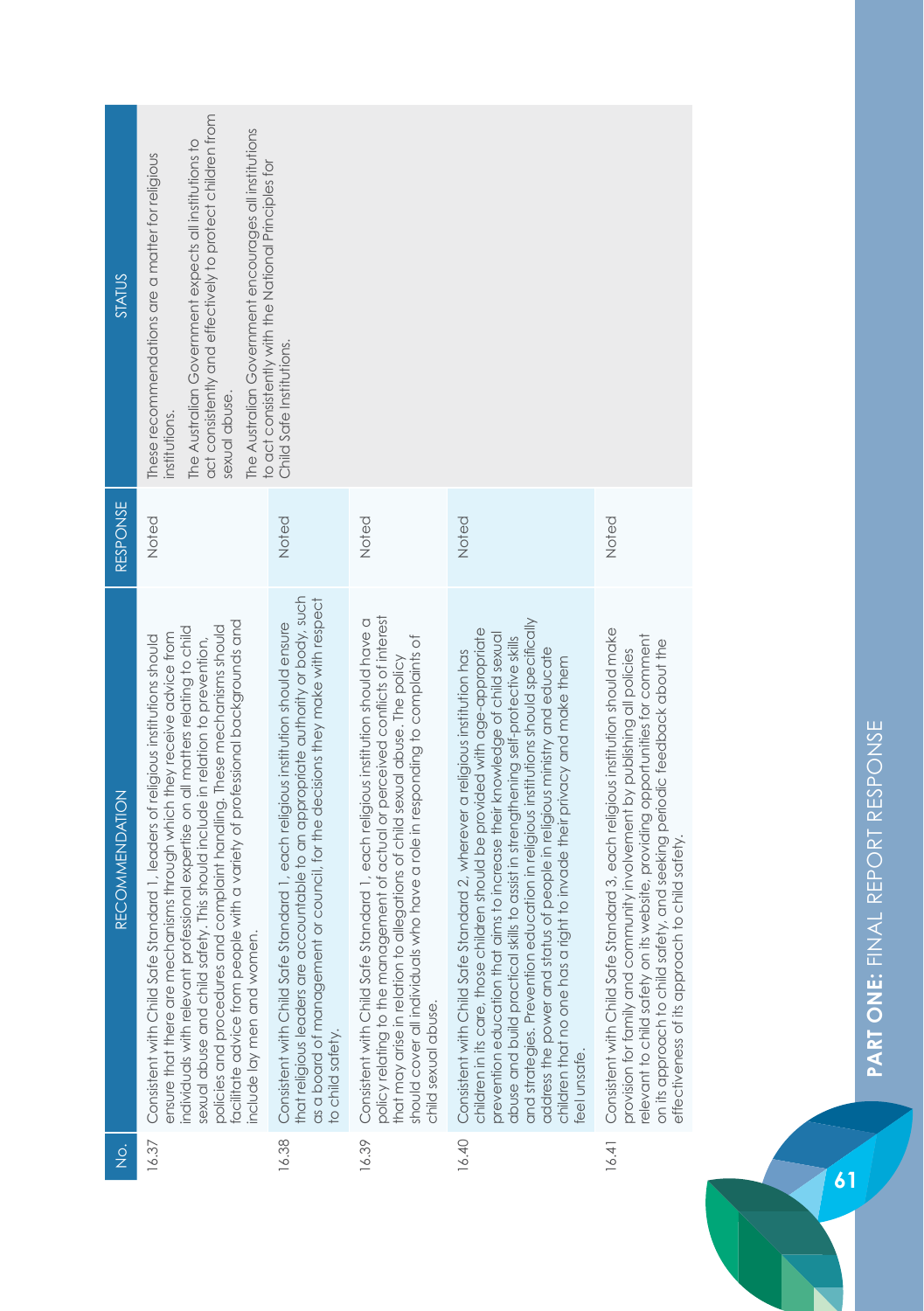| STATUS                | act consistently and effectively to protect children from<br>The Australian Government encourages all institutions<br>The Australian Government expects all institutions to<br>These recommendations are a matter for religious<br>to act consistently with the National Principles for                                                                                                                                                                                                                                     | Child Safe Institutions.                                                                                                                                                                                                                                                    |                                                                                                                                                                                                                                                                                                                                                        |                                                                                                                                                                                                                                                                                                                                                                                                                                                                                                                                                                                            |                                                                                                                                                                                                                                                                                                                                                                            |
|-----------------------|-----------------------------------------------------------------------------------------------------------------------------------------------------------------------------------------------------------------------------------------------------------------------------------------------------------------------------------------------------------------------------------------------------------------------------------------------------------------------------------------------------------------------------|-----------------------------------------------------------------------------------------------------------------------------------------------------------------------------------------------------------------------------------------------------------------------------|--------------------------------------------------------------------------------------------------------------------------------------------------------------------------------------------------------------------------------------------------------------------------------------------------------------------------------------------------------|--------------------------------------------------------------------------------------------------------------------------------------------------------------------------------------------------------------------------------------------------------------------------------------------------------------------------------------------------------------------------------------------------------------------------------------------------------------------------------------------------------------------------------------------------------------------------------------------|----------------------------------------------------------------------------------------------------------------------------------------------------------------------------------------------------------------------------------------------------------------------------------------------------------------------------------------------------------------------------|
| RESPONSE              | sexual abuse.<br>institutions<br>Noted                                                                                                                                                                                                                                                                                                                                                                                                                                                                                      | Noted                                                                                                                                                                                                                                                                       | Noted                                                                                                                                                                                                                                                                                                                                                  | Noted                                                                                                                                                                                                                                                                                                                                                                                                                                                                                                                                                                                      | Noted                                                                                                                                                                                                                                                                                                                                                                      |
| <b>RECOMMENDATION</b> | facilitate advice from people with a variety of professional backgrounds and<br>complaint handling. These mechanisms should<br>individuals with relevant professional expertise on all matters relating to child<br>ensure that there are mechanisms through which they receive advice from<br>Consistent with Child Safe Standard 1, leaders of religious institutions should<br>sexual abuse and child safety. This should include in relation to prevention,<br>policies and procedures and<br>include lay men and women | that religious leaders are accountable to an appropriate authority or body, such<br>or council, for the decisions they make with respect<br>Consistent with Child Safe Standard 1, each religious institution should ensure<br>as a board of management<br>to child safety. | policy relating to the management of actual or perceived conflicts of interest<br>Consistent with Child Safe Standard 1, each religious institution should have a<br>should cover all individuals who have a role in responding to complaints of<br>that may arise in relation to allegations of child sexual abuse. The policy<br>child sexual abuse. | and strategies. Prevention education in religious institutions should specifically<br>children in its care, those children should be provided with age-appropriate<br>prevention education that aims to increase their knowledge of child sexual<br>abuse and build practical skills to assist in strengthening self-protective skills<br>address the power and status of people in religious ministry and educate<br>Consistent with Child Safe Standard 2, wherever a religious institution has<br>children that no one has a right to invade their privacy and make them<br>eel unsafe. | Consistent with Child Safe Standard 3, each religious institution should make<br>elevant to child safety on its website, providing opportunities for comment<br>on its approach to child safety, and seeking periodic feedback about the<br>provision for family and community involvement by publishing all policies<br>to child safety.<br>effectiveness of its approach |
| $\frac{1}{2}$         | 16.37                                                                                                                                                                                                                                                                                                                                                                                                                                                                                                                       | 16.38                                                                                                                                                                                                                                                                       | 16.39                                                                                                                                                                                                                                                                                                                                                  | 16.40                                                                                                                                                                                                                                                                                                                                                                                                                                                                                                                                                                                      | 16.41                                                                                                                                                                                                                                                                                                                                                                      |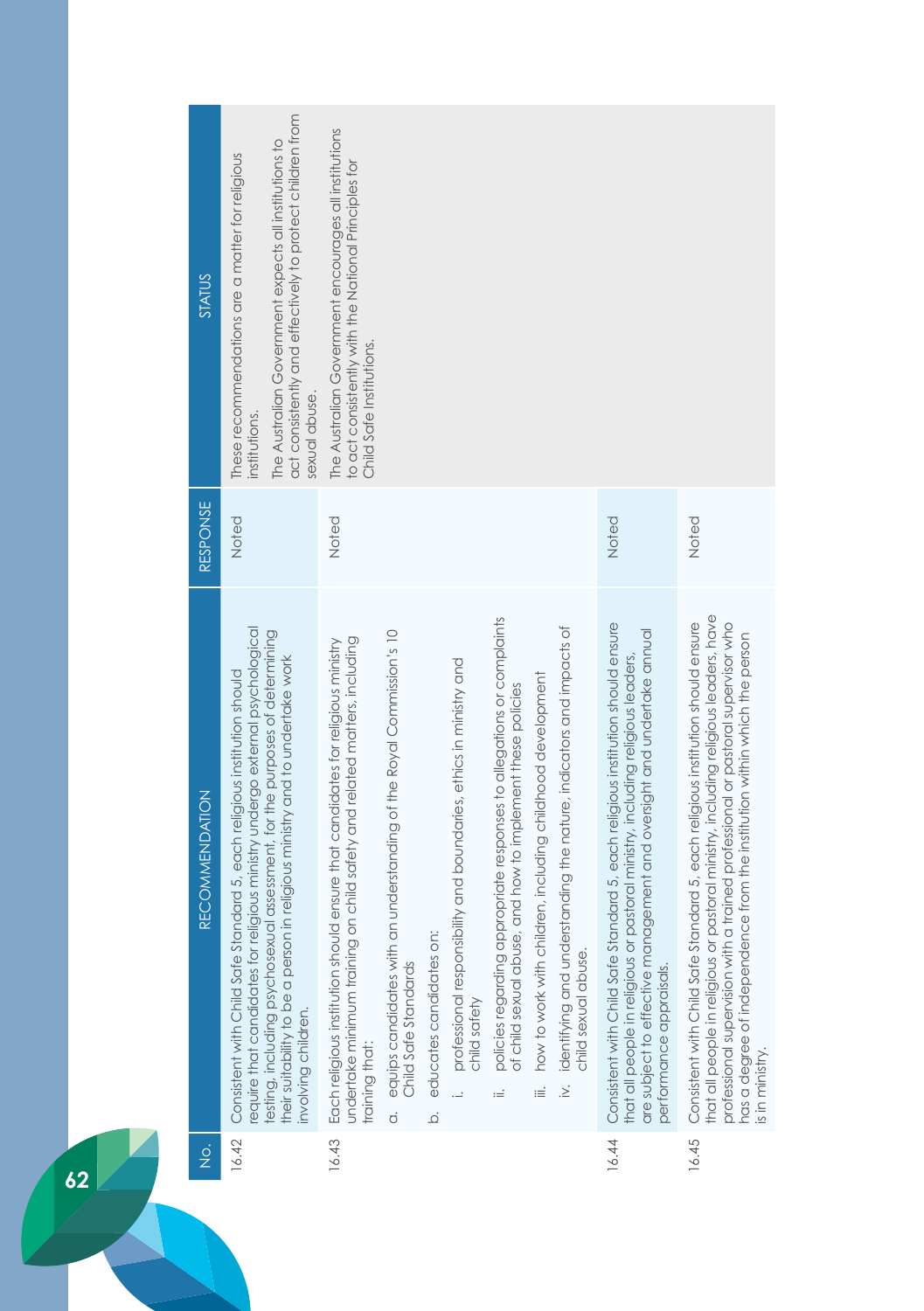| STATUS                | act consistently and effectively to protect children from<br>The Australian Government expects all institutions to<br>These recommendations are a matter for religious<br>sexual abuse.<br>institutions.                                                                                                                                              | The Australian Government encourages all institutions<br>to act consistently with the National Principles for<br>Child Safe Institutions.                                                                                                                                                              |                                                                                                                                                                                                                                                                                                                                                                                                                                                                   |                                                                                                                                                                                                                                                                                  |                                                                                                                                                                                                                                                                                                                                                                   |
|-----------------------|-------------------------------------------------------------------------------------------------------------------------------------------------------------------------------------------------------------------------------------------------------------------------------------------------------------------------------------------------------|--------------------------------------------------------------------------------------------------------------------------------------------------------------------------------------------------------------------------------------------------------------------------------------------------------|-------------------------------------------------------------------------------------------------------------------------------------------------------------------------------------------------------------------------------------------------------------------------------------------------------------------------------------------------------------------------------------------------------------------------------------------------------------------|----------------------------------------------------------------------------------------------------------------------------------------------------------------------------------------------------------------------------------------------------------------------------------|-------------------------------------------------------------------------------------------------------------------------------------------------------------------------------------------------------------------------------------------------------------------------------------------------------------------------------------------------------------------|
| RESPONSE              | Noted                                                                                                                                                                                                                                                                                                                                                 | Noted                                                                                                                                                                                                                                                                                                  |                                                                                                                                                                                                                                                                                                                                                                                                                                                                   | Noted                                                                                                                                                                                                                                                                            | Noted                                                                                                                                                                                                                                                                                                                                                             |
| <b>RECOMMENDATION</b> | religious ministry undergo external psychological<br>testing, including psychosexual assessment, for the purposes of determining<br>their suitability to be a person in religious ministry and to undertake work<br>andard 5, each religious institution should<br>Consistent with Child Safe St<br>equire that candidates for<br>involving children. | equips candidates with an understanding of the Royal Commission's 10<br>undertake minimum training on child safety and related matters, including<br>16.43 Each religious institution should ensure that candidates for religious ministry<br>Child Safe Standards<br>training that:<br>$\dot{\sigma}$ | policies regarding appropriate responses to allegations or complaints<br>identifying and understanding the nature, indicators and impacts of<br>professional responsibility and boundaries, ethics in ministry and<br>how to work with children, including childhood development<br>of child sexual abuse, and how to implement these policies<br>educates candidates on:<br>child sexual abuse.<br>child safety<br>$\frac{1}{2}$<br><br>≔<br>≔<br>$\overline{Q}$ | andard 5, each religious institution should ensure<br>nagement and oversight and undertake annual<br>that all people in religious or pastoral ministry, including religious leaders,<br>Consistent with Child Safe St<br>are subject to effective mar<br>performance appraisals. | that all people in religious or pastoral ministry, including religious leaders, have<br>a trained professional or pastoral supervisor who<br>andard 5, each religious institution should ensure<br>has a degree of independence from the institution within which the person<br>Consistent with Child Safe St<br>professional supervision with<br>is in ministry. |
| $\frac{1}{2}$         | 16.42                                                                                                                                                                                                                                                                                                                                                 |                                                                                                                                                                                                                                                                                                        |                                                                                                                                                                                                                                                                                                                                                                                                                                                                   | 16.44                                                                                                                                                                                                                                                                            | 16.45                                                                                                                                                                                                                                                                                                                                                             |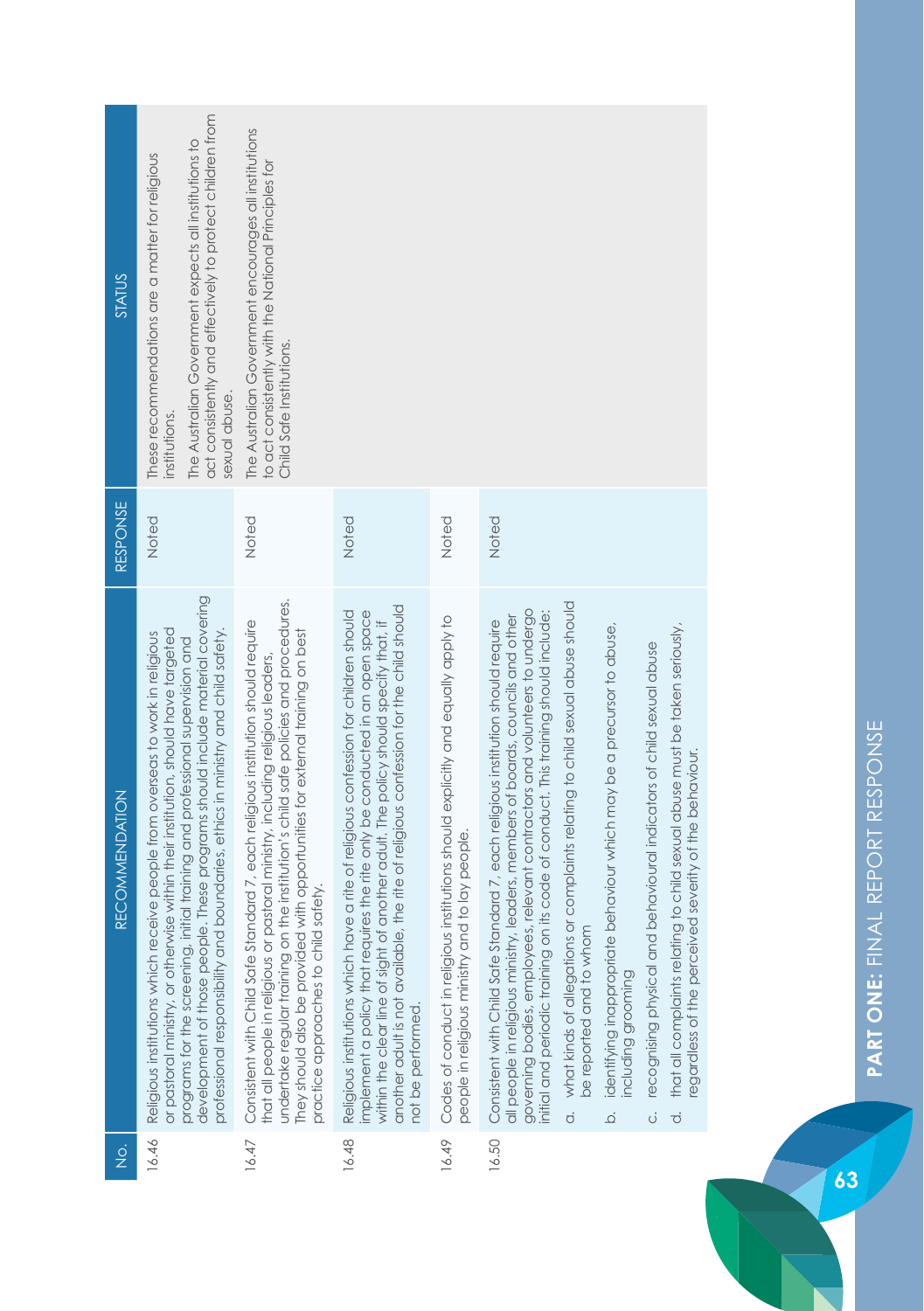| <b>STATUS</b>                         | act consistently and effectively to protect children from<br>The Australian Government expects all institutions to<br>These recommendations are a matter for religious                                                                                                                                                                                                                                                      | The Australian Government encourages all institutions<br>to act consistently with the National Principles for<br>Child Safe Institutions.                                                                                                                                                                                                                                              |                                                                                                                                                                                                                                                                                                                                                                           |                                                                                                                                         |                                                                                                                                                                                                                                                                                                                                                                                                                                                                                                                                                                                                                                                                                                                                                                                                                 |  |
|---------------------------------------|-----------------------------------------------------------------------------------------------------------------------------------------------------------------------------------------------------------------------------------------------------------------------------------------------------------------------------------------------------------------------------------------------------------------------------|----------------------------------------------------------------------------------------------------------------------------------------------------------------------------------------------------------------------------------------------------------------------------------------------------------------------------------------------------------------------------------------|---------------------------------------------------------------------------------------------------------------------------------------------------------------------------------------------------------------------------------------------------------------------------------------------------------------------------------------------------------------------------|-----------------------------------------------------------------------------------------------------------------------------------------|-----------------------------------------------------------------------------------------------------------------------------------------------------------------------------------------------------------------------------------------------------------------------------------------------------------------------------------------------------------------------------------------------------------------------------------------------------------------------------------------------------------------------------------------------------------------------------------------------------------------------------------------------------------------------------------------------------------------------------------------------------------------------------------------------------------------|--|
|                                       | sexual abuse.<br>institutions.                                                                                                                                                                                                                                                                                                                                                                                              |                                                                                                                                                                                                                                                                                                                                                                                        |                                                                                                                                                                                                                                                                                                                                                                           |                                                                                                                                         |                                                                                                                                                                                                                                                                                                                                                                                                                                                                                                                                                                                                                                                                                                                                                                                                                 |  |
| <b>RESPONSE</b>                       | Noted                                                                                                                                                                                                                                                                                                                                                                                                                       | Noted                                                                                                                                                                                                                                                                                                                                                                                  | Noted                                                                                                                                                                                                                                                                                                                                                                     | Noted                                                                                                                                   | Noted                                                                                                                                                                                                                                                                                                                                                                                                                                                                                                                                                                                                                                                                                                                                                                                                           |  |
| <b>RECOMMENDATION</b>                 | development of those people. These programs should include material covering<br>or pastoral ministry, or otherwise within their institution, should have targeted<br>boundaries, ethics in ministry and child safety.<br>Religious institutions which receive people from overseas to work in religious<br>programs for the screening, initial training and professional supervision and<br>professional responsibility and | undertake regular training on the institution's child safe policies and procedures.<br>Consistent with Child Safe Standard 7, each religious institution should require<br>They should also be provided with opportunities for external training on best<br>that all people in religious or pastoral ministry, including religious leaders,<br>safety.<br>practice approaches to child | another adult is not available, the rite of religious confession for the child should<br>implement a policy that requires the rite only be conducted in an open space<br>Religious institutions which have a rite of religious confession for children should<br>within the clear line of sight of another adult. The policy should specify that, if<br>not be performed. | institutions should explicitly and equally apply to<br>people in religious ministry and to lay people.<br>Codes of conduct in religious | what kinds of allegations or complaints relating to child sexual abuse should<br>governing bodies, employees, relevant contractors and volunteers to undergo<br>initial and periodic training on its code of conduct. This training should include:<br>all people in religious ministry, leaders, members of boards, councils and other<br>Consistent with Child Safe Standard 7, each religious institution should require<br>that all complaints relating to child sexual abuse must be taken seriously,<br>identifying inappropriate behaviour which may be a precursor to abuse,<br>recognising physical and behavioural indicators of child sexual abuse<br>egardless of the perceived severity of the behaviour.<br>be reported and to whom<br>ncluding grooming<br>$\overline{c}$<br>$\vec{o}$<br>ة<br>ö |  |
| $\frac{\dot{\mathrm{o}}}{\mathrm{Z}}$ | 16.46                                                                                                                                                                                                                                                                                                                                                                                                                       | 16.47                                                                                                                                                                                                                                                                                                                                                                                  | 16.48                                                                                                                                                                                                                                                                                                                                                                     | 16.49                                                                                                                                   | 16.50                                                                                                                                                                                                                                                                                                                                                                                                                                                                                                                                                                                                                                                                                                                                                                                                           |  |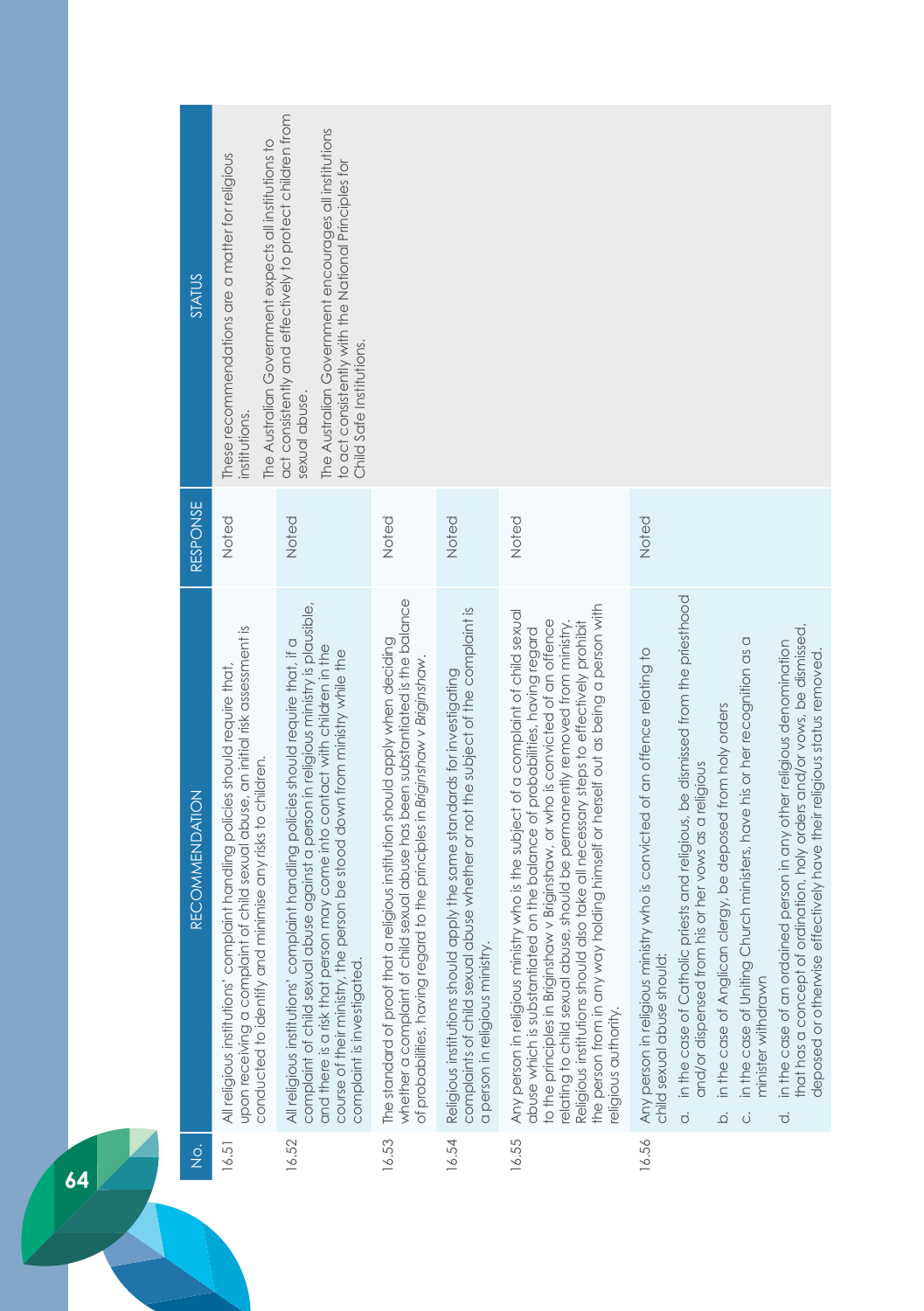| <b>STATUS</b>         | The Australian Government expects all institutions to<br>These recommendations are a matter for religious<br>institutions.                                                                                                      | act consistently and effectively to protect children from<br>The Australian Government encourages all institutions<br>to act consistently with the National Principles for<br>Child Safe Institutions.<br>sexual abuse.                                                                                                                                             |                                                                                                                                                                                                                                                      |                                                                                                                                                                                                |                                                                                                                                                                                                                                                                                                                                                                                                                                                                                                                                           |                                                                                                                                                                                                                                                                                                                                                                                                                                                                                                                                                                                                                                                                                                                             |
|-----------------------|---------------------------------------------------------------------------------------------------------------------------------------------------------------------------------------------------------------------------------|---------------------------------------------------------------------------------------------------------------------------------------------------------------------------------------------------------------------------------------------------------------------------------------------------------------------------------------------------------------------|------------------------------------------------------------------------------------------------------------------------------------------------------------------------------------------------------------------------------------------------------|------------------------------------------------------------------------------------------------------------------------------------------------------------------------------------------------|-------------------------------------------------------------------------------------------------------------------------------------------------------------------------------------------------------------------------------------------------------------------------------------------------------------------------------------------------------------------------------------------------------------------------------------------------------------------------------------------------------------------------------------------|-----------------------------------------------------------------------------------------------------------------------------------------------------------------------------------------------------------------------------------------------------------------------------------------------------------------------------------------------------------------------------------------------------------------------------------------------------------------------------------------------------------------------------------------------------------------------------------------------------------------------------------------------------------------------------------------------------------------------------|
| RESPONSE              | Noted                                                                                                                                                                                                                           | Noted                                                                                                                                                                                                                                                                                                                                                               | Noted                                                                                                                                                                                                                                                | Noted                                                                                                                                                                                          | Noted                                                                                                                                                                                                                                                                                                                                                                                                                                                                                                                                     | Noted                                                                                                                                                                                                                                                                                                                                                                                                                                                                                                                                                                                                                                                                                                                       |
| <b>RECOMMENDATION</b> | of child sexual abuse, an initial risk assessment is<br>All religious institutions' complaint handling policies should require that,<br>conducted to identify and minimise any risks to children.<br>upon receiving a complaint | complaint of child sexual abuse against a person in religious ministry is plausible,<br>All religious institutions' complaint handling policies shoula require that, if a<br>and there is a risk that person may come into contact with children in the<br>course of their ministry, the person be stood down from ministry while the<br>complaint is investigated. | whether a complaint of child sexual abuse has been substantiated is the balance<br>religious institution should apply when deciding<br>of probabilities, having regard to the principles in Briginshaw v Briginshaw.<br>The standard of proof that a | complaints of child sexual abuse whether or not the subject of the complaint is<br>Religious institutions should apply the same standards for investigating<br>a person in religious ministry. | holding himself or herself out as being a person with<br>Any person in religious ministry who is the subject of a complaint of child sexual<br>to the principles in Briginshaw v Briginshaw, or who is convicted of an offence<br>Religious institutions should also take all necessary steps to effectively prohibit<br>relating to child sexual abuse, should be permanently removed from ministry.<br>abuse which is substantiated on the balance of probabilities, having regard<br>the person from in any way<br>eligious authority. | in the case of Catholic priests and religious, be dismissed from the priesthood<br>that has a concept of ordination, holy orders and/or vows, be dismissed,<br>in the case of Uniting Church ministers, have his or her recognition as a<br>in the case of an ordained person in any other religious denomination<br>Any person in religious ministry who is convicted of an offence relating to<br>deposed or otherwise effectively have their religious status removed.<br>in the case of Anglican clergy, be deposed from holy orders<br>and/or dispensed from his or her vows as a religious<br>child sexual abuse should:<br>minister withdrawn<br>$\dot{\sigma}$<br>$\vec{\sigma}$<br>$\overline{Q}$<br>$\dot{\circ}$ |
| $\frac{1}{2}$         | 16.51                                                                                                                                                                                                                           | 16.52                                                                                                                                                                                                                                                                                                                                                               | 16.53                                                                                                                                                                                                                                                | 16.54                                                                                                                                                                                          | 16.55                                                                                                                                                                                                                                                                                                                                                                                                                                                                                                                                     | 16.56                                                                                                                                                                                                                                                                                                                                                                                                                                                                                                                                                                                                                                                                                                                       |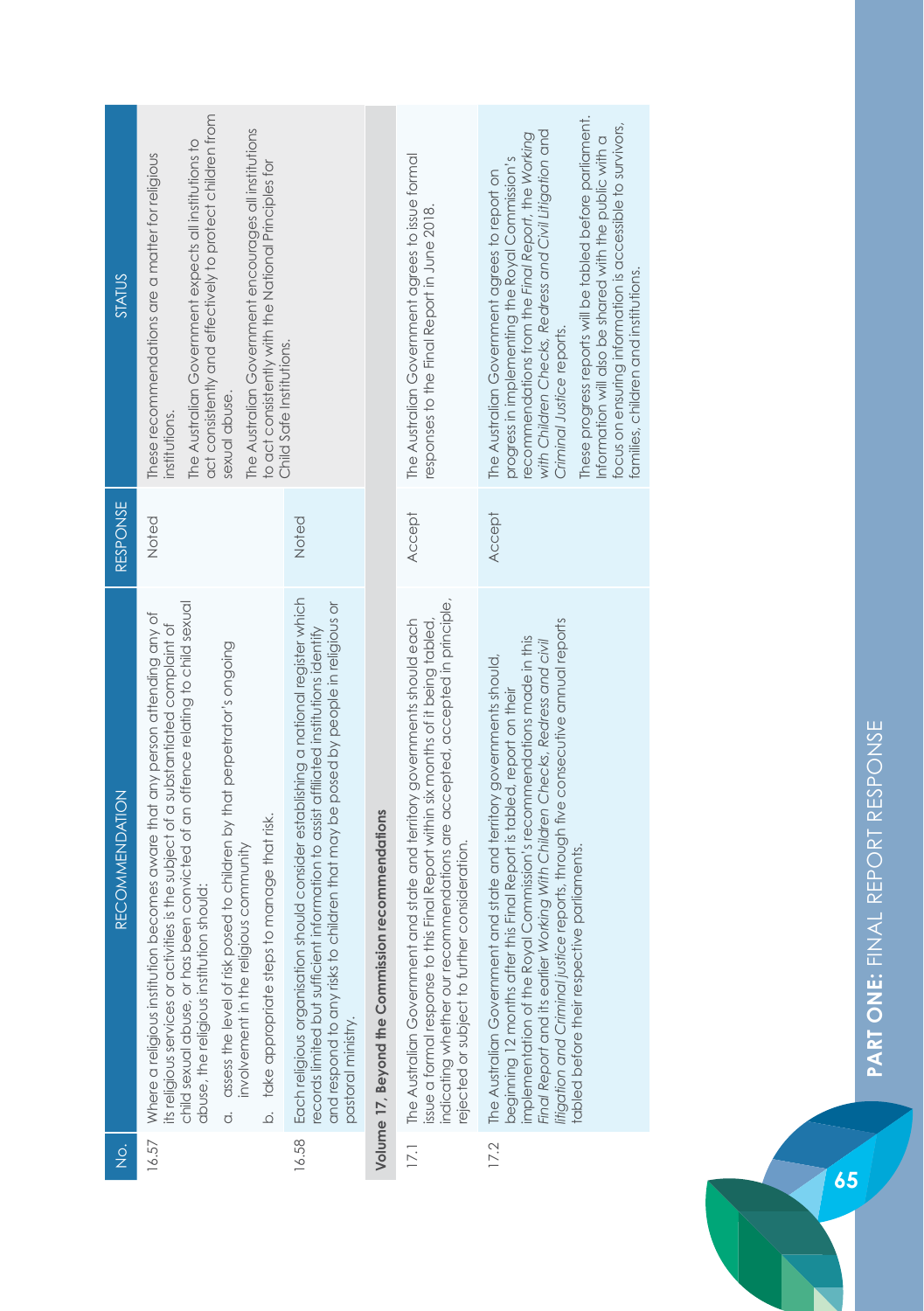| <b>STATUS</b>         | act consistently and effectively to protect children from<br>The Australian Government encourages all institutions<br>The Australian Government expects all institutions to<br>These recommendations are a matter for religious<br>to act consistently with the National Principles for<br>Child Safe Institutions.<br>sexual abuse.<br>institutions.                                                                                                                                                              |                                                                                                                                                                                                                                                                                      |                                                  | The Australian Government agrees to issue formal<br>responses to the Final Report in June 2018.                                                                                                                                                                                                      | These progress reports will be tabled before parliament.<br>focus on ensuring information is accessible to survivors,<br>with Children Checks, Redress and Civil Litigation and<br>recommendations from the Final Report, the Working<br>Information will also be shared with the public with a<br>progress in implementing the Royal Commission's<br>The Australian Government agrees to report on<br>tamilies, children and institutions.<br>Criminal Justice reports. |
|-----------------------|--------------------------------------------------------------------------------------------------------------------------------------------------------------------------------------------------------------------------------------------------------------------------------------------------------------------------------------------------------------------------------------------------------------------------------------------------------------------------------------------------------------------|--------------------------------------------------------------------------------------------------------------------------------------------------------------------------------------------------------------------------------------------------------------------------------------|--------------------------------------------------|------------------------------------------------------------------------------------------------------------------------------------------------------------------------------------------------------------------------------------------------------------------------------------------------------|--------------------------------------------------------------------------------------------------------------------------------------------------------------------------------------------------------------------------------------------------------------------------------------------------------------------------------------------------------------------------------------------------------------------------------------------------------------------------|
| <b>RESPONSE</b>       | Noted                                                                                                                                                                                                                                                                                                                                                                                                                                                                                                              | Noted                                                                                                                                                                                                                                                                                |                                                  | Accept                                                                                                                                                                                                                                                                                               | <b>Accept</b>                                                                                                                                                                                                                                                                                                                                                                                                                                                            |
| <b>RECOMMENDATION</b> | child sexual abuse, or has been convicted of an offence relating to child sexual<br>becomes aware that any person attending any of<br>its religious services or activities is the subject of a substantiated complaint of<br>assess the level of risk posed to children by that perpetrator's ongoing<br>to manage that risk.<br>involvement in the religious community<br>abuse, the religious institution should:<br>take appropriate steps<br>Where a religious institution<br>$\overline{Q}$<br>$\dot{\sigma}$ | Each religious organisation should consider establishing a national register which<br>and respond to any risks to children that may be posed by people in religious or<br>ecords limited but sufficient information to assist affiliated institutions identify<br>pastoral ministry. | Volume 17, Beyond the Commission recommendations | indicating whether our recommendations are accepted, accepted in principle,<br>The Australian Government and state and territory governments should each<br>his Final Report within six months of it being tabled,<br>rejected or subject to further consideration.<br>issue a formal response to th | litigation and Criminal justice reports, through five consecutive annual reports<br>implementation of the Royal Commission's recommendations made in this<br>Final Report and its earlier Working With Children Checks, Redress and civil<br>and state and territory governments should,<br>beginning 12 months after this Final Report is tabled, report on their<br>tabled before their respective parliaments.<br>The Australian Government                           |
| $\frac{1}{2}$         | 16.57                                                                                                                                                                                                                                                                                                                                                                                                                                                                                                              | 16.58                                                                                                                                                                                                                                                                                |                                                  | $\overline{17.1}$                                                                                                                                                                                                                                                                                    | 17.2                                                                                                                                                                                                                                                                                                                                                                                                                                                                     |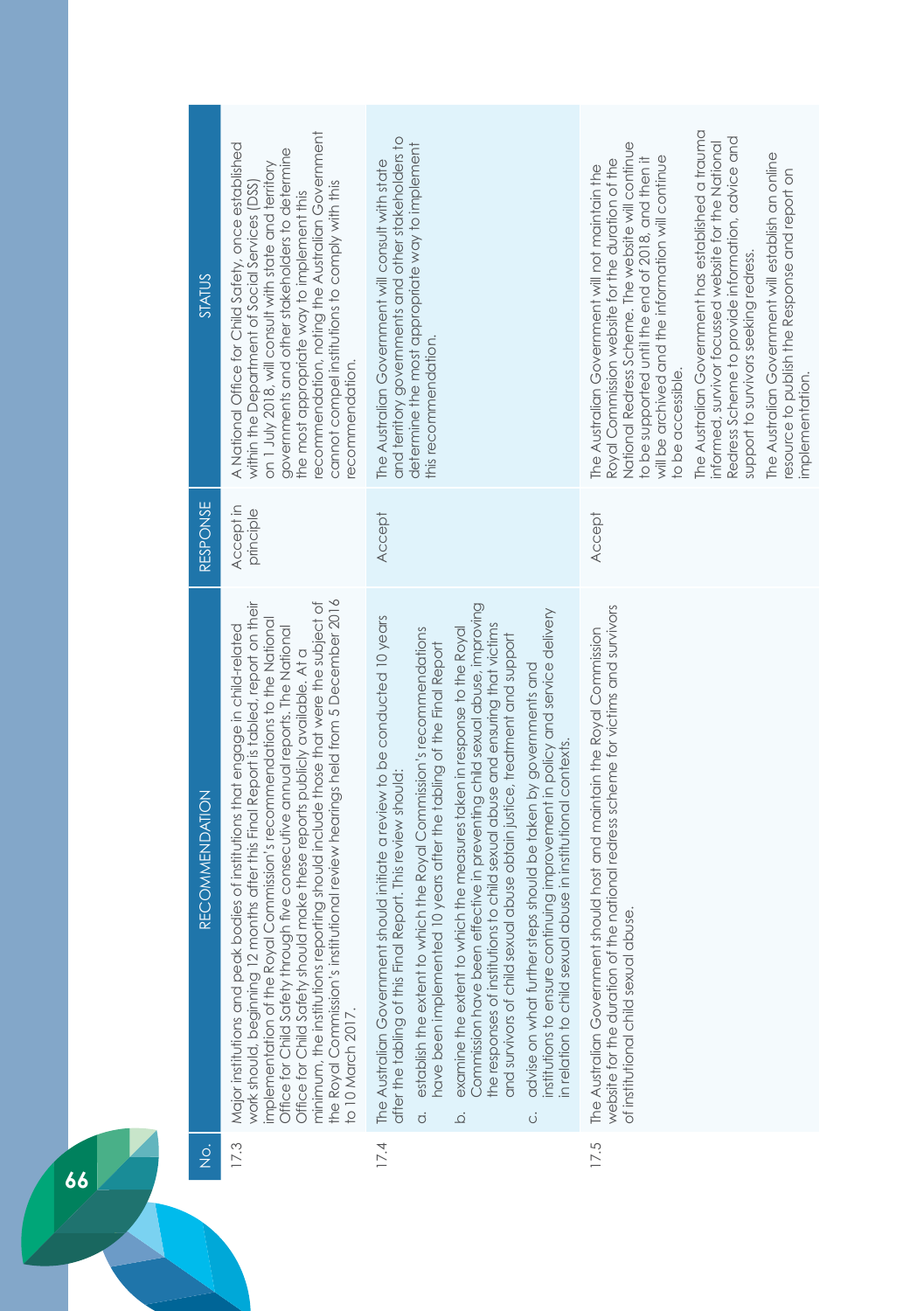| STATUS                | recommendation, noting the Australian Government<br>A National Office for Child Safety, once established<br>governments and other stakeholders to determine<br>on 1 July 2018, will consult with state and territory<br>cannot compel institutions to comply with this<br>within the Department of Social Services (DSS)<br>the most appropriate way to implement this<br>recommendation.                                                                                                                                                                                                                        | and territory governments and other stakeholders to<br>determine the most appropriate way to implement<br>The Australian Government will consult with state<br>this recommendation.                                                                                                                                                                                                                                                                                                                                                                                                                                                                                                                                                                                                                                                                                                 | The Australian Government has established a trauma<br>Redress Scheme to provide information, advice and<br>informed, survivor focussed website for the National<br>National Redress Scheme. The website will continue<br>The Australian Government will establish an online<br>will be archived and the information will continue<br>Royal Commission website for the duration of the<br>to be supported until the end of 2018, and then it<br>The Australian Government will not maintain the<br>resource to publish the Response and report on<br>support to survivors seeking redress.<br>to be accessible.<br>implementation. |
|-----------------------|------------------------------------------------------------------------------------------------------------------------------------------------------------------------------------------------------------------------------------------------------------------------------------------------------------------------------------------------------------------------------------------------------------------------------------------------------------------------------------------------------------------------------------------------------------------------------------------------------------------|-------------------------------------------------------------------------------------------------------------------------------------------------------------------------------------------------------------------------------------------------------------------------------------------------------------------------------------------------------------------------------------------------------------------------------------------------------------------------------------------------------------------------------------------------------------------------------------------------------------------------------------------------------------------------------------------------------------------------------------------------------------------------------------------------------------------------------------------------------------------------------------|-----------------------------------------------------------------------------------------------------------------------------------------------------------------------------------------------------------------------------------------------------------------------------------------------------------------------------------------------------------------------------------------------------------------------------------------------------------------------------------------------------------------------------------------------------------------------------------------------------------------------------------|
| RESPONSE              | Accept in<br>principle                                                                                                                                                                                                                                                                                                                                                                                                                                                                                                                                                                                           | Accept                                                                                                                                                                                                                                                                                                                                                                                                                                                                                                                                                                                                                                                                                                                                                                                                                                                                              | <b>Accept</b>                                                                                                                                                                                                                                                                                                                                                                                                                                                                                                                                                                                                                     |
| <b>RECOMMENDATION</b> | minimum, the institutions reporting should include those that were the subject of<br>the Royal Commission's institutional review hearings held from 5 December 2016<br>work should, beginning 12 months after this Final Report is tabled, report on their<br>implementation of the Royal Commission's recommendations to the National<br>bodies of institutions that engage in child-related<br>Office for Child Safety through five consecutive annual reports. The National<br>Office for Child Safety should make these reports publicly available. At a<br>Major institutions and peak<br>to 10 March 2017. | Commission have been effective in preventing child sexual abuse, improving<br>institutions to ensure continuing improvement in policy and service delivery<br>should initiate a review to be conducted 10 years<br>the responses of institutions to child sexual abuse and ensuring that victims<br>establish the extent to which the Royal Commission's recommendations<br>examine the extent to which the measures taken in response to the Royal<br>and survivors of child sexual abuse obtain justice, treatment and support<br>have been implemented 10 years after the tabling of the Final Report<br>steps should be taken by governments and<br>in relation to child sexual abuse in institutional contexts.<br>after the tabling of this Final Report. This review should:<br>The Australian Government<br>advise on what further<br>$\dot{\sigma}$<br>$\overline{Q}$<br>Ö | the national redress scheme for victims and survivors<br>t should host and maintain the Royal Commission<br>of institutional child sexual abuse.<br>The Australian Government<br>website for the duration of                                                                                                                                                                                                                                                                                                                                                                                                                      |
| $\frac{\dot{Q}}{Z}$   | 17.3                                                                                                                                                                                                                                                                                                                                                                                                                                                                                                                                                                                                             | 17.4                                                                                                                                                                                                                                                                                                                                                                                                                                                                                                                                                                                                                                                                                                                                                                                                                                                                                | 17.5                                                                                                                                                                                                                                                                                                                                                                                                                                                                                                                                                                                                                              |